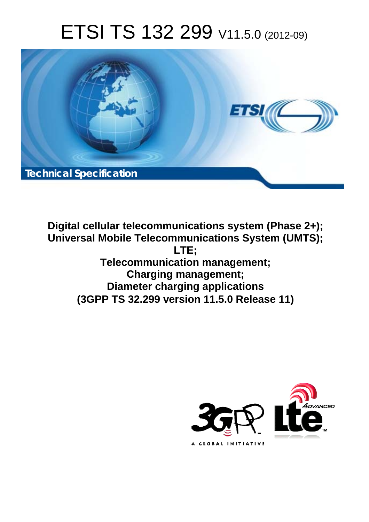# ETSI TS 132 299 V11.5.0 (2012-09)



**Digital cellular telecommunications system (Phase 2+); Universal Mobile Telecommunications System (UMTS); LTE; Telecommunication management; Charging management; Diameter charging applications (3GPP TS 32.299 version 11.5.0 Release 11)** 

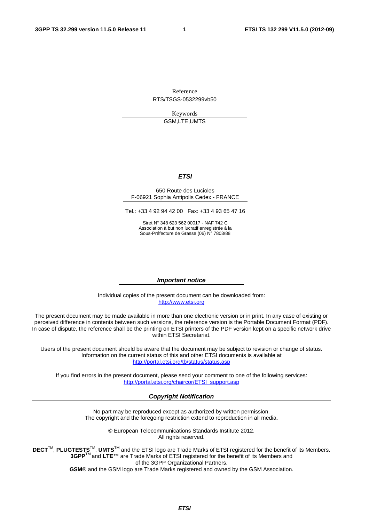Reference RTS/TSGS-0532299vb50

> Keywords GSM,LTE,UMTS

#### *ETSI*

#### 650 Route des Lucioles F-06921 Sophia Antipolis Cedex - FRANCE

Tel.: +33 4 92 94 42 00 Fax: +33 4 93 65 47 16

Siret N° 348 623 562 00017 - NAF 742 C Association à but non lucratif enregistrée à la Sous-Préfecture de Grasse (06) N° 7803/88

#### *Important notice*

Individual copies of the present document can be downloaded from: [http://www.etsi.org](http://www.etsi.org/)

The present document may be made available in more than one electronic version or in print. In any case of existing or perceived difference in contents between such versions, the reference version is the Portable Document Format (PDF). In case of dispute, the reference shall be the printing on ETSI printers of the PDF version kept on a specific network drive within ETSI Secretariat.

Users of the present document should be aware that the document may be subject to revision or change of status. Information on the current status of this and other ETSI documents is available at <http://portal.etsi.org/tb/status/status.asp>

If you find errors in the present document, please send your comment to one of the following services: [http://portal.etsi.org/chaircor/ETSI\\_support.asp](http://portal.etsi.org/chaircor/ETSI_support.asp)

#### *Copyright Notification*

No part may be reproduced except as authorized by written permission. The copyright and the foregoing restriction extend to reproduction in all media.

> © European Telecommunications Standards Institute 2012. All rights reserved.

DECT<sup>™</sup>, PLUGTESTS<sup>™</sup>, UMTS<sup>™</sup> and the ETSI logo are Trade Marks of ETSI registered for the benefit of its Members. **3GPP**TM and **LTE**™ are Trade Marks of ETSI registered for the benefit of its Members and of the 3GPP Organizational Partners.

**GSM**® and the GSM logo are Trade Marks registered and owned by the GSM Association.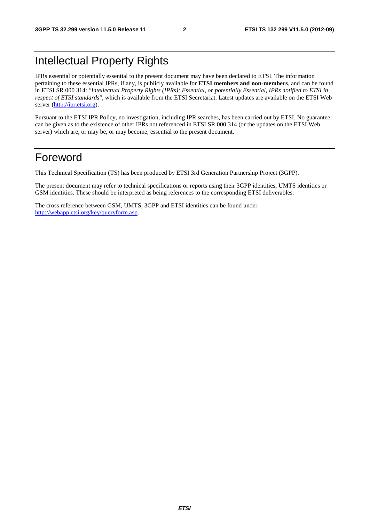# Intellectual Property Rights

IPRs essential or potentially essential to the present document may have been declared to ETSI. The information pertaining to these essential IPRs, if any, is publicly available for **ETSI members and non-members**, and can be found in ETSI SR 000 314: *"Intellectual Property Rights (IPRs); Essential, or potentially Essential, IPRs notified to ETSI in respect of ETSI standards"*, which is available from the ETSI Secretariat. Latest updates are available on the ETSI Web server [\(http://ipr.etsi.org](http://webapp.etsi.org/IPR/home.asp)).

Pursuant to the ETSI IPR Policy, no investigation, including IPR searches, has been carried out by ETSI. No guarantee can be given as to the existence of other IPRs not referenced in ETSI SR 000 314 (or the updates on the ETSI Web server) which are, or may be, or may become, essential to the present document.

# Foreword

This Technical Specification (TS) has been produced by ETSI 3rd Generation Partnership Project (3GPP).

The present document may refer to technical specifications or reports using their 3GPP identities, UMTS identities or GSM identities. These should be interpreted as being references to the corresponding ETSI deliverables.

The cross reference between GSM, UMTS, 3GPP and ETSI identities can be found under <http://webapp.etsi.org/key/queryform.asp>.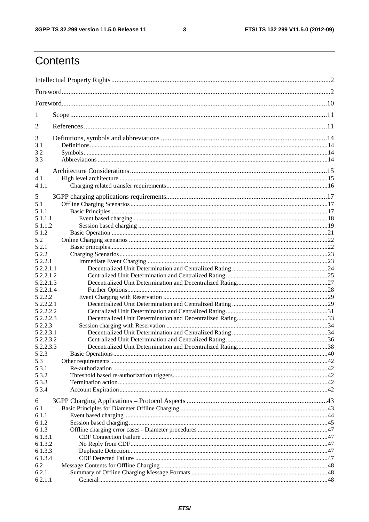$\mathbf{3}$ 

# Contents

| 1                      |  |  |  |
|------------------------|--|--|--|
| 2                      |  |  |  |
| 3                      |  |  |  |
| 3.1                    |  |  |  |
| 3.2                    |  |  |  |
| 3.3                    |  |  |  |
| 4                      |  |  |  |
| 4.1                    |  |  |  |
| 4.1.1                  |  |  |  |
| 5                      |  |  |  |
| 5.1                    |  |  |  |
| 5.1.1                  |  |  |  |
| 5.1.1.1                |  |  |  |
| 5.1.1.2                |  |  |  |
| 5.1.2                  |  |  |  |
| 5.2                    |  |  |  |
| 5.2.1<br>5.2.2         |  |  |  |
| 5.2.2.1                |  |  |  |
| 5.2.2.1.1              |  |  |  |
| 5.2.2.1.2              |  |  |  |
| 5.2.2.1.3              |  |  |  |
| 5.2.2.1.4              |  |  |  |
| 5.2.2.2                |  |  |  |
| 5.2.2.2.1              |  |  |  |
| 5.2.2.2.2              |  |  |  |
| 5.2.2.2.3              |  |  |  |
| 5.2.2.3                |  |  |  |
| 5.2.2.3.1<br>5.2.2.3.2 |  |  |  |
| 5.2.2.3.3              |  |  |  |
| 5.2.3                  |  |  |  |
| 5.3                    |  |  |  |
| 5.3.1                  |  |  |  |
| 5.3.2                  |  |  |  |
| 5.3.3                  |  |  |  |
| 5.3.4                  |  |  |  |
| 6                      |  |  |  |
| 6.1                    |  |  |  |
| 6.1.1                  |  |  |  |
| 6.1.2                  |  |  |  |
| 6.1.3                  |  |  |  |
| 6.1.3.1                |  |  |  |
| 6.1.3.2                |  |  |  |
| 6.1.3.3                |  |  |  |
| 6.1.3.4<br>6.2         |  |  |  |
| 6.2.1                  |  |  |  |
| 6.2.1.1                |  |  |  |
|                        |  |  |  |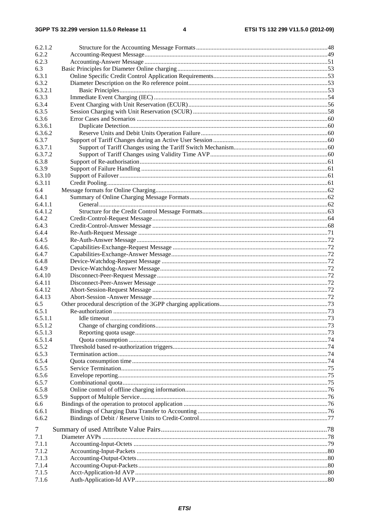| 6.2.1.2        |              |  |
|----------------|--------------|--|
| 6.2.2          |              |  |
| 6.2.3          |              |  |
| 6.3            |              |  |
| 6.3.1          |              |  |
| 6.3.2          |              |  |
| 6.3.2.1        |              |  |
| 6.3.3<br>6.3.4 |              |  |
| 6.3.5          |              |  |
| 6.3.6          |              |  |
| 6.3.6.1        |              |  |
| 6.3.6.2        |              |  |
| 6.3.7          |              |  |
| 6.3.7.1        |              |  |
| 6.3.7.2        |              |  |
| 6.3.8          |              |  |
| 6.3.9          |              |  |
| 6.3.10         |              |  |
| 6.3.11         |              |  |
| 6.4            |              |  |
| 6.4.1          |              |  |
| 6.4.1.1        |              |  |
| 6.4.1.2        |              |  |
| 6.4.2          |              |  |
| 6.4.3          |              |  |
| 6.4.4          |              |  |
| 6.4.5          |              |  |
| 6.4.6.         |              |  |
| 6.4.7          |              |  |
| 6.4.8          |              |  |
| 6.4.9          |              |  |
| 6.4.10         |              |  |
| 6.4.11         |              |  |
| 6.4.12         |              |  |
| 6.4.13         |              |  |
| 6.5            |              |  |
| 6.5.1          |              |  |
| 6.5.1.1        | Idle timeout |  |
| 6.5.1.2        |              |  |
| 6.5.1.3        |              |  |
| 6.5.1.4        |              |  |
| 6.5.2          |              |  |
| 6.5.3          |              |  |
| 6.5.4          |              |  |
| 6.5.5          |              |  |
| 6.5.6          |              |  |
| 6.5.7          |              |  |
| 6.5.8<br>6.5.9 |              |  |
| 6.6            |              |  |
| 6.6.1          |              |  |
| 6.6.2          |              |  |
|                |              |  |
| 7              |              |  |
| 7.1            |              |  |
| 7.1.1          |              |  |
| 7.1.2          |              |  |
| 7.1.3          |              |  |
| 7.1.4          |              |  |
| 7.1.5          |              |  |
| 7.1.6          |              |  |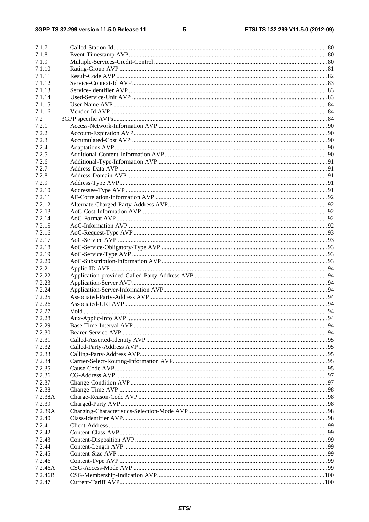### $5\phantom{a}$

| 7.1.7   |  |
|---------|--|
| 7.1.8   |  |
| 7.1.9   |  |
| 7.1.10  |  |
| 7.1.11  |  |
| 7.1.12  |  |
| 7.1.13  |  |
| 7.1.14  |  |
| 7.1.15  |  |
| 7.1.16  |  |
| 7.2     |  |
| 7.2.1   |  |
| 7.2.2   |  |
| 7.2.3   |  |
| 7.2.4   |  |
| 7.2.5   |  |
| 7.2.6   |  |
| 7.2.7   |  |
| 7.2.8   |  |
| 7.2.9   |  |
| 7.2.10  |  |
| 7.2.11  |  |
| 7.2.12  |  |
| 7.2.13  |  |
| 7.2.14  |  |
| 7.2.15  |  |
|         |  |
| 7.2.16  |  |
| 7.2.17  |  |
| 7.2.18  |  |
| 7.2.19  |  |
| 7.2.20  |  |
| 7.2.21  |  |
| 7.2.22  |  |
| 7.2.23  |  |
| 7.2.24  |  |
| 7.2.25  |  |
| 7.2.26  |  |
| 7.2.27  |  |
| 7.2.28  |  |
| 7.2.29  |  |
| 7.2.30  |  |
| 7.2.31  |  |
| 7.2.32  |  |
| 7.2.33  |  |
| 7.2.34  |  |
| 7.2.35  |  |
| 7.2.36  |  |
| 7.2.37  |  |
| 7.2.38  |  |
| 7.2.38A |  |
| 7.2.39  |  |
| 7.2.39A |  |
| 7.2.40  |  |
| 7.2.41  |  |
| 7.2.42  |  |
| 7.2.43  |  |
| 7.2.44  |  |
| 7.2.45  |  |
| 7.2.46  |  |
| 7.2.46A |  |
| 7.2.46B |  |
| 7.2.47  |  |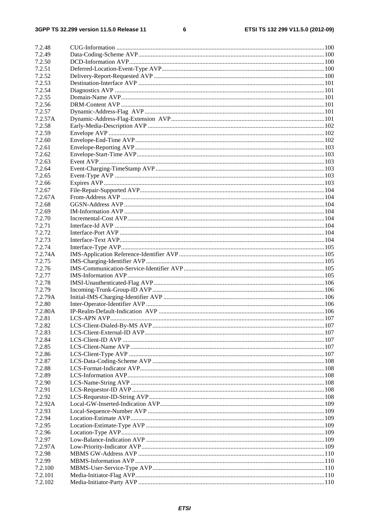$\bf 6$ 

| 7.2.48  |  |
|---------|--|
| 7.2.49  |  |
| 7.2.50  |  |
| 7.2.51  |  |
| 7.2.52  |  |
| 7.2.53  |  |
| 7.2.54  |  |
| 7.2.55  |  |
| 7.2.56  |  |
| 7.2.57  |  |
| 7.2.57A |  |
| 7.2.58  |  |
| 7.2.59  |  |
| 7.2.60  |  |
| 7.2.61  |  |
| 7.2.62  |  |
| 7.2.63  |  |
| 7.2.64  |  |
| 7.2.65  |  |
| 7.2.66  |  |
| 7.2.67  |  |
| 7.2.67A |  |
| 7.2.68  |  |
| 7.2.69  |  |
| 7.2.70  |  |
| 7.2.71  |  |
| 7.2.72  |  |
| 7.2.73  |  |
| 7.2.74  |  |
| 7.2.74A |  |
| 7.2.75  |  |
| 7.2.76  |  |
| 7.2.77  |  |
| 7.2.78  |  |
| 7.2.79  |  |
| 7.2.79A |  |
| 7.2.80  |  |
| 7.2.80A |  |
| 7.2.81  |  |
| 7.2.82  |  |
| 7.2.83  |  |
| 7.2.84  |  |
| 7.2.85  |  |
| 7.2.86  |  |
| 7.2.87  |  |
| 7.2.88  |  |
| 7.2.89  |  |
| 7.2.90  |  |
| 7.2.91  |  |
| 7.2.92  |  |
| 7.2.92A |  |
| 7.2.93  |  |
| 7.2.94  |  |
| 7.2.95  |  |
| 7.2.96  |  |
|         |  |
| 7.2.97  |  |
| 7.2.97A |  |
| 7.2.98  |  |
| 7.2.99  |  |
| 7.2.100 |  |
| 7.2.101 |  |
| 7.2.102 |  |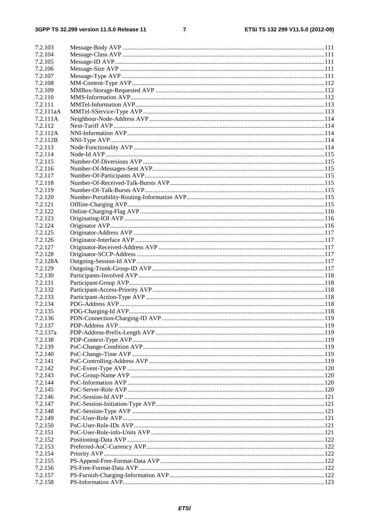### $\overline{7}$

| 7.2.103            |  |
|--------------------|--|
| 7.2.104            |  |
| 7.2.105            |  |
| 7.2.106            |  |
| 7.2.107            |  |
| 7.2.108            |  |
| 7.2.109            |  |
| 7.2.110            |  |
| 7.2.111            |  |
| 7.2.111aA          |  |
| 7.2.111A           |  |
| 7.2.112            |  |
| 7.2.112A           |  |
| 7.2.112B           |  |
| 7.2.113            |  |
| 7.2.114            |  |
| 7.2.115            |  |
| 7.2.116            |  |
| 7.2.117            |  |
| 7.2.118            |  |
| 7.2.119            |  |
| 7.2.120            |  |
| 7.2.121            |  |
| 7.2.122            |  |
| 7.2.123            |  |
| 7.2.124            |  |
|                    |  |
| 7.2.125<br>7.2.126 |  |
|                    |  |
| 7.2.127            |  |
| 7.2.128            |  |
| 7.2.128A           |  |
| 7.2.129            |  |
| 7.2.130            |  |
| 7.2.131            |  |
| 7.2.132            |  |
| 7.2.133            |  |
| 7.2.134            |  |
| 7.2.135            |  |
| 7.2.136            |  |
| 7.2.137            |  |
| 7.2.137a           |  |
| 7.2.138            |  |
| 7.2.139            |  |
| 7.2.140            |  |
| 7.2.141            |  |
| 7.2.142            |  |
| 7.2.143            |  |
| 7.2.144            |  |
| 7.2.145            |  |
| 7.2.146            |  |
| 7.2.147            |  |
| 7.2.148            |  |
| 7.2.149            |  |
| 7.2.150            |  |
| 7.2.151            |  |
| 7.2.152            |  |
| 7.2.153            |  |
| 7.2.154            |  |
| 7.2.155            |  |
| 7.2.156            |  |
| 7.2.157            |  |
| 7.2.158            |  |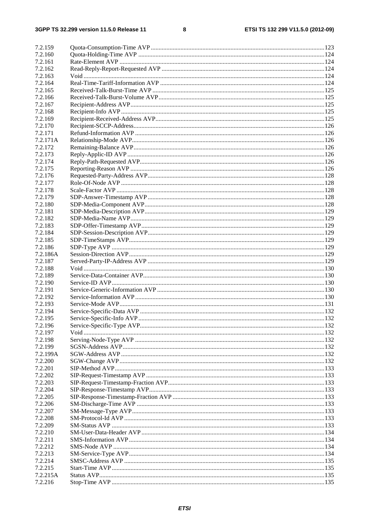$\bf{8}$ 

| 7.2.159  |  |
|----------|--|
| 7.2.160  |  |
| 7.2.161  |  |
| 7.2.162  |  |
| 7.2.163  |  |
| 7.2.164  |  |
| 7.2.165  |  |
| 7.2.166  |  |
| 7.2.167  |  |
| 7.2.168  |  |
| 7.2.169  |  |
| 7.2.170  |  |
| 7.2.171  |  |
| 7.2.171A |  |
|          |  |
| 7.2.172  |  |
| 7.2.173  |  |
| 7.2.174  |  |
| 7.2.175  |  |
| 7.2.176  |  |
| 7.2.177  |  |
| 7.2.178  |  |
| 7.2.179  |  |
| 7.2.180  |  |
| 7.2.181  |  |
| 7.2.182  |  |
| 7.2.183  |  |
| 7.2.184  |  |
| 7.2.185  |  |
| 7.2.186  |  |
| 7.2.186A |  |
| 7.2.187  |  |
| 7.2.188  |  |
| 7.2.189  |  |
| 7.2.190  |  |
| 7.2.191  |  |
| 7.2.192  |  |
| 7.2.193  |  |
| 7.2.194  |  |
| 7.2.195  |  |
| 7.2.196  |  |
| 7.2.197  |  |
| 7.2.198  |  |
| 7.2.199  |  |
| 7.2.199A |  |
| 7.2.200  |  |
| 7.2.201  |  |
| 7.2.202  |  |
| 7.2.203  |  |
| 7.2.204  |  |
|          |  |
| 7.2.205  |  |
| 7.2.206  |  |
| 7.2.207  |  |
| 7.2.208  |  |
| 7.2.209  |  |
| 7.2.210  |  |
| 7.2.211  |  |
| 7.2.212  |  |
| 7.2.213  |  |
| 7.2.214  |  |
| 7.2.215  |  |
| 7.2.215A |  |
| 7.2.216  |  |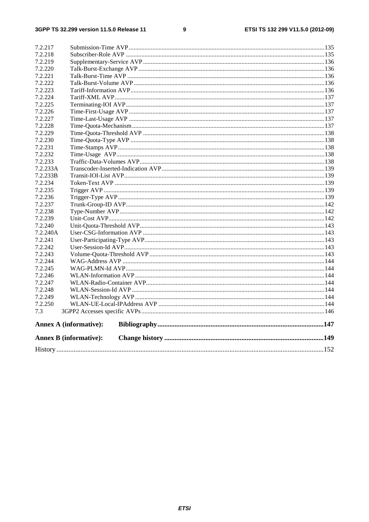$\boldsymbol{9}$ 

|          | <b>Annex B</b> (informative): |  |
|----------|-------------------------------|--|
|          | <b>Annex A (informative):</b> |  |
| 7.3      |                               |  |
| 7.2.250  |                               |  |
| 7.2.249  |                               |  |
| 7.2.248  |                               |  |
| 7.2.247  |                               |  |
| 7.2.246  |                               |  |
| 7.2.245  |                               |  |
| 7.2.244  |                               |  |
| 7.2.243  |                               |  |
| 7.2.242  |                               |  |
| 7.2.241  |                               |  |
| 7.2.240A |                               |  |
| 7.2.240  |                               |  |
| 7.2.239  |                               |  |
| 7.2.238  |                               |  |
| 7.2.237  |                               |  |
| 7.2.236  |                               |  |
| 7.2.235  |                               |  |
| 7.2.234  |                               |  |
| 7.2.233B |                               |  |
| 7.2.233A |                               |  |
| 7.2.233  |                               |  |
| 7.2.232  |                               |  |
| 7.2.231  |                               |  |
| 7.2.230  |                               |  |
| 7.2.229  |                               |  |
| 7.2.228  |                               |  |
| 7.2.227  |                               |  |
| 7.2.226  |                               |  |
| 7.2.225  |                               |  |
| 7.2.224  |                               |  |
| 7.2.223  |                               |  |
| 7.2.222  |                               |  |
| 7.2.221  |                               |  |
| 7.2.220  |                               |  |
| 7.2.219  |                               |  |
| 7.2.218  |                               |  |
| 7.2.217  |                               |  |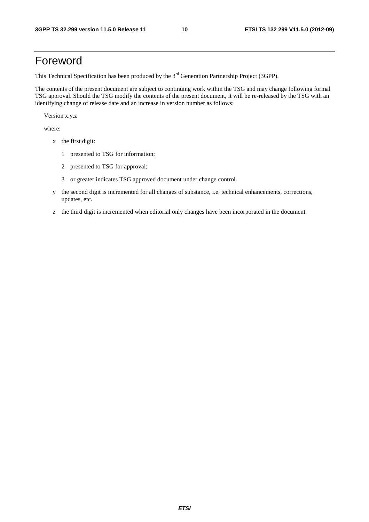# Foreword

This Technical Specification has been produced by the 3<sup>rd</sup> Generation Partnership Project (3GPP).

The contents of the present document are subject to continuing work within the TSG and may change following formal TSG approval. Should the TSG modify the contents of the present document, it will be re-released by the TSG with an identifying change of release date and an increase in version number as follows:

Version x.y.z

where:

- x the first digit:
	- 1 presented to TSG for information;
	- 2 presented to TSG for approval;
	- 3 or greater indicates TSG approved document under change control.
- y the second digit is incremented for all changes of substance, i.e. technical enhancements, corrections, updates, etc.
- z the third digit is incremented when editorial only changes have been incorporated in the document.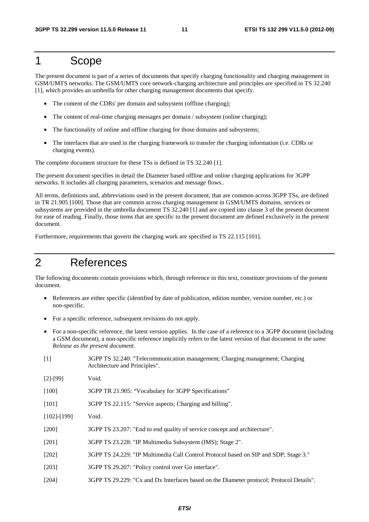### 1 Scope

The present document is part of a series of documents that specify charging functionality and charging management in GSM/UMTS networks. The GSM/UMTS core network-charging architecture and principles are specified in TS 32.240 [1], which provides an umbrella for other charging management documents that specify.

- The content of the CDRs' per domain and subsystem (offline charging);
- The content of real-time charging messages per domain / subsystem (online charging);
- The functionality of online and offline charging for those domains and subsystems;
- The interfaces that are used in the charging framework to transfer the charging information (i.e. CDRs or charging events).

The complete document structure for these TSs is defined in TS 32.240 [1].

The present document specifies in detail the Diameter based offline and online charging applications for 3GPP networks. It includes all charging parameters, scenarios and message flows..

All terms, definitions and, abbreviations used in the present document, that are common across 3GPP TSs, are defined in TR 21.905 [100]. Those that are common across charging management in GSM/UMTS domains, services or subsystems are provided in the umbrella document TS 32.240 [1] and are copied into clause 3 of the present document for ease of reading. Finally, those items that are specific to the present document are defined exclusively in the present document.

Furthermore, requirements that govern the charging work are specified in TS 22.115 [101].

# 2 References

The following documents contain provisions which, through reference in this text, constitute provisions of the present document.

- References are either specific (identified by date of publication, edition number, version number, etc.) or non-specific.
- For a specific reference, subsequent revisions do not apply.
- For a non-specific reference, the latest version applies. In the case of a reference to a 3GPP document (including a GSM document), a non-specific reference implicitly refers to the latest version of that document *in the same Release as the present document*.

| 3GPP TS 32.240: "Telecommunication management; Charging management; Charging |
|------------------------------------------------------------------------------|
| Architecture and Principles".                                                |
|                                                                              |

| $[2]-[99]$ | Void. |
|------------|-------|
|------------|-------|

- [100] 3GPP TR 21.905: "Vocabulary for 3GPP Specifications"
- [101] 3GPP TS 22.115: "Service aspects; Charging and billing".
- [102]-[199] Void.
- [200] 3GPP TS 23.207: "End to end quality of service concept and architecture".
- [201] 3GPP TS 23.228: "IP Multimedia Subsystem (IMS); Stage 2".
- [202] 3GPP TS 24.229: "IP Multimedia Call Control Protocol based on SIP and SDP; Stage 3."
- [203] 3GPP TS 29.207: "Policy control over Go interface".
- [204] 3GPP TS 29.229: "Cx and Dx Interfaces based on the Diameter protocol; Protocol Details".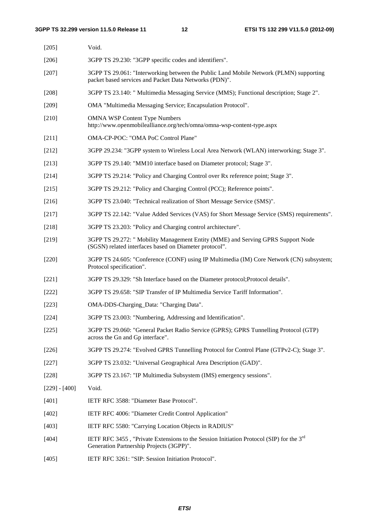| $[205]$         | Void.                                                                                                                                            |
|-----------------|--------------------------------------------------------------------------------------------------------------------------------------------------|
| [206]           | 3GPP TS 29.230: "3GPP specific codes and identifiers".                                                                                           |
| $[207]$         | 3GPP TS 29.061: "Interworking between the Public Land Mobile Network (PLMN) supporting<br>packet based services and Packet Data Networks (PDN)". |
| $[208]$         | 3GPP TS 23.140: " Multimedia Messaging Service (MMS); Functional description; Stage 2".                                                          |
| [209]           | OMA "Multimedia Messaging Service; Encapsulation Protocol".                                                                                      |
| $[210]$         | <b>OMNA WSP Content Type Numbers</b><br>http://www.openmobilealliance.org/tech/omna/omna-wsp-content-type.aspx                                   |
| $[211]$         | OMA-CP-POC: "OMA PoC Control Plane"                                                                                                              |
| $[212]$         | 3GPP 29.234: "3GPP system to Wireless Local Area Network (WLAN) interworking; Stage 3".                                                          |
| $[213]$         | 3GPP TS 29.140: "MM10 interface based on Diameter protocol; Stage 3".                                                                            |
| [214]           | 3GPP TS 29.214: "Policy and Charging Control over Rx reference point; Stage 3".                                                                  |
| $[215]$         | 3GPP TS 29.212: "Policy and Charging Control (PCC); Reference points".                                                                           |
| $[216]$         | 3GPP TS 23.040: "Technical realization of Short Message Service (SMS)".                                                                          |
| $[217]$         | 3GPP TS 22.142: "Value Added Services (VAS) for Short Message Service (SMS) requirements".                                                       |
| $[218]$         | 3GPP TS 23.203: "Policy and Charging control architecture".                                                                                      |
| $[219]$         | 3GPP TS 29.272: " Mobility Management Entity (MME) and Serving GPRS Support Node<br>(SGSN) related interfaces based on Diameter protocol".       |
| $[220]$         | 3GPP TS 24.605: "Conference (CONF) using IP Multimedia (IM) Core Network (CN) subsystem;<br>Protocol specification".                             |
| $[221]$         | 3GPP TS 29.329: "Sh Interface based on the Diameter protocol; Protocol details".                                                                 |
| $[222]$         | 3GPP TS 29.658: "SIP Transfer of IP Multimedia Service Tariff Information".                                                                      |
| $[223]$         | OMA-DDS-Charging_Data: "Charging Data".                                                                                                          |
| [224]           | 3GPP TS 23.003: "Numbering, Addressing and Identification"                                                                                       |
| $[225]$         | 3GPP TS 29.060: "General Packet Radio Service (GPRS); GPRS Tunnelling Protocol (GTP)<br>across the Gn and Gp interface".                         |
| $[226]$         | 3GPP TS 29.274: "Evolved GPRS Tunnelling Protocol for Control Plane (GTPv2-C); Stage 3".                                                         |
| $[227]$         | 3GPP TS 23.032: "Universal Geographical Area Description (GAD)".                                                                                 |
| $[228]$         | 3GPP TS 23.167: "IP Multimedia Subsystem (IMS) emergency sessions".                                                                              |
| $[229] - [400]$ | Void.                                                                                                                                            |
| $[401]$         | IETF RFC 3588: "Diameter Base Protocol".                                                                                                         |
| $[402]$         | IETF RFC 4006: "Diameter Credit Control Application"                                                                                             |
| [403]           | IETF RFC 5580: "Carrying Location Objects in RADIUS"                                                                                             |
| [404]           | IETF RFC 3455, "Private Extensions to the Session Initiation Protocol (SIP) for the $3^{rd}$<br>Generation Partnership Projects (3GPP)".         |

[405] IETF RFC 3261: "SIP: Session Initiation Protocol".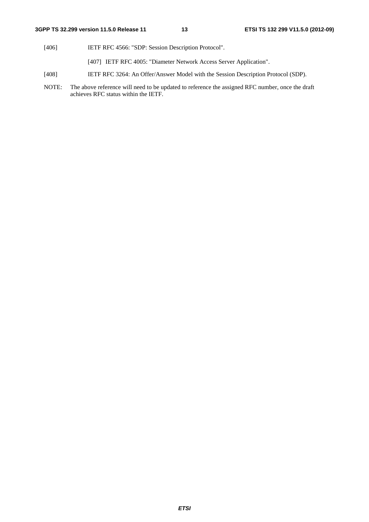[406] IETF RFC 4566: "SDP: Session Description Protocol".

[407] IETF RFC 4005: "Diameter Network Access Server Application".

- [408] IETF RFC 3264: An Offer/Answer Model with the Session Description Protocol (SDP).
- NOTE: The above reference will need to be updated to reference the assigned RFC number, once the draft achieves RFC status within the IETF.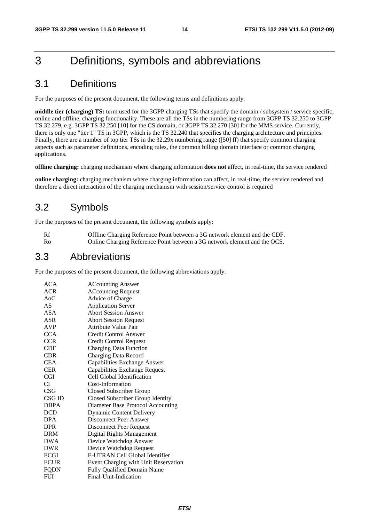# 3 Definitions, symbols and abbreviations

# 3.1 Definitions

For the purposes of the present document, the following terms and definitions apply:

**middle tier (charging) TS:** term used for the 3GPP charging TSs that specify the domain / subsystem / service specific, online and offline, charging functionality. These are all the TSs in the numbering range from 3GPP TS 32.250 to 3GPP TS 32.279, e.g. 3GPP TS 32.250 [10] for the CS domain, or 3GPP TS 32.270 [30] for the MMS service. Currently, there is only one "tier 1" TS in 3GPP, which is the TS 32.240 that specifies the charging architecture and principles. Finally, there are a number of top tier TSs in the 32.29x numbering range ([50] ff) that specify common charging aspects such as parameter definitions, encoding rules, the common billing domain interface or common charging applications.

**offline charging:** charging mechanism where charging information **does not** affect, in real-time, the service rendered

**online charging:** charging mechanism where charging information can affect, in real-time, the service rendered and therefore a direct interaction of the charging mechanism with session/service control is required

# 3.2 Symbols

For the purposes of the present document, the following symbols apply:

Rf Offline Charging Reference Point between a 3G network element and the CDF. Ro Online Charging Reference Point between a 3G network element and the OCS.

### 3.3 Abbreviations

For the purposes of the present document, the following abbreviations apply:

| ACA         | <b>ACcounting Answer</b>             |
|-------------|--------------------------------------|
| <b>ACR</b>  | <b>ACcounting Request</b>            |
| $A_0C$      | Advice of Charge                     |
| AS          | <b>Application Server</b>            |
| ASA         | <b>Abort Session Answer</b>          |
| ASR         | <b>Abort Session Request</b>         |
| <b>AVP</b>  | <b>Attribute Value Pair</b>          |
| <b>CCA</b>  | Credit Control Answer                |
| <b>CCR</b>  | Credit Control Request               |
| CDF         | <b>Charging Data Function</b>        |
| <b>CDR</b>  | Charging Data Record                 |
| <b>CEA</b>  | Capabilities Exchange Answer         |
| <b>CER</b>  | Capabilities Exchange Request        |
| <b>CGI</b>  | Cell Global Identification           |
| СI          | Cost-Information                     |
| CSG         | <b>Closed Subscriber Group</b>       |
| CSG ID      | Closed Subscriber Group Identity     |
| <b>DBPA</b> | Diameter Base Protocol Accounting    |
| DCD         | <b>Dynamic Content Delivery</b>      |
| <b>DPA</b>  | Disconnect Peer Answer               |
| <b>DPR</b>  | Disconnect Peer Request              |
| <b>DRM</b>  | Digital Rights Management            |
| <b>DWA</b>  | Device Watchdog Answer               |
| <b>DWR</b>  | Device Watchdog Request              |
| <b>ECGI</b> | E-UTRAN Cell Global Identifier       |
| <b>ECUR</b> | Event Charging with Unit Reservation |
| FQDN        | Fully Qualified Domain Name          |
| <b>FUI</b>  | Final-Unit-Indication                |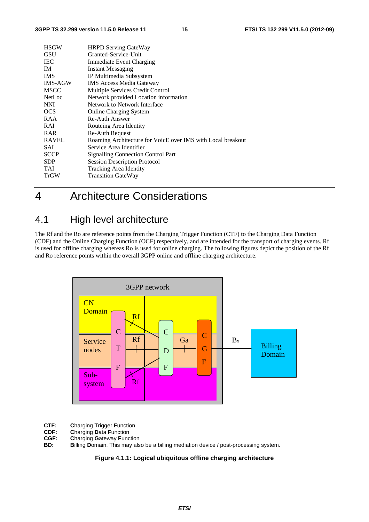| <b>HSGW</b>    | <b>HRPD Serving GateWay</b>                                 |
|----------------|-------------------------------------------------------------|
| GSU            | Granted-Service-Unit                                        |
| <b>IEC</b>     | Immediate Event Charging                                    |
| IM.            | <b>Instant Messaging</b>                                    |
| <b>IMS</b>     | IP Multimedia Subsystem                                     |
| <b>IMS-AGW</b> | <b>IMS</b> Access Media Gateway                             |
| <b>MSCC</b>    | Multiple Services Credit Control                            |
| NetLoc         | Network provided Location information                       |
| NNI            | Network to Network Interface                                |
| OCS            | <b>Online Charging System</b>                               |
| RAA            | Re-Auth Answer                                              |
| <b>RAI</b>     | Routeing Area Identity                                      |
| <b>RAR</b>     | <b>Re-Auth Request</b>                                      |
| <b>RAVEL</b>   | Roaming Architecture for VoicE over IMS with Local breakout |
| <b>SAI</b>     | Service Area Identifier                                     |
| <b>SCCP</b>    | <b>Signalling Connection Control Part</b>                   |
| <b>SDP</b>     | <b>Session Description Protocol</b>                         |
| <b>TAI</b>     | Tracking Area Identity                                      |
| <b>TrGW</b>    | <b>Transition GateWay</b>                                   |
|                |                                                             |

# 4 Architecture Considerations

### 4.1 High level architecture

The Rf and the Ro are reference points from the Charging Trigger Function (CTF) to the Charging Data Function (CDF) and the Online Charging Function (OCF) respectively, and are intended for the transport of charging events. Rf is used for offline charging whereas Ro is used for online charging. The following figures depict the position of the Rf and Ro reference points within the overall 3GPP online and offline charging architecture.



- **CTF:** Charging Trigger Function<br>**CDF:** Charging Data Function
- **CDF: Charging Data Function**<br>**CGF: Charging Gateway Function**
- **CGF: Charging Gateway Function**<br>**BD: Billing Domain**, This may als
- **Billing Domain.** This may also be a billing mediation device / post-processing system.

**Figure 4.1.1: Logical ubiquitous offline charging architecture**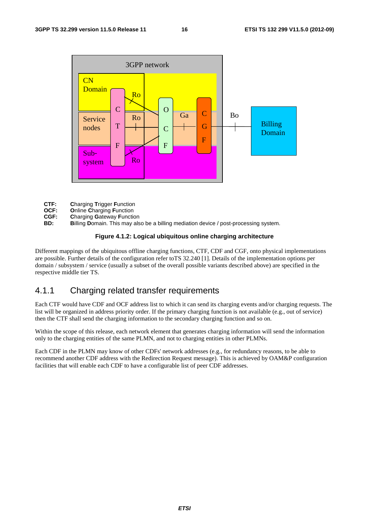

- **CTF: C**harging **T**rigger **F**unction
- **OCF: O**nline **C**harging **F**unction
- **CGF: Charging Gateway Function**<br>**BD: Billing Domain**, This may als
- Billing Domain. This may also be a billing mediation device / post-processing system.

### **Figure 4.1.2: Logical ubiquitous online charging architecture**

Different mappings of the ubiquitous offline charging functions, CTF, CDF and CGF, onto physical implementations are possible. Further details of the configuration refer toTS 32.240 [1]. Details of the implementation options per domain / subsystem / service (usually a subset of the overall possible variants described above) are specified in the respective middle tier TS.

### 4.1.1 Charging related transfer requirements

Each CTF would have CDF and OCF address list to which it can send its charging events and/or charging requests. The list will be organized in address priority order. If the primary charging function is not available (e.g., out of service) then the CTF shall send the charging information to the secondary charging function and so on.

Within the scope of this release, each network element that generates charging information will send the information only to the charging entities of the same PLMN, and not to charging entities in other PLMNs.

Each CDF in the PLMN may know of other CDFs' network addresses (e.g., for redundancy reasons, to be able to recommend another CDF address with the Redirection Request message). This is achieved by OAM&P configuration facilities that will enable each CDF to have a configurable list of peer CDF addresses.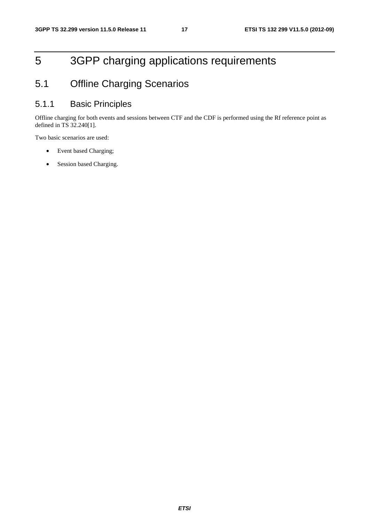# 5 3GPP charging applications requirements

# 5.1 Offline Charging Scenarios

### 5.1.1 Basic Principles

Offline charging for both events and sessions between CTF and the CDF is performed using the Rf reference point as defined in TS 32.240[1].

Two basic scenarios are used:

- Event based Charging;
- Session based Charging.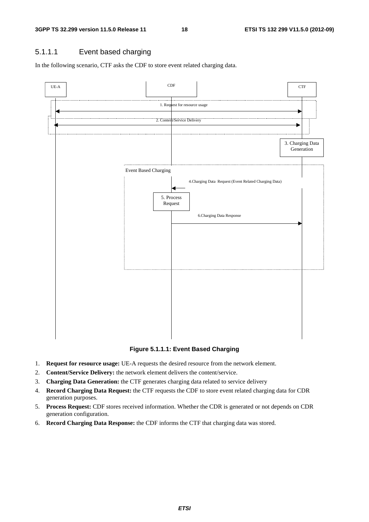### 5.1.1.1 Event based charging

In the following scenario, CTF asks the CDF to store event related charging data.



### **Figure 5.1.1.1: Event Based Charging**

- 1. **Request for resource usage:** UE-A requests the desired resource from the network element.
- 2. **Content/Service Delivery:** the network element delivers the content/service.
- 3. **Charging Data Generation:** the CTF generates charging data related to service delivery
- 4. **Record Charging Data Request:** the CTF requests the CDF to store event related charging data for CDR generation purposes.
- 5. **Process Request:** CDF stores received information. Whether the CDR is generated or not depends on CDR generation configuration.
- 6. **Record Charging Data Response:** the CDF informs the CTF that charging data was stored.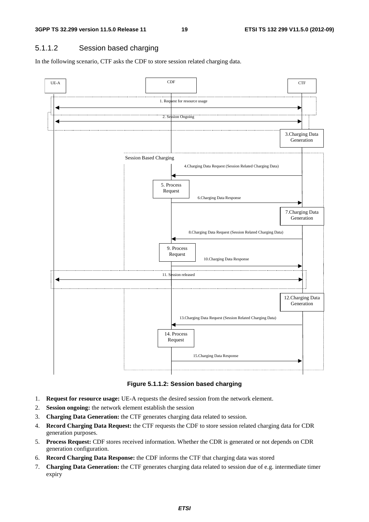### 5.1.1.2 Session based charging

In the following scenario, CTF asks the CDF to store session related charging data.



**Figure 5.1.1.2: Session based charging** 

- 1. **Request for resource usage:** UE-A requests the desired session from the network element.
- 2. **Session ongoing:** the network element establish the session
- 3. **Charging Data Generation:** the CTF generates charging data related to session.
- 4. **Record Charging Data Request:** the CTF requests the CDF to store session related charging data for CDR generation purposes.
- 5. **Process Request:** CDF stores received information. Whether the CDR is generated or not depends on CDR generation configuration.
- 6. **Record Charging Data Response:** the CDF informs the CTF that charging data was stored
- 7. **Charging Data Generation:** the CTF generates charging data related to session due of e.g. intermediate timer expiry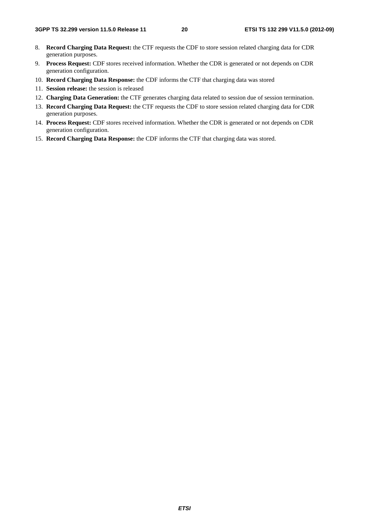- 8. **Record Charging Data Request:** the CTF requests the CDF to store session related charging data for CDR generation purposes.
- 9. **Process Request:** CDF stores received information. Whether the CDR is generated or not depends on CDR generation configuration.
- 10. **Record Charging Data Response:** the CDF informs the CTF that charging data was stored
- 11. **Session release:** the session is released
- 12. **Charging Data Generation:** the CTF generates charging data related to session due of session termination.
- 13. **Record Charging Data Request:** the CTF requests the CDF to store session related charging data for CDR generation purposes.
- 14. **Process Request:** CDF stores received information. Whether the CDR is generated or not depends on CDR generation configuration.
- 15. **Record Charging Data Response:** the CDF informs the CTF that charging data was stored.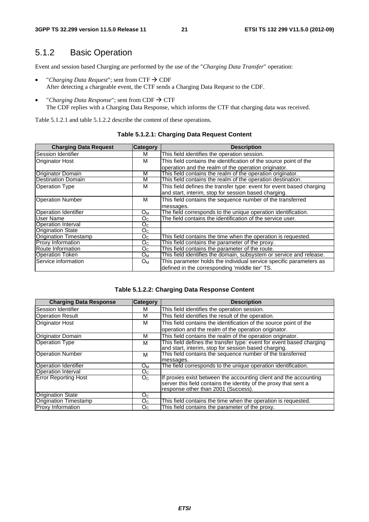### 5.1.2 Basic Operation

Event and session based Charging are performed by the use of the "*Charging Data Transfer*" operation:

- *"Charging Data Request"*; sent from  $CTF \rightarrow CDF$ After detecting a chargeable event, the CTF sends a Charging Data Request to the CDF.
- *"Charging Data Response"*; sent from  $CDF \rightarrow CTF$ The CDF replies with a Charging Data Response, which informs the CTF that charging data was received.

Table 5.1.2.1 and table 5.1.2.2 describe the content of these operations.

| <b>Charging Data Request</b> | Category       | <b>Description</b>                                                   |
|------------------------------|----------------|----------------------------------------------------------------------|
| Session Identifier           | м              | This field identifies the operation session.                         |
| <b>Originator Host</b>       | м              | This field contains the identification of the source point of the    |
|                              |                | operation and the realm of the operation originator.                 |
| <b>Originator Domain</b>     | м              | This field contains the realm of the operation originator.           |
| <b>Destination Domain</b>    | м              | This field contains the realm of the operation destination.          |
| <b>Operation Type</b>        | м              | This field defines the transfer type: event for event based charging |
|                              |                | and start, interim, stop for session based charging.                 |
| <b>Operation Number</b>      | м              | This field contains the sequence number of the transferred           |
|                              |                | messages.                                                            |
| Operation Identifier         | $O_M$          | The field corresponds to the unique operation identification.        |
| User Name                    | O <sub>C</sub> | The field contains the identification of the service user.           |
| <b>Operation Interval</b>    | O <sub>C</sub> |                                                                      |
| <b>Origination State</b>     | O <sub>C</sub> |                                                                      |
| <b>Origination Timestamp</b> | $O_{\rm C}$    | This field contains the time when the operation is requested.        |
| <b>Proxy Information</b>     | O <sub>C</sub> | This field contains the parameter of the proxy.                      |
| Route Information            | O <sub>C</sub> | This field contains the parameter of the route.                      |
| <b>Operation Token</b>       | $O_{M}$        | This field identifies the domain, subsystem or service and release.  |
| Service information          | $O_{M}$        | This parameter holds the individual service specific parameters as   |
|                              |                | defined in the corresponding 'middle tier' TS.                       |

#### **Table 5.1.2.1: Charging Data Request Content**

#### **Table 5.1.2.2: Charging Data Response Content**

| <b>Charging Data Response</b> | <b>Category</b> | <b>Description</b>                                                   |
|-------------------------------|-----------------|----------------------------------------------------------------------|
| Session Identifier            | м               | This field identifies the operation session.                         |
| <b>Operation Result</b>       | м               | This field identifies the result of the operation.                   |
| Originator Host               | м               | This field contains the identification of the source point of the    |
|                               |                 | operation and the realm of the operation originator.                 |
| Originator Domain             | М               | This field contains the realm of the operation originator.           |
| <b>Operation Type</b>         | м               | This field defines the transfer type: event for event based charging |
|                               |                 | and start, interim, stop for session based charging.                 |
| <b>Operation Number</b>       | м               | This field contains the sequence number of the transferred           |
|                               |                 | messages.                                                            |
| <b>Operation Identifier</b>   | Oм              | The field corresponds to the unique operation identification.        |
| <b>Operation Interval</b>     | O <sub>C</sub>  |                                                                      |
| <b>Error Reporting Host</b>   | O <sub>C</sub>  | If proxies exist between the accounting client and the accounting    |
|                               |                 | server this field contains the identity of the proxy that sent a     |
|                               |                 | response other than 2001 (Success).                                  |
| <b>Origination State</b>      | Oc.             |                                                                      |
| <b>Origination Timestamp</b>  | O <sub>C</sub>  | This field contains the time when the operation is requested.        |
| <b>Proxy Information</b>      | O <sub>C</sub>  | This field contains the parameter of the proxy.                      |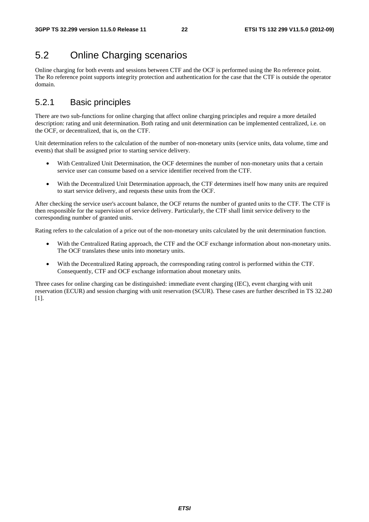### 5.2 Online Charging scenarios

Online charging for both events and sessions between CTF and the OCF is performed using the Ro reference point. The Ro reference point supports integrity protection and authentication for the case that the CTF is outside the operator domain.

### 5.2.1 Basic principles

There are two sub-functions for online charging that affect online charging principles and require a more detailed description: rating and unit determination. Both rating and unit determination can be implemented centralized, i.e. on the OCF, or decentralized, that is, on the CTF.

Unit determination refers to the calculation of the number of non-monetary units (service units, data volume, time and events) that shall be assigned prior to starting service delivery.

- With Centralized Unit Determination, the OCF determines the number of non-monetary units that a certain service user can consume based on a service identifier received from the CTF.
- With the Decentralized Unit Determination approach, the CTF determines itself how many units are required to start service delivery, and requests these units from the OCF.

After checking the service user's account balance, the OCF returns the number of granted units to the CTF. The CTF is then responsible for the supervision of service delivery. Particularly, the CTF shall limit service delivery to the corresponding number of granted units.

Rating refers to the calculation of a price out of the non-monetary units calculated by the unit determination function.

- With the Centralized Rating approach, the CTF and the OCF exchange information about non-monetary units. The OCF translates these units into monetary units.
- With the Decentralized Rating approach, the corresponding rating control is performed within the CTF. Consequently, CTF and OCF exchange information about monetary units.

Three cases for online charging can be distinguished: immediate event charging (IEC), event charging with unit reservation (ECUR) and session charging with unit reservation (SCUR). These cases are further described in TS 32.240 [1].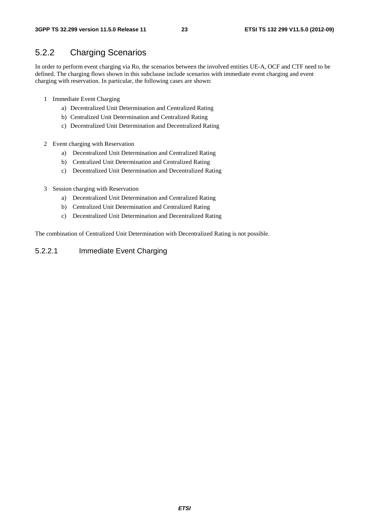### 5.2.2 Charging Scenarios

In order to perform event charging via Ro, the scenarios between the involved entities UE-A, OCF and CTF need to be defined. The charging flows shown in this subclause include scenarios with immediate event charging and event charging with reservation. In particular, the following cases are shown:

- 1 Immediate Event Charging
	- a) Decentralized Unit Determination and Centralized Rating
	- b) Centralized Unit Determination and Centralized Rating
	- c) Decentralized Unit Determination and Decentralized Rating
- 2 Event charging with Reservation
	- a) Decentralized Unit Determination and Centralized Rating
	- b) Centralized Unit Determination and Centralized Rating
	- c) Decentralized Unit Determination and Decentralized Rating
- 3 Session charging with Reservation
	- a) Decentralized Unit Determination and Centralized Rating
	- b) Centralized Unit Determination and Centralized Rating
	- c) Decentralized Unit Determination and Decentralized Rating

The combination of Centralized Unit Determination with Decentralized Rating is not possible.

### 5.2.2.1 Immediate Event Charging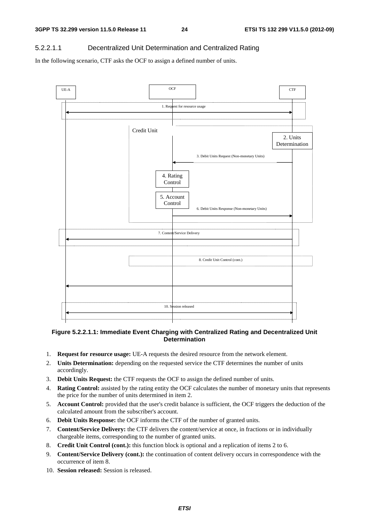### 5.2.2.1.1 Decentralized Unit Determination and Centralized Rating

In the following scenario, CTF asks the OCF to assign a defined number of units.



### **Figure 5.2.2.1.1: Immediate Event Charging with Centralized Rating and Decentralized Unit Determination**

- 1. **Request for resource usage:** UE-A requests the desired resource from the network element.
- 2. **Units Determination:** depending on the requested service the CTF determines the number of units accordingly.
- 3. **Debit Units Request:** the CTF requests the OCF to assign the defined number of units.
- 4. **Rating Control:** assisted by the rating entity the OCF calculates the number of monetary units that represents the price for the number of units determined in item 2.
- 5. **Account Control:** provided that the user's credit balance is sufficient, the OCF triggers the deduction of the calculated amount from the subscriber's account.
- 6. **Debit Units Response:** the OCF informs the CTF of the number of granted units.
- 7. **Content/Service Delivery:** the CTF delivers the content/service at once, in fractions or in individually chargeable items, corresponding to the number of granted units.
- 8. **Credit Unit Control (cont.):** this function block is optional and a replication of items 2 to 6.
- 9. **Content/Service Delivery (cont.):** the continuation of content delivery occurs in correspondence with the occurrence of item 8.
- 10. **Session released:** Session is released.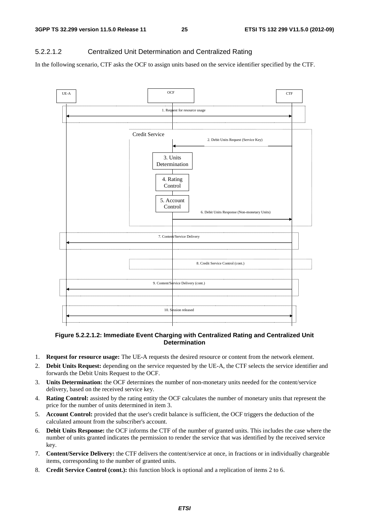### 5.2.2.1.2 Centralized Unit Determination and Centralized Rating

In the following scenario, CTF asks the OCF to assign units based on the service identifier specified by the CTF.



#### **Figure 5.2.2.1.2: Immediate Event Charging with Centralized Rating and Centralized Unit Determination**

- 1. **Request for resource usage:** The UE-A requests the desired resource or content from the network element.
- 2. **Debit Units Request:** depending on the service requested by the UE-A, the CTF selects the service identifier and forwards the Debit Units Request to the OCF.
- 3. **Units Determination:** the OCF determines the number of non-monetary units needed for the content/service delivery, based on the received service key.
- 4. **Rating Control:** assisted by the rating entity the OCF calculates the number of monetary units that represent the price for the number of units determined in item 3.
- 5. **Account Control:** provided that the user's credit balance is sufficient, the OCF triggers the deduction of the calculated amount from the subscriber's account.
- 6. **Debit Units Response:** the OCF informs the CTF of the number of granted units. This includes the case where the number of units granted indicates the permission to render the service that was identified by the received service key.
- 7. **Content/Service Delivery:** the CTF delivers the content/service at once, in fractions or in individually chargeable items, corresponding to the number of granted units.
- 8. **Credit Service Control (cont.):** this function block is optional and a replication of items 2 to 6.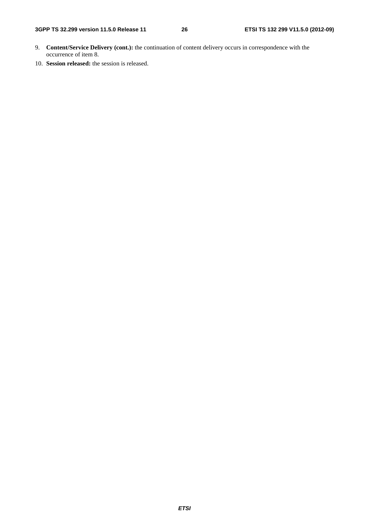- 9. **Content/Service Delivery (cont.):** the continuation of content delivery occurs in correspondence with the occurrence of item 8.
- 10. **Session released:** the session is released.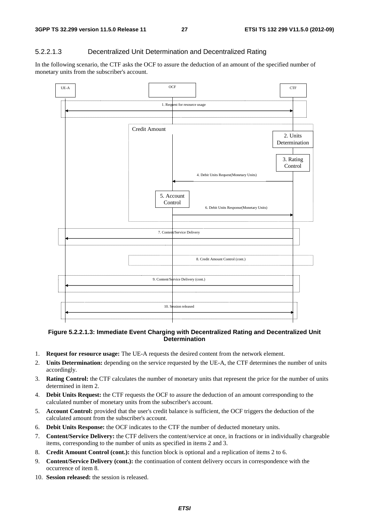### 5.2.2.1.3 Decentralized Unit Determination and Decentralized Rating

In the following scenario, the CTF asks the OCF to assure the deduction of an amount of the specified number of monetary units from the subscriber's account.



#### **Figure 5.2.2.1.3: Immediate Event Charging with Decentralized Rating and Decentralized Unit Determination**

- 1. **Request for resource usage:** The UE-A requests the desired content from the network element.
- 2. **Units Determination:** depending on the service requested by the UE-A, the CTF determines the number of units accordingly.
- 3. **Rating Control:** the CTF calculates the number of monetary units that represent the price for the number of units determined in item 2.
- 4. **Debit Units Request:** the CTF requests the OCF to assure the deduction of an amount corresponding to the calculated number of monetary units from the subscriber's account.
- 5. **Account Control:** provided that the user's credit balance is sufficient, the OCF triggers the deduction of the calculated amount from the subscriber's account.
- 6. **Debit Units Response:** the OCF indicates to the CTF the number of deducted monetary units.
- 7. **Content/Service Delivery:** the CTF delivers the content/service at once, in fractions or in individually chargeable items, corresponding to the number of units as specified in items 2 and 3.
- 8. **Credit Amount Control (cont.):** this function block is optional and a replication of items 2 to 6.
- 9. **Content/Service Delivery (cont.):** the continuation of content delivery occurs in correspondence with the occurrence of item 8.
- 10. **Session released:** the session is released.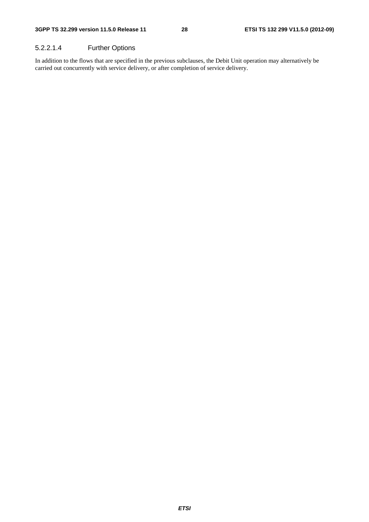### 5.2.2.1.4 Further Options

In addition to the flows that are specified in the previous subclauses, the Debit Unit operation may alternatively be carried out concurrently with service delivery, or after completion of service delivery.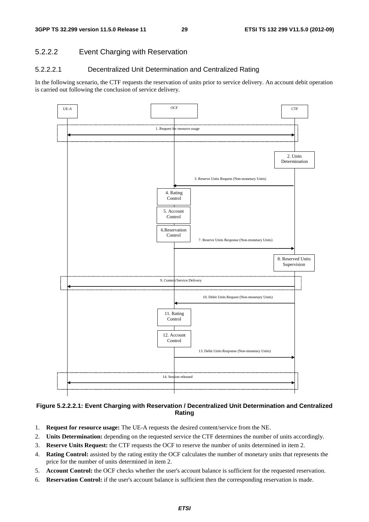### 5.2.2.2 Event Charging with Reservation

### 5.2.2.2.1 Decentralized Unit Determination and Centralized Rating

In the following scenario, the CTF requests the reservation of units prior to service delivery. An account debit operation is carried out following the conclusion of service delivery.



### **Figure 5.2.2.2.1: Event Charging with Reservation / Decentralized Unit Determination and Centralized Rating**

- 1. **Request for resource usage:** The UE-A requests the desired content/service from the NE.
- 2. **Units Determination:** depending on the requested service the CTF determines the number of units accordingly.
- 3. **Reserve Units Request:** the CTF requests the OCF to reserve the number of units determined in item 2.
- 4. **Rating Control:** assisted by the rating entity the OCF calculates the number of monetary units that represents the price for the number of units determined in item 2.
- 5. **Account Control:** the OCF checks whether the user's account balance is sufficient for the requested reservation.
- 6. **Reservation Control:** if the user's account balance is sufficient then the corresponding reservation is made.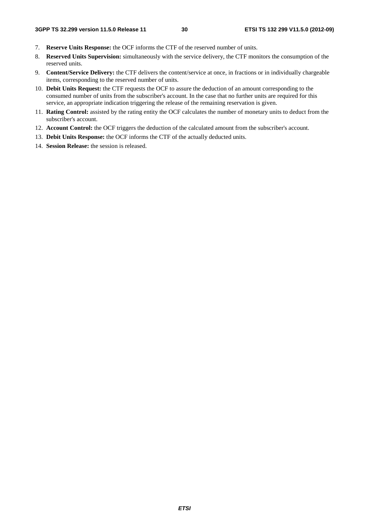- 7. **Reserve Units Response:** the OCF informs the CTF of the reserved number of units.
- 8. **Reserved Units Supervision:** simultaneously with the service delivery, the CTF monitors the consumption of the reserved units.
- 9. **Content/Service Delivery:** the CTF delivers the content/service at once, in fractions or in individually chargeable items, corresponding to the reserved number of units.
- 10. **Debit Units Request:** the CTF requests the OCF to assure the deduction of an amount corresponding to the consumed number of units from the subscriber's account. In the case that no further units are required for this service, an appropriate indication triggering the release of the remaining reservation is given.
- 11. **Rating Control:** assisted by the rating entity the OCF calculates the number of monetary units to deduct from the subscriber's account.
- 12. **Account Control:** the OCF triggers the deduction of the calculated amount from the subscriber's account.
- 13. **Debit Units Response:** the OCF informs the CTF of the actually deducted units.
- 14. **Session Release:** the session is released.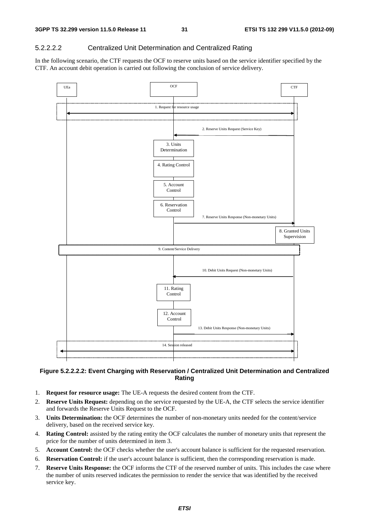### 5.2.2.2.2 Centralized Unit Determination and Centralized Rating

In the following scenario, the CTF requests the OCF to reserve units based on the service identifier specified by the CTF. An account debit operation is carried out following the conclusion of service delivery.



### **Figure 5.2.2.2.2: Event Charging with Reservation / Centralized Unit Determination and Centralized Rating**

- 1. **Request for resource usage:** The UE-A requests the desired content from the CTF.
- 2. **Reserve Units Request:** depending on the service requested by the UE-A, the CTF selects the service identifier and forwards the Reserve Units Request to the OCF.
- 3. **Units Determination:** the OCF determines the number of non-monetary units needed for the content/service delivery, based on the received service key.
- 4. **Rating Control:** assisted by the rating entity the OCF calculates the number of monetary units that represent the price for the number of units determined in item 3.
- 5. **Account Control:** the OCF checks whether the user's account balance is sufficient for the requested reservation.
- 6. **Reservation Control:** if the user's account balance is sufficient, then the corresponding reservation is made.
- 7. **Reserve Units Response:** the OCF informs the CTF of the reserved number of units. This includes the case where the number of units reserved indicates the permission to render the service that was identified by the received service key.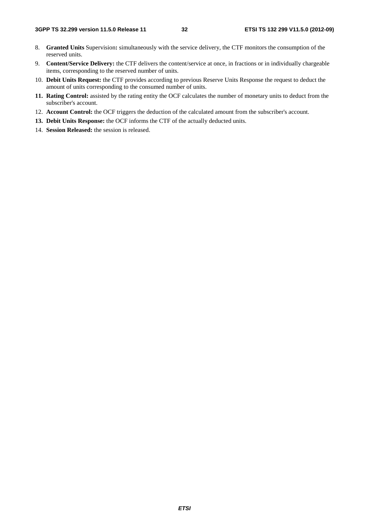- 8. **Granted Units** Supervision**:** simultaneously with the service delivery, the CTF monitors the consumption of the reserved units.
- 9. **Content/Service Delivery:** the CTF delivers the content/service at once, in fractions or in individually chargeable items, corresponding to the reserved number of units.
- 10. **Debit Units Request:** the CTF provides according to previous Reserve Units Response the request to deduct the amount of units corresponding to the consumed number of units.
- **11. Rating Control:** assisted by the rating entity the OCF calculates the number of monetary units to deduct from the subscriber's account.
- 12. **Account Control:** the OCF triggers the deduction of the calculated amount from the subscriber's account.
- **13. Debit Units Response:** the OCF informs the CTF of the actually deducted units.
- 14. **Session Released:** the session is released.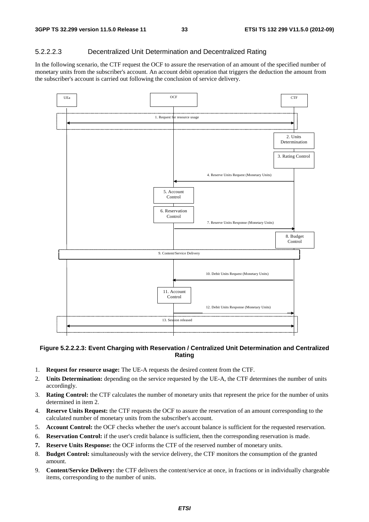### 5.2.2.2.3 Decentralized Unit Determination and Decentralized Rating

In the following scenario, the CTF request the OCF to assure the reservation of an amount of the specified number of monetary units from the subscriber's account. An account debit operation that triggers the deduction the amount from the subscriber's account is carried out following the conclusion of service delivery.



#### **Figure 5.2.2.2.3: Event Charging with Reservation / Centralized Unit Determination and Centralized Rating**

- 1. **Request for resource usage:** The UE-A requests the desired content from the CTF.
- 2. **Units Determination:** depending on the service requested by the UE-A, the CTF determines the number of units accordingly.
- 3. **Rating Control:** the CTF calculates the number of monetary units that represent the price for the number of units determined in item 2.
- 4. **Reserve Units Request:** the CTF requests the OCF to assure the reservation of an amount corresponding to the calculated number of monetary units from the subscriber's account.
- 5. **Account Control:** the OCF checks whether the user's account balance is sufficient for the requested reservation.
- 6. **Reservation Control:** if the user's credit balance is sufficient, then the corresponding reservation is made.
- **7. Reserve Units Response:** the OCF informs the CTF of the reserved number of monetary units.
- 8. **Budget Control:** simultaneously with the service delivery, the CTF monitors the consumption of the granted amount.
- 9. **Content/Service Delivery:** the CTF delivers the content/service at once, in fractions or in individually chargeable items, corresponding to the number of units.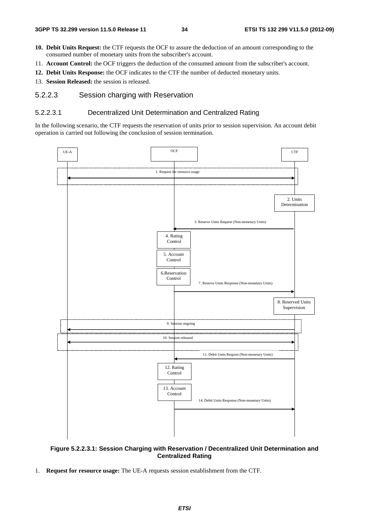- **10. Debit Units Request:** the CTF requests the OCF to assure the deduction of an amount corresponding to the consumed number of monetary units from the subscriber's account.
- 11. **Account Control:** the OCF triggers the deduction of the consumed amount from the subscriber's account.
- **12. Debit Units Response:** the OCF indicates to the CTF the number of deducted monetary units.
- 13. **Session Released:** the session is released.

### 5.2.2.3 Session charging with Reservation

#### 5.2.2.3.1 Decentralized Unit Determination and Centralized Rating

In the following scenario, the CTF requests the reservation of units prior to session supervision. An account debit operation is carried out following the conclusion of session termination.



### **Figure 5.2.2.3.1: Session Charging with Reservation / Decentralized Unit Determination and Centralized Rating**

1. **Request for resource usage:** The UE-A requests session establishment from the CTF.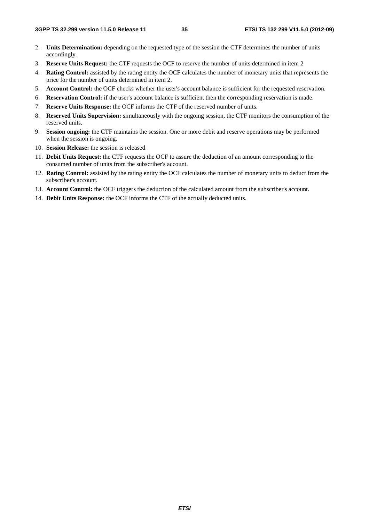- 2. **Units Determination:** depending on the requested type of the session the CTF determines the number of units accordingly.
- 3. **Reserve Units Request:** the CTF requests the OCF to reserve the number of units determined in item 2
- 4. **Rating Control:** assisted by the rating entity the OCF calculates the number of monetary units that represents the price for the number of units determined in item 2.
- 5. **Account Control:** the OCF checks whether the user's account balance is sufficient for the requested reservation.
- 6. **Reservation Control:** if the user's account balance is sufficient then the corresponding reservation is made.
- 7. **Reserve Units Response:** the OCF informs the CTF of the reserved number of units.
- 8. **Reserved Units Supervision:** simultaneously with the ongoing session, the CTF monitors the consumption of the reserved units.
- 9. **Session ongoing:** the CTF maintains the session. One or more debit and reserve operations may be performed when the session is ongoing.
- 10. **Session Release:** the session is released
- 11. **Debit Units Request:** the CTF requests the OCF to assure the deduction of an amount corresponding to the consumed number of units from the subscriber's account.
- 12. **Rating Control:** assisted by the rating entity the OCF calculates the number of monetary units to deduct from the subscriber's account.
- 13. **Account Control:** the OCF triggers the deduction of the calculated amount from the subscriber's account.
- 14. **Debit Units Response:** the OCF informs the CTF of the actually deducted units.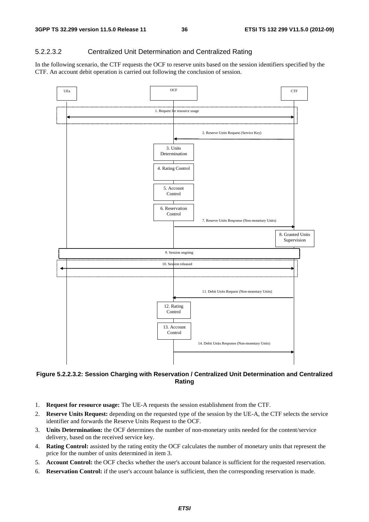#### 5.2.2.3.2 Centralized Unit Determination and Centralized Rating

In the following scenario, the CTF requests the OCF to reserve units based on the session identifiers specified by the CTF. An account debit operation is carried out following the conclusion of session.



#### **Figure 5.2.2.3.2: Session Charging with Reservation / Centralized Unit Determination and Centralized Rating**

- 1. **Request for resource usage:** The UE-A requests the session establishment from the CTF.
- 2. **Reserve Units Request:** depending on the requested type of the session by the UE-A, the CTF selects the service identifier and forwards the Reserve Units Request to the OCF.
- 3. **Units Determination:** the OCF determines the number of non-monetary units needed for the content/service delivery, based on the received service key.
- 4. **Rating Control:** assisted by the rating entity the OCF calculates the number of monetary units that represent the price for the number of units determined in item 3.
- 5. **Account Control:** the OCF checks whether the user's account balance is sufficient for the requested reservation.
- 6. **Reservation Control:** if the user's account balance is sufficient, then the corresponding reservation is made.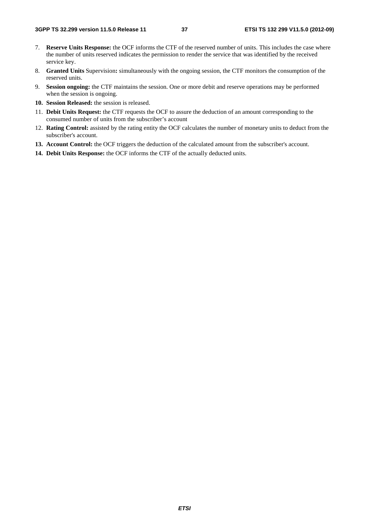- 7. **Reserve Units Response:** the OCF informs the CTF of the reserved number of units. This includes the case where the number of units reserved indicates the permission to render the service that was identified by the received service key.
- 8. **Granted Units** Supervision**:** simultaneously with the ongoing session, the CTF monitors the consumption of the reserved units.
- 9. **Session ongoing:** the CTF maintains the session. One or more debit and reserve operations may be performed when the session is ongoing.
- **10. Session Released:** the session is released.
- 11. **Debit Units Request:** the CTF requests the OCF to assure the deduction of an amount corresponding to the consumed number of units from the subscriber's account
- 12. **Rating Control:** assisted by the rating entity the OCF calculates the number of monetary units to deduct from the subscriber's account.
- **13. Account Control:** the OCF triggers the deduction of the calculated amount from the subscriber's account.
- **14. Debit Units Response:** the OCF informs the CTF of the actually deducted units.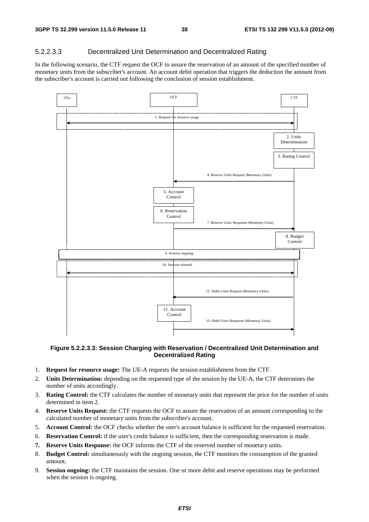#### 5.2.2.3.3 Decentralized Unit Determination and Decentralized Rating

In the following scenario, the CTF request the OCF to assure the reservation of an amount of the specified number of monetary units from the subscriber's account. An account debit operation that triggers the deduction the amount from the subscriber's account is carried out following the conclusion of session establishment.



#### **Figure 5.2.2.3.3: Session Charging with Reservation / Decentralized Unit Determination and Decentralized Rating**

- 1. **Request for resource usage:** The UE-A requests the session establishment from the CTF.
- 2. **Units Determination:** depending on the requested type of the session by the UE-A, the CTF determines the number of units accordingly.
- 3. **Rating Control:** the CTF calculates the number of monetary units that represent the price for the number of units determined in item 2.
- 4. **Reserve Units Request:** the CTF requests the OCF to assure the reservation of an amount corresponding to the calculated number of monetary units from the subscriber's account.
- 5. **Account Control:** the OCF checks whether the user's account balance is sufficient for the requested reservation.
- 6. **Reservation Control:** if the user's credit balance is sufficient, then the corresponding reservation is made.
- **7. Reserve Units Response:** the OCF informs the CTF of the reserved number of monetary units.
- 8. **Budget Control:** simultaneously with the ongoing session, the CTF monitors the consumption of the granted amount.
- 9. **Session ongoing:** the CTF maintains the session. One or more debit and reserve operations may be performed when the session is ongoing.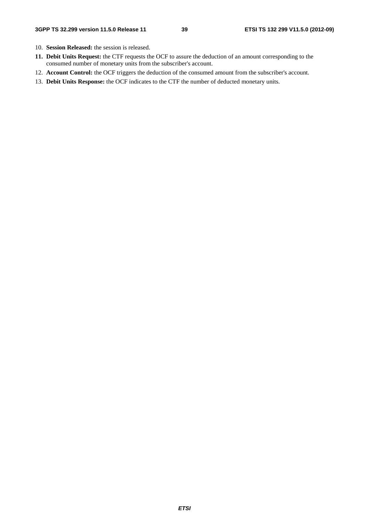- 10. **Session Released:** the session is released.
- **11. Debit Units Request:** the CTF requests the OCF to assure the deduction of an amount corresponding to the consumed number of monetary units from the subscriber's account.
- 12. **Account Control:** the OCF triggers the deduction of the consumed amount from the subscriber's account.
- 13. **Debit Units Response:** the OCF indicates to the CTF the number of deducted monetary units.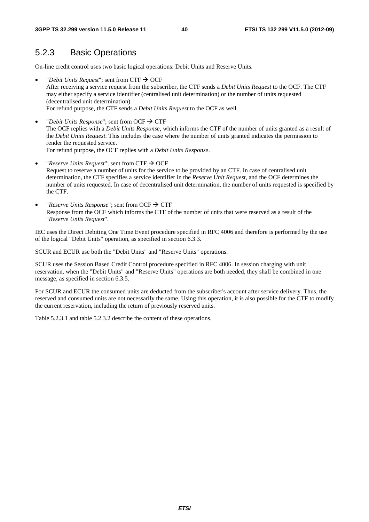### 5.2.3 Basic Operations

On-line credit control uses two basic logical operations: Debit Units and Reserve Units.

- "*Debit Units Request*"; sent from CTF  $\rightarrow$  OCF After receiving a service request from the subscriber, the CTF sends a *Debit Units Request* to the OCF. The CTF may either specify a service identifier (centralised unit determination) or the number of units requested (decentralised unit determination). For refund purpose, the CTF sends a *Debit Units Request* to the OCF as well.
- "*Debit Units Response*"; sent from OCF  $\rightarrow$  CTF The OCF replies with a *Debit Units Response*, which informs the CTF of the number of units granted as a result of the *Debit Units Request*. This includes the case where the number of units granted indicates the permission to render the requested service. For refund purpose, the OCF replies with a *Debit Units Response*.
- *"Reserve Units Request"*; sent from CTF  $\rightarrow$  OCF Request to reserve a number of units for the service to be provided by an CTF. In case of centralised unit determination, the CTF specifies a service identifier in the *Reserve Unit Request*, and the OCF determines the number of units requested. In case of decentralised unit determination, the number of units requested is specified by the CTF.
- "*Reserve Units Response*"; sent from OCF  $\rightarrow$  CTF Response from the OCF which informs the CTF of the number of units that were reserved as a result of the "*Reserve Units Request*".

IEC uses the Direct Debiting One Time Event procedure specified in RFC 4006 and therefore is performed by the use of the logical "Debit Units" operation, as specified in section 6.3.3.

SCUR and ECUR use both the "Debit Units" and "Reserve Units" operations.

SCUR uses the Session Based Credit Control procedure specified in RFC 4006. In session charging with unit reservation, when the "Debit Units" and "Reserve Units" operations are both needed, they shall be combined in one message, as specified in section 6.3.5.

For SCUR and ECUR the consumed units are deducted from the subscriber's account after service delivery. Thus, the reserved and consumed units are not necessarily the same. Using this operation, it is also possible for the CTF to modify the current reservation, including the return of previously reserved units.

Table 5.2.3.1 and table 5.2.3.2 describe the content of these operations.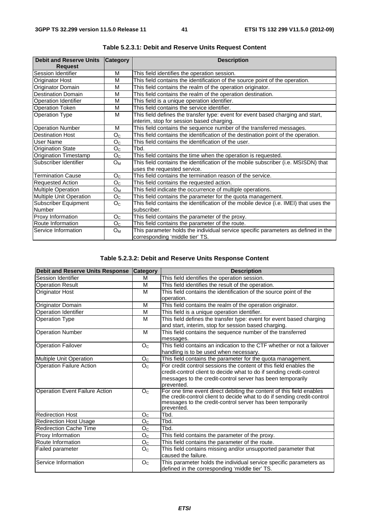| <b>Debit and Reserve Units</b> | <b>Category</b> | <b>Description</b>                                                                    |  |
|--------------------------------|-----------------|---------------------------------------------------------------------------------------|--|
| <b>Request</b>                 |                 |                                                                                       |  |
| Session Identifier             | M               | This field identifies the operation session.                                          |  |
| <b>Originator Host</b>         | M               | This field contains the identification of the source point of the operation.          |  |
| Originator Domain              | м               | This field contains the realm of the operation originator.                            |  |
| <b>Destination Domain</b>      | M               | This field contains the realm of the operation destination.                           |  |
| <b>Operation Identifier</b>    | M               | This field is a unique operation identifier.                                          |  |
| <b>Operation Token</b>         | M               | This field contains the service identifier.                                           |  |
| <b>Operation Type</b>          | M               | This field defines the transfer type: event for event based charging and start,       |  |
|                                |                 | interim, stop for session based charging.                                             |  |
| <b>Operation Number</b>        | M               | This field contains the sequence number of the transferred messages.                  |  |
| <b>Destination Host</b>        | O <sub>C</sub>  | This field contains the identification of the destination point of the operation.     |  |
| User Name                      | O <sub>C</sub>  | This field contains the identification of the user.                                   |  |
| <b>Origination State</b>       | O <sub>C</sub>  | Tbd.                                                                                  |  |
| <b>Origination Timestamp</b>   | O <sub>C</sub>  | This field contains the time when the operation is requested.                         |  |
| Subscriber Identifier          | Oм              | This field contains the identification of the mobile subscriber (i.e. MSISDN) that    |  |
|                                |                 | uses the requested service.                                                           |  |
| <b>Termination Cause</b>       | O <sub>c</sub>  | This field contains the termination reason of the service.                            |  |
| <b>Requested Action</b>        | O <sub>C</sub>  | This field contains the requested action.                                             |  |
| <b>Multiple Operation</b>      | $O_{M}$         | This field indicate the occurrence of multiple operations.                            |  |
| <b>Multiple Unit Operation</b> | O <sub>c</sub>  | This field contains the parameter for the quota management.                           |  |
| Subscriber Equipment           | O <sub>C</sub>  | This field contains the identification of the mobile device (i.e. IMEI) that uses the |  |
| Number                         |                 | subscriber.                                                                           |  |
| Proxy Information              | O <sub>C</sub>  | This field contains the parameter of the proxy.                                       |  |
| Route Information              | O <sub>C</sub>  | This field contains the parameter of the route.                                       |  |
| Service Information            | $O_{M}$         | This parameter holds the individual service specific parameters as defined in the     |  |
|                                |                 | corresponding 'middle tier' TS.                                                       |  |

**Table 5.2.3.1: Debit and Reserve Units Request Content** 

### **Table 5.2.3.2: Debit and Reserve Units Response Content**

| <b>Debit and Reserve Units Response</b> | <b>Category</b> | <b>Description</b>                                                                                                                               |
|-----------------------------------------|-----------------|--------------------------------------------------------------------------------------------------------------------------------------------------|
| Session Identifier                      | м               | This field identifies the operation session.                                                                                                     |
| <b>Operation Result</b>                 | M               | This field identifies the result of the operation.                                                                                               |
| <b>Originator Host</b>                  | M               | This field contains the identification of the source point of the                                                                                |
|                                         |                 | operation.                                                                                                                                       |
| Originator Domain                       | M               | This field contains the realm of the operation originator.                                                                                       |
| <b>Operation Identifier</b>             | M               | This field is a unique operation identifier.                                                                                                     |
| <b>Operation Type</b>                   | M               | This field defines the transfer type: event for event based charging                                                                             |
|                                         |                 | and start, interim, stop for session based charging.                                                                                             |
| <b>Operation Number</b>                 | M               | This field contains the sequence number of the transferred                                                                                       |
|                                         |                 | messages.                                                                                                                                        |
| <b>Operation Failover</b>               | O <sub>C</sub>  | This field contains an indication to the CTF whether or not a failover                                                                           |
|                                         |                 | handling is to be used when necessary.                                                                                                           |
| Multiple Unit Operation                 | O <sub>C</sub>  | This field contains the parameter for the quota management.                                                                                      |
| <b>Operation Failure Action</b>         | O <sub>C</sub>  | For credit control sessions the content of this field enables the                                                                                |
|                                         |                 | credit-control client to decide what to do if sending credit-control                                                                             |
|                                         |                 | messages to the credit-control server has been temporarily                                                                                       |
|                                         |                 | prevented.                                                                                                                                       |
| <b>Operation Event Failure Action</b>   | O <sub>C</sub>  | For one time event direct debiting the content of this field enables<br>the credit-control client to decide what to do if sending credit-control |
|                                         |                 | messages to the credit-control server has been temporarily                                                                                       |
|                                         |                 | prevented.                                                                                                                                       |
| <b>Redirection Host</b>                 | O <sub>C</sub>  | Tbd.                                                                                                                                             |
| <b>Redirection Host Usage</b>           | O <sub>C</sub>  | Tbd.                                                                                                                                             |
| <b>Redirection Cache Time</b>           | O <sub>C</sub>  | Tbd.                                                                                                                                             |
| Proxy Information                       | O <sub>C</sub>  | This field contains the parameter of the proxy.                                                                                                  |
| Route Information                       | O <sub>C</sub>  | This field contains the parameter of the route.                                                                                                  |
| Failed parameter                        | O <sub>C</sub>  | This field contains missing and/or unsupported parameter that                                                                                    |
|                                         |                 | caused the failure.                                                                                                                              |
| Service Information                     | O <sub>C</sub>  | This parameter holds the individual service specific parameters as                                                                               |
|                                         |                 | defined in the corresponding 'middle tier' TS.                                                                                                   |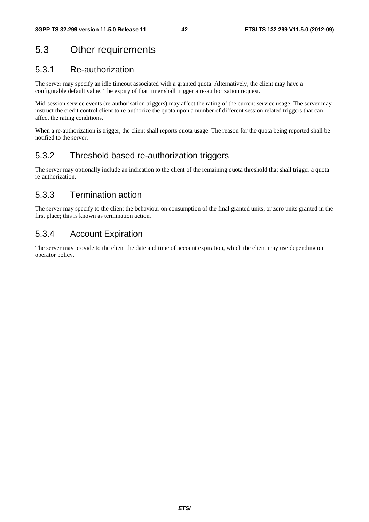# 5.3 Other requirements

### 5.3.1 Re-authorization

The server may specify an idle timeout associated with a granted quota. Alternatively, the client may have a configurable default value. The expiry of that timer shall trigger a re-authorization request.

Mid-session service events (re-authorisation triggers) may affect the rating of the current service usage. The server may instruct the credit control client to re-authorize the quota upon a number of different session related triggers that can affect the rating conditions.

When a re-authorization is trigger, the client shall reports quota usage. The reason for the quota being reported shall be notified to the server.

### 5.3.2 Threshold based re-authorization triggers

The server may optionally include an indication to the client of the remaining quota threshold that shall trigger a quota re-authorization.

### 5.3.3 Termination action

The server may specify to the client the behaviour on consumption of the final granted units, or zero units granted in the first place; this is known as termination action.

### 5.3.4 Account Expiration

The server may provide to the client the date and time of account expiration, which the client may use depending on operator policy.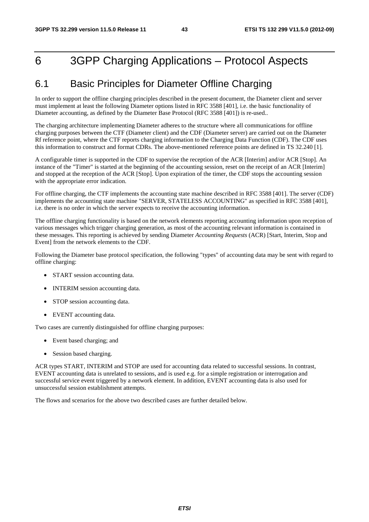# 6 3GPP Charging Applications – Protocol Aspects

# 6.1 Basic Principles for Diameter Offline Charging

In order to support the offline charging principles described in the present document, the Diameter client and server must implement at least the following Diameter options listed in RFC 3588 [401], i.e. the basic functionality of Diameter accounting, as defined by the Diameter Base Protocol (RFC 3588 [401]) is re-used..

The charging architecture implementing Diameter adheres to the structure where all communications for offline charging purposes between the CTF (Diameter client) and the CDF (Diameter server) are carried out on the Diameter Rf reference point, where the CTF reports charging information to the Charging Data Function (CDF). The CDF uses this information to construct and format CDRs. The above-mentioned reference points are defined in TS 32.240 [1].

A configurable timer is supported in the CDF to supervise the reception of the ACR [Interim] and/or ACR [Stop]. An instance of the "Timer" is started at the beginning of the accounting session, reset on the receipt of an ACR [Interim] and stopped at the reception of the ACR [Stop]. Upon expiration of the timer, the CDF stops the accounting session with the appropriate error indication.

For offline charging, the CTF implements the accounting state machine described in RFC 3588 [401]. The server (CDF) implements the accounting state machine "SERVER, STATELESS ACCOUNTING" as specified in RFC 3588 [401], i.e. there is no order in which the server expects to receive the accounting information.

The offline charging functionality is based on the network elements reporting accounting information upon reception of various messages which trigger charging generation, as most of the accounting relevant information is contained in these messages. This reporting is achieved by sending Diameter *Accounting Requests* (ACR) [Start, Interim, Stop and Event] from the network elements to the CDF.

Following the Diameter base protocol specification, the following "types" of accounting data may be sent with regard to offline charging:

- START session accounting data.
- INTERIM session accounting data.
- STOP session accounting data.
- EVENT accounting data.

Two cases are currently distinguished for offline charging purposes:

- Event based charging; and
- Session based charging.

ACR types START, INTERIM and STOP are used for accounting data related to successful sessions. In contrast, EVENT accounting data is unrelated to sessions, and is used e.g. for a simple registration or interrogation and successful service event triggered by a network element. In addition, EVENT accounting data is also used for unsuccessful session establishment attempts.

The flows and scenarios for the above two described cases are further detailed below.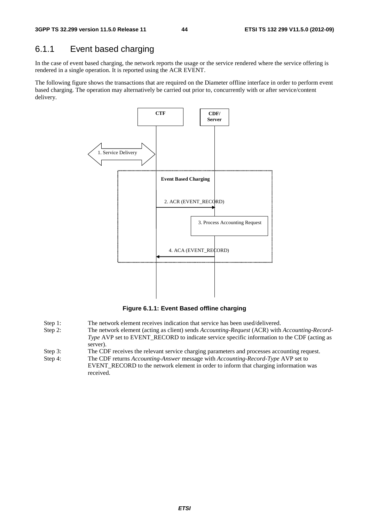### 6.1.1 Event based charging

In the case of event based charging, the network reports the usage or the service rendered where the service offering is rendered in a single operation. It is reported using the ACR EVENT.

The following figure shows the transactions that are required on the Diameter offline interface in order to perform event based charging. The operation may alternatively be carried out prior to, concurrently with or after service/content delivery.



**Figure 6.1.1: Event Based offline charging** 

- Step 1: The network element receives indication that service has been used/delivered.
- Step 2: The network element (acting as client) sends *Accounting-Request* (ACR) with *Accounting-Record-Type* AVP set to EVENT\_RECORD to indicate service specific information to the CDF (acting as server).
- Step 3: The CDF receives the relevant service charging parameters and processes accounting request.
- Step 4: The CDF returns *Accounting-Answer* message with *Accounting-Record-Type* AVP set to EVENT\_RECORD to the network element in order to inform that charging information was received.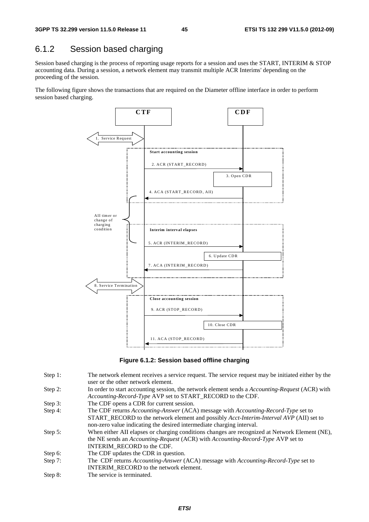# 6.1.2 Session based charging

Session based charging is the process of reporting usage reports for a session and uses the START, INTERIM & STOP accounting data. During a session, a network element may transmit multiple ACR Interims' depending on the proceeding of the session.

The following figure shows the transactions that are required on the Diameter offline interface in order to perform session based charging.



**Figure 6.1.2: Session based offline charging** 

- Step 1: The network element receives a service request. The service request may be initiated either by the user or the other network element.
- Step 2: In order to start accounting session, the network element sends a *Accounting-Request* (ACR) with *Accounting-Record-Type* AVP set to START\_RECORD to the CDF.
- Step 3: The CDF opens a CDR for current session.
- Step 4: The CDF returns *Accounting-Answer* (ACA) message with *Accounting-Record-Type* set to START\_RECORD to the network element and possibly *Acct-Interim-Interval AVP* (AII) set to non-zero value indicating the desired intermediate charging interval.
- Step 5: When either AII elapses or charging conditions changes are recognized at Network Element (NE), the NE sends an *Accounting-Request* (ACR) with *Accounting-Record-Type* AVP set to INTERIM\_RECORD to the CDF.
- Step 6: The CDF updates the CDR in question.
- Step 7: The CDF returns *Accounting-Answer* (ACA) message with *Accounting-Record-Type* set to INTERIM\_RECORD to the network element.
- Step 8: The service is terminated.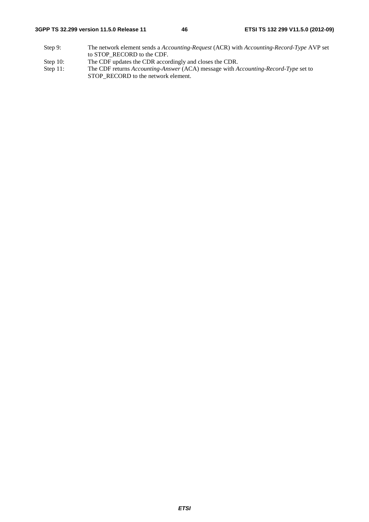#### **3GPP TS 32.299 version 11.5.0 Release 11 46 ETSI TS 132 299 V11.5.0 (2012-09)**

- Step 9: The network element sends a *Accounting-Request* (ACR) with *Accounting-Record-Type* AVP set to STOP\_RECORD to the CDF.
- 
- Step 10: The CDF updates the CDR accordingly and closes the CDR.<br>Step 11: The CDF returns Accounting-Answer (ACA) message with A The CDF returns *Accounting-Answer* (ACA) message with *Accounting-Record-Type* set to STOP\_RECORD to the network element.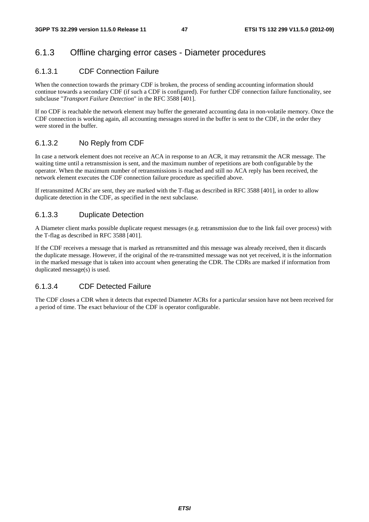### 6.1.3 Offline charging error cases - Diameter procedures

#### 6.1.3.1 CDF Connection Failure

When the connection towards the primary CDF is broken, the process of sending accounting information should continue towards a secondary CDF (if such a CDF is configured). For further CDF connection failure functionality, see subclause "*Transport Failure Detection*" in the RFC 3588 [401].

If no CDF is reachable the network element may buffer the generated accounting data in non-volatile memory. Once the CDF connection is working again, all accounting messages stored in the buffer is sent to the CDF, in the order they were stored in the buffer.

#### 6.1.3.2 No Reply from CDF

In case a network element does not receive an ACA in response to an ACR, it may retransmit the ACR message. The waiting time until a retransmission is sent, and the maximum number of repetitions are both configurable by the operator. When the maximum number of retransmissions is reached and still no ACA reply has been received, the network element executes the CDF connection failure procedure as specified above.

If retransmitted ACRs' are sent, they are marked with the T-flag as described in RFC 3588 [401], in order to allow duplicate detection in the CDF, as specified in the next subclause.

#### 6.1.3.3 Duplicate Detection

A Diameter client marks possible duplicate request messages (e.g. retransmission due to the link fail over process) with the T-flag as described in RFC 3588 [401].

If the CDF receives a message that is marked as retransmitted and this message was already received, then it discards the duplicate message. However, if the original of the re-transmitted message was not yet received, it is the information in the marked message that is taken into account when generating the CDR. The CDRs are marked if information from duplicated message(s) is used.

#### 6.1.3.4 CDF Detected Failure

The CDF closes a CDR when it detects that expected Diameter ACRs for a particular session have not been received for a period of time. The exact behaviour of the CDF is operator configurable.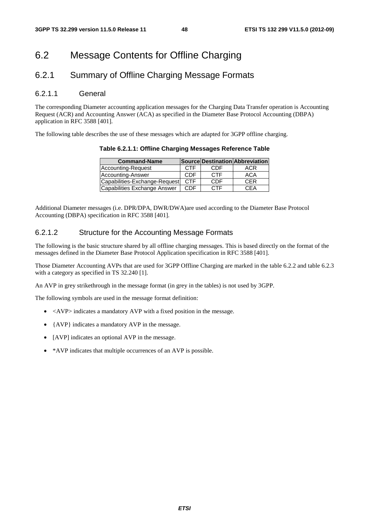# 6.2 Message Contents for Offline Charging

### 6.2.1 Summary of Offline Charging Message Formats

#### 6.2.1.1 General

The corresponding Diameter accounting application messages for the Charging Data Transfer operation is Accounting Request (ACR) and Accounting Answer (ACA) as specified in the Diameter Base Protocol Accounting (DBPA) application in RFC 3588 [401].

The following table describes the use of these messages which are adapted for 3GPP offline charging.

**Table 6.2.1.1: Offline Charging Messages Reference Table** 

| <b>Command-Name</b>           |            |            | Source Destination Abbreviation |
|-------------------------------|------------|------------|---------------------------------|
| Accounting-Request            | <b>CTF</b> | CDE        | ACR                             |
| Accounting-Answer             | CDE        | <b>CTF</b> | <b>ACA</b>                      |
| Capabilities-Exchange-Request | <b>CTF</b> | CDF        | <b>CER</b>                      |
| Capabilities Exchange Answer  | CDE        | <b>CTF</b> | CFA                             |

Additional Diameter messages (i.e. DPR/DPA, DWR/DWA)are used according to the Diameter Base Protocol Accounting (DBPA) specification in RFC 3588 [401].

#### 6.2.1.2 Structure for the Accounting Message Formats

The following is the basic structure shared by all offline charging messages. This is based directly on the format of the messages defined in the Diameter Base Protocol Application specification in RFC 3588 [401].

Those Diameter Accounting AVPs that are used for 3GPP Offline Charging are marked in the table 6.2.2 and table 6.2.3 with a category as specified in TS 32.240 [1].

An AVP in grey strikethrough in the message format (in grey in the tables) is not used by 3GPP.

The following symbols are used in the message format definition:

- $\langle$  AVP $>$  indicates a mandatory AVP with a fixed position in the message.
- {AVP} indicates a mandatory AVP in the message.
- [AVP] indicates an optional AVP in the message.
- \*AVP indicates that multiple occurrences of an AVP is possible.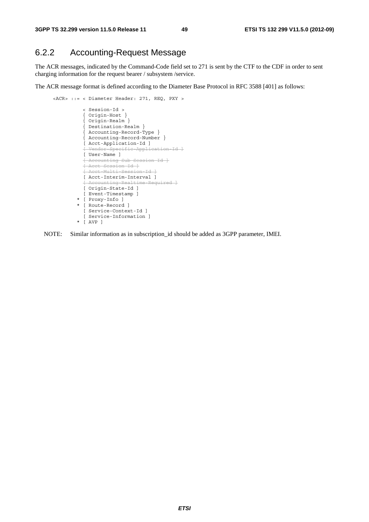### 6.2.2 Accounting-Request Message

The ACR messages, indicated by the Command-Code field set to 271 is sent by the CTF to the CDF in order to sent charging information for the request bearer / subsystem /service.

The ACR message format is defined according to the Diameter Base Protocol in RFC 3588 [401] as follows:

```
 <ACR> ::= < Diameter Header: 271, REQ, PXY > 
                < Session-Id > 
                { Origin-Host } 
                { Origin-Realm } 
                { Destination-Realm } 
{ Accounting-Record-Type } 
{ Accounting-Record-Number } 
                [ Acct-Application-Id ] 
                [ Vendor-Specific-Application-Id ]
                [ User-Name ] 
                [ Accounting-Sub-Session-Id ]
                [ Acct-Session-Id ]
               [ Acct-Multi-Session-Id ]
                [ Acct-Interim-Interval ] 
                [ Accounting-Realtime-Required ]
              [ Origin-State-Id ]
                [ Event-Timestamp ] 
              * [ Proxy-Info ] 
              * [ Route-Record ] 
                [ Service-Context-Id ] 
                [ Service-Information ] 
              * [ AVP ]
```
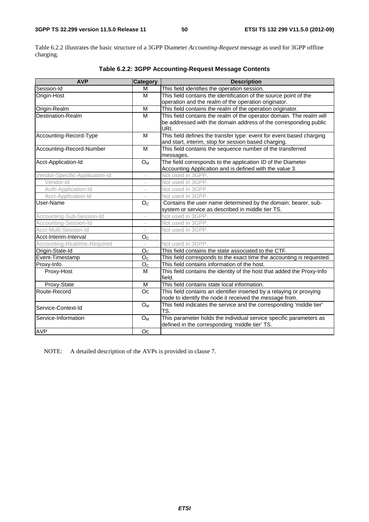Table 6.2.2 illustrates the basic structure of a 3GPP Diameter *Accounting-Request* message as used for 3GPP offline charging.

| <b>AVP</b>                     | <b>Category</b>          | <b>Description</b>                                                               |
|--------------------------------|--------------------------|----------------------------------------------------------------------------------|
| Session-Id                     | M                        | This field identifies the operation session.                                     |
| Origin-Host                    | M                        | This field contains the identification of the source point of the                |
|                                |                          | operation and the realm of the operation originator.                             |
| Origin-Realm                   | M                        | This field contains the realm of the operation originator.                       |
| Destination-Realm              | M                        | This field contains the realm of the operator domain. The realm will             |
|                                |                          | be addressed with the domain address of the corresponding public<br>URI.         |
| Accounting-Record-Type         | M                        | This field defines the transfer type: event for event based charging             |
|                                |                          | and start, interim, stop for session based charging.                             |
| Accounting-Record-Number       | M                        | This field contains the sequence number of the transferred                       |
|                                |                          | messages.                                                                        |
| Acct-Application-Id            | O <sub>M</sub>           | The field corresponds to the application ID of the Diameter                      |
|                                |                          | Accounting Application and is defined with the value 3.                          |
| Vendor-Specific-Application-Id | $\overline{\phantom{a}}$ | Not used in 3GPP.                                                                |
| Vendor-Id                      |                          | Not used in 3GPP.                                                                |
| Auth-Application-Id            |                          | Not used in 3GPP.                                                                |
| Acct-Application-Id            | $\overline{\phantom{a}}$ | Not used in 3GPP.                                                                |
| User-Name                      | O <sub>C</sub>           | Contains the user name determined by the domain: bearer, sub-                    |
|                                |                          | system or service as described in middle tier TS.                                |
| Accounting-Sub-Session-Id      | $\sim$                   | Not used in 3GPP.                                                                |
| Accounting-Session-Id          |                          | Not used in 3GPP.                                                                |
| Acct-Multi-Session-Id          | i,                       | Not used in 3GPP.                                                                |
| Acct-Interim-Interval          | O <sub>C</sub>           |                                                                                  |
| Accounting-Realtime-Required   | $\sim$                   | Not used in 3GPP.                                                                |
| Origin-State-Id                | O <sub>C</sub>           | This field contains the state associated to the CTF.                             |
| Event-Timestamp                | O <sub>C</sub>           | This field corresponds to the exact time the accounting is requested.            |
| Proxy-Info                     | O <sub>C</sub>           | This field contains information of the host.                                     |
| Proxy-Host                     | M                        | This field contains the identity of the host that added the Proxy-Info<br>field. |
| Proxy-State                    | M                        | This field contains state local information.                                     |
| Route-Record                   | Oc                       | This field contains an identifier inserted by a relaying or proxying             |
|                                |                          | node to identify the node it received the message from.                          |
| Service-Context-Id             | O <sub>M</sub>           | This field indicates the service and the corresponding 'middle tier'<br>TS.      |
| Service-Information            | $O_{M}$                  | This parameter holds the individual service specific parameters as               |
|                                |                          | defined in the corresponding 'middle tier' TS.                                   |
| <b>AVP</b>                     | Oc                       |                                                                                  |

### **Table 6.2.2: 3GPP Accounting-Request Message Contents**

NOTE: A detailed description of the AVPs is provided in clause 7.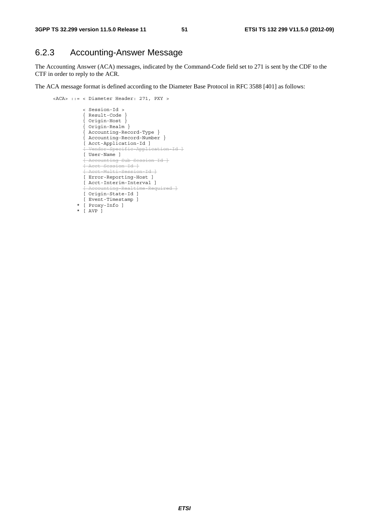### 6.2.3 Accounting-Answer Message

The Accounting Answer (ACA) messages, indicated by the Command-Code field set to 271 is sent by the CDF to the CTF in order to reply to the ACR.

The ACA message format is defined according to the Diameter Base Protocol in RFC 3588 [401] as follows:

```
 <ACA> ::= < Diameter Header: 271, PXY > 
                < Session-Id > 
                { Result-Code } 
                { Origin-Host } 
                { Origin-Realm } 
{ Accounting-Record-Type } 
{ Accounting-Record-Number } 
               [ Acct-Application-Id ] 
                [ Vendor-Specific-Application-Id ]
               [ User-Name ] 
                [ Accounting-Sub-Session-Id ]
               [ Acct-Session-Id ]
               [ Acct-Multi-Session-Id ]
               [ Error-Reporting-Host ] 
               [ Acct-Interim-Interval ] 
               [ Accounting-Realtime-Required ]
               [ Origin-State-Id ] 
               [ Event-Timestamp ] 
             * [ Proxy-Info ] 
             * [ AVP ]
```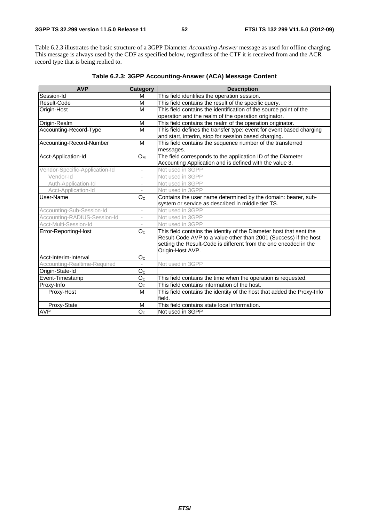Table 6.2.3 illustrates the basic structure of a 3GPP Diameter *Accounting-Answer* message as used for offline charging. This message is always used by the CDF as specified below, regardless of the CTF it is received from and the ACR record type that is being replied to.

| <b>AVP</b>                                                                   | Category                 | <b>Description</b>                                                               |
|------------------------------------------------------------------------------|--------------------------|----------------------------------------------------------------------------------|
| Session-Id                                                                   | M                        | This field identifies the operation session.                                     |
| Result-Code                                                                  | M                        | This field contains the result of the specific query.                            |
| Origin-Host                                                                  | M                        | This field contains the identification of the source point of the                |
|                                                                              |                          | operation and the realm of the operation originator.                             |
| Origin-Realm                                                                 | M                        | This field contains the realm of the operation originator.                       |
| Accounting-Record-Type                                                       | M                        | This field defines the transfer type: event for event based charging             |
|                                                                              |                          | and start, interim, stop for session based charging.                             |
| Accounting-Record-Number                                                     | M                        | This field contains the sequence number of the transferred                       |
|                                                                              |                          | messages.                                                                        |
| Acct-Application-Id                                                          | <b>O</b> <sub>M</sub>    | The field corresponds to the application ID of the Diameter                      |
|                                                                              |                          | Accounting Application and is defined with the value 3.                          |
| Vendor-Specific-Application-Id                                               |                          | Not used in 3GPP                                                                 |
| Vendor-Id                                                                    |                          | Not used in 3GPP                                                                 |
| Auth-Application-Id                                                          | $\overline{\phantom{a}}$ | Not used in 3GPP                                                                 |
| Acct-Application-Id                                                          |                          | Not used in 3GPP                                                                 |
| User-Name                                                                    | O <sub>C</sub>           | Contains the user name determined by the domain: bearer, sub-                    |
|                                                                              |                          | system or service as described in middle tier TS.                                |
| Accounting-Sub-Session-Id                                                    | ä,                       | Not used in 3GPP                                                                 |
| Accounting-RADIUS-Session-Id<br>Not used in 3GPP<br>$\overline{\phantom{a}}$ |                          |                                                                                  |
| Acct-Multi-Session-Id                                                        |                          | Not used in 3GPP                                                                 |
| Error-Reporting-Host                                                         | O <sub>C</sub>           | This field contains the identity of the Diameter host that sent the              |
|                                                                              |                          | Result-Code AVP to a value other than 2001 (Success) if the host                 |
|                                                                              |                          | setting the Result-Code is different from the one encoded in the                 |
|                                                                              |                          | Origin-Host AVP.                                                                 |
| Acct-Interim-Interval                                                        | O <sub>c</sub>           |                                                                                  |
| Accounting-Realtime-Required                                                 | $\overline{\phantom{a}}$ | Not used in 3GPP                                                                 |
| Origin-State-Id                                                              | O <sub>c</sub>           |                                                                                  |
| Event-Timestamp                                                              | O <sub>C</sub>           | This field contains the time when the operation is requested.                    |
| Proxy-Info                                                                   | O <sub>C</sub>           | This field contains information of the host.                                     |
| Proxy-Host                                                                   | м                        | This field contains the identity of the host that added the Proxy-Info<br>field. |
| This field contains state local information.<br>Proxy-State<br>M             |                          |                                                                                  |
| <b>AVP</b>                                                                   | O <sub>C</sub>           | Not used in 3GPP                                                                 |

**Table 6.2.3: 3GPP Accounting-Answer (ACA) Message Content**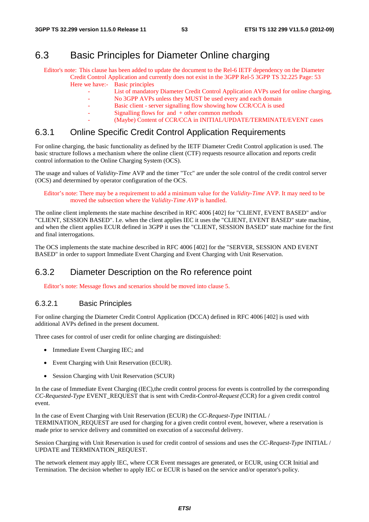# 6.3 Basic Principles for Diameter Online charging

Editor's note: This clause has been added to update the document to the Rel-6 IETF dependency on the Diameter Credit Control Application and currently does not exist in the 3GPP Rel-5 3GPP TS 32.225 Page: 53 Here we have:- Basic principles

- List of mandatory Diameter Credit Control Application AVPs used for online charging,
- No 3GPP AVPs unless they MUST be used every and each domain
- Basic client server signalling flow showing how CCR/CCA is used
- Signalling flows for and  $+$  other common methods
	- (Maybe) Content of CCR/CCA in INITIAL/UPDATE/TERMINATE/EVENT cases

### 6.3.1 Online Specific Credit Control Application Requirements

For online charging, the basic functionality as defined by the IETF Diameter Credit Control application is used. The basic structure follows a mechanism where the online client (CTF) requests resource allocation and reports credit control information to the Online Charging System (OCS).

The usage and values of *Validity-Time* AVP and the timer "Tcc" are under the sole control of the credit control server (OCS) and determined by operator configuration of the OCS.

Editor's note: There may be a requirement to add a minimum value for the *Validity-Time* AVP. It may need to be moved the subsection where the *Validity-Time AVP* is handled.

The online client implements the state machine described in RFC 4006 [402] for "CLIENT, EVENT BASED" and/or "CLIENT, SESSION BASED". I.e. when the client applies IEC it uses the "CLIENT, EVENT BASED" state machine, and when the client applies ECUR defined in 3GPP it uses the "CLIENT, SESSION BASED" state machine for the first and final interrogations.

The OCS implements the state machine described in RFC 4006 [402] for the "SERVER, SESSION AND EVENT BASED" in order to support Immediate Event Charging and Event Charging with Unit Reservation.

### 6.3.2 Diameter Description on the Ro reference point

Editor's note: Message flows and scenarios should be moved into clause 5.

#### 6.3.2.1 Basic Principles

For online charging the Diameter Credit Control Application (DCCA) defined in RFC 4006 [402] is used with additional AVPs defined in the present document.

Three cases for control of user credit for online charging are distinguished:

- Immediate Event Charging IEC; and
- Event Charging with Unit Reservation (ECUR).
- Session Charging with Unit Reservation (SCUR)

In the case of Immediate Event Charging (IEC),the credit control process for events is controlled by the corresponding *CC-Requested-Type* EVENT\_REQUEST that is sent with Credit*-Control-Request (*CCR) for a given credit control event.

In the case of Event Charging with Unit Reservation (ECUR) the *CC-Request-Type* INITIAL / TERMINATION\_REQUEST are used for charging for a given credit control event, however, where a reservation is made prior to service delivery and committed on execution of a successful delivery.

Session Charging with Unit Reservation is used for credit control of sessions and uses the *CC-Request-Type* INITIAL / UPDATE and TERMINATION\_REQUEST.

The network element may apply IEC, where CCR Event messages are generated, or ECUR, using CCR Initial and Termination. The decision whether to apply IEC or ECUR is based on the service and/or operator's policy.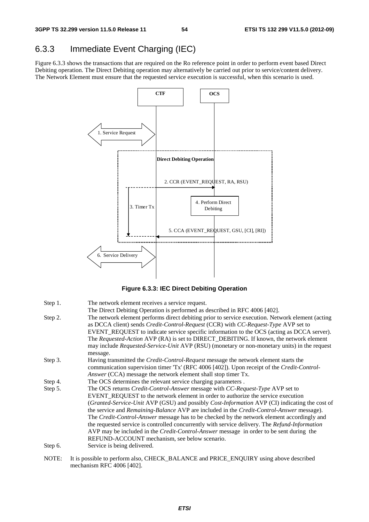# 6.3.3 Immediate Event Charging (IEC)

Figure 6.3.3 shows the transactions that are required on the Ro reference point in order to perform event based Direct Debiting operation. The Direct Debiting operation may alternatively be carried out prior to service/content delivery. The Network Element must ensure that the requested service execution is successful, when this scenario is used.



**Figure 6.3.3: IEC Direct Debiting Operation** 

| Step 1. | The network element receives a service request.                                                                                                                                                                                                                                                                                                                                                                                                                                                                                                                                                                                                                                                                                  |
|---------|----------------------------------------------------------------------------------------------------------------------------------------------------------------------------------------------------------------------------------------------------------------------------------------------------------------------------------------------------------------------------------------------------------------------------------------------------------------------------------------------------------------------------------------------------------------------------------------------------------------------------------------------------------------------------------------------------------------------------------|
| Step 2. | The Direct Debiting Operation is performed as described in RFC 4006 [402].<br>The network element performs direct debiting prior to service execution. Network element (acting<br>as DCCA client) sends <i>Credit-Control-Request</i> (CCR) with <i>CC-Request-Type</i> AVP set to<br>EVENT_REQUEST to indicate service specific information to the OCS (acting as DCCA server).<br>The Requested-Action AVP (RA) is set to DIRECT_DEBITING. If known, the network element<br>may include Requested-Service-Unit AVP (RSU) (monetary or non-monetary units) in the request<br>message.                                                                                                                                           |
| Step 3. | Having transmitted the <i>Credit-Control-Request</i> message the network element starts the<br>communication supervision timer 'Tx' (RFC 4006 [402]). Upon receipt of the Credit-Control-<br><i>Answer</i> (CCA) message the network element shall stop timer Tx.                                                                                                                                                                                                                                                                                                                                                                                                                                                                |
| Step 4. | The OCS determines the relevant service charging parameters.                                                                                                                                                                                                                                                                                                                                                                                                                                                                                                                                                                                                                                                                     |
| Step 5. | The OCS returns Credit-Control-Answer message with CC-Request-Type AVP set to<br>EVENT_REQUEST to the network element in order to authorize the service execution<br>(Granted-Service-Unit AVP (GSU) and possibly Cost-Information AVP (CI) indicating the cost of<br>the service and <i>Remaining-Balance</i> AVP are included in the <i>Credit-Control-Answer</i> message).<br>The Credit-Control-Answer message has to be checked by the network element accordingly and<br>the requested service is controlled concurrently with service delivery. The Refund-Information<br>AVP may be included in the <i>Credit-Control-Answer</i> message in order to be sent during the<br>REFUND-ACCOUNT mechanism, see below scenario. |
| Step 6. | Service is being delivered.                                                                                                                                                                                                                                                                                                                                                                                                                                                                                                                                                                                                                                                                                                      |
| NOTF    | It is possible to perform also CHECK, BALANCE and PRICE ENOURY using above described                                                                                                                                                                                                                                                                                                                                                                                                                                                                                                                                                                                                                                             |

NOTE: It is possible to perform also, CHECK\_BALANCE and PRICE\_ENQUIRY using above described mechanism RFC 4006 [402].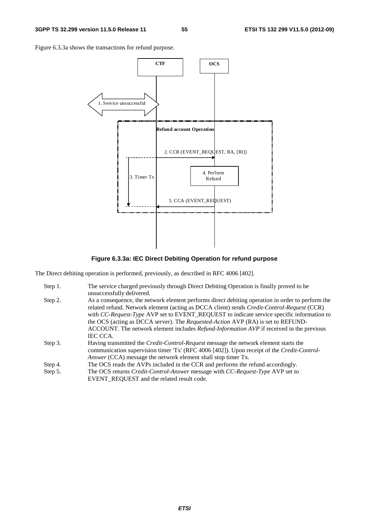Figure 6.3.3a shows the transactions for refund purpose.



**Figure 6.3.3a: IEC Direct Debiting Operation for refund purpose** 

The Direct debiting operation is performed, previously, as described in RFC 4006 [402].

| Step 1. | The service charged previously through Direct Debiting Operation is finally proved to be<br>unsuccessfully delivered.                                                                                                                                                                                                                                                                                                                                                                                        |
|---------|--------------------------------------------------------------------------------------------------------------------------------------------------------------------------------------------------------------------------------------------------------------------------------------------------------------------------------------------------------------------------------------------------------------------------------------------------------------------------------------------------------------|
| Step 2. | As a consequence, the network element performs direct debiting operation in order to perform the<br>related refund. Network element (acting as DCCA client) sends Credit-Control-Request (CCR)<br>with CC-Request-Type AVP set to EVENT_REQUEST to indicate service specific information to<br>the OCS (acting as DCCA server). The <i>Requested-Action</i> AVP (RA) is set to REFUND-<br>ACCOUNT. The network element includes <i>Refund-Information AVP</i> if received in the previous<br><b>IEC CCA.</b> |
| Step 3. | Having transmitted the <i>Credit-Control-Request</i> message the network element starts the<br>communication supervision timer 'Tx' (RFC 4006 [402]). Upon receipt of the Credit-Control-<br>Answer (CCA) message the network element shall stop timer Tx.                                                                                                                                                                                                                                                   |
| Step 4. | The OCS reads the AVPs included in the CCR and performs the refund accordingly.                                                                                                                                                                                                                                                                                                                                                                                                                              |
| Step 5. | The OCS returns <i>Credit-Control-Answer</i> message with <i>CC-Request-Type</i> AVP set to<br>EVENT REQUEST and the related result code.                                                                                                                                                                                                                                                                                                                                                                    |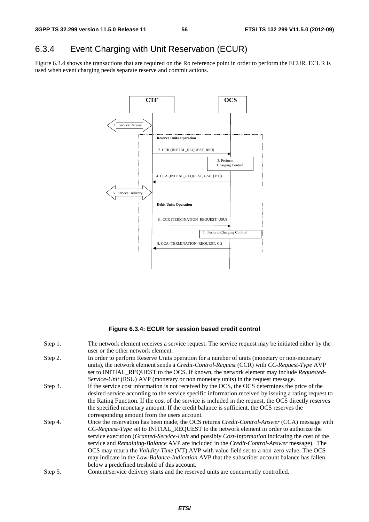# 6.3.4 Event Charging with Unit Reservation (ECUR)

Figure 6.3.4 shows the transactions that are required on the Ro reference point in order to perform the ECUR. ECUR is used when event charging needs separate reserve and commit actions.



#### **Figure 6.3.4: ECUR for session based credit control**

| Step 1. | The network element receives a service request. The service request may be initiated either by the      |
|---------|---------------------------------------------------------------------------------------------------------|
|         | user or the other network element.                                                                      |
| Step 2. | In order to perform Reserve Units operation for a number of units (monetary or non-monetary             |
|         | units), the network element sends a <i>Credit-Control-Request</i> (CCR) with <i>CC-Request-Type</i> AVP |
|         | set to INITIAL_REQUEST to the OCS. If known, the network element may include Requested-                 |
|         | Service-Unit (RSU) AVP (monetary or non monetary units) in the request message.                         |
| Step 3. | If the service cost information is not received by the OCS, the OCS determines the price of the         |
|         | desired service according to the service specific information received by issuing a rating request to   |
|         | the Rating Function. If the cost of the service is included in the request, the OCS directly reserves   |
|         | the specified monetary amount. If the credit balance is sufficient, the OCS reserves the                |
|         | corresponding amount from the users account.                                                            |
| Step 4. | Once the reservation has been made, the OCS returns <i>Credit-Control-Answer</i> (CCA) message with     |
|         | CC-Request-Type set to INITIAL_REQUEST to the network element in order to authorize the                 |
|         | service execution (Granted-Service-Unit and possibly Cost-Information indicating the cost of the        |
|         | service and Remaining-Balance AVP are included in the Credit-Control-Answer message). The               |
|         | OCS may return the <i>Validity-Time</i> (VT) AVP with value field set to a non-zero value. The OCS      |
|         | may indicate in the <i>Low-Balance-Indication</i> AVP that the subscriber account balance has fallen    |
|         | below a predefined treshold of this account.                                                            |
| Step 5. | Content/service delivery starts and the reserved units are concurrently controlled.                     |
|         |                                                                                                         |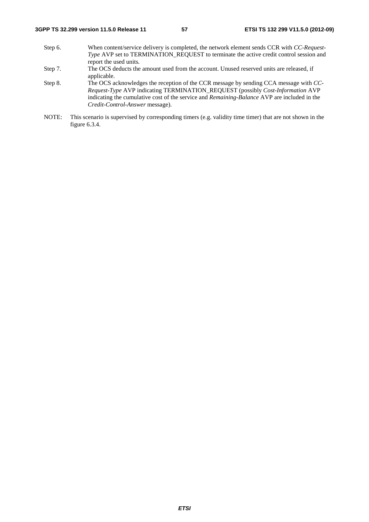- Step 6. When content/service delivery is completed, the network element sends CCR with *CC-Request-Type* AVP set to TERMINATION\_REQUEST to terminate the active credit control session and report the used units*.*
- Step 7. The OCS deducts the amount used from the account. Unused reserved units are released, if applicable.
- Step 8. The OCS acknowledges the reception of the CCR message by sending CCA message with *CC-Request-Type* AVP indicating TERMINATION\_REQUEST (possibly *Cost-Information* AVP indicating the cumulative cost of the service and *Remaining-Balance* AVP are included in the *Credit-Control-Answer* message).
- NOTE: This scenario is supervised by corresponding timers (e.g. validity time timer) that are not shown in the figure 6.3.4.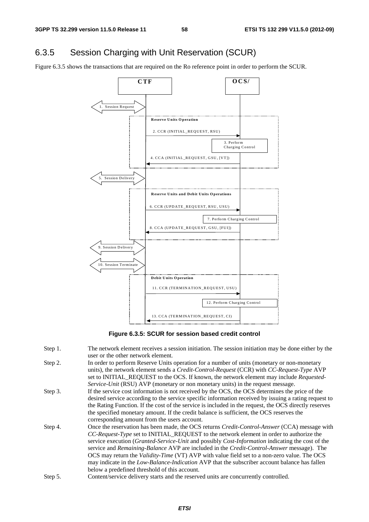### 6.3.5 Session Charging with Unit Reservation (SCUR)

Figure 6.3.5 shows the transactions that are required on the Ro reference point in order to perform the SCUR.



**Figure 6.3.5: SCUR for session based credit control** 

Step 1. The network element receives a session initiation. The session initiation may be done either by the user or the other network element. Step 2. In order to perform Reserve Units operation for a number of units (monetary or non-monetary units), the network element sends a *Credit-Control-Request* (CCR) with *CC-Request-Type* AVP set to INITIAL\_REQUEST to the OCS. If known, the network element may include *Requested-Service-Unit* (RSU) AVP (monetary or non monetary units) in the request message. Step 3. If the service cost information is not received by the OCS, the OCS determines the price of the desired service according to the service specific information received by issuing a rating request to the Rating Function. If the cost of the service is included in the request, the OCS directly reserves the specified monetary amount. If the credit balance is sufficient, the OCS reserves the corresponding amount from the users account. Step 4. Once the reservation has been made, the OCS returns *Credit-Control-Answer* (CCA) message with *CC-Request-Type* set to INITIAL\_REQUEST to the network element in order to authorize the service execution (*Granted-Service-Unit* and possibly *Cost-Information* indicating the cost of the service and *Remaining-Balance* AVP are included in the *Credit-Control-Answer* message). The OCS may return the *Validity-Time* (VT) AVP with value field set to a non-zero value. The OCS may indicate in the *Low-Balance-Indication* AVP that the subscriber account balance has fallen below a predefined threshold of this account. Step 5. Content/service delivery starts and the reserved units are concurrently controlled.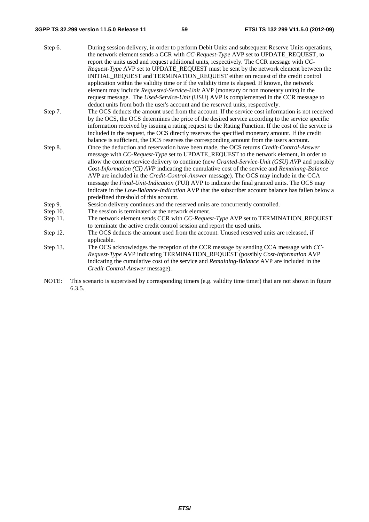#### **3GPP TS 32.299 version 11.5.0 Release 11 59 ETSI TS 132 299 V11.5.0 (2012-09)**

| Step 6.     | During session delivery, in order to perform Debit Units and subsequent Reserve Units operations,      |
|-------------|--------------------------------------------------------------------------------------------------------|
|             | the network element sends a CCR with CC-Request-Type AVP set to UPDATE_REQUEST, to                     |
|             | report the units used and request additional units, respectively. The CCR message with CC-             |
|             | Request-Type AVP set to UPDATE_REQUEST must be sent by the network element between the                 |
|             | INITIAL_REQUEST and TERMINATION_REQUEST either on request of the credit control                        |
|             | application within the validity time or if the validity time is elapsed. If known, the network         |
|             | element may include <i>Requested-Service-Unit</i> AVP (monetary or non monetary units) in the          |
|             | request message. The Used-Service-Unit (USU) AVP is complemented in the CCR message to                 |
|             | deduct units from both the user's account and the reserved units, respectively.                        |
| Step 7.     | The OCS deducts the amount used from the account. If the service cost information is not received      |
|             | by the OCS, the OCS determines the price of the desired service according to the service specific      |
|             | information received by issuing a rating request to the Rating Function. If the cost of the service is |
|             | included in the request, the OCS directly reserves the specified monetary amount. If the credit        |
|             | balance is sufficient, the OCS reserves the corresponding amount from the users account.               |
| Step 8.     | Once the deduction and reservation have been made, the OCS returns Credit-Control-Answer               |
|             | message with CC-Request-Type set to UPDATE_REQUEST to the network element, in order to                 |
|             | allow the content/service delivery to continue (new Granted-Service-Unit (GSU) AVP and possibly        |
|             | Cost-Information (CI) AVP indicating the cumulative cost of the service and Remaining-Balance          |
|             | AVP are included in the Credit-Control-Answer message). The OCS may include in the CCA                 |
|             | message the <i>Final-Unit-Indication</i> (FUI) AVP to indicate the final granted units. The OCS may    |
|             | indicate in the Low-Balance-Indication AVP that the subscriber account balance has fallen below a      |
|             | predefined threshold of this account.                                                                  |
| Step 9.     | Session delivery continues and the reserved units are concurrently controlled.                         |
| Step 10.    | The session is terminated at the network element.                                                      |
| Step $11$ . | The network element sends CCR with CC-Request-Type AVP set to TERMINATION_REQUEST                      |
|             | to terminate the active credit control session and report the used units.                              |
| Step 12.    | The OCS deducts the amount used from the account. Unused reserved units are released, if               |
|             | applicable.                                                                                            |

Step 13. The OCS acknowledges the reception of the CCR message by sending CCA message with *CC-Request-Type* AVP indicating TERMINATION\_REQUEST (possibly *Cost-Information* AVP indicating the cumulative cost of the service and *Remaining-Balance* AVP are included in the *Credit-Control-Answer* message).

NOTE: This scenario is supervised by corresponding timers (e.g. validity time timer) that are not shown in figure 6.3.5.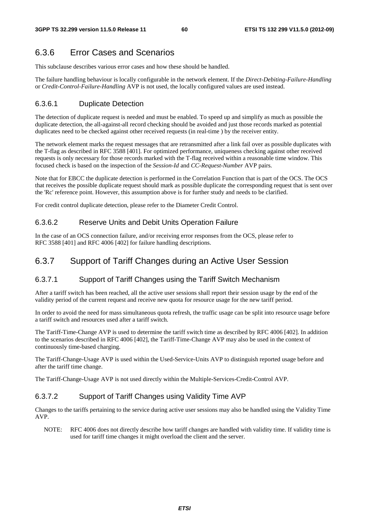### 6.3.6 Error Cases and Scenarios

This subclause describes various error cases and how these should be handled.

The failure handling behaviour is locally configurable in the network element. If the *Direct-Debiting-Failure-Handling* or *Credit-Control-Failure-Handling* AVP is not used, the locally configured values are used instead.

#### 6.3.6.1 Duplicate Detection

The detection of duplicate request is needed and must be enabled. To speed up and simplify as much as possible the duplicate detection, the all-against-all record checking should be avoided and just those records marked as potential duplicates need to be checked against other received requests (in real-time ) by the receiver entity.

The network element marks the request messages that are retransmitted after a link fail over as possible duplicates with the T-flag as described in RFC 3588 [401]. For optimized performance, uniqueness checking against other received requests is only necessary for those records marked with the T-flag received within a reasonable time window. This focused check is based on the inspection of the *Session-Id* and *CC-Request-Number* AVP pairs.

Note that for EBCC the duplicate detection is performed in the Correlation Function that is part of the OCS. The OCS that receives the possible duplicate request should mark as possible duplicate the corresponding request that is sent over the 'Rc' reference point. However, this assumption above is for further study and needs to be clarified.

For credit control duplicate detection, please refer to the Diameter Credit Control.

#### 6.3.6.2 Reserve Units and Debit Units Operation Failure

In the case of an OCS connection failure, and/or receiving error responses from the OCS, please refer to RFC 3588 [401] and RFC 4006 [402] for failure handling descriptions.

### 6.3.7 Support of Tariff Changes during an Active User Session

#### 6.3.7.1 Support of Tariff Changes using the Tariff Switch Mechanism

After a tariff switch has been reached, all the active user sessions shall report their session usage by the end of the validity period of the current request and receive new quota for resource usage for the new tariff period.

In order to avoid the need for mass simultaneous quota refresh, the traffic usage can be split into resource usage before a tariff switch and resources used after a tariff switch.

The Tariff-Time-Change AVP is used to determine the tariff switch time as described by RFC 4006 [402]. In addition to the scenarios described in RFC 4006 [402], the Tariff-Time-Change AVP may also be used in the context of continuously time-based charging.

The Tariff-Change-Usage AVP is used within the Used-Service-Units AVP to distinguish reported usage before and after the tariff time change.

The Tariff-Change-Usage AVP is not used directly within the Multiple-Services-Credit-Control AVP.

#### 6.3.7.2 Support of Tariff Changes using Validity Time AVP

Changes to the tariffs pertaining to the service during active user sessions may also be handled using the Validity Time AVP.

NOTE: RFC 4006 does not directly describe how tariff changes are handled with validity time. If validity time is used for tariff time changes it might overload the client and the server.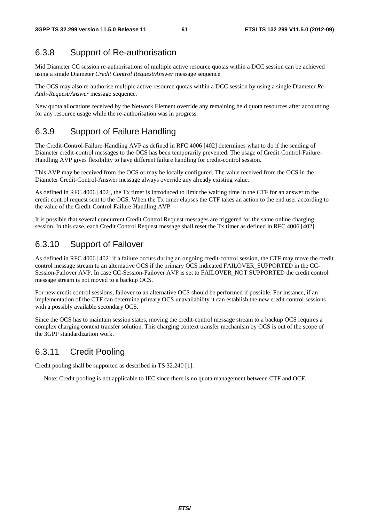### 6.3.8 Support of Re-authorisation

Mid Diameter CC session re-authorisations of multiple active resource quotas within a DCC session can be achieved using a single Diameter *Credit Control Request/Answer* message sequence.

The OCS may also re-authorise multiple active resource quotas within a DCC session by using a single Diameter *Re-Auth-Request/Answer* message sequence.

New quota allocations received by the Network Element override any remaining held quota resources after accounting for any resource usage while the re-authorisation was in progress.

### 6.3.9 Support of Failure Handling

The Credit-Control-Failure-Handling AVP as defined in RFC 4006 [402] determines what to do if the sending of Diameter credit-control messages to the OCS has been temporarily prevented. The usage of Credit-Control-Failure-Handling AVP gives flexibility to have different failure handling for credit-control session.

This AVP may be received from the OCS or may be locally configured. The value received from the OCS in the Diameter Credit-Control-Answer message always override any already existing value.

As defined in RFC 4006 [402], the Tx timer is introduced to limit the waiting time in the CTF for an answer to the credit control request sent to the OCS. When the Tx timer elapses the CTF takes an action to the end user according to the value of the Credit-Control-Failure-Handling AVP.

It is possible that several concurrent Credit Control Request messages are triggered for the same online charging session. In this case, each Credit Control Request message shall reset the Tx timer as defined in RFC 4006 [402].

### 6.3.10 Support of Failover

As defined in RFC 4006 [402] if a failure occurs during an ongoing credit-control session, the CTF may move the credit control message stream to an alternative OCS if the primary OCS indicated FAILOVER\_SUPPORTED in the CC-Session-Failover AVP. In case CC-Session-Failover AVP is set to FAILOVER\_NOT SUPPORTED the credit control message stream is not moved to a backup OCS.

For new credit control sessions, failover to an alternative OCS should be performed if possible. For instance, if an implementation of the CTF can determine primary OCS unavailability it can establish the new credit control sessions with a possibly available secondary OCS.

Since the OCS has to maintain session states, moving the credit-control message stream to a backup OCS requires a complex charging context transfer solution. This charging context transfer mechanism by OCS is out of the scope of the 3GPP standardization work.

### 6.3.11 Credit Pooling

Credit pooling shall be supported as described in TS 32.240 [1].

Note: Credit pooling is not applicable to IEC since there is no quota management between CTF and OCF.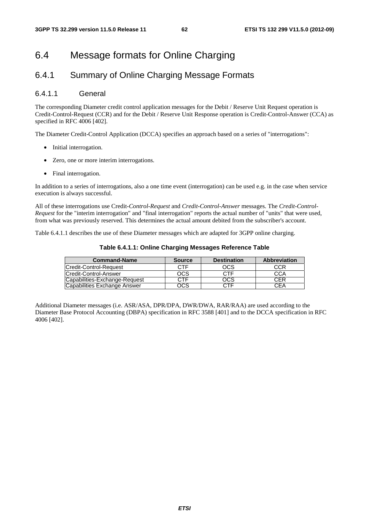# 6.4 Message formats for Online Charging

### 6.4.1 Summary of Online Charging Message Formats

#### 6.4.1.1 General

The corresponding Diameter credit control application messages for the Debit / Reserve Unit Request operation is Credit-Control-Request (CCR) and for the Debit / Reserve Unit Response operation is Credit-Control-Answer (CCA) as specified in RFC 4006 [402].

The Diameter Credit-Control Application (DCCA) specifies an approach based on a series of "interrogations":

- Initial interrogation.
- Zero, one or more interim interrogations.
- Final interrogation.

In addition to a series of interrogations, also a one time event (interrogation) can be used e.g. in the case when service execution is always successful.

All of these interrogations use Credit*-Control-Request* and *Credit-Control-Answer* messages. The *Credit-Control-Request* for the "interim interrogation" and "final interrogation" reports the actual number of "units" that were used, from what was previously reserved. This determines the actual amount debited from the subscriber's account.

Table 6.4.1.1 describes the use of these Diameter messages which are adapted for 3GPP online charging.

| <b>Command-Name</b>           | <b>Source</b> | <b>Destination</b> | <b>Abbreviation</b> |
|-------------------------------|---------------|--------------------|---------------------|
| Credit-Control-Request        | <b>CTF</b>    | <b>OCS</b>         | CCR                 |
| <b>Credit-Control-Answer</b>  | OCS           | CTF                | CCA                 |
| Capabilities-Exchange-Request | CTF           | ocs                | CER                 |
| Capabilities Exchange Answer  | OCS           | CTF                |                     |

Additional Diameter messages (i.e. ASR/ASA, DPR/DPA, DWR/DWA, RAR/RAA) are used according to the Diameter Base Protocol Accounting (DBPA) specification in RFC 3588 [401] and to the DCCA specification in RFC 4006 [402].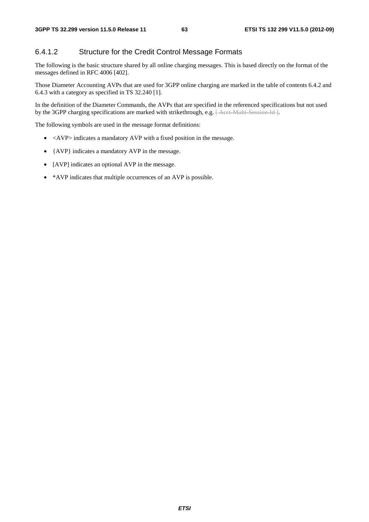### 6.4.1.2 Structure for the Credit Control Message Formats

The following is the basic structure shared by all online charging messages. This is based directly on the format of the messages defined in RFC 4006 [402].

Those Diameter Accounting AVPs that are used for 3GPP online charging are marked in the table of contents 6.4.2 and 6.4.3 with a category as specified in TS 32.240 [1].

In the definition of the Diameter Commands, the AVPs that are specified in the referenced specifications but not used by the 3GPP charging specifications are marked with strikethrough, e.g. [Acct Multi-Session-Id ].

The following symbols are used in the message format definitions:

- <AVP> indicates a mandatory AVP with a fixed position in the message.
- {AVP} indicates a mandatory AVP in the message.
- [AVP] indicates an optional AVP in the message.
- \*AVP indicates that multiple occurrences of an AVP is possible.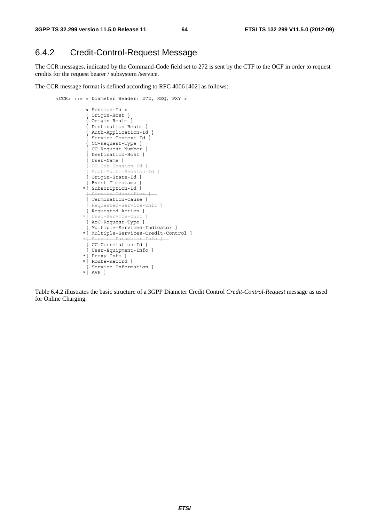### 6.4.2 Credit-Control-Request Message

The CCR messages, indicated by the Command-Code field set to 272 is sent by the CTF to the OCF in order to request credits for the request bearer / subsystem /service.

The CCR message format is defined according to RFC 4006 [402] as follows:

```
 <CCR> ::= < Diameter Header: 272, REQ, PXY > 
                 < Session-Id > 
                 { Origin-Host } 
                 { Origin-Realm } 
                 { Destination-Realm } 
                  { Auth-Application-Id } 
                 { Service-Context-Id } 
{ CC-Request-Type } 
{ CC-Request-Number } 
                 [ Destination-Host ] 
                 [ User-Name ] 
                 [ CC-Sub-Session-Id ] 
                 [ Acct-Multi-Session-Id ] 
                 [ Origin-State-Id ] 
                 [ Event-Timestamp ] 
                *[ Subscription-Id ] 
                 [ Service-Identifier ] 
                 [ Termination-Cause ] 
                  Requested-Service-Unit ]
                [ Requested-Action ]
                *[ Used-Service-Unit ] 
                 [ AoC-Request-Type ] 
                 [ Multiple-Services-Indicator ] 
                *[ Multiple-Services-Credit-Control ] 
               *[ Service Parameter Info
                 [ CC-Correlation-Id ] 
                 [ User-Equipment-Info ] 
                *[ Proxy-Info ] 
                *[ Route-Record ] 
                 [ Service-Information ] 
                *[ AVP ]
```
Table 6.4.2 illustrates the basic structure of a 3GPP Diameter Credit Control *Credit-Control-Request* message as used for Online Charging.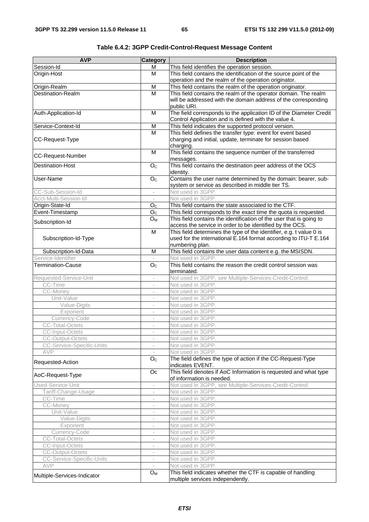| <b>AVP</b>                  | Category                 | <b>Description</b>                                                              |
|-----------------------------|--------------------------|---------------------------------------------------------------------------------|
| Session-Id                  | Μ                        | This field identifies the operation session.                                    |
| Origin-Host                 | M                        | This field contains the identification of the source point of the               |
|                             |                          | operation and the realm of the operation originator.                            |
| Origin-Realm                | M                        | This field contains the realm of the operation originator.                      |
| <b>Destination-Realm</b>    | M                        | This field contains the realm of the operator domain. The realm                 |
|                             |                          | will be addressed with the domain address of the corresponding                  |
|                             |                          | public URI.                                                                     |
| Auth-Application-Id         | M                        | The field corresponds to the application ID of the Diameter Credit              |
|                             |                          | Control Application and is defined with the value 4.                            |
| Service-Context-Id          | M                        | This field indicates the supported protocol version.                            |
|                             | M                        | This field defines the transfer type: event for event based                     |
| CC-Request-Type             |                          | charging and initial, update, terminate for session based                       |
|                             |                          | charging.                                                                       |
|                             | M                        | This field contains the sequence number of the transferred                      |
| <b>CC-Request-Number</b>    |                          | messages.                                                                       |
| <b>Destination-Host</b>     | O <sub>C</sub>           | This field contains the destination peer address of the OCS                     |
|                             |                          | identity.                                                                       |
| User-Name                   | O <sub>C</sub>           | Contains the user name determined by the domain: bearer, sub-                   |
|                             |                          | system or service as described in middle tier TS.                               |
| CC-Sub-Session-Id           | $\overline{\phantom{a}}$ | Not used in 3GPP.                                                               |
| Acct-Multi-Session-Id       |                          | Not used in 3GPP.                                                               |
| Origin-State-Id             | O <sub>C</sub>           | This field contains the state associated to the CTF.                            |
| Event-Timestamp             | O <sub>C</sub>           | This field corresponds to the exact time the quota is requested.                |
| Subscription-Id             | $O_{M}$                  | This field contains the identification of the user that is going to             |
|                             |                          | access the service in order to be identified by the OCS.                        |
|                             | M                        | This field determines the type of the identifier, e.g. t value 0 is             |
| Subscription-Id-Type        |                          | used for the international E.164 format according to ITU-T E.164                |
|                             |                          | numbering plan.                                                                 |
| Subscription-Id-Data        | M                        | This field contains the user data content e.g. the MSISDN.                      |
| Service-Identifier          |                          | Not used in 3GPP.                                                               |
| <b>Termination-Cause</b>    | $\overline{O}_C$         | This field contains the reason the credit control session was                   |
|                             |                          | terminated.                                                                     |
| Requested-Service-Unit      | $\sim$                   | Not used in 3GPP, see Multiple-Services-Credit-Control.                         |
| CC-Time                     | ÷,                       | Not used in 3GPP.                                                               |
| <b>CC-Money</b>             |                          | Not used in 3GPP.                                                               |
| Unit-Value                  |                          | Not used in 3GPP.                                                               |
| Value-Digits                | $\overline{\phantom{a}}$ | Not used in 3GPP.                                                               |
| Exponent                    | $\overline{\phantom{0}}$ | Not used in 3GPP.                                                               |
| Currency-Code               | $\overline{\phantom{a}}$ | Not used in 3GPP.                                                               |
| <b>CC-Total-Octets</b>      | $\overline{\phantom{a}}$ | Not used in 3GPP.                                                               |
| CC-Input-Octets             |                          | Not used in 3GPP.                                                               |
| <b>CC-Output-Octets</b>     |                          | Not used in 3GPP.                                                               |
| CC-Service-Specific-Units   | $\overline{\phantom{a}}$ | Not used in 3GPP.                                                               |
| AVP                         |                          | Not used in 3GPP.                                                               |
| Requested-Action            | O <sub>C</sub>           | The field defines the type of action if the CC-Request-Type<br>indicates EVENT. |
| AoC-Request-Type            | Oc                       | This field denotes if AoC Information is requested and what type                |
|                             |                          | of information is needed.                                                       |
| Used-Service-Unit           | $\overline{\phantom{m}}$ | Not used in 3GPP, see Multiple-Services-Credit-Control.                         |
| Tariff-Change-Usage         |                          | Not used in 3GPP.                                                               |
| CC-Time                     | $\overline{a}$           | Not used in 3GPP.                                                               |
| CC-Money                    | $\overline{\phantom{0}}$ | Not used in 3GPP.                                                               |
| Unit-Value                  | $\overline{\phantom{a}}$ | Not used in 3GPP.                                                               |
| Value-Digits                |                          | Not used in 3GPP.                                                               |
| Exponent                    |                          | Not used in 3GPP.                                                               |
| Currency-Code               |                          | Not used in 3GPP.                                                               |
| <b>CC-Total-Octets</b>      | $\overline{\phantom{a}}$ | Not used in 3GPP.                                                               |
| CC-Input-Octets             | $\overline{\phantom{a}}$ | Not used in 3GPP.                                                               |
| <b>CC-Output-Octets</b>     | $\bar{\phantom{a}}$      | Not used in 3GPP.                                                               |
| CC-Service-Specific-Units   |                          | Not used in 3GPP.                                                               |
| AVP                         |                          | Not used in 3GPP.                                                               |
| Multiple-Services-Indicator | O <sub>M</sub>           | This field indicates whether the CTF is capable of handling                     |
|                             |                          | multiple services independently.                                                |

### **Table 6.4.2: 3GPP Credit-Control-Request Message Content**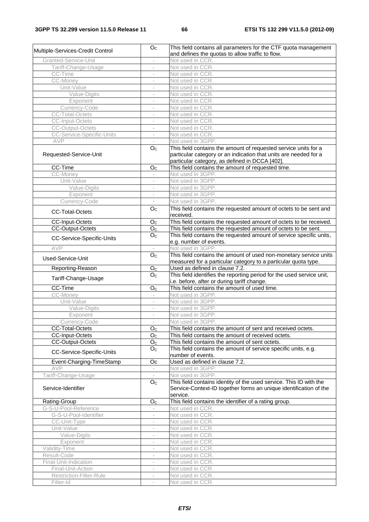| Multiple-Services-Credit Control | O <sub>C</sub>           | This field contains all parameters for the CTF quota management<br>and defines the quotas to allow traffic to flow.                                                                   |
|----------------------------------|--------------------------|---------------------------------------------------------------------------------------------------------------------------------------------------------------------------------------|
| Granted-Service-Unit             | $\overline{\phantom{a}}$ | Not used in CCR.                                                                                                                                                                      |
| Tariff-Change-Usage              | $\overline{\phantom{a}}$ | Not used in CCR.                                                                                                                                                                      |
| CC-Time                          |                          | Not used in CCR.                                                                                                                                                                      |
| <b>CC-Money</b>                  |                          | Not used in CCR.                                                                                                                                                                      |
| Unit-Value                       |                          | Not used in CCR.                                                                                                                                                                      |
| Value-Digits                     | $\overline{\phantom{m}}$ | Not used in CCR.                                                                                                                                                                      |
| Exponent                         | $\overline{\phantom{a}}$ | Not used in CCR.                                                                                                                                                                      |
| Currency-Code                    | $\overline{\phantom{a}}$ | Not used in CCR.                                                                                                                                                                      |
| <b>CC-Total-Octets</b>           | ÷                        | Not used in CCR.                                                                                                                                                                      |
| <b>CC-Input-Octets</b>           |                          | Not used in CCR.                                                                                                                                                                      |
| <b>CC-Output-Octets</b>          |                          | Not used in CCR.                                                                                                                                                                      |
| <b>CC-Service-Specific-Units</b> | $\overline{\phantom{a}}$ | Not used in CCR.                                                                                                                                                                      |
| AVP                              |                          | Not used in 3GPP.                                                                                                                                                                     |
| Requested-Service-Unit           | $\mathsf{O}_\mathbb{C}$  | This field contains the amount of requested service units for a<br>particular category or an indication that units are needed for a<br>particular category, as defined in DCCA [402]. |
| CC-Time                          | O <sub>c</sub>           | This field contains the amount of requested time.                                                                                                                                     |
| CC-Money                         |                          | Not used in 3GPP.                                                                                                                                                                     |
| Unit-Value                       |                          | Not used in 3GPP.                                                                                                                                                                     |
| Value-Digits                     |                          | Not used in 3GPP.                                                                                                                                                                     |
| Exponent                         | $\overline{\phantom{a}}$ | Not used in 3GPP.                                                                                                                                                                     |
| Currency-Code                    | $\overline{\phantom{a}}$ | Not used in 3GPP.                                                                                                                                                                     |
| <b>CC-Total-Octets</b>           | O <sub>C</sub>           | This field contains the requested amount of octets to be sent and<br>received.                                                                                                        |
| <b>CC-Input-Octets</b>           | O <sub>c</sub>           | This field contains the requested amount of octets to be received.                                                                                                                    |
| <b>CC-Output-Octets</b>          | O <sub>c</sub>           | This field contains the requested amount of octets to be sent.                                                                                                                        |
|                                  | O <sub>c</sub>           | This field contains the requested amount of service specific units,                                                                                                                   |
| CC-Service-Specific-Units        |                          | e.g. number of events.                                                                                                                                                                |
| AVP                              |                          | Not used in 3GPP.                                                                                                                                                                     |
| Used-Service-Unit                | $\overline{O}_C$         | This field contains the amount of used non-monetary service units                                                                                                                     |
|                                  |                          | measured for a particular category to a particular quota type.                                                                                                                        |
| Reporting-Reason                 | O <sub>c</sub>           | Used as defined in clause 7.2.                                                                                                                                                        |
| Tariff-Change-Usage              | O <sub>c</sub>           | This field identifies the reporting period for the used service unit,<br>i.e. before, after or during tariff change.                                                                  |
| CC-Time                          | O <sub>c</sub>           | This field contains the amount of used time.                                                                                                                                          |
| CC-Money                         | $\overline{\phantom{a}}$ | Not used in 3GPP.                                                                                                                                                                     |
| Unit-Value                       | $\overline{\phantom{a}}$ | Not used in 3GPP.                                                                                                                                                                     |
| Value-Digits                     |                          | Not used in 3GPP.                                                                                                                                                                     |
| Exponent                         | $\overline{\phantom{a}}$ | Not used in 3GPP.                                                                                                                                                                     |
| Currency-Code                    |                          | Not used in 3GPP.                                                                                                                                                                     |
| <b>CC-Total-Octets</b>           | O <sub>c</sub>           | This field contains the amount of sent and received octets.                                                                                                                           |
| CC-Input-Octets                  | O <sub>C</sub>           | This field contains the amount of received octets.                                                                                                                                    |
| <b>CC-Output-Octets</b>          | O <sub>C</sub>           | This field contains the amount of sent octets.                                                                                                                                        |
| CC-Service-Specific-Units        | O <sub>c</sub>           | This field contains the amount of service specific units, e.g.<br>number of events.                                                                                                   |
| Event-Charging-TimeStamp         | Oc                       | Used as defined in clause 7.2.                                                                                                                                                        |
| AVP                              | $\overline{\phantom{a}}$ | Not used in 3GPP.                                                                                                                                                                     |
| Tariff-Change-Usage              |                          | Not used in 3GPP.                                                                                                                                                                     |
| Service-Identifier               | $\mathsf{O}_\mathbb{C}$  | This field contains identity of the used service. This ID with the<br>Service-Context-ID together forms an unique identification of the<br>service.                                   |
| Rating-Group                     | O <sub>c</sub>           | This field contains the identifier of a rating group.                                                                                                                                 |
| G-S-U-Pool-Reference             |                          | Not used in CCR.                                                                                                                                                                      |
| G-S-U-Pool-Identifier            |                          | Not used in CCR.                                                                                                                                                                      |
| CC-Unit-Type                     |                          | Not used in CCR.                                                                                                                                                                      |
| Unit-Value                       | $\overline{\phantom{a}}$ | Not used in CCR.                                                                                                                                                                      |
| Value-Digits                     | $\overline{\phantom{a}}$ | Not used in CCR.                                                                                                                                                                      |
| Exponent                         |                          | Not used in CCR.                                                                                                                                                                      |
| Validity-Time                    |                          | Not used in CCR.                                                                                                                                                                      |
| Result-Code                      |                          | Not used in CCR.                                                                                                                                                                      |
| Final-Unit-Indication            | $\overline{\phantom{a}}$ | Not used in CCR.                                                                                                                                                                      |
| Final-Unit-Action                | $\overline{\phantom{a}}$ | Not used in CCR.                                                                                                                                                                      |
| Restriction-Filter-Rule          | $\overline{\phantom{a}}$ | Not used in CCR.                                                                                                                                                                      |
| Filter-Id                        |                          | Not used in CCR.                                                                                                                                                                      |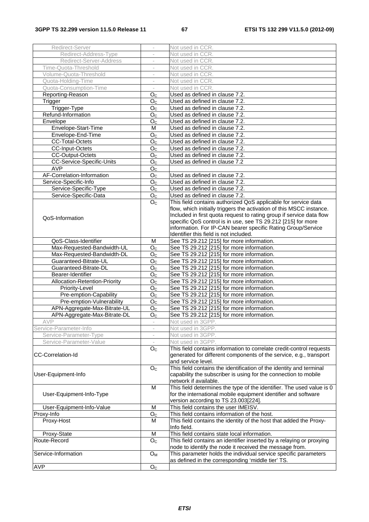| Redirect-Server               | $\overline{\phantom{a}}$  | Not used in CCR.                                                      |
|-------------------------------|---------------------------|-----------------------------------------------------------------------|
| Redirect-Address-Type         | $\overline{\phantom{a}}$  | Not used in CCR.                                                      |
| Redirect-Server-Address       |                           | Not used in CCR.                                                      |
| Time-Quota-Threshold          | $\overline{\phantom{a}}$  | Not used in CCR.                                                      |
| Volume-Quota-Threshold        |                           | Not used in CCR.                                                      |
| Quota-Holding-Time            | $\overline{\phantom{a}}$  | Not used in CCR.                                                      |
| Quota-Consumption-Time        | $\overline{\phantom{a}}$  | Not used in CCR.                                                      |
| Reporting-Reason              | O <sub>c</sub>            | Used as defined in clause 7.2.                                        |
| Trigger                       | O <sub>C</sub>            | Used as defined in clause 7.2.                                        |
| Trigger-Type                  | O <sub>C</sub>            | Used as defined in clause 7.2.                                        |
| Refund-Information            | O <sub>C</sub>            | Used as defined in clause 7.2.                                        |
| Envelope                      | O <sub>C</sub>            | Used as defined in clause 7.2.                                        |
| Envelope-Start-Time           | M                         | Used as defined in clause 7.2.                                        |
| Envelope-End-Time             | O <sub>C</sub>            | Used as defined in clause 7.2.                                        |
| <b>CC-Total-Octets</b>        | O <sub>C</sub>            | Used as defined in clause 7.2.                                        |
| <b>CC-Input-Octets</b>        | O <sub>c</sub>            | Used as defined in clause 7.2.                                        |
| <b>CC-Output-Octets</b>       | O <sub>C</sub>            | Used as defined in clause 7.2.                                        |
|                               |                           |                                                                       |
| CC-Service-Specific-Units     | O <sub>C</sub>            | Used as defined in clause 7.2                                         |
| <b>AVP</b>                    | O <sub>C</sub>            |                                                                       |
| AF-Correlation-Information    | O <sub>C</sub>            | Used as defined in clause 7.2.                                        |
| Service-Specific-Info         | O <sub>C</sub>            | Used as defined in clause 7.2.                                        |
| Service-Specific-Type         | O <sub>C</sub>            | Used as defined in clause 7.2.                                        |
| Service-Specific-Data         | O <sub>c</sub>            | Used as defined in clause 7.2.                                        |
|                               | O <sub>c</sub>            | This field contains authorized QoS applicable for service data        |
|                               |                           | flow, which initially triggers the activation of this MSCC instance.  |
| QoS-Information               |                           | Included in first quota request to rating group if service data flow  |
|                               |                           | specific QoS control is in use, see TS 29.212 [215] for more          |
|                               |                           | information. For IP-CAN bearer specific Rating Group/Service          |
|                               |                           | Identifier this field is not included.                                |
| QoS-Class-Identifier          | M                         | See TS 29.212 [215] for more information.                             |
| Max-Requested-Bandwidth-UL    | O <sub>C</sub>            | See TS 29.212 [215] for more information.                             |
| Max-Requested-Bandwidth-DL    | O <sub>c</sub>            | See TS 29.212 [215] for more information.                             |
| Guaranteed-Bitrate-UL         | O <sub>C</sub>            | See TS 29.212 [215] for more information.                             |
| Guaranteed-Bitrate-DL         | O <sub>C</sub>            | See TS 29.212 [215] for more information.                             |
| Bearer-Identifier             | O <sub>C</sub>            | See TS 29.212 [215] for more information.                             |
| Allocation-Retention-Priority | O <sub>C</sub>            | See TS 29.212 [215] for more information.                             |
| Priority-Level                | O <sub>c</sub>            | See TS 29.212 [215] for more information.                             |
| Pre-emption-Capability        | O <sub>C</sub>            | See TS 29.212 [215] for more information.                             |
| Pre-emption-Vulnerability     | O <sub>c</sub>            | See TS 29.212 [215] for more information.                             |
| APN-Aggregate-Max-Bitrate-UL  | O <sub>C</sub>            | See TS 29.212 [215] for more information.                             |
| APN-Aggregate-Max-Bitrate-DL  | O <sub>C</sub>            | See TS 29.212 [215] for more information.                             |
| AVP                           |                           | Not used in 3GPP.                                                     |
| Service-Parameter-Info        |                           | Not used in 3GPP.                                                     |
| Service-Parameter-Type        |                           | Not used in 3GPP.                                                     |
| Service-Parameter-Value       |                           | Not used in 3GPP.                                                     |
|                               | O <sub>C</sub>            | This field contains information to correlate credit-control requests  |
| <b>CC-Correlation-Id</b>      |                           | generated for different components of the service, e.g., transport    |
|                               |                           | and service level.                                                    |
|                               | O <sub>c</sub>            | This field contains the identification of the identity and terminal   |
| User-Equipment-Info           |                           | capability the subscriber is using for the connection to mobile       |
|                               |                           | network if available.                                                 |
|                               | M                         | This field determines the type of the identifier. The used value is 0 |
| User-Equipment-Info-Type      |                           | for the international mobile equipment identifier and software        |
|                               |                           | version according to TS 23.003[224].                                  |
| User-Equipment-Info-Value     | M                         | This field contains the user IMEISV.                                  |
| Proxy-Info                    | O <sub>C</sub>            | This field contains information of the host.                          |
| Proxy-Host                    | M                         | This field contains the identity of the host that added the Proxy-    |
|                               |                           | Info field.                                                           |
| Proxy-State                   | M                         | This field contains state local information.                          |
| Route-Record                  | O <sub>c</sub>            | This field contains an identifier inserted by a relaying or proxying  |
|                               |                           | node to identify the node it received the message from.               |
| Service-Information           | O <sub>M</sub>            | This parameter holds the individual service specific parameters       |
|                               |                           | as defined in the corresponding 'middle tier' TS.                     |
| <b>AVP</b>                    | $\mathsf{O}_{\mathsf{C}}$ |                                                                       |
|                               |                           |                                                                       |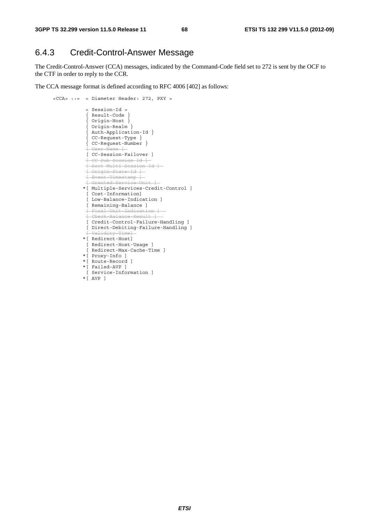### 6.4.3 Credit-Control-Answer Message

The Credit-Control-Answer (CCA) messages, indicated by the Command-Code field set to 272 is sent by the OCF to the CTF in order to reply to the CCR.

The CCA message format is defined according to RFC 4006 [402] as follows:

```
 <CCA> ::= < Diameter Header: 272, PXY > 
                < Session-Id > 
                 { Result-Code } 
                 { Origin-Host } 
{ Origin-Realm } 
{ Auth-Application-Id } 
{ CC-Request-Type } 
{ CC-Request-Number } 
                [ \text{Hear-Nam} [ CC-Session-Failover ] 
                [ CC-Sub-Session-Id ] 
                [ Acct-Multi-Session-Id ] 
                [ Origin-State-Id ] 
                [ Event-Timestamp ] 
                [ Granted-Service-Unit ] 
               *[ Multiple-Services-Credit-Control ] 
                [ Cost-Information] 
               [ Low-Balance-Indication ] 
               [ Remaining-Balance ] 
                [ Final-Unit-Indication ] 
               [Chack-RA]ance-Result
                [ Credit-Control-Failure-Handling ] 
                [ Direct-Debiting-Failure-Handling ] 
                     idity-Tim
               *[ Redirect-Host] 
                [ Redirect-Host-Usage ] 
                [ Redirect-Max-Cache-Time ] 
               *[ Proxy-Info ] 
               *[ Route-Record ] 
               *[ Failed-AVP ] 
                [ Service-Information ] 
               *[ AVP ]
```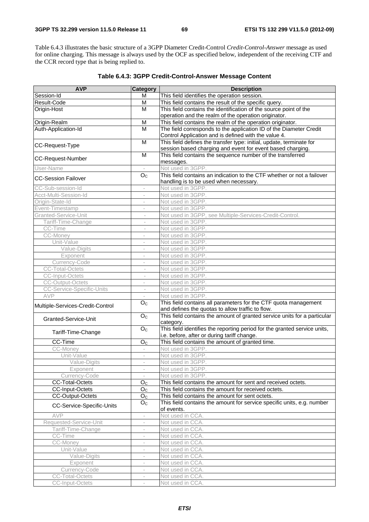Table 6.4.3 illustrates the basic structure of a 3GPP Diameter Credit-Control *Credit-Control-Answer* message as used for online charging. This message is always used by the OCF as specified below, independent of the receiving CTF and the CCR record type that is being replied to.

| <b>AVP</b>                                 | Category                 | <b>Description</b>                                                        |
|--------------------------------------------|--------------------------|---------------------------------------------------------------------------|
| Session-Id                                 | M                        | This field identifies the operation session.                              |
| Result-Code                                | M                        | This field contains the result of the specific query.                     |
| Origin-Host                                | M                        | This field contains the identification of the source point of the         |
|                                            |                          | operation and the realm of the operation originator.                      |
| Origin-Realm                               | M                        | This field contains the realm of the operation originator.                |
| Auth-Application-Id                        | M                        | The field corresponds to the application ID of the Diameter Credit        |
|                                            |                          | Control Application and is defined with the value 4.                      |
| CC-Request-Type                            | M                        | This field defines the transfer type: initial, update, terminate for      |
|                                            |                          | session based charging and event for event based charging.                |
| <b>CC-Request-Number</b>                   | М                        | This field contains the sequence number of the transferred                |
|                                            |                          | messages.                                                                 |
| User-Name                                  |                          | Not used in 3GPP.                                                         |
| <b>CC-Session Failover</b>                 | $\mathsf{O}_\mathbb{C}$  | This field contains an indication to the CTF whether or not a failover    |
|                                            | $\overline{\phantom{a}}$ | handling is to be used when necessary.<br>Not used in 3GPP.               |
| CC-Sub-session-Id<br>Acct-Multi-Session-Id | i.                       | Not used in 3GPP.                                                         |
| Origin-State-Id                            | $\overline{a}$           | Not used in 3GPP.                                                         |
| Event-Timestamp                            | $\bar{a} = \bar{b}$      | Not used in 3GPP.                                                         |
| Granted-Service-Unit                       | $\overline{\phantom{a}}$ | Not used in 3GPP, see Multiple-Services-Credit-Control.                   |
| Tariff-Time-Change                         | $\overline{\phantom{a}}$ | Not used in 3GPP.                                                         |
| CC-Time                                    | ÷,                       | Not used in 3GPP.                                                         |
| CC-Money                                   |                          | Not used in 3GPP.                                                         |
| Unit-Value                                 | $\bar{a} = \bar{b}$      | Not used in 3GPP.                                                         |
| Value-Digits                               | $\bar{\phantom{a}}$      | Not used in 3GPP.                                                         |
| Exponent                                   | $\overline{\phantom{a}}$ | Not used in 3GPP.                                                         |
| Currency-Code                              | i.                       | Not used in 3GPP.                                                         |
| <b>CC-Total-Octets</b>                     |                          | Not used in 3GPP.                                                         |
| <b>CC-Input-Octets</b>                     | $\overline{\phantom{a}}$ | Not used in 3GPP.                                                         |
| <b>CC-Output-Octets</b>                    | $\overline{\phantom{a}}$ | Not used in 3GPP.                                                         |
| <b>CC-Service-Specific-Units</b>           | $\overline{\phantom{a}}$ | Not used in 3GPP.                                                         |
| AVP                                        |                          | Not used in 3GPP.                                                         |
|                                            | O <sub>C</sub>           | This field contains all parameters for the CTF quota management           |
| Multiple-Services-Credit-Control           |                          | and defines the quotas to allow traffic to flow.                          |
|                                            | O <sub>C</sub>           | This field contains the amount of granted service units for a particular  |
| Granted-Service-Unit                       |                          | category.                                                                 |
|                                            | O <sub>c</sub>           | This field identifies the reporting period for the granted service units, |
| Tariff-Time-Change                         |                          | i.e. before, after or during tariff change.                               |
| CC-Time                                    | O <sub>c</sub>           | This field contains the amount of granted time.                           |
| CC-Money                                   |                          | Not used in 3GPP.                                                         |
| Unit-Value                                 | $\overline{\phantom{a}}$ | Not used in 3GPP.                                                         |
| Value-Digits                               |                          | Not used in 3GPP.                                                         |
| Exponent                                   | $\overline{\phantom{m}}$ | Not used in 3GPP.                                                         |
| Currency-Code                              | $\overline{\phantom{a}}$ | Not used in 3GPP.                                                         |
| CC-Total-Octets                            | O <sub>C</sub>           | This field contains the amount for sent and received octets.              |
| <b>CC-Input-Octets</b>                     | O <sub>C</sub>           | This field contains the amount for received octets.                       |
| <b>CC-Output-Octets</b>                    | O <sub>C</sub>           | This field contains the amount for sent octets.                           |
| CC-Service-Specific-Units                  | O <sub>C</sub>           | This field contains the amount for service specific units, e.g. number    |
|                                            |                          | of events.                                                                |
| <b>AVP</b>                                 | $\overline{\phantom{m}}$ | Not used in CCA.                                                          |
| Requested-Service-Unit                     | $\bar{a} = \bar{b}$      | Not used in CCA.                                                          |
| Tariff-Time-Change                         |                          | Not used in CCA.                                                          |
| CC-Time                                    | $\overline{\phantom{0}}$ | Not used in CCA.                                                          |
| CC-Money                                   | $\bar{a} = \bar{b}$      | Not used in CCA.                                                          |
| Unit-Value                                 | $\bar{ }$                | Not used in CCA.                                                          |
| Value-Digits                               | $\overline{\phantom{m}}$ | Not used in CCA.                                                          |
| Exponent                                   |                          | Not used in CCA.                                                          |
| Currency-Code                              |                          | Not used in CCA.                                                          |
| <b>CC-Total-Octets</b>                     | $\bar{ }$                | Not used in CCA.                                                          |
| CC-Input-Octets                            | $\overline{\phantom{a}}$ | Not used in CCA.                                                          |

#### **Table 6.4.3: 3GPP Credit-Control-Answer Message Content**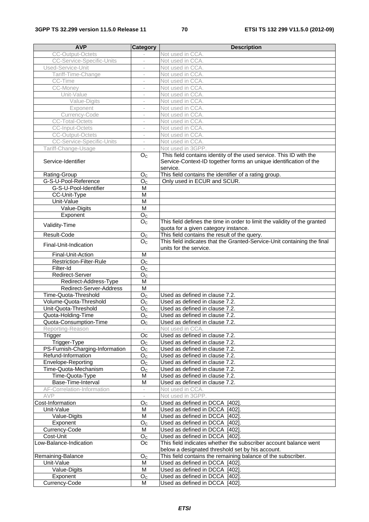| <b>AVP</b>                       | <b>Category</b>          | <b>Description</b>                                                                                                                                  |
|----------------------------------|--------------------------|-----------------------------------------------------------------------------------------------------------------------------------------------------|
| <b>CC-Output-Octets</b>          |                          | Not used in CCA.                                                                                                                                    |
| <b>CC-Service-Specific-Units</b> |                          | Not used in CCA.                                                                                                                                    |
| Used-Service-Unit                | $\overline{\phantom{a}}$ | Not used in CCA.                                                                                                                                    |
| Tariff-Time-Change               | $\overline{\phantom{a}}$ | Not used in CCA.                                                                                                                                    |
| CC-Time                          | $\overline{\phantom{a}}$ | Not used in CCA.                                                                                                                                    |
| CC-Money                         |                          | Not used in CCA.                                                                                                                                    |
| Unit-Value                       | $\sim$                   | Not used in CCA.                                                                                                                                    |
|                                  |                          |                                                                                                                                                     |
| Value-Digits                     |                          | Not used in CCA.                                                                                                                                    |
| Exponent                         | $\overline{\phantom{a}}$ | Not used in CCA.                                                                                                                                    |
| Currency-Code                    | $\overline{\phantom{a}}$ | Not used in CCA.                                                                                                                                    |
| <b>CC-Total-Octets</b>           | $\bar{ }$                | Not used in CCA.                                                                                                                                    |
| <b>CC-Input-Octets</b>           | $\overline{\phantom{a}}$ | Not used in CCA.                                                                                                                                    |
| CC-Output-Octets                 | $\overline{\phantom{a}}$ | Not used in CCA.                                                                                                                                    |
| <b>CC-Service-Specific-Units</b> | $\bar{a}$                | Not used in CCA.                                                                                                                                    |
| Tariff-Change-Usage              | $\overline{\phantom{a}}$ | Not used in 3GPP.                                                                                                                                   |
| Service-Identifier               | O <sub>c</sub>           | This field contains identity of the used service. This ID with the<br>Service-Context-ID together forms an unique identification of the<br>service. |
| Rating-Group                     | O <sub>C</sub>           | This field contains the identifier of a rating group.                                                                                               |
| G-S-U-Pool-Reference             | O <sub>C</sub>           | Only used in ECUR and SCUR.                                                                                                                         |
| G-S-U-Pool-Identifier            | M                        |                                                                                                                                                     |
| CC-Unit-Type                     | $\overline{\mathsf{M}}$  |                                                                                                                                                     |
| Unit-Value                       | $\overline{\mathsf{M}}$  |                                                                                                                                                     |
| Value-Digits                     | $\overline{\mathsf{M}}$  |                                                                                                                                                     |
| Exponent                         | O <sub>C</sub>           |                                                                                                                                                     |
|                                  | O <sub>C</sub>           | This field defines the time in order to limit the validity of the granted                                                                           |
| Validity-Time                    |                          | quota for a given category instance.                                                                                                                |
| Result-Code                      | $\overline{O}_C$         | This field contains the result of the query.                                                                                                        |
| Final-Unit-Indication            | $\overline{O}_C$         | This field indicates that the Granted-Service-Unit containing the final                                                                             |
|                                  |                          | units for the service.                                                                                                                              |
| Final-Unit-Action                | M                        |                                                                                                                                                     |
| Restriction-Filter-Rule          | O <sub>C</sub>           |                                                                                                                                                     |
| Filter-Id                        | O <sub>C</sub>           |                                                                                                                                                     |
| Redirect-Server                  | $\overline{O}_C$         |                                                                                                                                                     |
| Redirect-Address-Type            | M                        |                                                                                                                                                     |
| Redirect-Server-Address          | $\overline{\mathsf{M}}$  |                                                                                                                                                     |
| Time-Quota-Threshold             | O <sub>C</sub>           | Used as defined in clause 7.2.                                                                                                                      |
| Volume-Quota-Threshold           | O <sub>C</sub>           | Used as defined in clause 7.2.                                                                                                                      |
| Unit-Quota-Threshold             | O <sub>C</sub>           | Used as defined in clause 7.2.                                                                                                                      |
| Quota-Holding-Time               | O <sub>C</sub>           | Used as defined in clause 7.2.                                                                                                                      |
| Quota-Consumption-Time           | $O_{C}$                  | Used as defined in clause 7.2.                                                                                                                      |
| Reporting-Reason                 |                          | Not used in CCA.                                                                                                                                    |
| Trigger                          | Oc                       | Used as defined in clause 7.2.                                                                                                                      |
| Trigger-Type                     | O <sub>C</sub>           | Used as defined in clause 7.2.                                                                                                                      |
| PS-Furnish-Charging-Information  | O <sub>C</sub>           | Used as defined in clause 7.2.                                                                                                                      |
| Refund-Information               | O <sub>C</sub>           | Used as defined in clause 7.2.                                                                                                                      |
| Envelope-Reporting               | O <sub>C</sub>           | Used as defined in clause 7.2.                                                                                                                      |
| Time-Quota-Mechanism             | O <sub>C</sub>           | Used as defined in clause 7.2.                                                                                                                      |
| Time-Quota-Type                  | M                        | Used as defined in clause 7.2.                                                                                                                      |
| Base-Time-Interval               | M                        | Used as defined in clause 7.2.                                                                                                                      |
| AF-Correlation-Information       |                          | Not used in CCA.                                                                                                                                    |
| AVP                              |                          | Not used in 3GPP.                                                                                                                                   |
| Cost-Information                 | O <sub>C</sub>           | Used as defined in DCCA [402].                                                                                                                      |
| Unit-Value                       | M                        | Used as defined in DCCA [402].                                                                                                                      |
| Value-Digits                     | М                        | Used as defined in DCCA [402].                                                                                                                      |
| Exponent                         | O <sub>C</sub>           | Used as defined in DCCA [402].                                                                                                                      |
| Currency-Code                    | M                        | Used as defined in DCCA [402].                                                                                                                      |
| Cost-Unit                        | O <sub>C</sub>           | Used as defined in DCCA [402].                                                                                                                      |
| Low-Balance-Indication           | <b>Oc</b>                | This field indicates whether the subscriber account balance went                                                                                    |
|                                  |                          | below a designated threshold set by his account.                                                                                                    |
| Remaining-Balance                | O <sub>C</sub>           | This field contains the remaining balance of the subscriber.                                                                                        |
| Unit-Value                       | M                        | Used as defined in DCCA [402].                                                                                                                      |
| Value-Digits                     | M                        | Used as defined in DCCA [402].                                                                                                                      |
| Exponent                         | O <sub>C</sub>           | Used as defined in DCCA [402].                                                                                                                      |
| Currency-Code                    | м                        | Used as defined in DCCA [402].                                                                                                                      |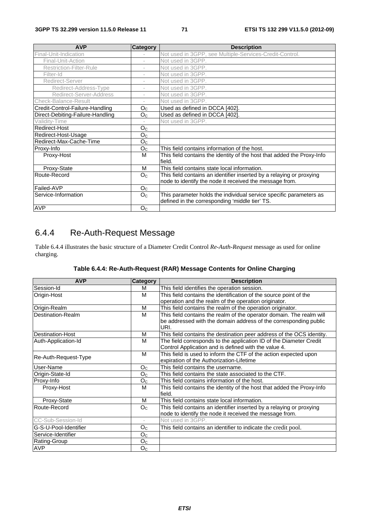| <b>AVP</b>                       | Category                 | <b>Description</b>                                                               |
|----------------------------------|--------------------------|----------------------------------------------------------------------------------|
| Final-Unit-Indication            |                          | Not used in 3GPP, see Multiple-Services-Credit-Control.                          |
| Final-Unit-Action                | ÷,                       | Not used in 3GPP.                                                                |
| <b>Restriction-Filter-Rule</b>   | ÷,                       | Not used in 3GPP.                                                                |
| Filter-Id                        | i,                       | Not used in 3GPP.                                                                |
| Redirect-Server                  | i,                       | Not used in 3GPP.                                                                |
| Redirect-Address-Type            | $\overline{\phantom{a}}$ | Not used in 3GPP.                                                                |
| Redirect-Server-Address          | $\overline{\phantom{a}}$ | Not used in 3GPP.                                                                |
| Check-Balance-Result             | ÷,                       | Not used in 3GPP.                                                                |
| Credit-Control-Failure-Handling  | O <sub>C</sub>           | Used as defined in DCCA [402].                                                   |
| Direct-Debiting-Failure-Handling | $O_{C}$                  | Used as defined in DCCA [402].                                                   |
| Validity-Time                    |                          | Not used in 3GPP.                                                                |
| Redirect-Host                    | $O_{C}$                  |                                                                                  |
| Redirect-Host-Usage              | $O_{C}$                  |                                                                                  |
| Redirect-Max-Cache-Time          | O <sub>C</sub>           |                                                                                  |
| Proxy-Info                       | $O_{C}$                  | This field contains information of the host.                                     |
| Proxy-Host                       | м                        | This field contains the identity of the host that added the Proxy-Info<br>field. |
| Proxy-State                      | M                        | This field contains state local information.                                     |
| Route-Record                     | O <sub>C</sub>           | This field contains an identifier inserted by a relaying or proxying             |
|                                  |                          | node to identify the node it received the message from.                          |
| Failed-AVP                       | O <sub>C</sub>           |                                                                                  |
| Service-Information              | O <sub>C</sub>           | This parameter holds the individual service specific parameters as               |
|                                  |                          | defined in the corresponding 'middle tier' TS.                                   |
| <b>AVP</b>                       | O <sub>C</sub>           |                                                                                  |

# 6.4.4 Re-Auth-Request Message

Table 6.4.4 illustrates the basic structure of a Diameter Credit Control *Re-Auth-Request* message as used for online charging.

| <b>AVP</b>            | <b>Category</b>          | <b>Description</b>                                                       |
|-----------------------|--------------------------|--------------------------------------------------------------------------|
| Session-Id            | м                        | This field identifies the operation session.                             |
| Origin-Host           | м                        | This field contains the identification of the source point of the        |
|                       |                          | operation and the realm of the operation originator.                     |
| Origin-Realm          | M                        | This field contains the realm of the operation originator.               |
| Destination-Realm     | M                        | This field contains the realm of the operator domain. The realm will     |
|                       |                          | be addressed with the domain address of the corresponding public<br>URI. |
| Destination-Host      | м                        | This field contains the destination peer address of the OCS identity.    |
| Auth-Application-Id   | М                        | The field corresponds to the application ID of the Diameter Credit       |
|                       |                          | Control Application and is defined with the value 4.                     |
| Re-Auth-Request-Type  | M                        | This field is used to inform the CTF of the action expected upon         |
|                       |                          | expiration of the Authorization-Lifetime                                 |
| User-Name             | O <sub>C</sub>           | This field contains the username.                                        |
| Origin-State-Id       | O <sub>C</sub>           | This field contains the state associated to the CTF.                     |
| Proxy-Info            | O <sub>C</sub>           | This field contains information of the host.                             |
| Proxy-Host            | м                        | This field contains the identity of the host that added the Proxy-Info   |
|                       |                          | field.                                                                   |
| Proxy-State           | M                        | This field contains state local information.                             |
| Route-Record          | O <sub>C</sub>           | This field contains an identifier inserted by a relaying or proxying     |
|                       |                          | node to identify the node it received the message from.                  |
| CC-Sub-Session-Id     | $\overline{\phantom{a}}$ | Not used in 3GPP.                                                        |
| G-S-U-Pool-Identifier | O <sub>C</sub>           | This field contains an identifier to indicate the credit pool.           |
| Service-Identifier    | O <sub>C</sub>           |                                                                          |
| Rating-Group          | O <sub>C</sub>           |                                                                          |
| <b>AVP</b>            | O <sub>C</sub>           |                                                                          |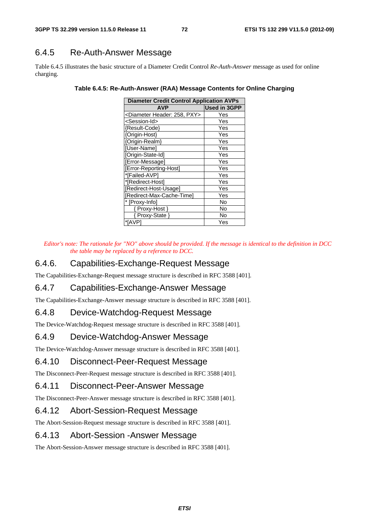# 6.4.5 Re-Auth-Answer Message

Table 6.4.5 illustrates the basic structure of a Diameter Credit Control *Re-Auth-Answer* message as used for online charging.

| <b>Diameter Credit Control Application AVPs</b><br><b>Used in 3GPP</b><br><b>AVP</b><br>Yes<br>Yes<br>Yes<br>Yes<br>Yes<br>Yes<br>Yes<br>Yes<br>Yes<br>Yes<br>Yes<br>Yes<br>Yes<br>No<br>{ Proxy-Host }<br>No |     |  |  |  |  |  |
|---------------------------------------------------------------------------------------------------------------------------------------------------------------------------------------------------------------|-----|--|--|--|--|--|
|                                                                                                                                                                                                               |     |  |  |  |  |  |
| <diameter 258,="" header:="" pxy=""></diameter>                                                                                                                                                               |     |  |  |  |  |  |
| <session-id></session-id>                                                                                                                                                                                     |     |  |  |  |  |  |
| {Result-Code}                                                                                                                                                                                                 |     |  |  |  |  |  |
| {Origin-Host}                                                                                                                                                                                                 |     |  |  |  |  |  |
| {Origin-Realm}                                                                                                                                                                                                |     |  |  |  |  |  |
| [User-Name]                                                                                                                                                                                                   |     |  |  |  |  |  |
| [Origin-State-Id]                                                                                                                                                                                             |     |  |  |  |  |  |
| [Error-Message]                                                                                                                                                                                               |     |  |  |  |  |  |
| [Error-Reporting-Host]                                                                                                                                                                                        |     |  |  |  |  |  |
| *[Failed-AVP]                                                                                                                                                                                                 |     |  |  |  |  |  |
| *[Redirect-Host]                                                                                                                                                                                              |     |  |  |  |  |  |
| [Redirect-Host-Usage]                                                                                                                                                                                         |     |  |  |  |  |  |
| [Redirect-Max-Cache-Time]                                                                                                                                                                                     |     |  |  |  |  |  |
| * [Proxy-Info]                                                                                                                                                                                                |     |  |  |  |  |  |
|                                                                                                                                                                                                               |     |  |  |  |  |  |
| { Proxy-State }                                                                                                                                                                                               | No  |  |  |  |  |  |
| *[AVP]                                                                                                                                                                                                        | Yes |  |  |  |  |  |

**Table 6.4.5: Re-Auth-Answer (RAA) Message Contents for Online Charging** 

*Editor's note: The rationale for "NO" above should be provided. If the message is identical to the definition in DCC the table may be replaced by a reference to DCC.* 

# 6.4.6. Capabilities-Exchange-Request Message

The Capabilities-Exchange-Request message structure is described in RFC 3588 [401].

### 6.4.7 Capabilities-Exchange-Answer Message

The Capabilities-Exchange-Answer message structure is described in RFC 3588 [401].

## 6.4.8 Device-Watchdog-Request Message

The Device-Watchdog-Request message structure is described in RFC 3588 [401].

## 6.4.9 Device-Watchdog-Answer Message

The Device-Watchdog-Answer message structure is described in RFC 3588 [401].

#### 6.4.10 Disconnect-Peer-Request Message

The Disconnect-Peer-Request message structure is described in RFC 3588 [401].

#### 6.4.11 Disconnect-Peer-Answer Message

The Disconnect-Peer-Answer message structure is described in RFC 3588 [401].

#### 6.4.12 Abort-Session-Request Message

The Abort-Session-Request message structure is described in RFC 3588 [401].

#### 6.4.13 Abort-Session -Answer Message

The Abort-Session-Answer message structure is described in RFC 3588 [401].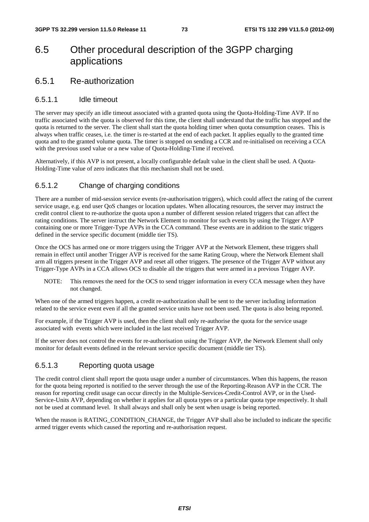# 6.5 Other procedural description of the 3GPP charging applications

# 6.5.1 Re-authorization

#### 6.5.1.1 Idle timeout

The server may specify an idle timeout associated with a granted quota using the Quota-Holding-Time AVP. If no traffic associated with the quota is observed for this time, the client shall understand that the traffic has stopped and the quota is returned to the server. The client shall start the quota holding timer when quota consumption ceases. This is always when traffic ceases, i.e. the timer is re-started at the end of each packet. It applies equally to the granted time quota and to the granted volume quota. The timer is stopped on sending a CCR and re-initialised on receiving a CCA with the previous used value or a new value of Quota-Holding-Time if received.

Alternatively, if this AVP is not present, a locally configurable default value in the client shall be used. A Quota-Holding-Time value of zero indicates that this mechanism shall not be used.

#### 6.5.1.2 Change of charging conditions

There are a number of mid-session service events (re-authorisation triggers), which could affect the rating of the current service usage, e.g. end user QoS changes or location updates. When allocating resources, the server may instruct the credit control client to re-authorize the quota upon a number of different session related triggers that can affect the rating conditions. The server instruct the Network Element to monitor for such events by using the Trigger AVP containing one or more Trigger-Type AVPs in the CCA command. These events are in addition to the static triggers defined in the service specific document (middle tier TS).

Once the OCS has armed one or more triggers using the Trigger AVP at the Network Element, these triggers shall remain in effect until another Trigger AVP is received for the same Rating Group, where the Network Element shall arm all triggers present in the Trigger AVP and reset all other triggers. The presence of the Trigger AVP without any Trigger-Type AVPs in a CCA allows OCS to disable all the triggers that were armed in a previous Trigger AVP.

NOTE: This removes the need for the OCS to send trigger information in every CCA message when they have not changed.

When one of the armed triggers happen, a credit re-authorization shall be sent to the server including information related to the service event even if all the granted service units have not been used. The quota is also being reported.

For example, if the Trigger AVP is used, then the client shall only re-authorise the quota for the service usage associated with events which were included in the last received Trigger AVP.

If the server does not control the events for re-authorisation using the Trigger AVP, the Network Element shall only monitor for default events defined in the relevant service specific document (middle tier TS).

#### 6.5.1.3 Reporting quota usage

The credit control client shall report the quota usage under a number of circumstances. When this happens, the reason for the quota being reported is notified to the server through the use of the Reporting-Reason AVP in the CCR. The reason for reporting credit usage can occur directly in the Multiple-Services-Credit-Control AVP, or in the Used-Service-Units AVP, depending on whether it applies for all quota types or a particular quota type respectively. It shall not be used at command level. It shall always and shall only be sent when usage is being reported.

When the reason is RATING\_CONDITION\_CHANGE, the Trigger AVP shall also be included to indicate the specific armed trigger events which caused the reporting and re-authorisation request.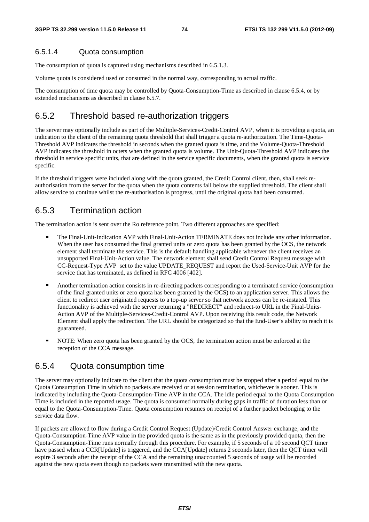#### 6.5.1.4 Quota consumption

The consumption of quota is captured using mechanisms described in 6.5.1.3.

Volume quota is considered used or consumed in the normal way, corresponding to actual traffic.

The consumption of time quota may be controlled by Quota-Consumption-Time as described in clause 6.5.4, or by extended mechanisms as described in clause 6.5.7.

# 6.5.2 Threshold based re-authorization triggers

The server may optionally include as part of the Multiple-Services-Credit-Control AVP, when it is providing a quota, an indication to the client of the remaining quota threshold that shall trigger a quota re-authorization. The Time-Quota-Threshold AVP indicates the threshold in seconds when the granted quota is time, and the Volume-Quota-Threshold AVP indicates the threshold in octets when the granted quota is volume. The Unit-Quota-Threshold AVP indicates the threshold in service specific units, that are defined in the service specific documents, when the granted quota is service specific.

If the threshold triggers were included along with the quota granted, the Credit Control client, then, shall seek reauthorisation from the server for the quota when the quota contents fall below the supplied threshold. The client shall allow service to continue whilst the re-authorisation is progress, until the original quota had been consumed.

# 6.5.3 Termination action

The termination action is sent over the Ro reference point. Two different approaches are specified:

- The Final-Unit-Indication AVP with Final-Unit-Action TERMINATE does not include any other information. When the user has consumed the final granted units or zero quota has been granted by the OCS, the network element shall terminate the service. This is the default handling applicable whenever the client receives an unsupported Final-Unit-Action value. The network element shall send Credit Control Request message with CC-Request-Type AVP set to the value UPDATE\_REQUEST and report the Used-Service-Unit AVP for the service that has terminated, as defined in RFC 4006 [402].
- Another termination action consists in re-directing packets corresponding to a terminated service (consumption of the final granted units or zero quota has been granted by the OCS) to an application server. This allows the client to redirect user originated requests to a top-up server so that network access can be re-instated. This functionality is achieved with the server returning a "REDIRECT" and redirect-to URL in the Final-Units-Action AVP of the Multiple-Services-Credit-Control AVP. Upon receiving this result code, the Network Element shall apply the redirection. The URL should be categorized so that the End-User's ability to reach it is guaranteed.
- NOTE: When zero quota has been granted by the OCS, the termination action must be enforced at the reception of the CCA message.

## 6.5.4 Quota consumption time

The server may optionally indicate to the client that the quota consumption must be stopped after a period equal to the Quota Consumption Time in which no packets are received or at session termination, whichever is sooner. This is indicated by including the Quota-Consumption-Time AVP in the CCA. The idle period equal to the Quota Consumption Time is included in the reported usage. The quota is consumed normally during gaps in traffic of duration less than or equal to the Quota-Consumption-Time. Quota consumption resumes on receipt of a further packet belonging to the service data flow.

If packets are allowed to flow during a Credit Control Request (Update)/Credit Control Answer exchange, and the Quota-Consumption-Time AVP value in the provided quota is the same as in the previously provided quota, then the Quota-Consumption-Time runs normally through this procedure. For example, if 5 seconds of a 10 second QCT timer have passed when a CCR[Update] is triggered, and the CCA[Update] returns 2 seconds later, then the QCT timer will expire 3 seconds after the receipt of the CCA and the remaining unaccounted 5 seconds of usage will be recorded against the new quota even though no packets were transmitted with the new quota.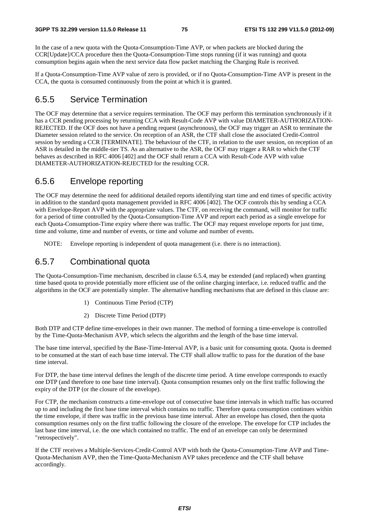In the case of a new quota with the Quota-Consumption-Time AVP, or when packets are blocked during the CCR[Update]/CCA procedure then the Quota-Consumption-Time stops running (if it was running) and quota consumption begins again when the next service data flow packet matching the Charging Rule is received.

If a Quota-Consumption-Time AVP value of zero is provided, or if no Quota-Consumption-Time AVP is present in the CCA, the quota is consumed continuously from the point at which it is granted.

# 6.5.5 Service Termination

The OCF may determine that a service requires termination. The OCF may perform this termination synchronously if it has a CCR pending processing by returning CCA with Result-Code AVP with value DIAMETER-AUTHORIZATION-REJECTED. If the OCF does not have a pending request (asynchronous), the OCF may trigger an ASR to terminate the Diameter session related to the service. On reception of an ASR, the CTF shall close the associated Credit-Control session by sending a CCR [TERMINATE]. The behaviour of the CTF, in relation to the user session, on reception of an ASR is detailed in the middle-tier TS. As an alternative to the ASR, the OCF may trigger a RAR to which the CTF behaves as described in RFC 4006 [402] and the OCF shall return a CCA with Result-Code AVP with value DIAMETER-AUTHORIZATION-REJECTED for the resulting CCR.

# 6.5.6 Envelope reporting

The OCF may determine the need for additional detailed reports identifying start time and end times of specific activity in addition to the standard quota management provided in RFC 4006 [402]. The OCF controls this by sending a CCA with Envelope-Report AVP with the appropriate values. The CTF, on receiving the command, will monitor for traffic for a period of time controlled by the Quota-Consumption-Time AVP and report each period as a single envelope for each Quota-Consumption-Time expiry where there was traffic. The OCF may request envelope reports for just time, time and volume, time and number of events, or time and volume and number of events.

NOTE: Envelope reporting is independent of quota management (i.e. there is no interaction).

# 6.5.7 Combinational quota

The Quota-Consumption-Time mechanism, described in clause 6.5.4, may be extended (and replaced) when granting time based quota to provide potentially more efficient use of the online charging interface, i.e. reduced traffic and the algorithms in the OCF are potentially simpler. The alternative handling mechanisms that are defined in this clause are:

- 1) Continuous Time Period (CTP)
- 2) Discrete Time Period (DTP)

Both DTP and CTP define time-envelopes in their own manner. The method of forming a time-envelope is controlled by the Time-Quota-Mechanism AVP, which selects the algorithm and the length of the base time interval.

The base time interval, specified by the Base-Time-Interval AVP, is a basic unit for consuming quota. Quota is deemed to be consumed at the start of each base time interval. The CTF shall allow traffic to pass for the duration of the base time interval.

For DTP, the base time interval defines the length of the discrete time period. A time envelope corresponds to exactly one DTP (and therefore to one base time interval). Quota consumption resumes only on the first traffic following the expiry of the DTP (or the closure of the envelope).

For CTP, the mechanism constructs a time-envelope out of consecutive base time intervals in which traffic has occurred up to and including the first base time interval which contains no traffic. Therefore quota consumption continues within the time envelope, if there was traffic in the previous base time interval. After an envelope has closed, then the quota consumption resumes only on the first traffic following the closure of the envelope. The envelope for CTP includes the last base time interval, i.e. the one which contained no traffic. The end of an envelope can only be determined "retrospectively".

If the CTF receives a Multiple-Services-Credit-Control AVP with both the Quota-Consumption-Time AVP and Time-Quota-Mechanism AVP, then the Time-Quota-Mechanism AVP takes precedence and the CTF shall behave accordingly.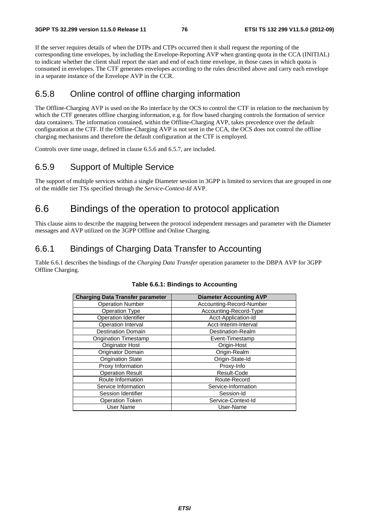If the server requires details of when the DTPs and CTPs occurred then it shall request the reporting of the corresponding time envelopes, by including the Envelope-Reporting AVP when granting quota in the CCA (INITIAL) to indicate whether the client shall report the start and end of each time envelope, in those cases in which quota is consumed in envelopes. The CTF generates envelopes according to the rules described above and carry each envelope in a separate instance of the Envelope AVP in the CCR.

## 6.5.8 Online control of offline charging information

The Offline-Charging AVP is used on the Ro interface by the OCS to control the CTF in relation to the mechanism by which the CTF generates offline charging information, e.g. for flow based charging controls the formation of service data containers. The information contained, within the Offline-Charging AVP, takes precedence over the default configuration at the CTF. If the Offline-Charging AVP is not sent in the CCA, the OCS does not control the offline charging mechanisms and therefore the default configuration at the CTF is employed.

Controls over time usage, defined in clause 6.5.6 and 6.5.7, are included.

# 6.5.9 Support of Multiple Service

The support of multiple services within a single Diameter session in 3GPP is limited to services that are grouped in one of the middle tier TSs specified through the *Service-Context-Id* AVP.

# 6.6 Bindings of the operation to protocol application

This clause aims to describe the mapping between the protocol independent messages and parameter with the Diameter messages and AVP utilized on the 3GPP Offline and Online Charging.

# 6.6.1 Bindings of Charging Data Transfer to Accounting

Table 6.6.1 describes the bindings of the *Charging Data Transfer* operation parameter to the DBPA AVP for 3GPP Offline Charging.

| <b>Charging Data Transfer parameter</b> | <b>Diameter Accounting AVP</b> |
|-----------------------------------------|--------------------------------|
| <b>Operation Number</b>                 | Accounting-Record-Number       |
| <b>Operation Type</b>                   | Accounting-Record-Type         |
| Operation Identifier                    | Acct-Application-Id            |
| Operation Interval                      | Acct-Interim-Interval          |
| <b>Destination Domain</b>               | Destination-Realm              |
| <b>Origination Timestamp</b>            | Event-Timestamp                |
| <b>Originator Host</b>                  | Origin-Host                    |
| Originator Domain                       | Origin-Realm                   |
| <b>Origination State</b>                | Origin-State-Id                |
| Proxy Information                       | Proxy-Info                     |
| <b>Operation Result</b>                 | Result-Code                    |
| Route Information                       | Route-Record                   |
| Service Information                     | Service-Information            |
| Session Identifier                      | Session-Id                     |
| <b>Operation Token</b>                  | Service-Context-Id             |
| User Name                               | User-Name                      |

#### **Table 6.6.1: Bindings to Accounting**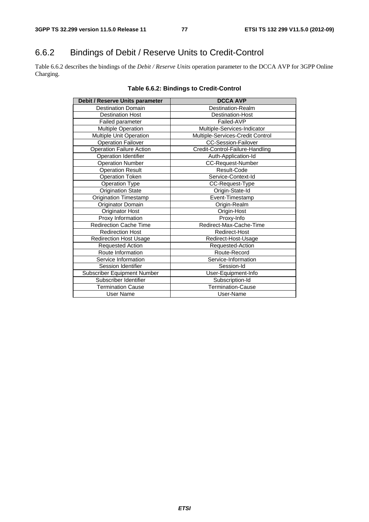# 6.6.2 Bindings of Debit / Reserve Units to Credit-Control

Table 6.6.2 describes the bindings of the *Debit / Reserve Units* operation parameter to the DCCA AVP for 3GPP Online Charging.

| Debit / Reserve Units parameter | <b>DCCA AVP</b>                  |
|---------------------------------|----------------------------------|
| <b>Destination Domain</b>       | Destination-Realm                |
| <b>Destination Host</b>         | <b>Destination-Host</b>          |
| Failed parameter                | Failed-AVP                       |
| Multiple Operation              | Multiple-Services-Indicator      |
| Multiple Unit Operation         | Multiple-Services-Credit Control |
| <b>Operation Failover</b>       | <b>CC-Session-Failover</b>       |
| <b>Operation Failure Action</b> | Credit-Control-Failure-Handling  |
| Operation Identifier            | Auth-Application-Id              |
| <b>Operation Number</b>         | CC-Request-Number                |
| <b>Operation Result</b>         | Result-Code                      |
| <b>Operation Token</b>          | Service-Context-Id               |
| Operation Type                  | CC-Request-Type                  |
| <b>Origination State</b>        | Origin-State-Id                  |
| Origination Timestamp           | Event-Timestamp                  |
| Originator Domain               | Origin-Realm                     |
| Originator Host                 | Origin-Host                      |
| Proxy Information               | Proxy-Info                       |
| <b>Redirection Cache Time</b>   | Redirect-Max-Cache-Time          |
| <b>Redirection Host</b>         | Redirect-Host                    |
| <b>Redirection Host Usage</b>   | Redirect-Host-Usage              |
| Requested Action                | Requested-Action                 |
| Route Information               | Route-Record                     |
| Service Information             | Service-Information              |
| Session Identifier              | Session-Id                       |
| Subscriber Equipment Number     | User-Equipment-Info              |
| Subscriber Identifier           | Subscription-Id                  |
| <b>Termination Cause</b>        | <b>Termination-Cause</b>         |
| User Name                       | User-Name                        |

#### **Table 6.6.2: Bindings to Credit-Control**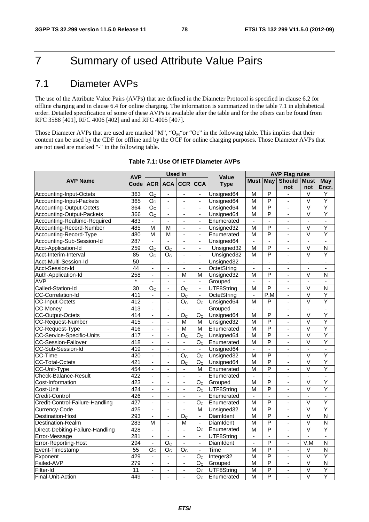# 7 Summary of used Attribute Value Pairs

# 7.1 Diameter AVPs

The use of the Attribute Value Pairs (AVPs) that are defined in the Diameter Protocol is specified in clause 6.2 for offline charging and in clause 6.4 for online charging. The information is summarized in the table 7.1 in alphabetical order. Detailed specification of some of these AVPs is available after the table and for the others can be found from RFC 3588 [401], RFC 4006 [402] and and RFC 4005 [407].

Those Diameter AVPs that are used are marked "M", "O<sub>M</sub>"or "Oc" in the following table. This implies that their content can be used by the CDF for offline and by the OCF for online charging purposes. Those Diameter AVPs that are not used are marked "-" in the following table.

|                                  | <b>AVP</b>      |                          |                          | <b>Used in</b>           |                          | <b>Value</b>       |                              |                          | <b>AVP Flag rules</b>    |                          |                          |
|----------------------------------|-----------------|--------------------------|--------------------------|--------------------------|--------------------------|--------------------|------------------------------|--------------------------|--------------------------|--------------------------|--------------------------|
| <b>AVP Name</b>                  | Code            |                          | <b>ACR ACA</b>           | <b>CCR</b>               | <b>CCA</b>               | <b>Type</b>        | Must May                     |                          | Should                   | <b>Must</b>              | May                      |
|                                  |                 |                          |                          |                          |                          |                    |                              |                          | not                      | not                      | Encr.                    |
| Accounting-Input-Octets          | 363             | O <sub>C</sub>           | $\blacksquare$           | $\blacksquare$           | $\blacksquare$           | Unsigned64         | $\overline{M}$               | $\overline{P}$           | $\omega$ .               | $\overline{\vee}$        | Y                        |
| Accounting-Input-Packets         | 365             | O <sub>C</sub>           | $\blacksquare$           | $\blacksquare$           | $\blacksquare$           | Unsigned64         | $\overline{M}$               | P                        | $\blacksquare$           | V                        | Ÿ                        |
| Accounting-Output-Octets         | 364             | $\overline{O_{C}}$       | $\blacksquare$           | $\blacksquare$           | $\blacksquare$           | Unsigned64         | $\overline{M}$               | P                        | $\overline{a}$           | $\overline{\mathsf{v}}$  | Ÿ                        |
| Accounting-Output-Packets        | 366             | O <sub>C</sub>           | $\blacksquare$           | $\blacksquare$           | $\blacksquare$           | Unsigned64         | $\overline{\mathsf{M}}$      | $\overline{P}$           | $\blacksquare$           | $\overline{\mathsf{v}}$  | Ÿ                        |
| Accounting-Realtime-Required     | 483             | $\blacksquare$           | $\blacksquare$           | $\blacksquare$           | $\blacksquare$           | Enumerated         | $\blacksquare$               | $\overline{a}$           | ÷,                       | $\blacksquare$           | ÷,                       |
| Accounting-Record-Number         | 485             | M                        | M                        | $\omega$                 | $\blacksquare$           | Unsigned32         | M                            | P                        | ÷.                       | $\overline{\vee}$        | Y                        |
| Accounting-Record-Type           | 480             | M                        | M                        | $\overline{\phantom{a}}$ | $\blacksquare$           | Enumerated         | M                            | P                        | $\blacksquare$           | V                        | Y                        |
| Accounting-Sub-Session-Id        | 287             | $\blacksquare$           | ä,                       | $\overline{a}$           | $\blacksquare$           | Unsigned64         | $\overline{\phantom{a}}$     | ä,                       | $\blacksquare$           | $\overline{\phantom{a}}$ | $\blacksquare$           |
| Acct-Application-Id              | 259             | O <sub>C</sub>           | O <sub>C</sub>           | $\mathbf{r}$             | $\mathbf{r}$             | Unsigned32         | $\overline{M}$               | P                        | ä,                       | $\overline{\mathsf{v}}$  | $\overline{\mathsf{N}}$  |
| Acct-Interim-Interval            | 85              | O <sub>C</sub>           | O <sub>C</sub>           | $\blacksquare$           | $\blacksquare$           | Unsigned32         | $\overline{M}$               | P                        | ä,                       | $\overline{\mathsf{v}}$  | Ÿ                        |
| Acct-Multi-Session-Id            | $\overline{50}$ | $\blacksquare$           | ä,                       | $\blacksquare$           | $\blacksquare$           | Unsigned32         | $\overline{a}$               | ÷,                       | ä,                       | $\overline{\phantom{a}}$ | $\blacksquare$           |
| Acct-Session-Id                  | $\overline{44}$ | $\blacksquare$           | $\blacksquare$           | $\blacksquare$           | $\blacksquare$           | <b>OctetString</b> | $\blacksquare$               | $\blacksquare$           | $\overline{\phantom{a}}$ | $\blacksquare$           | $\overline{\phantom{a}}$ |
| Auth-Application-Id              | 258             | $\blacksquare$           | ä,                       | M                        | м                        | Unsigned32         | M                            | P                        | $\overline{a}$           | V                        | N                        |
| <b>AVP</b>                       | $\star$         | $\blacksquare$           | $\blacksquare$           | $\mathbf{r}$             | $\Box$                   | Grouped            | $\overline{\phantom{a}}$     | ÷,                       | ÷.                       | $\frac{1}{2}$            | $\blacksquare$           |
| Called-Station-Id                | 30              | $O_{C}$                  | $\overline{\phantom{a}}$ | O <sub>C</sub>           | $\blacksquare$           | UTF8String         | M                            | P                        | $\blacksquare$           | V                        | N                        |
| CC-Correlation-Id                | 411             |                          | $\blacksquare$           | O <sub>c</sub>           | $\overline{\phantom{a}}$ | OctetString        | $\qquad \qquad \blacksquare$ | P,M                      | $\blacksquare$           | V                        | Y                        |
| <b>CC-Input-Octets</b>           | 412             | $\omega$                 | $\omega$                 | O <sub>C</sub>           | O <sub>c</sub>           | Unsigned64         | M                            | P                        | $\mathbf{r}$             | $\overline{\mathsf{v}}$  | Ÿ                        |
| <b>CC-Money</b>                  | 413             | $\blacksquare$           | $\blacksquare$           | $\blacksquare$           | $\blacksquare$           | Grouped            | $\blacksquare$               | $\blacksquare$           | $\blacksquare$           | $\blacksquare$           | $\blacksquare$           |
| <b>CC-Output-Octets</b>          | 414             |                          | $\blacksquare$           | O <sub>C</sub>           | O <sub>C</sub>           | Unsigned64         | $\overline{M}$               | P                        |                          | $\overline{\mathsf{v}}$  | Ÿ                        |
| <b>CC-Request-Number</b>         | 415             | ä,                       | $\overline{\phantom{a}}$ | M                        | м                        | Unsigned32         | $\overline{M}$               | $\overline{P}$           | $\blacksquare$           | $\overline{\mathsf{v}}$  | Y                        |
| CC-Request-Type                  | 416             | $\blacksquare$           | $\blacksquare$           | M                        | M                        | Enumerated         | $\overline{M}$               | P                        | $\blacksquare$           | $\overline{\vee}$        | Ÿ                        |
| <b>CC-Service-Specific-Units</b> | 417             | $\mathbf{r}$             | $\blacksquare$           | $\overline{O}_C$         | O <sub>C</sub>           | Unsigned64         | $\overline{M}$               | $\overline{\mathsf{P}}$  | L,                       | $\overline{\mathsf{v}}$  | Ÿ                        |
| CC-Session-Failover              | 418             | ä,                       | ä,                       | $\blacksquare$           | O <sub>C</sub>           | Enumerated         | M                            | P                        | ä,                       | V                        | Y                        |
| CC-Sub-Session-Id                | 419             | $\overline{\phantom{a}}$ | $\overline{a}$           | $\blacksquare$           | $\blacksquare$           | Unsigned64         | $\blacksquare$               | $\blacksquare$           | $\overline{\phantom{a}}$ | $\blacksquare$           | $\blacksquare$           |
| CC-Time                          | 420             | $\mathbf{r}$             | ÷.                       | O <sub>C</sub>           | O <sub>C</sub>           | Unsigned32         | $\overline{M}$               | P                        | ä,                       | V                        | Ÿ                        |
| <b>CC-Total-Octets</b>           | 421             | $\blacksquare$           | $\mathbf{r}$             | O <sub>c</sub>           | O <sub>C</sub>           | Unsigned64         | $\overline{M}$               | $\overline{\mathsf{P}}$  | ä,                       | $\overline{\mathsf{v}}$  | Y                        |
| CC-Unit-Type                     | 454             |                          |                          |                          | м                        | Enumerated         | $\overline{M}$               | P                        | $\overline{a}$           | $\overline{\mathsf{v}}$  | Ÿ                        |
| Check-Balance-Result             | 422             | $\overline{\phantom{a}}$ | $\blacksquare$           | $\blacksquare$           | $\overline{\phantom{a}}$ | Enumerated         | $\blacksquare$               | $\blacksquare$           | $\overline{\phantom{a}}$ | $\blacksquare$           | $\blacksquare$           |
| Cost-Information                 | 423             | ä,                       | $\blacksquare$           | $\blacksquare$           | O <sub>C</sub>           | Grouped            | $\overline{M}$               | P                        | $\blacksquare$           | $\overline{\vee}$        | Ÿ                        |
| Cost-Unit                        | 424             | ä,                       | $\blacksquare$           | ä,                       | O <sub>C</sub>           | UTF8String         | $\overline{M}$               | $\overline{\mathsf{P}}$  | $\overline{a}$           | $\overline{\mathsf{v}}$  | Y                        |
| Credit-Control                   | 426             | $\overline{\phantom{a}}$ | $\blacksquare$           | $\blacksquare$           | $\blacksquare$           | Enumerated         | $\blacksquare$               | $\overline{\phantom{a}}$ | $\blacksquare$           | $\blacksquare$           | $\blacksquare$           |
| Credit-Control-Failure-Handling  | 427             | $\overline{\phantom{a}}$ | $\overline{a}$           | $\sim$                   | O <sub>C</sub>           | Enumerated         | $\overline{M}$               | $\overline{\mathsf{P}}$  | $\blacksquare$           | $\overline{\mathsf{v}}$  | Ÿ                        |
| Currency-Code                    | 425             | $\blacksquare$           | $\mathbf{r}$             | $\blacksquare$           | м                        | Unsigned32         | M                            | P                        | ä,                       | $\overline{\mathsf{v}}$  | Ÿ                        |
| <b>Destination-Host</b>          | 293             | $\blacksquare$           | $\mathbf{r}$             | O <sub>c</sub>           | $\blacksquare$           | DiamIdent          | $\overline{M}$               | P                        | $\mathbf{r}$             | $\overline{\mathsf{v}}$  | $\overline{N}$           |
| Destination-Realm                | 283             | M                        | ä,                       | M                        | $\blacksquare$           | DiamIdent          | M                            | $\overline{\mathsf{P}}$  | ä,                       | $\overline{\mathsf{v}}$  | $\overline{\mathsf{N}}$  |
| Direct-Debiting-Failure-Handling | 428             | $\omega$                 | $\blacksquare$           | $\mathbf{r}$             | O <sub>C</sub>           | Enumerated         | $\overline{M}$               | $\overline{\mathsf{P}}$  | $\omega$                 | $\overline{\mathsf{v}}$  | Ÿ                        |
| Error-Message                    | 281             | $\blacksquare$           | $\overline{a}$           | $\sim$                   | $\blacksquare$           | UTF8String         | $\blacksquare$               | $\blacksquare$           | $\blacksquare$           | ÷,                       | $\blacksquare$           |
| Error-Reporting-Host             | 294             | $\overline{\phantom{a}}$ | O <sub>C</sub>           | $\blacksquare$           | $\blacksquare$           | <b>DiamIdent</b>   | ä,                           | P                        | $\blacksquare$           | V.M                      | N                        |
| Event-Timestamp                  | $\overline{55}$ | O <sub>C</sub>           | O <sub>C</sub>           | O <sub>C</sub>           | $\blacksquare$           | Time               | $\overline{\mathsf{M}}$      | $\overline{\mathsf{P}}$  | $\overline{\phantom{a}}$ | V                        | $\overline{N}$           |
| Exponent                         | 429             | $\overline{\phantom{a}}$ | $\sim$                   | $\blacksquare$           | O <sub>C</sub>           | Integer32          | M                            | $\overline{P}$           | $\blacksquare$           | V                        | Ÿ                        |
| Failed-AVP                       | 279             | $\blacksquare$           | $\blacksquare$           | $\blacksquare$           | O <sub>C</sub>           | Grouped            | $\overline{M}$               | P                        | $\blacksquare$           | V                        | $\overline{N}$           |
| Filter-Id                        | 11              | ä,                       | $\overline{a}$           | $\blacksquare$           | O <sub>C</sub>           | UTF8String         | $\overline{\mathsf{M}}$      | P                        | ÷,                       | $\overline{\mathsf{v}}$  | Υ                        |
| Final-Unit-Action                | 449             | ä,                       | $\blacksquare$           | $\blacksquare$           | O <sub>C</sub>           | Enumerated         | $\overline{\mathsf{M}}$      | P                        | $\overline{\phantom{a}}$ | $\overline{\mathsf{v}}$  | $\overline{Y}$           |

#### **Table 7.1: Use Of IETF Diameter AVPs**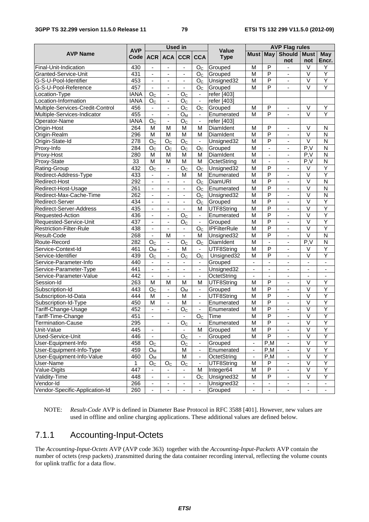|                                  |                  |                          |                              | <b>Used in</b>           |                          |                     |                              |                          | <b>AVP Flag rules</b>        |                              |                              |  |  |
|----------------------------------|------------------|--------------------------|------------------------------|--------------------------|--------------------------|---------------------|------------------------------|--------------------------|------------------------------|------------------------------|------------------------------|--|--|
| <b>AVP Name</b>                  | <b>AVP</b>       |                          |                              |                          |                          | <b>Value</b>        | <b>Must May</b>              |                          | <b>Should Must</b>           |                              | May                          |  |  |
|                                  | Code l           |                          | ACR ACA                      | <b>CCR</b>               | <b>CCA</b>               | <b>Type</b>         |                              |                          | not                          | not                          | Encr.                        |  |  |
| Final-Unit-Indication            | 430              | $\blacksquare$           | $\overline{\phantom{a}}$     | $\blacksquare$           | O <sub>C</sub>           | Grouped             | M                            | P                        | $\blacksquare$               | V                            | Υ                            |  |  |
| Granted-Service-Unit             | 431              | -                        | $\overline{\phantom{a}}$     | $\overline{\phantom{a}}$ | O <sub>c</sub>           | Grouped             | М                            | $\overline{P}$           | $\overline{\phantom{0}}$     | $\vee$                       | Ÿ                            |  |  |
| G-S-U-Pool-Identifier            | 453              | $\blacksquare$           | $\blacksquare$               | $\blacksquare$           | O <sub>C</sub>           | Unsigned32          | M                            | P                        | $\blacksquare$               | $\vee$                       | Ÿ                            |  |  |
| G-S-U-Pool-Reference             | 457              | $\blacksquare$           | $\blacksquare$               | $\blacksquare$           | O <sub>C</sub>           | Grouped             | M                            | P                        |                              | $\overline{\vee}$            | Ÿ                            |  |  |
| Location-Type                    | <b>IANA</b>      | O <sub>C</sub>           | $\overline{\phantom{a}}$     | O <sub>C</sub>           | $\overline{\phantom{a}}$ | refer [403]         |                              |                          |                              |                              |                              |  |  |
| Location-Information             | <b>IANA</b>      | $\overline{O}_C$         | $\blacksquare$               | O <sub>c</sub>           | $\blacksquare$           | refer [403]         |                              |                          |                              |                              |                              |  |  |
| Multiple-Services-Credit-Control | 456              | $\overline{\phantom{a}}$ | $\blacksquare$               | O <sub>C</sub>           | O <sub>C</sub>           | Grouped             | M                            | P                        | $\blacksquare$               | V                            | Υ                            |  |  |
| Multiple-Services-Indicator      | 455              | $\overline{\phantom{a}}$ | $\overline{\phantom{a}}$     | $O_{M}$                  |                          | Enumerated          | M                            | P                        |                              | $\vee$                       | Ÿ                            |  |  |
| Operator-Name                    | <b>IANA</b>      | O <sub>C</sub>           | $\overline{\phantom{a}}$     | O <sub>C</sub>           | $\blacksquare$           | refer [403]         |                              |                          |                              |                              |                              |  |  |
| Origin-Host                      | 264              | M                        | M                            | M                        | M                        | DiamIdent           | M                            | $\overline{P}$           | $\overline{\phantom{a}}$     | V                            | N                            |  |  |
| Origin-Realm                     | 296              | M                        | M                            | M                        | M                        | DiamIdent           | M                            | $\overline{P}$           | $\overline{a}$               | $\overline{\vee}$            | $\overline{\mathsf{N}}$      |  |  |
| Origin-State-Id                  | $\overline{278}$ | O <sub>C</sub>           | O <sub>C</sub>               | O <sub>C</sub>           | $\overline{\phantom{a}}$ | Unsigned32          | M                            | P                        | $\overline{\phantom{a}}$     | $\overline{\vee}$            | N                            |  |  |
| Proxy-Info                       | 284              | O <sub>C</sub>           | $\mathsf{O}_\mathbb{C}$      | O <sub>C</sub>           | O <sub>C</sub>           | Grouped             | M                            | $\overline{a}$           | $\overline{\phantom{0}}$     | P.V                          | N                            |  |  |
| Proxy-Host                       | 280              | M                        | M                            | M                        | М                        | DiamIdent           | M                            | $\frac{1}{2}$            | $\overline{\phantom{a}}$     | P.V                          | N                            |  |  |
| Proxy-State                      | 33               | $\overline{M}$           | M                            | M                        | M                        | OctetString         | $\overline{M}$               | $\blacksquare$           | $\blacksquare$               | P, V                         | $\overline{\mathsf{N}}$      |  |  |
| Rating-Group                     | 432              | $\overline{O}_C$         | $\blacksquare$               | O <sub>c</sub>           | O <sub>C</sub>           | Unsigned32          | M                            | $\overline{P}$           | ä,                           | $\vee$                       | Ÿ                            |  |  |
| Redirect-Address-Type            | 433              | ä,                       | $\blacksquare$               | M                        | M                        | Enumerated          | M                            | P                        | $\blacksquare$               | V                            | Ÿ                            |  |  |
| Redirect-Host                    | 292              |                          | $\overline{\phantom{a}}$     | $\overline{\phantom{a}}$ | O <sub>C</sub>           | DiamURI             | M                            | P                        | $\overline{\phantom{0}}$     | $\vee$                       | N                            |  |  |
| Redirect-Host-Usage              | 261              | $\blacksquare$           | $\blacksquare$               | $\blacksquare$           | O <sub>c</sub>           | Enumerated          | $\overline{\mathsf{M}}$      | $\overline{\mathsf{P}}$  | ä,                           | $\overline{\mathsf{V}}$      | $\overline{\mathsf{N}}$      |  |  |
| Redirect-Max-Cache-Time          | 262              | $\blacksquare$           | $\overline{\phantom{a}}$     | $\blacksquare$           | O <sub>C</sub>           | Unsigned32          | M                            | $\overline{\mathsf{P}}$  | ä,                           | $\overline{\mathsf{V}}$      | $\overline{\mathsf{N}}$      |  |  |
| Redirect-Server                  | 434              | ä,                       | ä,                           | $\blacksquare$           | O <sub>C</sub>           | Grouped             | M                            | $\overline{\mathsf{P}}$  | $\overline{a}$               | $\overline{\mathsf{v}}$      | Ÿ                            |  |  |
| Redirect-Server-Address          | 435              | $\blacksquare$           | $\overline{\phantom{a}}$     | $\blacksquare$           | M                        | UTF8String          | M                            | $\overline{P}$           | ä,                           | $\overline{\mathsf{V}}$      | Ÿ                            |  |  |
| Requested-Action                 | 436              | $\overline{\phantom{0}}$ | $\overline{\phantom{a}}$     | O <sub>C</sub>           | $\blacksquare$           | Enumerated          | M                            | $\overline{\mathsf{P}}$  | $\overline{\phantom{0}}$     | $\overline{\vee}$            | Ÿ                            |  |  |
| Requested-Service-Unit           | 437              | $\blacksquare$           | $\blacksquare$               | O <sub>c</sub>           | $\blacksquare$           | Grouped             | M                            | $\overline{P}$           | $\blacksquare$               | $\overline{\mathsf{V}}$      | Ÿ                            |  |  |
| <b>Restriction-Filter-Rule</b>   | 438              | ä,                       | $\blacksquare$               | ä,                       | O <sub>C</sub>           | <b>IPFilterRule</b> | M                            | $\overline{\mathsf{P}}$  | $\blacksquare$               | $\overline{\vee}$            | Ÿ                            |  |  |
| Result-Code                      | 268              | ä,                       | M                            | $\overline{a}$           | м                        | Unsigned32          | M                            | $\overline{P}$           | $\blacksquare$               | $\vee$                       | $\overline{\mathsf{N}}$      |  |  |
| Route-Record                     | 282              | O <sub>c</sub>           | $\blacksquare$               | O <sub>C</sub>           | O <sub>c</sub>           | DiamIdent           | $\overline{M}$               | $\blacksquare$           | $\blacksquare$               | P.V                          | $\overline{\mathsf{N}}$      |  |  |
| Service-Context-Id               | 461              | O <sub>M</sub>           | $\overline{\phantom{a}}$     | M                        | $\blacksquare$           | UTF8String          | M                            | P                        | $\overline{\phantom{a}}$     | V                            | Υ                            |  |  |
| Service-Identifier               | 439              | O <sub>C</sub>           | $\blacksquare$               | O <sub>C</sub>           | O <sub>C</sub>           | Unsigned32          | M                            | P                        |                              | $\overline{\vee}$            | Ÿ                            |  |  |
| Service-Parameter-Info           | 440              | $\blacksquare$           | $\blacksquare$               | $\blacksquare$           | $\blacksquare$           | Grouped             | $\blacksquare$               | $\blacksquare$           | $\blacksquare$               | $\blacksquare$               | $\blacksquare$               |  |  |
| Service-Parameter-Type           | 441              | $\blacksquare$           | $\overline{\phantom{a}}$     | $\blacksquare$           | $\overline{\phantom{a}}$ | Unsigned32          | $\qquad \qquad \blacksquare$ | $\blacksquare$           | $\qquad \qquad \blacksquare$ | $\qquad \qquad \blacksquare$ | $\qquad \qquad \blacksquare$ |  |  |
| Service-Parameter-Value          | 442              | $\Box$                   | $\blacksquare$               | $\blacksquare$           | $\blacksquare$           | OctetString         | $\blacksquare$               | $\blacksquare$           | ÷,                           | $\blacksquare$               | $\overline{\phantom{a}}$     |  |  |
| Session-Id                       | 263              | M                        | M                            | M                        | М                        | UTF8String          | M                            | P                        | $\blacksquare$               | $\vee$                       | Υ                            |  |  |
| Subscription-Id                  | 443              | O <sub>C</sub>           | $\blacksquare$               | $O_{M}$                  | $\blacksquare$           | Grouped             | M                            | $\overline{P}$           |                              | $\overline{\vee}$            | Ÿ                            |  |  |
| Subscription-Id-Data             | 444              | M                        | $\blacksquare$               | M                        | $\overline{\phantom{a}}$ | UTF8String          | $\overline{M}$               | $\overline{P}$           | $\blacksquare$               | $\overline{\mathsf{V}}$      | Ÿ                            |  |  |
| Subscription-Id-Type             | 450              | $\overline{M}$           | $\overline{\phantom{a}}$     | M                        | $\overline{\phantom{a}}$ | Enumerated          | $\overline{M}$               | $\overline{\mathsf{P}}$  | $\overline{\phantom{a}}$     | $\overline{\mathsf{V}}$      | Ÿ                            |  |  |
| Tariff-Change-Usage              | 452              | ÷.                       | $\blacksquare$               | O <sub>C</sub>           | $\mathbf{r}$             | Enumerated          | M                            | $\overline{P}$           | $\overline{a}$               | $\overline{\vee}$            | Ϋ                            |  |  |
| Tariff-Time-Change               | 451              | ÷,                       |                              | ä,                       | O <sub>c</sub>           | Time                | M                            | P                        | $\blacksquare$               | $\overline{\vee}$            | Ÿ                            |  |  |
| Termination-Cause                | 295              |                          | $\overline{\phantom{a}}$     | $O_{C}$                  | $\overline{\phantom{a}}$ | Enumerated          | M                            | P                        | ۰                            | V                            | Y                            |  |  |
| Unit-Value                       | 445              | $\overline{\phantom{a}}$ |                              | $\blacksquare$           | M                        | Grouped             | $\overline{\mathsf{M}}$      | $\overline{P}$           | $\blacksquare$               | $\overline{\mathsf{V}}$      | Y                            |  |  |
| Used-Service-Unit                | 446              |                          |                              | O <sub>C</sub>           | $\overline{\phantom{a}}$ | Grouped             | M                            | $\overline{P}$           |                              | $\overline{\mathsf{V}}$      | Ϋ                            |  |  |
| User-Equipment-Info              | 458              | $\mathsf{O}_\mathbb{C}$  |                              | $\mathsf{O}_\mathbb{C}$  | $\blacksquare$           | Grouped             |                              | P,M                      |                              | $\overline{\vee}$            | Ÿ                            |  |  |
| User-Equipment-Info-Type         | 459              | O <sub>M</sub>           |                              | M                        | $\overline{\phantom{a}}$ | Enumerated          | $\overline{\phantom{a}}$     | P,M                      | $\overline{\phantom{a}}$     | $\overline{\vee}$            | Y                            |  |  |
| User-Equipment-Info-Value        | 460              | $O_{M}$                  |                              | M                        | $\blacksquare$           | OctetString         | $\blacksquare$               | P,M                      | $\overline{\phantom{0}}$     | $\overline{\vee}$            | Y                            |  |  |
| User-Name                        | $\mathbf{1}$     | O <sub>C</sub>           | O <sub>C</sub>               | O <sub>C</sub>           | $\overline{\phantom{a}}$ | UTF8String          | M                            | P                        |                              | $\sf V$                      | Y                            |  |  |
| <b>Value-Digits</b>              | 447              | $\overline{\phantom{a}}$ |                              |                          | M                        | Integer64           | M                            | $\overline{\mathsf{P}}$  | $\qquad \qquad \blacksquare$ | $\overline{\mathsf{V}}$      | Ÿ                            |  |  |
| Validity-Time                    | 448              |                          |                              | $\blacksquare$           | O <sub>C</sub>           | Unsigned32          | M                            | $\overline{\mathsf{P}}$  |                              | $\overline{\vee}$            | Ÿ                            |  |  |
| Vendor-Id                        | 266              | $\overline{\phantom{0}}$ | $\overline{\phantom{a}}$     | $\overline{\phantom{a}}$ | $\overline{\phantom{a}}$ | Unsigned32          | $\overline{\phantom{a}}$     | -                        | $\overline{\phantom{a}}$     | $\blacksquare$               | $\overline{\phantom{a}}$     |  |  |
| Vendor-Specific-Application-Id   | 260              | ۰                        | $\qquad \qquad \blacksquare$ | $\overline{\phantom{a}}$ | $\frac{1}{2}$            | Grouped             | $\overline{\phantom{a}}$     | $\overline{\phantom{0}}$ | $\overline{\phantom{a}}$     | $\overline{\phantom{a}}$     |                              |  |  |

NOTE: *Result-Code* AVP is defined in Diameter Base Protocol in RFC 3588 [401]. However, new values are used in offline and online charging applications. These additional values are defined below.

# 7.1.1 Accounting-Input-Octets

The *Accounting-Input-Octets* AVP (AVP code 363) together with the *Accounting-Input-Packets* AVP contain the number of octets (resp packets) ,transmitted during the data container recording interval, reflecting the volume counts for uplink traffic for a data flow.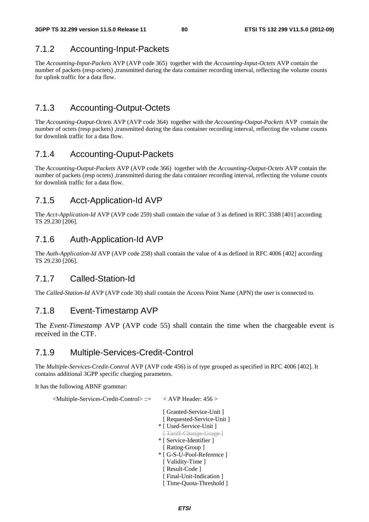# 7.1.2 Accounting-Input-Packets

The *Accounting-Input-Packets* AVP (AVP code 365) together with the *Accounting-Input-Octets* AVP contain the number of packets (resp octets) ,transmitted during the data container recording interval, reflecting the volume counts for uplink traffic for a data flow.

# 7.1.3 Accounting-Output-Octets

The *Accounting-Output-Octets* AVP (AVP code 364) together with the *Accounting-Output-Packets* AVP contain the number of octets (resp packets) ,transmitted during the data container recording interval, reflecting the volume counts for downlink traffic for a data flow.

# 7.1.4 Accounting-Ouput-Packets

The *Accounting-Output-Packets* AVP (AVP code 366) together with the *Accounting-Output-Octets* AVP contain the number of packets (resp octets) ,transmitted during the data container recording interval, reflecting the volume counts for downlink traffic for a data flow.

# 7.1.5 Acct-Application-Id AVP

The *Acct-Application-Id* AVP (AVP code 259) shall contain the value of 3 as defined in RFC 3588 [401] according TS 29.230 [206].

# 7.1.6 Auth-Application-Id AVP

The *Auth-Application-Id* AVP (AVP code 258) shall contain the value of 4 as defined in RFC 4006 [402] according TS 29.230 [206].

# 7.1.7 Called-Station-Id

The *Called-Station-Id* AVP (AVP code 30) shall contain the Access Point Name (APN) the user is connected to.

# 7.1.8 Event-Timestamp AVP

The *Event-Timestamp* AVP (AVP code 55) shall contain the time when the chargeable event is received in the CTF.

### 7.1.9 Multiple-Services-Credit-Control

The *Multiple-Services-Credit-Control* AVP (AVP code 456) is of type grouped as specified in RFC 4006 [402]. It contains additional 3GPP specific charging parameters.

It has the following ABNF grammar:

<Multiple-Services-Credit-Control> ::= < AVP Header: 456 >

 [ Granted-Service-Unit ] [ Requested-Service-Unit ] \* [ Used-Service-Unit ] [ Tariff-Change-Usage ] \* [ Service-Identifier ] [ Rating-Group ] \* [ G-S-U-Pool-Reference ] [ Validity-Time ] [ Result-Code ] [ Final-Unit-Indication ] [ Time-Quota-Threshold ]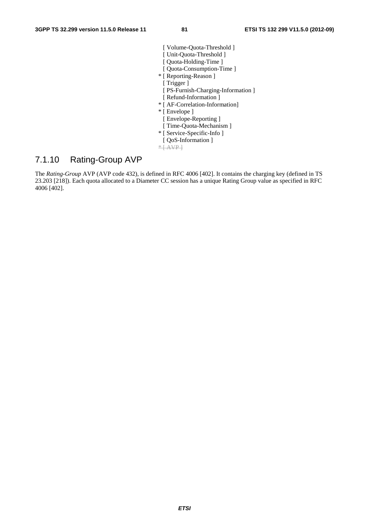- [ Volume-Quota-Threshold ] [ Unit-Quota-Threshold ] [ Quota-Holding-Time ] [ Quota-Consumption-Time ]
- \* [ Reporting-Reason ]
- [ Trigger ]
	-
- [ PS-Furnish-Charging-Information ]
- [ Refund-Information ]
- \* [ AF-Correlation-Information]
- \* [ Envelope ]
	- [ Envelope-Reporting ]
	- [ Time-Quota-Mechanism ]
- \* [ Service-Specific-Info ]
- [ QoS-Information ]
- $*$   $\uparrow$  AVP ]

# 7.1.10 Rating-Group AVP

The *Rating-Group* AVP (AVP code 432), is defined in RFC 4006 [402]. It contains the charging key (defined in TS 23.203 [218]). Each quota allocated to a Diameter CC session has a unique Rating Group value as specified in RFC 4006 [402].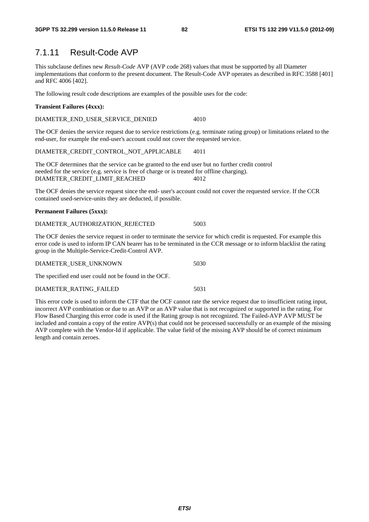# 7.1.11 Result-Code AVP

This subclause defines new *Result-Code* AVP (AVP code 268) values that must be supported by all Diameter implementations that conform to the present document. The Result-Code AVP operates as described in RFC 3588 [401] and RFC 4006 [402].

The following result code descriptions are examples of the possible uses for the code:

#### **Transient Failures (4xxx):**

DIAMETER\_END\_USER\_SERVICE\_DENIED 4010

The OCF denies the service request due to service restrictions (e.g. terminate rating group) or limitations related to the end-user, for example the end-user's account could not cover the requested service.

DIAMETER\_CREDIT\_CONTROL\_NOT\_APPLICABLE 4011

The OCF determines that the service can be granted to the end user but no further credit control needed for the service (e.g. service is free of charge or is treated for offline charging). DIAMETER\_CREDIT\_LIMIT\_REACHED 4012

The OCF denies the service request since the end- user's account could not cover the requested service. If the CCR contained used-service-units they are deducted, if possible.

#### **Permanent Failures (5xxx):**

| DIAMETER AUTHORIZATION REJECTED | 5003 |
|---------------------------------|------|
|---------------------------------|------|

The OCF denies the service request in order to terminate the service for which credit is requested. For example this error code is used to inform IP CAN bearer has to be terminated in the CCR message or to inform blacklist the rating group in the Multiple-Service-Credit-Control AVP.

|  | DIAMETER USER UNKNOWN |  |
|--|-----------------------|--|
|  |                       |  |

The specified end user could not be found in the OCF.

#### DIAMETER\_RATING\_FAILED 5031

This error code is used to inform the CTF that the OCF cannot rate the service request due to insufficient rating input, incorrect AVP combination or due to an AVP or an AVP value that is not recognized or supported in the rating. For Flow Based Charging this error code is used if the Rating group is not recognized. The Failed-AVP AVP MUST be included and contain a copy of the entire AVP(s) that could not be processed successfully or an example of the missing AVP complete with the Vendor-Id if applicable. The value field of the missing AVP should be of correct minimum length and contain zeroes.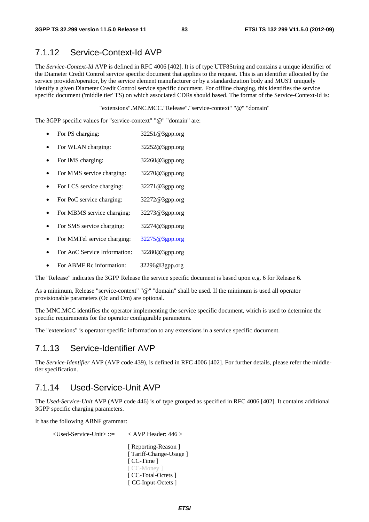# 7.1.12 Service-Context-Id AVP

The *Service-Context-Id* AVP is defined in RFC 4006 [402]. It is of type UTF8String and contains a unique identifier of the Diameter Credit Control service specific document that applies to the request. This is an identifier allocated by the service provider/operator, by the service element manufacturer or by a standardization body and MUST uniquely identify a given Diameter Credit Control service specific document. For offline charging, this identifies the service specific document ('middle tier' TS) on which associated CDRs should based. The format of the Service-Context-Id is:

"extensions".MNC.MCC."Release"."service-context" "@" "domain"

The 3GPP specific values for "service-context" "@" "domain" are:

- For PS charging: 32251@3gpp.org
- For WLAN charging: 32252@3gpp.org
- For IMS charging: 32260@3gpp.org
- For MMS service charging: 32270@3gpp.org
- For LCS service charging: 32271@3gpp.org
- For PoC service charging: 32272@3gpp.org
- For MBMS service charging: 32273@3gpp.org
- For SMS service charging: 32274@3gpp.org
- For MMTel service charging: [32275@3gpp.org](mailto:32275@3gpp.org)
- For AoC Service Information: 32280@3gpp.org
- For ABMF Rc information: 32296@3gpp.org

The "Release" indicates the 3GPP Release the service specific document is based upon e.g. 6 for Release 6.

As a minimum, Release "service-context" "@" "domain" shall be used. If the minimum is used all operator provisionable parameters (Oc and Om) are optional.

The MNC.MCC identifies the operator implementing the service specific document, which is used to determine the specific requirements for the operator configurable parameters.

The "extensions" is operator specific information to any extensions in a service specific document.

### 7.1.13 Service-Identifier AVP

The *Service-Identifier* AVP (AVP code 439), is defined in RFC 4006 [402]. For further details, please refer the middletier specification.

# 7.1.14 Used-Service-Unit AVP

The *Used-Service-Unit* AVP (AVP code 446) is of type grouped as specified in RFC 4006 [402]. It contains additional 3GPP specific charging parameters.

It has the following ABNF grammar:

 $\langle$ Used-Service-Unit $\rangle$  ::=  $\langle$  AVP Header: 446  $\rangle$ [ Reporting-Reason ] [ Tariff-Change-Usage ] [ CC-Time ] [ CC Money ] [ CC-Total-Octets ] [ CC-Input-Octets ]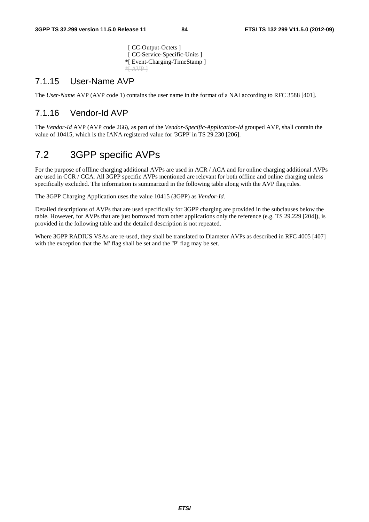[ CC-Output-Octets ] [ CC-Service-Specific-Units ] \*[ Event-Charging-TimeStamp ]  $*$  $AVP$ 

# 7.1.15 User-Name AVP

The *User-Name* AVP (AVP code 1) contains the user name in the format of a NAI according to RFC 3588 [401].

# 7.1.16 Vendor-Id AVP

The *Vendor-Id* AVP (AVP code 266), as part of the *Vendor-Specific-Application-Id* grouped AVP, shall contain the value of 10415, which is the IANA registered value for '3GPP' in TS 29.230 [206].

# 7.2 3GPP specific AVPs

For the purpose of offline charging additional AVPs are used in ACR / ACA and for online charging additional AVPs are used in CCR / CCA. All 3GPP specific AVPs mentioned are relevant for both offline and online charging unless specifically excluded. The information is summarized in the following table along with the AVP flag rules.

The 3GPP Charging Application uses the value 10415 (3GPP) as *Vendor-Id.*

Detailed descriptions of AVPs that are used specifically for 3GPP charging are provided in the subclauses below the table. However, for AVPs that are just borrowed from other applications only the reference (e.g. TS 29.229 [204]), is provided in the following table and the detailed description is not repeated.

Where 3GPP RADIUS VSAs are re-used, they shall be translated to Diameter AVPs as described in RFC 4005 [407] with the exception that the 'M' flag shall be set and the ''P' flag may be set.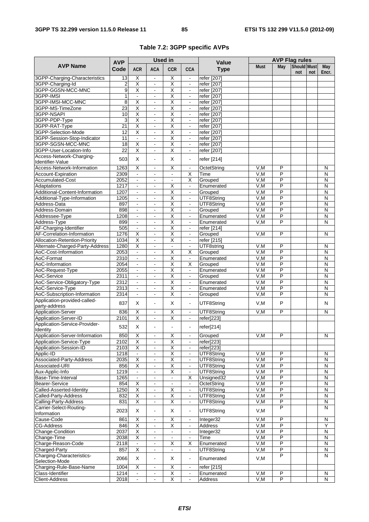|                                                | <b>Used in</b><br><b>AVP</b> |                          |                              |                              |                                           | <b>Value</b>  |             | <b>AVP Flag rules</b>   |                    |     |                |  |
|------------------------------------------------|------------------------------|--------------------------|------------------------------|------------------------------|-------------------------------------------|---------------|-------------|-------------------------|--------------------|-----|----------------|--|
| <b>AVP Name</b>                                | Code                         | <b>ACR</b>               | <b>ACA</b>                   | <b>CCR</b>                   | <b>CCA</b>                                | <b>Type</b>   | <b>Must</b> | May                     | Should Must<br>not | not | May<br>Encr.   |  |
| 3GPP-Charging-Characteristics                  | 13                           | $\overline{\mathsf{x}}$  | $\blacksquare$               | $\overline{\mathsf{x}}$      | $\omega$                                  | refer [207]   |             |                         |                    |     |                |  |
| 3GPP-Charging-Id                               | $\overline{\mathbf{c}}$      | $\overline{\mathsf{x}}$  | $\blacksquare$               | $\overline{\mathsf{x}}$      | $\blacksquare$                            | refer [207]   |             |                         |                    |     |                |  |
| 3GPP-GGSN-MCC-MNC                              | 9                            | $\overline{X}$           | $\overline{\phantom{a}}$     | $\overline{\mathsf{x}}$      | $\blacksquare$                            | refer [207]   |             |                         |                    |     |                |  |
| 3GPP-IMSI                                      | $\mathbf{1}$                 | $\omega$                 | ä,                           | Χ                            | $\omega$                                  | refer [207]   |             |                         |                    |     |                |  |
| 3GPP-IMSI-MCC-MNC                              | 8                            | $\overline{\mathsf{X}}$  | $\blacksquare$               | $\overline{\mathsf{x}}$      | $\omega$                                  | refer [207]   |             |                         |                    |     |                |  |
| 3GPP-MS-TimeZone                               | $\overline{23}$              | $\overline{\mathsf{x}}$  | ÷                            | $\overline{\mathsf{x}}$      | $\blacksquare$                            | refer [207]   |             |                         |                    |     |                |  |
| 3GPP-NSAPI                                     | 10                           | $\overline{\mathsf{x}}$  | $\blacksquare$               | $\overline{\mathsf{x}}$      | $\blacksquare$                            | refer [207]   |             |                         |                    |     |                |  |
| 3GPP-PDP-Type                                  | 3                            | Χ                        | $\blacksquare$               | $\overline{\mathsf{x}}$      | $\blacksquare$                            | refer [207]   |             |                         |                    |     |                |  |
| 3GPP-RAT-Type                                  | $\overline{21}$              | $\overline{\mathsf{x}}$  | ä,                           | $\overline{\mathsf{x}}$      | $\blacksquare$                            | refer $[207]$ |             |                         |                    |     |                |  |
| 3GPP-Selection-Mode                            | 12                           | $\overline{\mathsf{x}}$  | $\blacksquare$               | $\overline{\mathsf{x}}$      | $\blacksquare$                            | refer [207]   |             |                         |                    |     |                |  |
| 3GPP-Session-Stop-Indicator                    | 11                           | $\blacksquare$           | $\overline{\phantom{a}}$     | $\overline{\mathsf{x}}$      | $\blacksquare$                            | refer [207]   |             |                         |                    |     |                |  |
| 3GPP-SGSN-MCC-MNC                              | $\overline{18}$              | Χ                        | $\blacksquare$               | Χ                            | $\blacksquare$                            | refer [207]   |             |                         |                    |     |                |  |
| 3GPP-User-Location-Info                        | $\overline{22}$              | $\overline{\mathsf{x}}$  | $\overline{\phantom{a}}$     | $\overline{\mathsf{x}}$      | $\blacksquare$                            | refer [207]   |             |                         |                    |     |                |  |
| Access-Network-Charging-                       | 503                          | X                        | ÷,                           | X                            | $\blacksquare$                            | refer [214]   |             |                         |                    |     |                |  |
| Identifier-Value<br>Access-Network-Information | 1263                         | X                        | $\blacksquare$               | $\overline{\mathsf{x}}$      |                                           | OctetString   | V,M         | P                       |                    |     | N              |  |
| Account-Expiration                             | 2309                         | $\omega$                 | $\blacksquare$               | $\overline{a}$               | $\blacksquare$<br>$\overline{\mathsf{X}}$ | Time          | V.M         | P                       |                    |     | N              |  |
| Accumulated-Cost                               | 2052                         | $\blacksquare$           | $\blacksquare$               | $\blacksquare$               | X                                         | Grouped       | V,M         | P                       |                    |     | N              |  |
| Adaptations                                    | 1217                         | $\blacksquare$           | L.                           | Χ                            | $\overline{a}$                            | Enumerated    | V,M         | P                       |                    |     | N              |  |
| Additional-Content-Information                 | 1207                         | $\blacksquare$           | $\blacksquare$               | X                            | $\blacksquare$                            | Grouped       | V, M        | P                       |                    |     | $\overline{N}$ |  |
| Additional-Type-Information                    | 1205                         | $\mathbf{r}$             | $\blacksquare$               | $\overline{\mathsf{x}}$      | $\mathbf{r}$                              | UTF8String    | V,M         | P                       |                    |     | N              |  |
| Address-Data                                   | 897                          | $\overline{\phantom{a}}$ | ä,                           | $\overline{\mathsf{x}}$      | $\blacksquare$                            | UTF8String    | V,M         | P                       |                    |     | N              |  |
| Address-Domain                                 | 898                          | $\blacksquare$           | $\blacksquare$               | $\overline{\mathsf{x}}$      | $\blacksquare$                            | Grouped       | V, M        | P                       |                    |     | $\overline{N}$ |  |
| Addressee-Type                                 | 1208                         | ÷,                       | ÷,                           | $\overline{\mathsf{x}}$      | $\blacksquare$                            | Enumerated    | V, M        | $\overline{P}$          |                    |     | N              |  |
| Address-Type                                   | 899                          | $\blacksquare$           | $\blacksquare$               | $\overline{\mathsf{x}}$      | $\blacksquare$                            | Enumerated    | V, M        | P                       |                    |     | N              |  |
| AF-Charging-Identifier                         | 505                          | $\blacksquare$           | $\overline{\phantom{a}}$     | $\overline{\mathsf{x}}$      | $\blacksquare$                            | refer [214]   |             |                         |                    |     |                |  |
| AF-Correlation-Information                     | 1276                         | $\overline{X}$           | $\blacksquare$               | $\overline{\mathsf{x}}$      | $\blacksquare$                            | Grouped       | V,M         | $\overline{P}$          |                    |     | N              |  |
| Allocation-Retention-Priority                  | 1034                         | $\overline{\mathsf{x}}$  | ÷                            | $\overline{\mathsf{X}}$      | $\blacksquare$                            | refer [215]   |             |                         |                    |     |                |  |
| Alternate-Charged-Party-Address                | 1280                         | Χ                        | $\overline{\phantom{a}}$     | $\blacksquare$               | $\blacksquare$                            | UTF8string    | V.M         | $\overline{P}$          |                    |     | N              |  |
| AoC-Cost-Information                           | 2053                         | $\omega$                 | $\blacksquare$               | Χ                            | $\overline{\mathsf{x}}$                   | Grouped       | V, M        | P                       |                    |     | $\overline{N}$ |  |
| AoC-Format                                     | 2310                         | $\blacksquare$           | $\overline{\phantom{a}}$     | $\overline{\mathsf{x}}$      | $\blacksquare$                            | Enumerated    | V,M         | P                       |                    |     | N              |  |
| AoC-Information                                | 2054                         | $\omega$                 | ÷,                           | $\overline{\mathsf{x}}$      | $\overline{\mathsf{x}}$                   | Grouped       | V.M         | P                       |                    |     | N              |  |
| AoC-Request-Type                               | 2055                         | $\blacksquare$           | $\frac{1}{2}$                | Χ                            | $\blacksquare$                            | Enumerated    | V.M         | P                       |                    |     | N              |  |
| AoC-Service                                    | 2311                         | $\mathbf{r}$             | $\blacksquare$               | $\overline{\mathsf{x}}$      | $\omega$                                  | Grouped       | V,M         | P                       |                    |     | N              |  |
| AoC-Service-Obligatory-Type                    | 2312                         | $\blacksquare$           | $\blacksquare$               | $\overline{\mathsf{x}}$      | $\blacksquare$                            | Enumerated    | V,M         | P                       |                    |     | N              |  |
| AoC-Service-Type                               | 2313                         | $\mathbf{r}$             | $\blacksquare$               | $\overline{\mathsf{x}}$      | $\blacksquare$                            | Enumerated    | V, M        | P                       |                    |     | N              |  |
| AoC-Subscription-Information                   | 2314                         |                          | ä,                           | $\overline{\mathsf{x}}$      | $\blacksquare$                            | Grouped       | V,M         | P                       |                    |     | N              |  |
| Application-provided-called-<br>party-address  | 837                          | X                        | ä,                           | X                            | $\blacksquare$                            | UTF8String    | V, M        | P                       |                    |     | N              |  |
| Application-Server                             | 836                          | $\overline{X}$           | $\blacksquare$               | $\overline{\mathsf{X}}$      | $\blacksquare$                            | UTF8String    | V, M        | P                       |                    |     | N              |  |
| Application-Server-ID                          | 2101                         | $\overline{\mathsf{x}}$  | $\blacksquare$               | Χ                            | $\blacksquare$                            | refer[223]    |             |                         |                    |     |                |  |
| Application-Service-Provider-<br>Identity      | 532                          | $\times$                 | $\blacksquare$               | $\blacksquare$               | $\blacksquare$                            | refer[214]    |             |                         |                    |     |                |  |
| Application-Server-Information                 | 850                          | $\overline{X}$           |                              | $\overline{\mathsf{X}}$      |                                           | Grouped       | V,M         | P                       |                    |     | N              |  |
| Application-Service-Type                       | 2102                         | $\overline{X}$           | $\blacksquare$               | Χ                            | $\blacksquare$                            | refer[223]    |             |                         |                    |     |                |  |
| Application-Session-ID                         | 2103                         | X                        | $\blacksquare$               | X                            | $\blacksquare$                            | refer[223]    |             |                         |                    |     |                |  |
| Applic-ID                                      | 1218                         |                          |                              | $\overline{\mathsf{X}}$      | $\blacksquare$                            | UTF8String    | V, M        | P                       |                    |     | N              |  |
| Associated-Party-Address                       | 2035                         | $\overline{\mathsf{x}}$  | $\blacksquare$               | χ                            | $\sim$                                    | UTF8String    | V.M         | P                       |                    |     | N              |  |
| Associated-URI                                 | 856                          | $\overline{\mathsf{x}}$  | $\blacksquare$               | X                            | $\blacksquare$                            | UTF8String    | V, M        | P                       |                    |     | N              |  |
| Aux-Applic-Info                                | 1219                         | $\omega$                 | $\blacksquare$               | $\overline{\mathsf{X}}$      | $\omega$                                  | UTF8String    | V,M         | $\overline{\mathsf{P}}$ |                    |     | N              |  |
| Base-Time-Interval                             | 1265                         | $\blacksquare$           | $\overline{\phantom{0}}$     | ÷                            | X                                         | Unsigned32    | V,M         | $\overline{P}$          |                    |     | $\overline{N}$ |  |
| <b>Bearer-Service</b>                          | 854                          | $\overline{X}$           | $\blacksquare$               | $\blacksquare$               | $\blacksquare$                            | OctetString   | V, M        | P                       |                    |     | N              |  |
| Called-Asserted-Identity                       | 1250                         | $\overline{X}$           | $\blacksquare$               | $\overline{\mathsf{X}}$      | $\omega$                                  | UTF8String    | V, M        | $\overline{\mathsf{P}}$ |                    |     | N              |  |
| Called-Party-Address                           | 832                          | $\mathsf X$              | $\qquad \qquad \blacksquare$ | $\overline{X}$               | $\blacksquare$                            | UTF8String    | V, M        | P                       |                    |     | N              |  |
| Calling-Party-Address                          | 831                          | Χ                        | ÷,                           | Χ                            | $\blacksquare$                            | UTF8String    | V, M        | $\overline{P}$          |                    |     | N              |  |
| Carrier-Select-Routing-<br>Information         | 2023                         | X                        | ÷,                           | X                            | $\blacksquare$                            | UTF8String    | V, M        | P                       |                    |     | N              |  |
| Cause-Code                                     | 861                          | $\overline{X}$           | $\blacksquare$               | $\overline{\mathsf{X}}$      | $\blacksquare$                            | Integer32     | V, M        | $\overline{P}$          |                    |     | N              |  |
| <b>CG-Address</b>                              | 846                          | X                        | ۰                            | $\overline{\mathsf{x}}$      | $\blacksquare$                            | Address       | V,M         | P                       |                    |     | Y              |  |
| Change-Condition                               | 2037                         | $\overline{X}$           | $\overline{a}$               |                              | $\blacksquare$                            | Integer32     | V, M        | P                       |                    |     | N              |  |
| Change-Time                                    | 2038                         | $\overline{X}$           | ÷                            | $\blacksquare$               | $\blacksquare$                            | Time          | V, M        | P                       |                    |     | N              |  |
| Charge-Reason-Code                             | 2118                         | $\blacksquare$           | $\blacksquare$               | X                            | X                                         | Enumerated    | V, M        | P                       |                    |     | N              |  |
| Charged-Party                                  | 857                          | $\overline{X}$           | $\blacksquare$               | $\Box$                       | $\blacksquare$                            | UTF8String    | V, M        | $\overline{P}$          |                    |     | N              |  |
| Charging-Characteristics-                      | 2066                         | X                        | ÷.                           | X                            | $\blacksquare$                            | Enumerated    | V,M         | P                       |                    |     | N              |  |
| Selection-Mode                                 |                              |                          |                              |                              |                                           |               |             |                         |                    |     |                |  |
| Charging-Rule-Base-Name                        | 1004                         | X                        | ÷,                           | $\overline{X}$               | $\blacksquare$                            | refer [215]   |             |                         |                    |     |                |  |
| Class-Identifier                               | 1214                         | $\blacksquare$           | $\blacksquare$               | X<br>$\overline{\mathsf{X}}$ | $\blacksquare$                            | Enumerated    | V, M        | P                       |                    |     | N              |  |
| <b>Client-Address</b>                          | 2018                         | $\blacksquare$           | ä,                           |                              | $\blacksquare$                            | Address       | V, M        | $\overline{P}$          |                    |     | N              |  |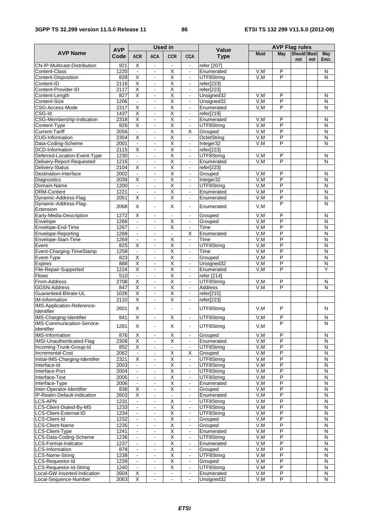#### **3GPP TS 32.299 version 11.5.0 Release 11 86 ETSI TS 132 299 V11.5.0 (2012-09)**

|                                                 |                    |                              |                                            | <b>Used in</b>               |                                  |                          | <b>AVP Flag rules</b> |                                           |                           |     |                         |  |
|-------------------------------------------------|--------------------|------------------------------|--------------------------------------------|------------------------------|----------------------------------|--------------------------|-----------------------|-------------------------------------------|---------------------------|-----|-------------------------|--|
| <b>AVP Name</b>                                 | <b>AVP</b><br>Code | <b>ACR</b>                   | <b>ACA</b>                                 | <b>CCR</b>                   | <b>CCA</b>                       | Value<br><b>Type</b>     | <b>Must</b>           | May                                       | <b>Should Must</b><br>not | not | May<br>Encr.            |  |
| CN-IP-Multicast-Distribution                    | 921                | X                            |                                            |                              | $\blacksquare$                   | refer [207]              |                       |                                           |                           |     |                         |  |
| <b>Content-Class</b>                            | 1220               | $\blacksquare$               |                                            | $\overline{\mathsf{x}}$      | $\overline{\phantom{a}}$         | Enumerated               | V, M                  | P                                         |                           |     | N                       |  |
| Content-Disposition                             | 828                | $\overline{\mathsf{X}}$      | $\blacksquare$                             | $\overline{\mathsf{x}}$      | $\blacksquare$                   | UTF8String               | V, M                  | P                                         |                           |     | $\overline{\mathsf{N}}$ |  |
| Content-ID                                      | 2116               | $\overline{\mathsf{x}}$      | $\blacksquare$                             | $\overline{\mathsf{x}}$      | $\blacksquare$                   | refer[223]               |                       |                                           |                           |     |                         |  |
| Content-Provider-ID                             | 2117               | X                            | $\blacksquare$                             | X                            | $\blacksquare$                   | refer[223]               |                       |                                           |                           |     |                         |  |
| Content-Length                                  | 827                | $\overline{\mathsf{X}}$      | $\blacksquare$                             | Χ                            | $\blacksquare$                   | Unsigned32               | V,M                   | P                                         |                           |     | N                       |  |
| Content-Size                                    | 1206               | $\blacksquare$               |                                            | X                            | $\blacksquare$                   | Unsigned32               | V, M                  | P<br>P                                    |                           |     | N                       |  |
| CSG-Access-Mode<br>CSG-Id                       | 2317<br>1437       | Χ<br>$\overline{\mathsf{x}}$ | $\blacksquare$                             | Χ<br>$\overline{\mathsf{x}}$ | $\blacksquare$                   | Enumerated               | V, M                  |                                           |                           |     | N                       |  |
| <b>CSG-Membership-Indication</b>                | 2318               | Χ                            | $\overline{\phantom{a}}$<br>$\blacksquare$ | $\overline{\mathsf{x}}$      | $\blacksquare$<br>$\frac{1}{2}$  | refer[219]<br>Enumerated | V, M                  | P                                         |                           |     | N                       |  |
| Content-Type                                    | 826                | $\overline{\mathsf{x}}$      | $\frac{1}{2}$                              | Χ                            | $\blacksquare$                   | UTF8String               | V, M                  | P                                         |                           |     | $\mathsf{N}$            |  |
| <b>Current-Tariff</b>                           | 2056               | $\blacksquare$               | $\overline{\phantom{a}}$                   | $\overline{\mathsf{x}}$      | X                                | Grouped                  | V,M                   | P                                         |                           |     | N                       |  |
| CUG-Information                                 | 2304               | $\overline{\mathsf{X}}$      | $\blacksquare$                             | $\overline{\mathsf{x}}$      | $\blacksquare$                   | OctetString              | V, M                  | $\overline{P}$                            |                           |     | N                       |  |
| Data-Coding-Scheme                              | 2001               | $\Box$                       | $\ddot{\phantom{0}}$                       | $\overline{\mathsf{x}}$      | $\blacksquare$                   | Integer32                | V,M                   | P                                         |                           |     | N                       |  |
| DCD-Information                                 | 2115               | $\overline{\mathsf{x}}$      | ÷,                                         | $\overline{\mathsf{x}}$      | $\blacksquare$                   | refer[223]               |                       |                                           |                           |     |                         |  |
| Deferred-Location-Event-Type                    | 1230               | $\Box$                       | $\blacksquare$                             | Χ                            | $\blacksquare$                   | UTF8String               | V, M                  | P                                         |                           |     | $\mathsf{N}$            |  |
| Delivery-Report-Requested                       | 1216               | $\blacksquare$               | $\overline{\phantom{a}}$                   | $\overline{\mathsf{x}}$      | $\blacksquare$                   | Enumerated               | V,M                   | P                                         |                           |     | N                       |  |
| Delivery-Status                                 | 2104               | Χ                            | $\blacksquare$                             | $\overline{\mathsf{x}}$      | $\blacksquare$                   | refer[223]               |                       |                                           |                           |     |                         |  |
| Destination-Interface                           | 2002               | $\Box$                       | $\overline{a}$                             | Χ                            | $\blacksquare$                   | Grouped                  | V, M                  | P                                         |                           |     | N                       |  |
| Diagnostics                                     | 2039               | $\overline{\mathsf{x}}$      | $\blacksquare$                             | $\overline{\mathsf{x}}$      | $\blacksquare$                   | Integer32                | V, M                  | P                                         |                           |     | N                       |  |
| Domain-Name                                     | 1200               | $\blacksquare$               | $\blacksquare$                             | Χ                            | $\blacksquare$                   | UTF8String               | V, M                  | P                                         |                           |     | $\overline{N}$          |  |
| <b>DRM-Content</b>                              | 1221               | $\blacksquare$               | $\blacksquare$                             | $\overline{\mathsf{x}}$      | $\blacksquare$                   | Enumerated               | $\overline{V}$ , M    | P                                         |                           |     | $\mathsf{N}$            |  |
| Dynamic-Address-Flag                            | 2051               | Χ                            | ä,                                         | Χ                            | $\blacksquare$                   | Enumerated               | V, M                  | P<br>P                                    |                           |     | $\overline{\mathsf{N}}$ |  |
| Dynamic-Address-Flag-<br>Extension              | 2068               | X                            | ÷,                                         | X                            | ÷.                               | Enumerated               | V,M                   |                                           |                           |     | N                       |  |
| Early-Media-Description                         | 1272               | $\overline{\mathsf{X}}$      | $\blacksquare$                             | $\Box$                       | $\blacksquare$                   | Grouped                  | V, M                  | P                                         |                           |     | N                       |  |
| Envelope                                        | 1266               | $\blacksquare$               | $\blacksquare$                             | $\overline{\mathsf{x}}$      | $\blacksquare$                   | Grouped                  | V,M                   | P                                         |                           |     | N                       |  |
| Envelope-End-Time                               | 1267               | $\sim$                       | ä,                                         | Χ                            | $\blacksquare$                   | <b>Time</b>              | V, M                  | P                                         |                           |     | $\overline{N}$          |  |
| Envelope-Reporting                              | 1268               | $\blacksquare$               | $\overline{\phantom{a}}$                   | $\Box$                       | X                                | Enumerated               | V, M                  | P                                         |                           |     | $\mathsf{N}$            |  |
| Envelope-Start-Time                             | 1269               | $\blacksquare$               | ä,                                         | $\overline{\mathsf{x}}$      | $\blacksquare$                   | Time                     | V,M                   | P                                         |                           |     | $\mathsf{N}$            |  |
| Event                                           | 825                | $\overline{\mathsf{x}}$      | $\blacksquare$                             | $\overline{\mathsf{x}}$      | ä,                               | UTF8String               | V, M                  | P                                         |                           |     | N                       |  |
| Event-Charging-TimeStamp                        | 1258               | $\Box$                       | $\blacksquare$                             | Χ                            | $\blacksquare$                   | Time                     | V, M                  | P                                         |                           |     | $\overline{\mathsf{N}}$ |  |
| Event-Type                                      | 823                | $\overline{X}$               |                                            | $\overline{\mathsf{x}}$      | ÷.                               | Grouped                  | V, M                  | P                                         |                           |     | N                       |  |
| <b>Expires</b>                                  | 888                | $\overline{\mathsf{x}}$      | $\blacksquare$                             | $\overline{\mathsf{x}}$      | $\blacksquare$                   | Unsigned32               | V, M                  | P                                         |                           |     | N                       |  |
| File-Repair-Supported                           | 1224               | $\overline{\mathsf{X}}$      | $\blacksquare$                             | $\overline{\mathsf{x}}$      | $\blacksquare$                   | Enumerated               | V,M                   | P                                         |                           |     | Υ                       |  |
| Flows                                           | 510                | $\ddot{\phantom{a}}$         | ä,                                         | Χ                            | $\blacksquare$                   | refer [214]              |                       |                                           |                           |     |                         |  |
| From-Address                                    | 2708               | X                            | $\blacksquare$                             | Χ                            | $\blacksquare$                   | UTF8String               | V, M                  | P                                         |                           |     | N                       |  |
| <b>GGSN-Address</b><br>Guaranteed-Bitrate-UL    | 847<br>1026        | Χ<br>Χ                       | $\blacksquare$<br>$\blacksquare$           | Χ<br>$\overline{\mathsf{x}}$ | $\blacksquare$<br>$\blacksquare$ | Address<br>refer[215]    | V, M                  | P                                         |                           |     | N                       |  |
| <b>IM-Information</b>                           | 2110               | $\overline{\mathsf{X}}$      | ÷,                                         | $\overline{\mathsf{x}}$      | $\blacksquare$                   | refer[223]               |                       |                                           |                           |     |                         |  |
| IMS-Application-Reference-                      |                    |                              |                                            |                              |                                  |                          |                       |                                           |                           |     |                         |  |
| Identifier                                      | 2601               | X                            | $\overline{\phantom{a}}$                   | $\blacksquare$               | $\blacksquare$                   | UTF8String               | V, M                  | P<br>P                                    |                           |     | N<br>Ñ                  |  |
| <b>IMS-Charging-Identifier</b>                  | 841                | $\overline{\mathsf{x}}$      | $\blacksquare$                             | $\overline{\mathsf{x}}$      | $\blacksquare$                   | UTF8String               | V, M                  | Ρ                                         |                           |     |                         |  |
| IMS-Communication-Service-<br>Identifier        | 1281               | X                            | $\overline{a}$                             | X                            | $\blacksquare$                   | UTF8String               | V,M                   |                                           |                           |     | N                       |  |
| <b>IMS-Information</b>                          | 876                | $\overline{\mathsf{X}}$      | $\blacksquare$                             | $\overline{\mathsf{X}}$      | $\blacksquare$                   | Grouped                  | V, M                  | $\overline{P}$                            |                           |     | N                       |  |
| IMSI-Unauthenticated-Flag                       | 2308               | $\overline{X}$               | $\frac{1}{2}$                              | Χ                            | $\qquad \qquad \blacksquare$     | Enumerated               | V, M                  | P                                         |                           |     | N                       |  |
| Incoming-Trunk-Group-Id                         | 852                | $\overline{\mathsf{X}}$      | ۰                                          | $\blacksquare$               | $\blacksquare$                   | UTF8String               | V, M                  | $\overline{P}$                            |                           |     | N                       |  |
| Incremental-Cost                                | 2062<br>2321       | $\Box$                       | $\blacksquare$                             | Χ<br>$\overline{\mathsf{x}}$ | $\overline{\mathsf{x}}$          | Grouped<br>UTF8String    | V, M<br>V,M           | $\overline{P}$<br>$\overline{P}$          |                           |     | N<br>N                  |  |
| Initial-IMS-Charging-Identifier<br>Interface-Id | 2003               | $\overline{\mathsf{X}}$      | $\blacksquare$                             | Χ                            | ÷,<br>$\blacksquare$             | UTF8String               | V, M                  | $\overline{P}$                            |                           |     | N                       |  |
| Interface-Port                                  | 2004               | $\blacksquare$               | $\blacksquare$                             | $\overline{\mathsf{x}}$      | $\blacksquare$                   | UTF8String               | V, M                  | P                                         |                           |     | Ñ                       |  |
| Interface-Text                                  | 2005               | $\blacksquare$               | $\blacksquare$                             | $\overline{\mathsf{x}}$      | $\blacksquare$                   | UTF8String               | V,M                   | P                                         |                           |     | N                       |  |
| Interface-Type                                  | 2006               |                              | $\blacksquare$                             | $\overline{\mathsf{x}}$      | $\blacksquare$                   | Enumerated               | V,M                   | P                                         |                           |     | N                       |  |
| Inter-Operator-Identifier                       | 838                | X                            | $\blacksquare$                             | $\overline{\mathsf{x}}$      | ÷                                | Grouped                  | V, M                  | P                                         |                           |     | N                       |  |
| IP-Realm-Default-Indication                     | 2603               | $\overline{\mathsf{x}}$      | $\blacksquare$                             |                              | $\blacksquare$                   | Enumerated               | V,M                   | P                                         |                           |     | N                       |  |
| <b>LCS-APN</b>                                  | 1231               | $\omega$                     | $\frac{1}{2}$                              | Χ                            | $\blacksquare$                   | UTF8String               | V, M                  | P                                         |                           |     | N                       |  |
| LCS-Client-Dialed-By-MS                         | 1233               | $\blacksquare$               | $\overline{\phantom{a}}$                   | $\overline{\mathsf{x}}$      | $\blacksquare$                   | UTF8String               | V,M                   | P                                         |                           |     | N                       |  |
| LCS-Client-External-ID                          | 1234               | $\blacksquare$               | $\blacksquare$                             | $\overline{\mathsf{x}}$      | $\frac{1}{2}$                    | UTF8String               | V, M                  | P                                         |                           |     | N                       |  |
| LCS-Client-Id                                   | 1232               | $\blacksquare$               | $\blacksquare$                             | $\overline{\mathsf{x}}$      | $\blacksquare$                   | Grouped                  | V, M                  | P                                         |                           |     | N                       |  |
| LCS-Client-Name                                 | 1235               | $\blacksquare$               | $\blacksquare$                             | Χ                            | $\blacksquare$                   | Grouped                  | V, M                  | $\overline{P}$                            |                           |     | N                       |  |
| <b>LCS-Client-Type</b>                          | 1241               | $\blacksquare$               | $\blacksquare$                             | χ                            | $\blacksquare$                   | Enumerated               | V, M                  | $\overline{P}$                            |                           |     | $\overline{\mathsf{N}}$ |  |
| LCS-Data-Coding-Scheme                          | 1236               | $\blacksquare$               | $\blacksquare$                             | $\overline{\mathsf{x}}$      | $\blacksquare$                   | UTF8String               | V, M                  | $\overline{P}$<br>$\overline{\mathsf{P}}$ |                           |     | N                       |  |
| LCS-Format-Indicator                            | 1237               |                              |                                            | $\overline{\mathsf{x}}$      | $\blacksquare$                   | Enumerated               | V, M                  | $\overline{P}$                            |                           |     | N                       |  |
| <b>LCS-Information</b>                          | 878                | $\blacksquare$               | $\blacksquare$                             | χ                            | $\blacksquare$                   | Grouped                  | V, M                  | $\overline{P}$                            |                           |     | $\overline{\mathsf{N}}$ |  |
| LCS-Name-String<br>LCS-Requestor-Id             | 1238<br>1239       | $\blacksquare$<br>$\omega$   | $\overline{\phantom{a}}$<br>$\blacksquare$ | $\overline{\mathsf{x}}$<br>Χ | $\blacksquare$<br>$\blacksquare$ | UTF8String               | V,M<br>V,M            | $\overline{P}$                            |                           |     | $\mathsf{N}$<br>N       |  |
| LCS-Requestor-Id-String                         | 1240               | $\blacksquare$               | $\frac{1}{2}$                              | $\overline{\mathsf{x}}$      | $\blacksquare$                   | Grouped<br>UTF8String    | V, M                  | Ρ                                         |                           |     | N                       |  |
| Local-GW-Inserted-Indication                    | 2604               | Χ                            | ۰                                          | $\blacksquare$               | $\blacksquare$                   | Enumerated               | V, M                  | P                                         |                           |     | N                       |  |
| Local-Sequence-Number                           | 2063               | $\overline{X}$               | ä,                                         | $\overline{\phantom{a}}$     | $\blacksquare$                   | Unsigned32               | V, M                  | $\overline{P}$                            |                           |     | N                       |  |
|                                                 |                    |                              |                                            |                              |                                  |                          |                       |                                           |                           |     |                         |  |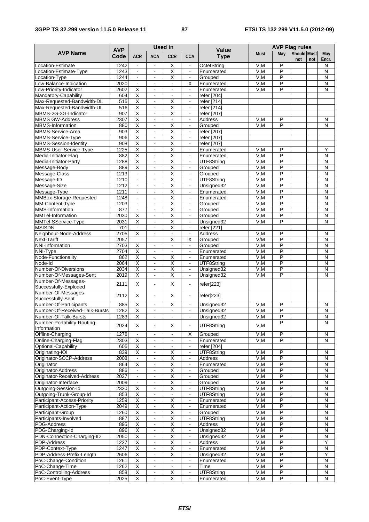# **3GPP TS 32.299 version 11.5.0 Release 11 87 ETSI TS 132 299 V11.5.0 (2012-09)**

|                                                     |                          | <b>Used in</b>                            |                                  |                              |                                  |                        | <b>AVP Flag rules</b> |                     |                           |     |                              |  |
|-----------------------------------------------------|--------------------------|-------------------------------------------|----------------------------------|------------------------------|----------------------------------|------------------------|-----------------------|---------------------|---------------------------|-----|------------------------------|--|
| <b>AVP Name</b>                                     | <b>AVP</b><br>Code       | <b>ACR</b>                                | <b>ACA</b>                       | <b>CCR</b>                   | <b>CCA</b>                       | Value<br><b>Type</b>   | <b>Must</b>           | May                 | <b>Should Must</b><br>not | not | <b>May</b><br>Encr.          |  |
| Location-Estimate                                   | 1242                     |                                           |                                  | X                            | $\blacksquare$                   | OctetString            | V,M                   | P                   |                           |     | N                            |  |
| Location-Estimate-Type                              | 1243                     | $\blacksquare$                            |                                  | Χ                            | $\blacksquare$                   | Enumerated             | V, M                  | P                   |                           |     | N                            |  |
| Location-Type                                       | 1244                     | $\blacksquare$                            | ÷,                               | $\overline{\mathsf{x}}$      | $\blacksquare$                   | Grouped                | V, M                  | P                   |                           |     | $\overline{N}$               |  |
| Low-Balance-Indication                              | 2020                     | $\blacksquare$                            | ÷,                               | $\blacksquare$               | Χ                                | Enumerated             | $\overline{V}, M$     | P                   |                           |     | N                            |  |
| Low-Priority-Indicator                              | 2602                     | $\overline{\mathsf{x}}$                   | ÷.                               | $\blacksquare$               | $\blacksquare$                   | Enumerated             | V,M                   | P                   |                           |     | N                            |  |
| Mandatory-Capability                                | 604                      | $\overline{\mathsf{x}}$                   | ÷,                               | $\blacksquare$               | $\blacksquare$                   | refer [204]            |                       |                     |                           |     |                              |  |
| Max-Requested-Bandwidth-DL                          | 515                      | Χ                                         | $\overline{a}$                   | Χ                            | $\blacksquare$                   | refer [214]            |                       |                     |                           |     |                              |  |
| Max-Requested-Bandwidth-UL<br>MBMS-2G-3G-Indicator  | $\overline{516}$<br>907  | Χ<br>$\overline{\mathsf{x}}$              | ä,<br>$\overline{a}$             | Χ<br>Χ                       | $\blacksquare$<br>$\blacksquare$ | refer [214]            |                       |                     |                           |     |                              |  |
| <b>MBMS GW-Address</b>                              | 2307                     | $\overline{\mathsf{x}}$                   | $\overline{a}$                   | ä,                           | $\overline{\phantom{a}}$         | refer [207]<br>Address | V,M                   | P                   |                           |     | N                            |  |
| <b>MBMS-Information</b>                             | 880                      | Χ                                         | ÷,                               | $\overline{\mathsf{x}}$      | $\blacksquare$                   | Grouped                | V,M                   | P                   |                           |     | N                            |  |
| MBMS-Service-Area                                   | 903                      | Χ                                         | $\blacksquare$                   | Χ                            | $\blacksquare$                   | refer [207]            |                       |                     |                           |     |                              |  |
| MBMS-Service-Type                                   | 906                      | $\overline{X}$                            | L.                               | $\overline{\mathsf{x}}$      | $\mathbf{u}$                     | refer [207]            |                       |                     |                           |     |                              |  |
| <b>MBMS-Session-Identity</b>                        | 908                      | $\overline{X}$                            | $\overline{a}$                   | $\overline{\mathsf{x}}$      | $\blacksquare$                   | refer [207]            |                       |                     |                           |     |                              |  |
| MBMS-User-Service-Type                              | 1225                     | $\overline{\mathsf{X}}$                   | ÷,                               | $\overline{\mathsf{x}}$      | $\blacksquare$                   | Enumerated             | V,M                   | P                   |                           |     | Υ                            |  |
| Media-Initiator-Flag                                | 882                      | Χ                                         | ÷,                               | Χ                            | $\blacksquare$                   | Enumerated             | V, M                  | P                   |                           |     | N                            |  |
| Media-Initiator-Party                               | 1288                     | Χ                                         | $\overline{a}$                   | Χ                            | $\blacksquare$                   | UTF8String             | V, M                  | P                   |                           |     | N                            |  |
| Message-Body                                        | 889                      | $\overline{\mathsf{x}}$                   | $\overline{a}$                   | Χ                            | $\omega$                         | Grouped                | V, M                  | P                   |                           |     | N                            |  |
| Message-Class                                       | 1213                     | $\blacksquare$                            |                                  | Χ                            | $\overline{\phantom{0}}$         | Grouped                | V, M                  | P                   |                           |     | $\overline{\mathsf{N}}$      |  |
| Message-ID                                          | 1210                     | $\blacksquare$                            | ä,                               | Χ                            | $\blacksquare$                   | UTF8String             | V, M                  | $\overline{P}$      |                           |     | N                            |  |
| Message-Size                                        | 1212                     | $\blacksquare$                            | $\blacksquare$                   | $\overline{\mathsf{X}}$      | $\blacksquare$                   | Unsigned32             | V, M                  | $\overline{P}$      |                           |     | N                            |  |
| Message-Type                                        | 1211                     | $\blacksquare$                            | $\overline{a}$                   | $\overline{\mathsf{x}}$      | $\blacksquare$                   | Enumerated             | V,M                   | P                   |                           |     | N                            |  |
| MMBox-Storage-Requested                             | 1248                     | $\blacksquare$                            | $\overline{a}$                   | Χ                            | $\blacksquare$                   | Enumerated             | V, M                  | $\overline{P}$      |                           |     | N                            |  |
| MM-Content-Type                                     | 1203                     | $\blacksquare$                            | ۰                                | Χ                            | $\blacksquare$                   | Grouped                | V, M                  | P<br>$\overline{P}$ |                           |     | N                            |  |
| <b>MMS-Information</b><br>MMTel-Information         | $\overline{877}$<br>2030 | $\blacksquare$<br>$\overline{\mathsf{X}}$ | $\overline{a}$                   | Χ<br>$\overline{\mathsf{x}}$ | $\blacksquare$                   | Grouped<br>Grouped     | V,M<br>V,M            | P                   |                           |     | $\overline{\mathsf{N}}$<br>N |  |
| MMTel-SService-Type                                 | 2031                     | $\overline{\mathsf{x}}$                   | $\blacksquare$<br>$\overline{a}$ | $\overline{\mathsf{x}}$      | $\blacksquare$<br>$\blacksquare$ | Unsigned32             | V,M                   | P                   |                           |     | $\overline{\mathsf{N}}$      |  |
| <b>MSISDN</b>                                       | 701                      | $\blacksquare$                            | ÷                                | $\overline{\mathsf{X}}$      | $\blacksquare$                   | refer [221]            |                       |                     |                           |     |                              |  |
| Neighbour-Node-Address                              | 2705                     | $\overline{\mathsf{x}}$                   | ۰                                | $\blacksquare$               | $\blacksquare$                   | Address                | V,M                   | P                   |                           |     | N                            |  |
| Next-Tariff                                         | 2057                     |                                           |                                  | $\overline{\mathsf{x}}$      | X                                | Grouped                | V/M                   | $\overline{P}$      |                           |     | N                            |  |
| NNI-Information                                     | 2703                     | $\overline{\mathsf{x}}$                   | ÷,                               | $\blacksquare$               | $\blacksquare$                   | Grouped                | V, M                  | P                   |                           |     | N                            |  |
| NNI-Type                                            | 2704                     | Χ                                         | $\overline{a}$                   | $\blacksquare$               | $\blacksquare$                   | Enumerated             | V, M                  | P                   |                           |     | $\overline{\mathsf{N}}$      |  |
| Node-Functionality                                  | 862                      | $\overline{\mathsf{X}}$                   | ۰.                               | Χ                            | $\blacksquare$                   | Enumerated             | V, M                  | P                   |                           |     | $\overline{\mathsf{N}}$      |  |
| Node-Id                                             | 2064                     | Χ                                         | $\blacksquare$                   | $\overline{\mathsf{x}}$      | $\blacksquare$                   | UTF8String             | V, M                  | P                   |                           |     | $\overline{\mathsf{N}}$      |  |
| Number-Of-Diversions                                | 2034                     | $\overline{\mathsf{X}}$                   | $\blacksquare$                   | $\overline{\mathsf{x}}$      | $\omega$                         | Unsigned32             | V,M                   | P                   |                           |     | N                            |  |
| Number-Of-Messages-Sent                             | 2019                     | $\overline{\mathsf{x}}$                   | ä,                               | $\overline{\mathsf{X}}$      | $\omega$                         | Unsigned32             | V,M                   | P                   |                           |     | $\overline{\mathsf{N}}$      |  |
| Number-Of-Messages-                                 | 2111                     | X                                         | $\overline{a}$                   | X                            | ÷,                               | refer[223]             |                       |                     |                           |     |                              |  |
| Successfully-Exploded                               |                          |                                           |                                  |                              |                                  |                        |                       |                     |                           |     |                              |  |
| Number-Of-Messages-<br>Successfully-Sent            | 2112                     | X                                         | ä,                               | X                            | $\blacksquare$                   | refer[223]             |                       |                     |                           |     |                              |  |
| Number-Of-Participants                              | 885                      | Χ                                         | $\blacksquare$                   | Χ                            | $\blacksquare$                   | Unsigned32             | V, M                  | P                   |                           |     | N                            |  |
| Number-Of-Received-Talk-Bursts                      | 1282                     | $\overline{\mathsf{X}}$                   | ÷,                               | $\blacksquare$               | $\blacksquare$                   | Unsigned32             | V, M                  | P                   |                           |     | N                            |  |
| Number-Of-Talk-Bursts                               | 1283                     | $\overline{\mathsf{x}}$                   | $\overline{a}$                   | $\overline{a}$               | $\mathbf{r}$                     | Unsigned32             | V, M                  | P                   |                           |     | N                            |  |
| Number-Portability-Routing-                         |                          |                                           |                                  |                              |                                  |                        |                       | P                   |                           |     | ${\sf N}$                    |  |
| Information                                         | 2024                     | X                                         | ÷,                               | X                            | ÷,                               | UTF8String             | V, M                  |                     |                           |     |                              |  |
| Offline-Charging                                    | 1278                     | $\blacksquare$                            | $\blacksquare$                   | $\omega$                     | $\overline{\mathsf{x}}$          | Grouped                | V, M                  | P                   |                           |     | N                            |  |
| Online-Charging-Flag                                | 2303                     | X                                         |                                  |                              | $\blacksquare$                   | Enumerated             | V.M                   | P                   |                           |     | N                            |  |
| Optional-Capability                                 | 605                      | Χ                                         | ÷,                               |                              | ÷,                               | refer [204]            |                       |                     |                           |     |                              |  |
| Originating-IOI                                     | 839                      | $\overline{X}$                            | ÷,                               | X                            | $\blacksquare$                   | UTF8String             | V, M                  | P                   |                           |     | N                            |  |
| Originator-SCCP-Address                             | 2008                     |                                           | ÷,                               | X                            | $\blacksquare$                   | Address                | V, M                  | $\overline{P}$      |                           |     | N                            |  |
| Originator                                          | 864                      | $\overline{\mathsf{X}}$                   | ÷,                               | $\overline{\mathsf{x}}$      | $\blacksquare$                   | Enumerated             | V, M                  | P                   |                           |     | $\mathsf{N}$                 |  |
| Originator-Address                                  | 886<br>2027              | $\blacksquare$                            | ۰                                | $\overline{X}$<br>Χ          | $\blacksquare$                   | Grouped                | V,M<br>V,M            | P<br>$\overline{P}$ |                           |     | N<br>N                       |  |
| Originator-Received-Address<br>Originator-Interface | 2009                     | $\blacksquare$                            | $\blacksquare$                   | $\overline{\mathsf{X}}$      | $\blacksquare$                   | Grouped<br>Grouped     | V, M                  | $\overline{P}$      |                           |     | $\overline{\mathsf{N}}$      |  |
| Outgoing-Session-Id                                 | 2320                     | X                                         | ÷                                | $\overline{\mathsf{x}}$      | $\blacksquare$                   | UTF8String             | V, M                  | $\overline{P}$      |                           |     | N                            |  |
| Outgoing-Trunk-Group-Id                             | 853                      | $\overline{X}$                            | ÷,                               | $\blacksquare$               | $\blacksquare$                   | UTF8String             | V,M                   | P                   |                           |     | N                            |  |
| Participant-Access-Priority                         | 1259                     | X                                         | ۰                                | $\overline{X}$               | $\blacksquare$                   | Enumerated             | V, M                  | P                   |                           |     | N                            |  |
| Participant-Action-Type                             | 2049                     | Χ                                         | ۰                                | $\overline{\mathsf{X}}$      | $\blacksquare$                   | Enumerated             | V, M                  | $\overline{P}$      |                           |     | N                            |  |
| Participant-Group                                   | 1260                     | $\overline{X}$                            | $\blacksquare$                   | Χ                            | $\blacksquare$                   | Grouped                | V, M                  | $\overline{P}$      |                           |     | N                            |  |
| Participants-Involved                               | 887                      | $\overline{\mathsf{X}}$                   | ۰                                | $\overline{\mathsf{x}}$      | $\blacksquare$                   | UTF8String             | V, M                  | P                   |                           |     | N                            |  |
| PDG-Address                                         | 895                      | $\overline{X}$                            | ÷,                               | $\overline{\mathsf{x}}$      | $\blacksquare$                   | Address                | V, M                  | P                   |                           |     | N                            |  |
| PDG-Charging-Id                                     | 896                      | $\overline{X}$                            | ÷,                               | $\overline{\mathsf{x}}$      | ÷,                               | Unsigned32             | V, M                  | P                   |                           |     | $\mathsf{N}$                 |  |
| PDN-Connection-Charging-ID                          | 2050                     | $\overline{X}$                            | ÷,                               | $\overline{\mathsf{X}}$      | $\blacksquare$                   | Unsigned32             | V,M                   | $\overline{P}$      |                           |     | ${\sf N}$                    |  |
| PDP-Address                                         | 1227                     | Χ                                         | ÷.                               | χ                            | $\blacksquare$                   | Address                | V, M                  | $\overline{P}$      |                           |     | Ϋ                            |  |
| PDP-Context-Type                                    | 1247                     | $\overline{X}$                            | $\blacksquare$                   | $\overline{\mathsf{X}}$      | $\blacksquare$                   | Enumerated             | V, M                  | $\overline{P}$      |                           |     | ${\sf N}$                    |  |
| PDP-Address-Prefix-Length                           | 2606                     | $\overline{\mathsf{X}}$                   |                                  | Χ                            | $\blacksquare$                   | Unsigned32             | V, M                  | $\overline{P}$      |                           |     | Υ                            |  |
| PoC-Change-Condition                                | 1261                     | $\overline{X}$                            | $\blacksquare$                   | $\blacksquare$               | $\blacksquare$                   | Enumerated             | V, M                  | P                   |                           |     | $\overline{\mathsf{N}}$      |  |
| PoC-Change-Time                                     | 1262                     | $\overline{X}$                            | ÷,                               | $\blacksquare$               | $\blacksquare$                   | Time                   | V, M                  | $\overline{P}$      |                           |     | N                            |  |
| PoC-Controlling-Address                             | 858                      | Χ                                         | $\blacksquare$                   | $\overline{\mathsf{X}}$      | $\blacksquare$                   | UTF8String             | V, M                  | $\overline{P}$      |                           |     | N                            |  |
| PoC-Event-Type                                      | 2025                     | $\overline{X}$                            | ÷,                               | $\overline{\mathsf{X}}$      | $\blacksquare$                   | Enumerated             | V, M                  | P                   |                           |     | ${\sf N}$                    |  |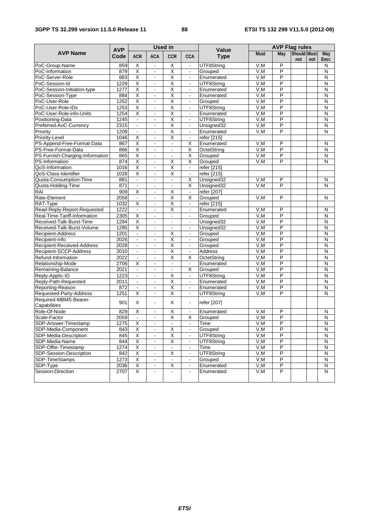#### **3GPP TS 32.299 version 11.5.0 Release 11 88 ETSI TS 132 299 V11.5.0 (2012-09)**

|                                       |                    | <b>Used in</b>                      |                          |                                                    |                                           | Value       | <b>AVP Flag rules</b> |                         |                    |     |                         |  |
|---------------------------------------|--------------------|-------------------------------------|--------------------------|----------------------------------------------------|-------------------------------------------|-------------|-----------------------|-------------------------|--------------------|-----|-------------------------|--|
| <b>AVP Name</b>                       | <b>AVP</b><br>Code | <b>ACR</b>                          | <b>ACA</b>               | <b>CCR</b>                                         | <b>CCA</b>                                | <b>Type</b> | <b>Must</b>           | May                     | Should Must<br>not | not | May<br>Encr.            |  |
| PoC-Group-Name                        | 859                | X                                   | $\overline{a}$           | Χ                                                  | $\blacksquare$                            | UTF8String  | V,M                   | P                       |                    |     | $\mathsf{N}$            |  |
| PoC-Information                       | 879                | $\overline{\mathsf{X}}$             |                          | $\overline{\mathsf{x}}$                            | $\blacksquare$                            | Grouped     | V, M                  | $\overline{P}$          |                    |     | N                       |  |
| PoC-Server-Role                       | 883                | $\overline{\mathsf{X}}$             | $\blacksquare$           | $\overline{\mathsf{x}}$                            | $\blacksquare$                            | Enumerated  | V, M                  | P                       |                    |     | Ñ                       |  |
| PoC-Session-Id                        | 1229               | $\overline{X}$                      | $\blacksquare$           | $\overline{\mathsf{x}}$                            | $\blacksquare$                            | UTF8String  | V,M                   | P                       |                    |     | $\mathsf{N}$            |  |
| PoC-Session-Initiation-type           | 1277               | $\overline{\mathsf{X}}$             | ä,                       | $\overline{\mathsf{x}}$                            | ÷.                                        | Enumerated  | V, M                  | P                       |                    |     | N                       |  |
| PoC-Session-Type                      | 884                | Χ                                   | ä,                       | Χ                                                  | $\blacksquare$                            | Enumerated  | V, M                  | P                       |                    |     | N                       |  |
| PoC-User-Role                         | 1252               | Χ                                   |                          | Χ                                                  | $\blacksquare$                            | Grouped     | V, M                  | $\overline{P}$          |                    |     | N                       |  |
| PoC-User-Role-IDs                     | 1253               | Χ                                   | $\blacksquare$           | Χ                                                  | $\omega$                                  | UTF8String  | V, M                  | $\overline{P}$          |                    |     | $\overline{N}$          |  |
| PoC-User-Role-info-Units              | 1254               | $\overline{\mathsf{x}}$             | ÷,                       | $\overline{\mathsf{x}}$                            | $\blacksquare$                            | Enumerated  | V, M                  | P                       |                    |     | N                       |  |
| Positioning-Data                      | 1245               | $\mathbf{r}$                        | $\overline{a}$           | $\overline{\mathsf{x}}$                            | $\blacksquare$                            | UTF8String  | V, M                  | $\overline{\mathsf{P}}$ |                    |     | Ñ                       |  |
| Preferred-AoC-Currency                | 2315               | $\blacksquare$                      | $\blacksquare$           | Χ                                                  | $\blacksquare$                            | Unsigned32  | V, M                  | P                       |                    |     | $\overline{N}$          |  |
| Priority                              | 1209               | $\blacksquare$                      | $\blacksquare$           | $\overline{\mathsf{x}}$                            | $\blacksquare$                            | Enumerated  | V,M                   | P                       |                    |     | N                       |  |
| Priority-Level                        | 1046               | $\overline{X}$                      | L.                       | $\overline{\mathsf{x}}$                            | $\mathbb{Z}^{\mathbb{Z}}$                 | refer [215] |                       |                         |                    |     |                         |  |
| PS-Append-Free-Format-Data            | 867                | $\overline{X}$                      | ä,                       | $\blacksquare$                                     | X                                         | Enumerated  | V,M                   | P                       |                    |     | N                       |  |
| PS-Free-Format-Data                   | 866                | $\overline{\mathsf{X}}$             | $\ddot{\phantom{0}}$     | $\blacksquare$                                     | χ                                         | OctetString | V, M                  | $\overline{P}$          |                    |     | $\overline{N}$          |  |
| PS-Furnish-Charging-Information       | 865                | $\overline{X}$                      | $\blacksquare$           | $\blacksquare$                                     | $\overline{\mathsf{x}}$                   | Grouped     | V, M                  | P                       |                    |     | $\overline{N}$          |  |
| PS-Information                        | 874                | Χ                                   | $\blacksquare$           | $\overline{\mathsf{x}}$                            | $\overline{\mathsf{x}}$                   | Grouped     | V,M                   | P                       |                    |     | N                       |  |
| QoS-Information                       | 1016               | Χ                                   | L.                       | $\overline{\mathsf{x}}$                            | $\Box$                                    | refer [215] |                       |                         |                    |     |                         |  |
| QoS-Class-Identifier                  | 1028               | Χ                                   | $\overline{a}$           | Χ                                                  | $\blacksquare$                            | refer [215] |                       |                         |                    |     |                         |  |
| Quota-Consumption-Time                | 881                | $\Box$                              | ä,                       | $\blacksquare$                                     | $\overline{\mathsf{x}}$                   | Unsigned32  | V,M                   | P                       |                    |     | N                       |  |
| Quota-Holding-Time                    | 871                | $\omega$                            | ä,                       | $\blacksquare$                                     | $\overline{\mathsf{x}}$                   | Unsigned32  | V, M                  | P                       |                    |     | N                       |  |
|                                       |                    |                                     |                          |                                                    |                                           |             |                       |                         |                    |     |                         |  |
| RAI<br>Rate-Element                   | 909<br>2058        | $\overline{X}$<br>$\omega$          | $\blacksquare$<br>ä,     | $\overline{\mathsf{x}}$<br>$\overline{\mathsf{x}}$ | $\blacksquare$<br>$\overline{\mathsf{x}}$ | refer [207] | V, M                  | P                       |                    |     | N                       |  |
|                                       |                    |                                     |                          | Χ                                                  |                                           | Grouped     |                       |                         |                    |     |                         |  |
| RAT-Type                              | 1032<br>1222       | $\overline{\mathsf{x}}$<br>$\omega$ | $\blacksquare$           | Χ                                                  | $\blacksquare$                            | refer [215] |                       | P                       |                    |     |                         |  |
| Read-Reply-Report-Requested           |                    |                                     | ä,                       |                                                    | $\blacksquare$                            | Enumerated  | V,M                   | $\overline{P}$          |                    |     | N                       |  |
| Real-Time-Tariff-Information          | 2305               | Χ                                   | $\blacksquare$           | $\blacksquare$                                     | $\blacksquare$                            | Grouped     | V, M                  |                         |                    |     | N                       |  |
| Received-Talk-Burst-Time              | 1284               | Χ<br>$\overline{\mathsf{x}}$        | $\blacksquare$           | $\blacksquare$                                     | $\blacksquare$                            | Unsigned32  | V, M                  | P                       |                    |     | $\overline{N}$          |  |
| Received-Talk-Burst-Volume            | 1285               |                                     |                          | $\blacksquare$                                     | ÷,                                        | Unsigned32  | V, M                  | $\overline{P}$          |                    |     | N                       |  |
| Recipient Address                     | 1201               | $\omega$                            | $\blacksquare$           | $\overline{\mathsf{x}}$                            | $\blacksquare$                            | Grouped     | V, M                  | P<br>$\overline{P}$     |                    |     | N                       |  |
| Recipient-Info                        | 2026<br>2028       | $\blacksquare$<br>$\omega$          | ÷,                       | $\overline{\mathsf{x}}$<br>$\overline{\mathsf{x}}$ | Ξ.<br>$\blacksquare$                      | Grouped     | V,M<br>V.M            | P                       |                    |     | $\mathsf{N}$<br>N       |  |
| Recipient-Received-Address            | 2010               |                                     | $\blacksquare$           |                                                    |                                           | Grouped     |                       | P                       |                    |     |                         |  |
| Recipient-SCCP-Address                |                    | $\blacksquare$                      | $\blacksquare$           | Χ                                                  | ÷,                                        | Address     | V, M                  |                         |                    |     | N                       |  |
| Refund-Information                    | 2022               | $\blacksquare$                      | ÷,                       | Χ                                                  | $\overline{\mathsf{x}}$                   | OctetString | V, M                  | $\overline{\mathsf{P}}$ |                    |     | Ñ                       |  |
| Relationship-Mode                     | 2706               | Χ                                   | $\blacksquare$           | $\Box$                                             | $\blacksquare$                            | Enumerated  | V, M                  | $\overline{P}$          |                    |     | Ñ                       |  |
| Remaining-Balance                     | 2021               | $\blacksquare$                      | $\overline{\phantom{a}}$ | $\blacksquare$                                     | X                                         | Grouped     | V,M                   | P                       |                    |     | N                       |  |
| Reply-Applic-ID                       | 1223               | $\blacksquare$                      | ÷,                       | $\overline{\mathsf{x}}$                            | $\blacksquare$                            | UTF8String  | V, M                  | $\overline{P}$          |                    |     | $\overline{N}$          |  |
| Reply-Path-Requested                  | 2011               | $\blacksquare$                      | $\overline{\phantom{a}}$ | $\overline{\mathsf{x}}$                            | $\blacksquare$                            | Enumerated  | V, M                  | P                       |                    |     | N                       |  |
| Reporting-Reason                      | 872                | $\blacksquare$                      | $\overline{\phantom{a}}$ | $\overline{\mathsf{x}}$                            | $\blacksquare$                            | Enumerated  | V,M                   | $\overline{P}$          |                    |     | Ñ                       |  |
| Requested-Party-Address               | 1251               | Χ                                   | $\blacksquare$           | $\overline{\mathsf{x}}$                            | $\blacksquare$                            | UTF8String  | V, M                  | P                       |                    |     | $\overline{\mathsf{N}}$ |  |
| Required-MBMS-Bearer-<br>Capabilities | 901                | X                                   | ä,                       | X                                                  | $\blacksquare$                            | refer [207] |                       |                         |                    |     |                         |  |
| Role-Of-Node                          | 829                | $\overline{X}$                      | $\blacksquare$           | X                                                  | $\blacksquare$                            | Enumerated  | V, M                  | P                       |                    |     | N                       |  |
| Scale-Factor                          | 2059               | $\blacksquare$                      |                          | Χ                                                  | $\overline{\mathsf{x}}$                   | Grouped     | V, M                  | $\overline{P}$          |                    |     | $\overline{N}$          |  |
| SDP-Answer-Timestamp                  | 1275               | Χ                                   | $\blacksquare$           | $\blacksquare$                                     | $\blacksquare$                            | Time        | V,M                   | P                       |                    |     | N                       |  |
| SDP-Media-Component                   | 843                | $\overline{X}$                      | $\blacksquare$           | $\overline{\mathsf{x}}$                            | $\blacksquare$                            | Grouped     | V,M                   | $\overline{P}$          |                    |     | N                       |  |
| SDP-Media-Description                 | 845                | Χ                                   |                          | $\overline{\mathsf{x}}$                            |                                           | UTF8String  | V, M                  | $\overline{P}$          |                    |     | N                       |  |
| SDP-Media-Name                        | 844                | $\overline{\mathsf{X}}$             | $\blacksquare$           | $\overline{\mathsf{x}}$                            | $\blacksquare$                            | UTF8String  | V, M                  | P                       |                    |     | $\mathsf{N}$            |  |
| SDP-Offer-Timestamp                   | 1274               | $\overline{X}$                      | $\overline{\phantom{a}}$ | $\blacksquare$                                     | $\blacksquare$                            | Time        | V, M                  | P                       |                    |     | N                       |  |
| SDP-Session-Description               | 842                | $\overline{X}$                      | $\blacksquare$           | $\overline{\mathsf{x}}$                            | $\blacksquare$                            | UTF8String  | V, M                  | P                       |                    |     | N                       |  |
| SDP-TimeStamps                        | 1273               | $\overline{X}$                      | $\blacksquare$           | $\blacksquare$                                     | $\blacksquare$                            | Grouped     | V,M                   | P                       |                    |     | N                       |  |
| SDP-Type                              | 2036               | $\overline{\mathsf{X}}$             | $\blacksquare$           | $\overline{\mathsf{x}}$                            | $\blacksquare$                            | Enumerated  | V, M                  | P                       |                    |     | $\mathsf{N}$            |  |
| Session-Direction                     | 2707               | $\overline{\mathsf{x}}$             | $\blacksquare$           | $\Box$                                             | $\blacksquare$                            | Enumerated  | V, M                  | $\overline{P}$          |                    |     | N                       |  |
|                                       |                    |                                     |                          |                                                    |                                           |             |                       |                         |                    |     |                         |  |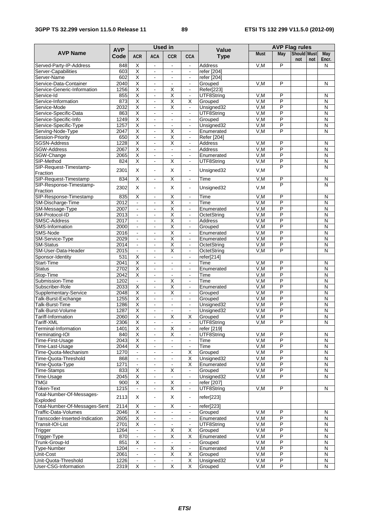#### **3GPP TS 32.299 version 11.5.0 Release 11 89 ETSI TS 132 299 V11.5.0 (2012-09)**

|                                           |                    | <b>Used in</b>                                     |                                  |                                                    |                                  |                                 | <b>AVP Flag rules</b> |                |                    |     |                |
|-------------------------------------------|--------------------|----------------------------------------------------|----------------------------------|----------------------------------------------------|----------------------------------|---------------------------------|-----------------------|----------------|--------------------|-----|----------------|
| <b>AVP Name</b>                           | <b>AVP</b><br>Code | <b>ACR</b>                                         | <b>ACA</b>                       | <b>CCR</b>                                         | <b>CCA</b>                       | Value<br><b>Type</b>            | <b>Must</b>           | May            | <b>Should Must</b> |     | May            |
|                                           |                    |                                                    |                                  |                                                    |                                  |                                 |                       |                | not                | not | Encr.          |
| Served-Party-IP-Address                   | 848                | Χ                                                  | ä,                               | ä,                                                 | $\blacksquare$                   | Address                         | V,M                   | P              |                    |     | N              |
| Server-Capabilities                       | 603                | $\overline{\mathsf{x}}$                            |                                  |                                                    | $\blacksquare$                   | refer [204]                     |                       |                |                    |     |                |
| Server-Name                               | 602                | $\overline{\mathsf{X}}$                            | $\blacksquare$                   | $\blacksquare$                                     | $\omega$                         | refer [204]                     |                       |                |                    |     |                |
| Service-Data-Container                    | 2040               | $\overline{\mathsf{x}}$<br>$\overline{\mathsf{x}}$ | $\blacksquare$<br>L.             | $\blacksquare$<br>$\overline{\mathsf{x}}$          | $\blacksquare$                   | Grouped                         | V, M                  | P              |                    |     | N              |
| Service-Generic-Information<br>Service-Id | 1256<br>855        | $\overline{\mathsf{x}}$                            | ÷                                | $\overline{\mathsf{x}}$                            | $\blacksquare$<br>$\blacksquare$ | <b>Refer[223]</b><br>UTF8String | V, M                  | P              |                    |     | N              |
| Service-Information                       | 873                | $\overline{\mathsf{x}}$                            | $\blacksquare$                   | Χ                                                  | X                                | Grouped                         | V, M                  | P              |                    |     | N              |
| Service-Mode                              | 2032               | $\overline{\mathsf{x}}$                            | ä,                               | Χ                                                  | $\blacksquare$                   | Unsigned32                      | V, M                  | P              |                    |     | $\overline{N}$ |
| Service-Specific-Data                     | 863                | $\overline{X}$                                     | $\blacksquare$                   | $\blacksquare$                                     | $\blacksquare$                   | UTF8String                      | V,M                   | P              |                    |     | N              |
| Service-Specific-Info                     | 1249               | $\overline{\mathsf{x}}$                            | ÷                                | $\blacksquare$                                     | $\blacksquare$                   | Grouped                         | V, M                  | P              |                    |     | N              |
| Service-Specific-Type                     | 1257               | $\overline{\mathsf{X}}$                            | $\qquad \qquad \blacksquare$     | $\blacksquare$                                     | $\blacksquare$                   | Unsigned32                      | V, M                  | P              |                    |     | N              |
| Serving-Node-Type                         | 2047               | $\overline{\mathsf{x}}$                            | $\blacksquare$                   | Χ                                                  | $\omega$                         | Enumerated                      | V,M                   | P              |                    |     | N              |
| <b>Session-Priority</b>                   | 650                | $\overline{\mathsf{x}}$                            | $\blacksquare$                   | Χ                                                  | $\blacksquare$                   | <b>Refer</b> [204]              |                       |                |                    |     |                |
| SGSN-Address                              | 1228               | $\overline{\mathsf{X}}$                            | $\blacksquare$                   | $\overline{\mathsf{x}}$                            | $\blacksquare$                   | Address                         | V,M                   | P              |                    |     | N              |
| SGW-Address                               | 2067               | $\overline{\mathsf{x}}$                            | ÷                                | $\blacksquare$                                     | $\blacksquare$                   | <b>Address</b>                  | V, M                  | P              |                    |     | N              |
| SGW-Change                                | 2065               | $\overline{\mathsf{x}}$                            | $\blacksquare$                   | $\blacksquare$                                     | $\blacksquare$                   | Enumerated                      | V, M                  | P              |                    |     | N              |
| SIP-Method                                | 824                | Χ                                                  | ä,                               | $\overline{\mathsf{x}}$                            | $\omega$                         | UTF8String                      | V.M                   | P              |                    |     | N              |
| SIP-Request-Timestamp-                    | 2301               | X                                                  | ä,                               | X                                                  | $\blacksquare$                   | Unsigned32                      | V, M                  | P              |                    |     | N              |
| Fraction                                  |                    |                                                    |                                  |                                                    |                                  |                                 |                       |                |                    |     |                |
| SIP-Request-Timestamp                     | 834                | Χ                                                  | ÷,                               | Χ                                                  | $\blacksquare$                   | Time                            | V, M                  | P              |                    |     | N              |
| SIP-Response-Timestamp-                   | 2302               | X                                                  | ä,                               | X                                                  | $\blacksquare$                   | Unsigned32                      | V, M                  | P              |                    |     | N              |
| Fraction                                  |                    |                                                    |                                  |                                                    |                                  |                                 |                       |                |                    |     |                |
| SIP-Response-Timestamp                    | 835                | Χ                                                  | $\blacksquare$                   | Χ                                                  | $\omega$                         | Time                            | V, M                  | $\overline{P}$ |                    |     | N              |
| SM-Discharge-Time                         | 2012               | $\blacksquare$                                     | $\blacksquare$                   | $\overline{\mathsf{x}}$<br>$\overline{\mathsf{x}}$ | $\blacksquare$                   | Time                            | V, M                  | P<br>P         |                    |     | Ñ              |
| SM-Message-Type<br>SM-Protocol-ID         | 2007<br>2013       | $\Box$                                             | ÷,                               | $\overline{\mathsf{x}}$                            | $\blacksquare$                   | Enumerated                      | V, M<br>V, M          | P              |                    |     | Ñ<br>N         |
| SMSC-Address                              | 2017               | $\blacksquare$<br>$\sim$                           | $\blacksquare$<br>$\blacksquare$ | $\overline{\mathsf{x}}$                            | $\blacksquare$<br>$\omega$       | OctetString<br>Address          | V,M                   | P              |                    |     | N              |
| SMS-Information                           | 2000               | $\blacksquare$                                     | $\blacksquare$                   | Χ                                                  | $\blacksquare$                   | Grouped                         | V,M                   | P              |                    |     | N              |
| SMS-Node                                  | 2016               | $\blacksquare$                                     | $\blacksquare$                   | Χ                                                  | $\blacksquare$                   | Enumerated                      | V, M                  | P              |                    |     | $\overline{N}$ |
| SM-Service-Type                           | 2029               | $\blacksquare$                                     | $\overline{\phantom{a}}$         | Χ                                                  | $\blacksquare$                   | Enumerated                      | V, M                  | P              |                    |     | Ñ              |
| <b>SM-Status</b>                          | 2014               | $\blacksquare$                                     | ä,                               | Χ                                                  | $\blacksquare$                   | OctetString                     | V, M                  | P              |                    |     | Ñ              |
| SM-User-Data-Header                       | 2015               | $\blacksquare$                                     | $\overline{\phantom{a}}$         | Χ                                                  | $\blacksquare$                   | OctetString                     | V,M                   | P              |                    |     | N              |
| Sponsor-Identity                          | 531                | $\overline{\mathsf{x}}$                            | ÷,                               | $\blacksquare$                                     | $\blacksquare$                   | refer[214]                      |                       |                |                    |     |                |
| Start-Time                                | 2041               | Χ                                                  | $\blacksquare$                   | $\blacksquare$                                     | $\blacksquare$                   | Time                            | V,M                   | P              |                    |     | N              |
| <b>Status</b>                             | 2702               | $\overline{\mathsf{x}}$                            | $\overline{\phantom{a}}$         | $\overline{a}$                                     | $\blacksquare$                   | Enumerated                      | V, M                  | P              |                    |     | N              |
| Stop-Time                                 | 2042               | $\overline{\mathsf{x}}$                            | $\blacksquare$                   | $\blacksquare$                                     | $\blacksquare$                   | Time                            | V, M                  | P              |                    |     | N              |
| Submission-Time                           | 1202               | $\blacksquare$                                     | $\blacksquare$                   | $\overline{\mathsf{x}}$                            | $\blacksquare$                   | Time                            | V,M                   | P              |                    |     | Ñ              |
| Subscriber-Role                           | 2033               | Χ                                                  | ÷                                | Χ                                                  | $\overline{\phantom{a}}$         | Enumerated                      | V, M                  | P              |                    |     | Ñ              |
| Supplementary-Service                     | 2048               | $\overline{\mathsf{X}}$                            | $\blacksquare$                   | Χ                                                  | $\blacksquare$                   | Grouped                         | V,M                   | P              |                    |     | Ñ              |
| Talk-Burst-Exchange                       | 1255               | $\overline{\mathsf{x}}$                            | $\blacksquare$                   | $\blacksquare$                                     | $\blacksquare$                   | Grouped                         | V,M                   | P              |                    |     | N              |
| Talk-Burst-Time                           | 1286               | $\overline{\mathsf{x}}$                            | L.                               | ä,                                                 | $\blacksquare$                   | Unsigned32                      | V, M                  | P              |                    |     | N              |
| Talk-Burst-Volume                         | 1287               | $\overline{\mathsf{x}}$                            | $\blacksquare$                   | $\blacksquare$                                     | $\omega$                         | Unsigned32                      | V, M                  | P              |                    |     | N              |
| Tariff-Information                        | 2060               | $\overline{\mathsf{X}}$                            |                                  | $\overline{\mathsf{x}}$                            | $\overline{\mathsf{X}}$          | Grouped                         | V, M                  | P              |                    |     | $\overline{N}$ |
| Tariff-XML                                | 2306               | X                                                  | $\blacksquare$                   | $\blacksquare$                                     | $\blacksquare$                   | UTF8String                      | V, M                  | P              |                    |     | N              |
| Terminal-Information                      | 1401               | $\overline{\mathsf{x}}$                            | $\blacksquare$                   | $\overline{\mathsf{x}}$                            | $\omega$                         | refer [219]                     |                       |                |                    |     |                |
| Terminating-IOI                           | 840                | $\overline{X}$                                     | $\blacksquare$                   | $\overline{\mathsf{X}}$                            | $\omega$                         | UTF8String                      | V, M                  | P<br>P         |                    |     | N              |
| Time-First-Usage<br>Time-Last-Usage       | 2043<br>2044       | X<br>Χ                                             | $\blacksquare$                   | $\blacksquare$                                     | $\blacksquare$<br>$\blacksquare$ | Time<br>Time                    | V, M<br>V,M           | $\overline{P}$ |                    |     | N<br>N         |
| Time-Quota-Mechanism                      | 1270               | $\blacksquare$                                     | $\frac{1}{2}$                    | $\blacksquare$                                     | $\overline{\mathsf{x}}$          | Grouped                         | V, M                  | $\overline{P}$ |                    |     | $\mathsf{N}$   |
| Time-Quota-Threshold                      | 868                | $\blacksquare$                                     | $\overline{\phantom{a}}$         | $\blacksquare$                                     | X                                | Unsigned32                      | V,M                   | $\overline{P}$ |                    |     | ${\sf N}$      |
| Time-Quota-Type                           | 1271               | $\blacksquare$                                     | $\blacksquare$                   | $\blacksquare$                                     | X                                | Enumerated                      | V,M                   | $\overline{P}$ |                    |     | N              |
| Time-Stamps                               | 833                | $\overline{\mathsf{X}}$                            | Ξ.                               | Χ                                                  | $\blacksquare$                   | Grouped                         | V, M                  | P              |                    |     | $\mathsf{N}$   |
| Time-Usage                                | 2045               | $\overline{X}$                                     | ۰                                | $\overline{\phantom{0}}$                           | $\blacksquare$                   | Unsigned32                      | V,M                   | P              |                    |     | N              |
| <b>TMGI</b>                               | 900                | $\overline{\mathsf{x}}$                            | ä,                               | χ                                                  | $\blacksquare$                   | refer [207]                     |                       |                |                    |     |                |
| <b>Token-Text</b>                         | 1215               |                                                    | $\blacksquare$                   | $\overline{\mathsf{X}}$                            | $\blacksquare$                   | UTF8String                      | V,M                   | P              |                    |     | N              |
| Total-Number-Of-Messages-                 |                    |                                                    |                                  |                                                    |                                  |                                 |                       |                |                    |     |                |
| Exploded                                  | 2113               | X                                                  | ÷,                               | X                                                  | $\blacksquare$                   | refer[223]                      |                       |                |                    |     |                |
| Total-Number-Of-Messages-Sent             | 2114               | Χ                                                  | ۰                                | X                                                  | $\blacksquare$                   | refer[223]                      |                       |                |                    |     |                |
| Traffic-Data-Volumes                      | 2046               | $\overline{X}$                                     | $\blacksquare$                   | $\blacksquare$                                     | $\sim$                           | Grouped                         | V,M                   | P              |                    |     | N              |
| Transcoder-Inserted-Indication            | 2605               | X                                                  | $\blacksquare$                   | $\overline{\phantom{a}}$                           | $\blacksquare$                   | Enumerated                      | V, M                  | P              |                    |     | N              |
| Transit-IOI-List                          | 2701               | $\overline{\mathsf{x}}$                            | ÷,                               | $\blacksquare$                                     | $\Box$                           | UTF8String                      | V, M                  | P              |                    |     | N              |
| Trigger                                   | 1264               | $\Box$                                             | $\blacksquare$                   | $\overline{X}$                                     | X                                | Grouped                         | V,M                   | P              |                    |     | N              |
| Trigger-Type                              | 870                | $\blacksquare$                                     | $\blacksquare$                   | X                                                  | X                                | Enumerated                      | V, M                  | P              |                    |     | N              |
| Trunk-Group-Id                            | 851                | $\overline{X}$                                     | $\blacksquare$                   | $\Box$                                             | $\omega$                         | Grouped                         | V,M                   | P              |                    |     | N              |
| Type-Number                               | 1204               | $\blacksquare$                                     | $\blacksquare$                   | $\overline{X}$                                     | $\blacksquare$                   | Enumerated                      | V,M                   | P              |                    |     | $\mathsf{N}$   |
| Unit-Cost                                 | 2061               |                                                    |                                  | $\overline{\mathsf{x}}$                            | X                                | Grouped                         | V, M                  | $\overline{P}$ |                    |     | N              |
| Unit-Quota-Threshold                      | 1226               | $\blacksquare$                                     | $\blacksquare$                   | $\blacksquare$                                     | $\overline{X}$                   | Unsigned32                      | V, M                  | P              |                    |     | N              |
| User-CSG-Information                      | 2319               | X                                                  | $\blacksquare$                   | X                                                  | X                                | Grouped                         | V,M                   | P              |                    |     | N              |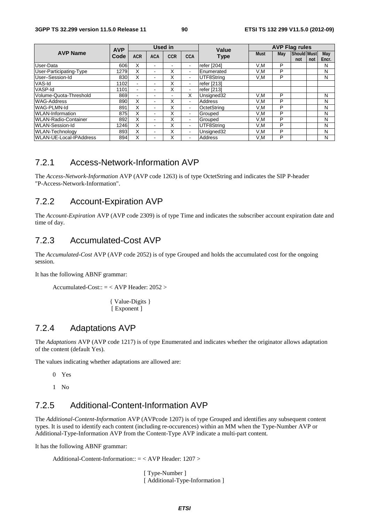|                                | <b>AVP</b> | Used in        |            |                |                          | Value          | <b>AVP Flag rules</b> |     |                    |     |              |
|--------------------------------|------------|----------------|------------|----------------|--------------------------|----------------|-----------------------|-----|--------------------|-----|--------------|
| <b>AVP Name</b>                | Code       | <b>ACR</b>     | <b>ACA</b> | <b>CCR</b>     | <b>CCA</b>               | Type           | <b>Must</b>           | May | Should Must<br>not | not | May<br>Encr. |
| User-Data                      | 606        | X              |            | $\blacksquare$ | ۰                        | refer [204]    | V.M                   | P   |                    |     | N            |
| User-Participating-Type        | 1279       | X              | -          | X              | ۰                        | Enumerated     | V.M                   | P   |                    |     | N            |
| User–Session-Id                | 830        | X              | -          | x              | ۰.                       | UTF8String     | V,M                   | P   |                    |     | N            |
| VAS-Id                         | 1102       | $\sim$         |            | X              | ۰                        | refer [213]    |                       |     |                    |     |              |
| VASP-Id                        | 1101       | $\blacksquare$ | -          | X              |                          | refer [213]    |                       |     |                    |     |              |
| Volume-Quota-Threshold         | 869        | ۰              |            | $\blacksquare$ | X                        | Unsigned32     | V.M                   | P   |                    |     | N            |
| <b>WAG-Address</b>             | 890        | X              | -          | X              | ۰.                       | <b>Address</b> | V.M                   | P   |                    |     | N            |
| WAG-PLMN-Id                    | 891        | X              | -          | X              | ۰                        | OctetString    | V.M                   | P   |                    |     | N            |
| <b>WLAN-Information</b>        | 875        | X              | -          | X              | ۰                        | Grouped        | V.M                   | P   |                    |     | N            |
| <b>WLAN-Radio-Container</b>    | 892        | X              | -          | X              | $\overline{\phantom{0}}$ | Grouped        | V.M                   | P   |                    |     | N            |
| <b>WLAN-Session-Id</b>         | 1246       | X              | -          | X              | ۰.                       | UTF8String     | V.M                   | P   |                    |     | N            |
| WLAN-Technology                | 893        | X              | -          | X              |                          | Unsigned32     | V.M                   | P   |                    |     | N            |
| <b>WLAN-UE-Local-IPAddress</b> | 894        | x              | -          | x              |                          | <b>Address</b> | V.M                   | P   |                    |     | N            |

### 7.2.1 Access-Network-Information AVP

The *Access-Network-Information* AVP (AVP code 1263) is of type OctetString and indicates the SIP P-header "P-Access-Network-Information".

# 7.2.2 Account-Expiration AVP

The *Account-Expiration* AVP (AVP code 2309) is of type Time and indicates the subscriber account expiration date and time of day.

### 7.2.3 Accumulated-Cost AVP

The *Accumulated-Cost* AVP (AVP code 2052) is of type Grouped and holds the accumulated cost for the ongoing session.

It has the following ABNF grammar:

```
Accumulated-Cost:: = < AVP Header: 2052 >
```
{ Value-Digits } [ Exponent ]

### 7.2.4 Adaptations AVP

The *Adaptations* AVP (AVP code 1217) is of type Enumerated and indicates whether the originator allows adaptation of the content (default Yes).

The values indicating whether adaptations are allowed are:

0 Yes

1 No

# 7.2.5 Additional-Content-Information AVP

The *Additional-Content-Information* AVP (AVPcode 1207) is of type Grouped and identifies any subsequent content types. It is used to identify each content (including re-occurences) within an MM when the Type-Number AVP or Additional-Type-Information AVP from the Content-Type AVP indicate a multi-part content.

It has the following ABNF grammar:

Additional-Content-Information:: = < AVP Header: 1207 >

[ Type-Number ] [ Additional-Type-Information ]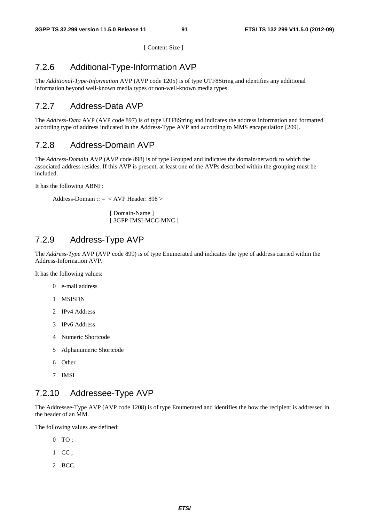[ Content-Size ]

# 7.2.6 Additional-Type-Information AVP

The *Additional-Type-Information* AVP (AVP code 1205) is of type UTF8String and identifies any additional information beyond well-known media types or non-well-known media types.

# 7.2.7 Address-Data AVP

The *Address-Data* AVP (AVP code 897) is of type UTF8String and indicates the address information and formatted according type of address indicated in the Address-Type AVP and according to MMS encapsulation [209].

# 7.2.8 Address-Domain AVP

The *Address-Domain* AVP (AVP code 898) is of type Grouped and indicates the domain/network to which the associated address resides. If this AVP is present, at least one of the AVPs described within the grouping must be included.

It has the following ABNF:

Address-Domain ::  $=$  < AVP Header: 898 >

[ Domain-Name ] [ 3GPP-IMSI-MCC-MNC ]

# 7.2.9 Address-Type AVP

The *Address-Type* AVP (AVP code 899) is of type Enumerated and indicates the type of address carried within the Address-Information AVP.

It has the following values:

- 0 e-mail address
- 1 MSISDN
- 2 IPv4 Address
- 3 IPv6 Address
- 4 Numeric Shortcode
- 5 Alphanumeric Shortcode
- 6 Other
- 7 IMSI

# 7.2.10 Addressee-Type AVP

The Addressee-Type AVP (AVP code 1208) is of type Enumerated and identifies the how the recipient is addressed in the header of an MM.

The following values are defined:

- 0 TO ;
- 1 CC ;
- 2 BCC.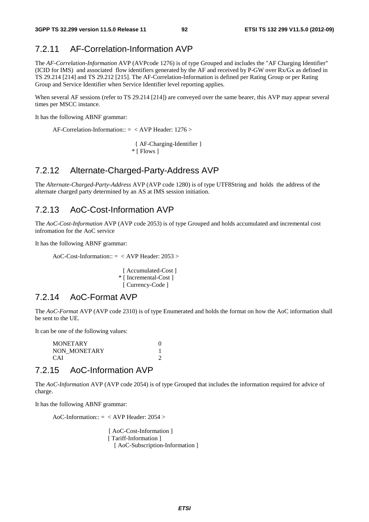# 7.2.11 AF-Correlation-Information AVP

The *AF-Correlation-Information* AVP (AVPcode 1276) is of type Grouped and includes the "AF Charging Identifier" (ICID for IMS) and associated flow identifiers generated by the AF and received by P-GW over Rx/Gx as defined in TS 29.214 [214] and TS 29.212 [215]. The AF-Correlation-Information is defined per Rating Group or per Rating Group and Service Identifier when Service Identifier level reporting applies.

When several AF sessions (refer to TS 29.214 [214]) are conveyed over the same bearer, this AVP may appear several times per MSCC instance.

It has the following ABNF grammar:

AF-Correlation-Information::  $=$  < AVP Header: 1276 >

 { AF-Charging-Identifier }  $*$  [ Flows ]

## 7.2.12 Alternate-Charged-Party-Address AVP

The *Alternate-Charged-Party-Address* AVP (AVP code 1280) is of type UTF8String and holds the address of the alternate charged party determined by an AS at IMS session initiation.

# 7.2.13 AoC-Cost-Information AVP

The *AoC-Cost-Information* AVP (AVP code 2053) is of type Grouped and holds accumulated and incremental cost infromation for the AoC service

It has the following ABNF grammar:

AoC-Cost-Information:: = < AVP Header: 2053 >

[ Accumulated-Cost ] \* [ Incremental-Cost ] [ Currency-Code ]

# 7.2.14 AoC-Format AVP

The *AoC-Format* AVP (AVP code 2310) is of type Enumerated and holds the format on how the AoC information shall be sent to the UE.

It can be one of the following values:

| <b>MONETARY</b> |  |
|-----------------|--|
| NON MONETARY    |  |
| CAI             |  |

# 7.2.15 AoC-Information AVP

The *AoC-Information* AVP (AVP code 2054) is of type Grouped that includes the information required for advice of charge.

It has the following ABNF grammar:

AoC-Information::  $=$  < AVP Header: 2054 >

[ AoC-Cost-Information ] [ Tariff-Information ] [ AoC-Subscription-Information ]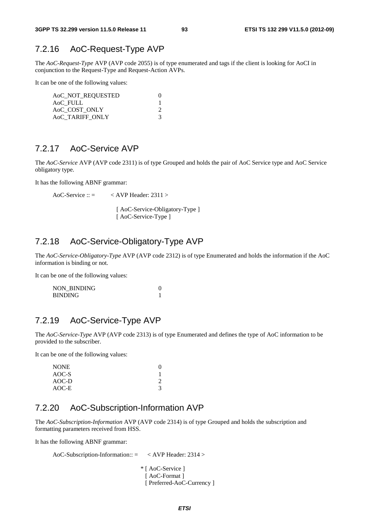# 7.2.16 AoC-Request-Type AVP

The *AoC-Request-Type* AVP (AVP code 2055) is of type enumerated and tags if the client is looking for AoCI in conjunction to the Request-Type and Request-Action AVPs.

It can be one of the following values:

# 7.2.17 AoC-Service AVP

The *AoC-Service* AVP (AVP code 2311) is of type Grouped and holds the pair of AoC Service type and AoC Service obligatory type.

It has the following ABNF grammar:

AoC-Service  $\therefore$  = < AVP Header: 2311 > [ AoC-Service-Obligatory-Type ] [ AoC-Service-Type ]

# 7.2.18 AoC-Service-Obligatory-Type AVP

The *AoC-Service-Obligatory-Type* AVP (AVP code 2312) is of type Enumerated and holds the information if the AoC information is binding or not.

It can be one of the following values:

 NON\_BINDING 0 BINDING 1

# 7.2.19 AoC-Service-Type AVP

The *AoC-Service-Type* AVP (AVP code 2313) is of type Enumerated and defines the type of AoC information to be provided to the subscriber.

It can be one of the following values:

| <b>NONE</b> |  |
|-------------|--|
| AOC-S       |  |
| AOC-D       |  |
| AOC-E       |  |

# 7.2.20 AoC-Subscription-Information AVP

The *AoC-Subscription-Information* AVP (AVP code 2314) is of type Grouped and holds the subscription and formatting parameters received from HSS.

It has the following ABNF grammar:

AoC-Subscription-Information:: = < AVP Header: 2314 > \* [ AoC-Service ] [ AoC-Format ]

[ Preferred-AoC-Currency ]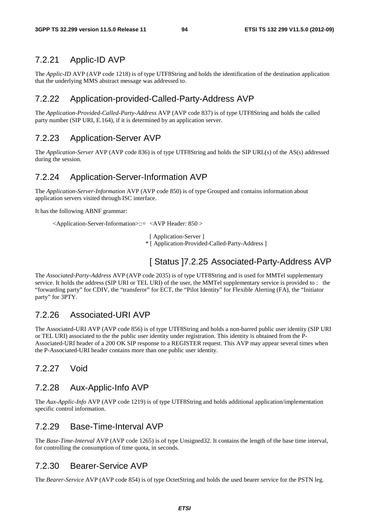# 7.2.21 Applic-ID AVP

The *Applic-ID* AVP (AVP code 1218) is of type UTF8String and holds the identification of the destination application that the underlying MMS abstract message was addressed to.

# 7.2.22 Application-provided-Called-Party-Address AVP

The *Application-Provided-Called-Party-Address* AVP (AVP code 837) is of type UTF8String and holds the called party number (SIP URI, E.164), if it is determined by an application server.

# 7.2.23 Application-Server AVP

The *Application-Server* AVP (AVP code 836) is of type UTF8String and holds the SIP URL(s) of the AS(s) addressed during the session.

# 7.2.24 Application-Server-Information AVP

The *Application-Server-Information* AVP (AVP code 850) is of type Grouped and contains information about application servers visited through ISC interface.

It has the following ABNF grammar:

<Application-Server-Information>::= <AVP Header: 850 >

[ Application-Server ]

\* [ Application-Provided-Called-Party-Address ]

# [ Status ]7.2.25 Associated-Party-Address AVP

The *Associated-Party-Address* AVP (AVP code 2035) is of type UTF8String and is used for MMTel supplementary service. It holds the address (SIP URI or TEL URI) of the user, the MMTel supplementary service is provided to : the "forwarding party" for CDIV, the "transferor" for ECT, the "Pilot Identity" for Flexible Alerting (FA), the "Initiator party" for 3PTY.

# 7.2.26 Associated-URI AVP

The Associated-URI AVP (AVP code 856) is of type UTF8String and holds a non-barred public user identity (SIP URI or TEL URI) associated to the the public user identity under registration. This identity is obtained from the P-Associated-URI header of a 200 OK SIP response to a REGISTER request. This AVP may appear several times when the P-Associated-URI header contains more than one public user identity.

### 7.2.27 Void

### 7.2.28 Aux-Applic-Info AVP

The *Aux-Applic-Info* AVP (AVP code 1219) is of type UTF8String and holds additional application/implementation specific control information.

# 7.2.29 Base-Time-Interval AVP

The *Base-Time-Interval* AVP (AVP code 1265) is of type Unsigned32. It contains the length of the base time interval, for controlling the consumption of time quota, in seconds.

# 7.2.30 Bearer-Service AVP

The *Bearer-Service* AVP (AVP code 854) is of type OctetString and holds the used bearer service for the PSTN leg.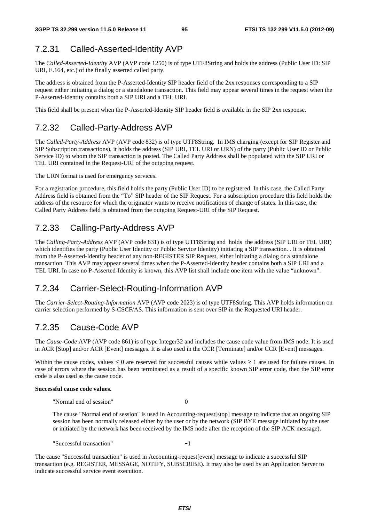# 7.2.31 Called-Asserted-Identity AVP

The *Called-Asserted-Identity* AVP (AVP code 1250) is of type UTF8String and holds the address (Public User ID: SIP URI, E.164, etc.) of the finally asserted called party.

The address is obtained from the P-Asserted-Identity SIP header field of the 2xx responses corresponding to a SIP request either initiating a dialog or a standalone transaction. This field may appear several times in the request when the P-Asserted-Identity contains both a SIP URI and a TEL URI.

This field shall be present when the P-Asserted-Identity SIP header field is available in the SIP 2xx response.

# 7.2.32 Called-Party-Address AVP

The *Called-Party-Address* AVP (AVP code 832) is of type UTF8String. In IMS charging (except for SIP Register and SIP Subscription transactions), it holds the address (SIP URI, TEL URI or URN) of the party (Public User ID or Public Service ID) to whom the SIP transaction is posted. The Called Party Address shall be populated with the SIP URI or TEL URI contained in the Request-URI of the outgoing request.

The URN format is used for emergency services.

For a registration procedure, this field holds the party (Public User ID) to be registered. In this case, the Called Party Address field is obtained from the "To" SIP header of the SIP Request. For a subscription procedure this field holds the address of the resource for which the originator wants to receive notifications of change of states. In this case, the Called Party Address field is obtained from the outgoing Request-URI of the SIP Request.

# 7.2.33 Calling-Party-Address AVP

The *Calling-Party-Address* AVP (AVP code 831) is of type UTF8String and holds the address (SIP URI or TEL URI) which identifies the party (Public User Identity or Public Service Identity) initiating a SIP transaction. . It is obtained from the P-Asserted-Identity header of any non-REGISTER SIP Request, either initiating a dialog or a standalone transaction. This AVP may appear several times when the P-Asserted-Identity header contains both a SIP URI and a TEL URI. In case no P-Asserted-Identity is known, this AVP list shall include one item with the value "unknown".

# 7.2.34 Carrier-Select-Routing-Information AVP

The *Carrier-Select-Routing-Information* AVP (AVP code 2023) is of type UTF8String. This AVP holds information on carrier selection performed by S-CSCF/AS. This information is sent over SIP in the Requested URI header.

# 7.2.35 Cause-Code AVP

The *Cause-Code* AVP (AVP code 861) is of type Integer32 and includes the cause code value from IMS node. It is used in ACR [Stop] and/or ACR [Event] messages. It is also used in the CCR [Terminate] and/or CCR [Event] messages.

Within the cause codes, values  $\leq 0$  are reserved for successful causes while values  $\geq 1$  are used for failure causes. In case of errors where the session has been terminated as a result of a specific known SIP error code, then the SIP error code is also used as the cause code.

#### **Successful cause code values.**

"Normal end of session" 0

The cause "Normal end of session" is used in Accounting-request[stop] message to indicate that an ongoing SIP session has been normally released either by the user or by the network (SIP BYE message initiated by the user or initiated by the network has been received by the IMS node after the reception of the SIP ACK message).

"Successful transaction" -1

The cause "Successful transaction" is used in Accounting-request[event] message to indicate a successful SIP transaction (e.g. REGISTER, MESSAGE, NOTIFY, SUBSCRIBE). It may also be used by an Application Server to indicate successful service event execution.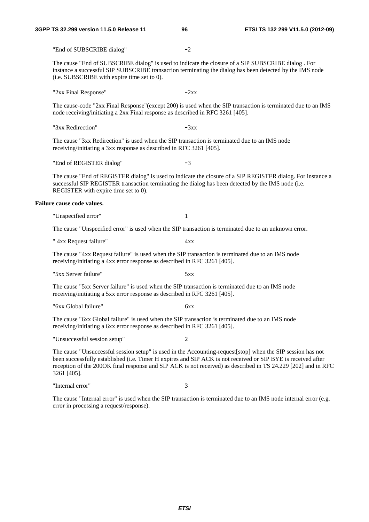"End of SUBSCRIBE dialog"  $-2$ The cause "End of SUBSCRIBE dialog" is used to indicate the closure of a SIP SUBSCRIBE dialog . For instance a successful SIP SUBSCRIBE transaction terminating the dialog has been detected by the IMS node (i.e. SUBSCRIBE with expire time set to 0). " $2xx$  Final Response"  $-2xx$ The cause-code "2xx Final Response"(except 200) is used when the SIP transaction is terminated due to an IMS node receiving/initiating a 2xx Final response as described in RFC 3261 [405]. " $3xx$  Redirection"  $-3xx$ The cause "3xx Redirection" is used when the SIP transaction is terminated due to an IMS node receiving/initiating a 3xx response as described in RFC 3261 [405]. "End of REGISTER dialog" -3 The cause "End of REGISTER dialog" is used to indicate the closure of a SIP REGISTER dialog. For instance a successful SIP REGISTER transaction terminating the dialog has been detected by the IMS node (i.e. REGISTER with expire time set to 0). **Failure cause code values.**  "Unspecified error" 1 The cause "Unspecified error" is used when the SIP transaction is terminated due to an unknown error. " 4xx Request failure" 4xx The cause "4xx Request failure" is used when the SIP transaction is terminated due to an IMS node receiving/initiating a 4xx error response as described in RFC 3261 [405]. "5xx Server failure" 5xx The cause "5xx Server failure" is used when the SIP transaction is terminated due to an IMS node receiving/initiating a 5xx error response as described in RFC 3261 [405]. "6xx Global failure" 6xx The cause "6xx Global failure" is used when the SIP transaction is terminated due to an IMS node receiving/initiating a 6xx error response as described in RFC 3261 [405]. "Unsuccessful session setup" 2 The cause "Unsuccessful session setup" is used in the Accounting-request[stop] when the SIP session has not been successfully established (i.e. Timer H expires and SIP ACK is not received or SIP BYE is received after reception of the 200OK final response and SIP ACK is not received) as described in TS 24.229 [202] and in RFC 3261 [405]. "Internal error" 3

The cause "Internal error" is used when the SIP transaction is terminated due to an IMS node internal error (e.g. error in processing a request/response).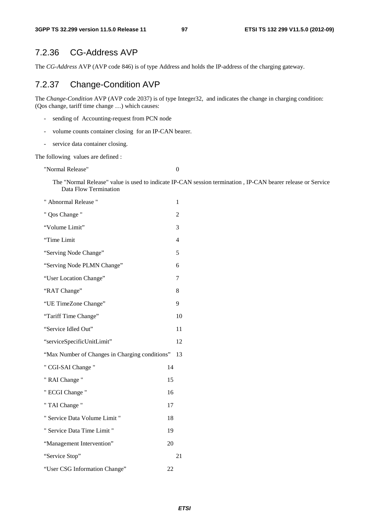# 7.2.36 CG-Address AVP

The *CG-Address* AVP (AVP code 846) is of type Address and holds the IP-address of the charging gateway.

# 7.2.37 Change-Condition AVP

The *Change-Condition* AVP (AVP code 2037) is of type Integer32, and indicates the change in charging condition: (Qos change, tariff time change …) which causes:

- sending of Accounting-request from PCN node
- volume counts container closing for an IP-CAN bearer.
- service data container closing.

The following values are defined :

"Normal Release" 0

The "Normal Release" value is used to indicate IP-CAN session termination , IP-CAN bearer release or Service Data Flow Termination

| " Abnormal Release "                           |    | 1              |
|------------------------------------------------|----|----------------|
| " Qos Change "                                 |    | $\overline{2}$ |
| "Volume Limit"                                 |    | 3              |
| "Time Limit                                    |    | 4              |
| "Serving Node Change"                          |    | 5              |
| "Serving Node PLMN Change"                     |    | 6              |
| "User Location Change"                         |    | 7              |
| "RAT Change"                                   |    | 8              |
| "UE TimeZone Change"                           |    | 9              |
| "Tariff Time Change"                           |    | 10             |
| "Service Idled Out"                            |    | 11             |
| "serviceSpecificUnitLimit"                     |    | 12             |
| "Max Number of Changes in Charging conditions" |    | 13             |
| " CGI-SAI Change "                             | 14 |                |
| " RAI Change "                                 | 15 |                |
| " ECGI Change "                                | 16 |                |
| " TAI Change "                                 | 17 |                |
| " Service Data Volume Limit "                  | 18 |                |
| " Service Data Time Limit "                    | 19 |                |
| "Management Intervention"                      | 20 |                |
| "Service Stop"                                 |    | 21             |
| "User CSG Information Change"                  | 22 |                |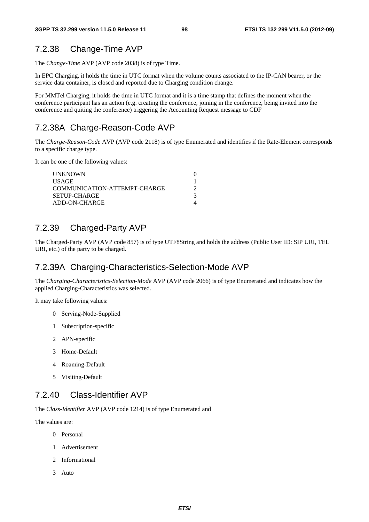# 7.2.38 Change-Time AVP

The *Change-Time* AVP (AVP code 2038) is of type Time.

In EPC Charging, it holds the time in UTC format when the volume counts associated to the IP-CAN bearer, or the service data container, is closed and reported due to Charging condition change.

For MMTel Charging, it holds the time in UTC format and it is a time stamp that defines the moment when the conference participant has an action (e.g. creating the conference, joining in the conference, being invited into the conference and quiting the conference) triggering the Accounting Request message to CDF

# 7.2.38A Charge-Reason-Code AVP

The *Charge-Reason-Code* AVP (AVP code 2118) is of type Enumerated and identifies if the Rate-Element corresponds to a specific charge type.

It can be one of the following values:

| <b>UNKNOWN</b>               |  |
|------------------------------|--|
| <b>USAGE</b>                 |  |
| COMMUNICATION-ATTEMPT-CHARGE |  |
| <b>SETUP-CHARGE</b>          |  |
| ADD-ON-CHARGE                |  |
|                              |  |

# 7.2.39 Charged-Party AVP

The Charged-Party AVP (AVP code 857) is of type UTF8String and holds the address (Public User ID: SIP URI, TEL URI, etc.) of the party to be charged.

### 7.2.39A Charging-Characteristics-Selection-Mode AVP

The *Charging-Characteristics-Selection-Mode* AVP (AVP code 2066) is of type Enumerated and indicates how the applied Charging-Characteristics was selected.

It may take following values:

- 0 Serving-Node-Supplied
- 1 Subscription-specific
- 2 APN-specific
- 3 Home-Default
- 4 Roaming-Default
- 5 Visiting-Default

# 7.2.40 Class-Identifier AVP

The *Class-Identifier* AVP (AVP code 1214) is of type Enumerated and

The values are:

- 0 Personal
- 1 Advertisement
- 2 Informational
- 3 Auto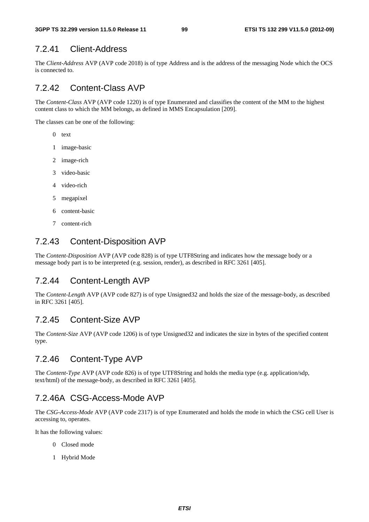# 7.2.41 Client-Address

The *Client-Address* AVP (AVP code 2018) is of type Address and is the address of the messaging Node which the OCS is connected to.

# 7.2.42 Content-Class AVP

The *Content-Class* AVP (AVP code 1220) is of type Enumerated and classifies the content of the MM to the highest content class to which the MM belongs, as defined in MMS Encapsulation [209].

The classes can be one of the following:

- 0 text
- 1 image-basic
- 2 image-rich
- 3 video-basic
- 4 video-rich
- 5 megapixel
- 6 content-basic
- 7 content-rich

# 7.2.43 Content-Disposition AVP

The *Content-Disposition* AVP (AVP code 828) is of type UTF8String and indicates how the message body or a message body part is to be interpreted (e.g. session, render), as described in RFC 3261 [405].

### 7.2.44 Content-Length AVP

The *Content-Length* AVP (AVP code 827) is of type Unsigned32 and holds the size of the message-body, as described in RFC 3261 [405].

# 7.2.45 Content-Size AVP

The *Content-Size* AVP (AVP code 1206) is of type Unsigned32 and indicates the size in bytes of the specified content type.

# 7.2.46 Content-Type AVP

The *Content-Type* AVP (AVP code 826) is of type UTF8String and holds the media type (e.g. application/sdp, text/html) of the message-body, as described in RFC 3261 [405].

# 7.2.46A CSG-Access-Mode AVP

The *CSG-Access-Mode* AVP (AVP code 2317) is of type Enumerated and holds the mode in which the CSG cell User is accessing to, operates.

It has the following values:

- 0 Closed mode
- 1 Hybrid Mode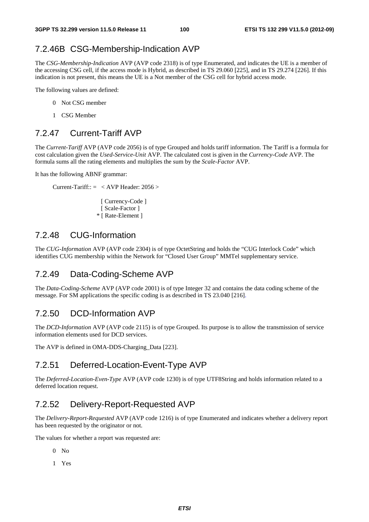# 7.2.46B CSG-Membership-Indication AVP

The *CSG-Membership-Indication* AVP (AVP code 2318) is of type Enumerated, and indicates the UE is a member of the accessing CSG cell, if the access mode is Hybrid, as described in TS 29.060 [225], and in TS 29.274 [226]. If this indication is not present, this means the UE is a Not member of the CSG cell for hybrid access mode.

The following values are defined:

- 0 Not CSG member
- 1 CSG Member

# 7.2.47 Current-Tariff AVP

The *Current-Tariff* AVP (AVP code 2056) is of type Grouped and holds tariff information. The Tariff is a formula for cost calculation given the *Used-Service-Unit* AVP. The calculated cost is given in the *Currency-Code* AVP. The formula sums all the rating elements and multiplies the sum by the *Scale-Factor* AVP.

It has the following ABNF grammar:

```
Current-Tariff:: = < AVP Header: 2056 >
```
[ Currency-Code ] [ Scale-Factor ] \* [ Rate-Element ]

# 7.2.48 CUG-Information

The *CUG-Information* AVP (AVP code 2304) is of type OctetString and holds the "CUG Interlock Code" which identifies CUG membership within the Network for "Closed User Group" MMTel supplementary service.

# 7.2.49 Data-Coding-Scheme AVP

The *Data-Coding-Scheme* AVP (AVP code 2001) is of type Integer 32 and contains the data coding scheme of the message. For SM applications the specific coding is as described in TS 23.040 [216].

# 7.2.50 DCD-Information AVP

The *DCD-Information* AVP (AVP code 2115) is of type Grouped. Its purpose is to allow the transmission of service information elements used for DCD services.

The AVP is defined in OMA-DDS-Charging\_Data [223].

# 7.2.51 Deferred-Location-Event-Type AVP

The *Deferred-Location-Even-Type* AVP (AVP code 1230) is of type UTF8String and holds information related to a deferred location request.

# 7.2.52 Delivery-Report-Requested AVP

The *Delivery-Report-Requested* AVP (AVP code 1216) is of type Enumerated and indicates whether a delivery report has been requested by the originator or not.

The values for whether a report was requested are:

- $0 N<sub>0</sub>$
- 1 Yes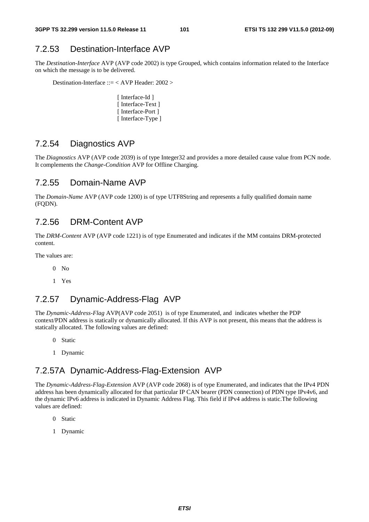# 7.2.53 Destination-Interface AVP

The *Destination-Interface* AVP (AVP code 2002) is type Grouped, which contains information related to the Interface on which the message is to be delivered.

Destination-Interface ::= < AVP Header: 2002 >

[ Interface-Id ] [ Interface-Text ] [ Interface-Port ] [ Interface-Type ]

# 7.2.54 Diagnostics AVP

The *Diagnostics* AVP (AVP code 2039) is of type Integer32 and provides a more detailed cause value from PCN node. It complements the *Change-Condition* AVP for Offline Charging.

#### 7.2.55 Domain-Name AVP

The *Domain-Name* AVP (AVP code 1200) is of type UTF8String and represents a fully qualified domain name (FQDN).

#### 7.2.56 DRM-Content AVP

The *DRM-Content* AVP (AVP code 1221) is of type Enumerated and indicates if the MM contains DRM-protected content.

The values are:

- $0$  No
- 1 Yes

# 7.2.57 Dynamic-Address-Flag AVP

The *Dynamic-Address-Flag* AVP(AVP code 2051) is of type Enumerated, and indicates whether the PDP context/PDN address is statically or dynamically allocated. If this AVP is not present, this means that the address is statically allocated. The following values are defined:

- 0 Static
- 1 Dynamic

## 7.2.57A Dynamic-Address-Flag-Extension AVP

The *Dynamic-Address-Flag*-*Extension* AVP (AVP code 2068) is of type Enumerated, and indicates that the IPv4 PDN address has been dynamically allocated for that particular IP CAN bearer (PDN connection) of PDN type IPv4v6, and the dynamic IPv6 address is indicated in Dynamic Address Flag. This field if IPv4 address is static.The following values are defined:

- 0 Static
- 1 Dynamic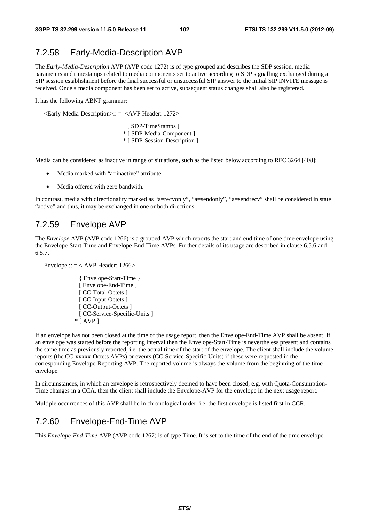# 7.2.58 Early-Media-Description AVP

The *Early-Media-Description* AVP (AVP code 1272) is of type grouped and describes the SDP session, media parameters and timestamps related to media components set to active according to SDP signalling exchanged during a SIP session establishment before the final successful or unsuccessful SIP answer to the initial SIP INVITE message is received. Once a media component has been set to active, subsequent status changes shall also be registered.

It has the following ABNF grammar:

```
 <Early-Media-Description>:: = <AVP Header: 1272>
```

```
[ SDP-TimeStamps ]
* [ SDP-Media-Component ] 
* [ SDP-Session-Description ]
```
Media can be considered as inactive in range of situations, such as the listed below according to RFC 3264 [408]:

- Media marked with "a=inactive" attribute.
- Media offered with zero bandwith.

In contrast, media with directionality marked as "a=recvonly", "a=sendonly", "a=sendrecv" shall be considered in state "active" and thus, it may be exchanged in one or both directions.

#### 7.2.59 Envelope AVP

The *Envelope* AVP (AVP code 1266) is a grouped AVP which reports the start and end time of one time envelope using the Envelope-Start-Time and Envelope-End-Time AVPs. Further details of its usage are described in clause 6.5.6 and 6.5.7.

Envelope ::  $=$  < AVP Header: 1266>

{ Envelope-Start-Time } [ Envelope-End-Time ] [ CC-Total-Octets ] [ CC-Input-Octets ] [ CC-Output-Octets ] [ CC-Service-Specific-Units ] \* [ AVP ]

If an envelope has not been closed at the time of the usage report, then the Envelope-End-Time AVP shall be absent. If an envelope was started before the reporting interval then the Envelope-Start-Time is nevertheless present and contains the same time as previously reported, i.e. the actual time of the start of the envelope. The client shall include the volume reports (the CC-xxxxx-Octets AVPs) or events (CC-Service-Specific-Units) if these were requested in the corresponding Envelope-Reporting AVP. The reported volume is always the volume from the beginning of the time envelope.

In circumstances, in which an envelope is retrospectively deemed to have been closed, e.g. with Quota-Consumption-Time changes in a CCA, then the client shall include the Envelope-AVP for the envelope in the next usage report.

Multiple occurrences of this AVP shall be in chronological order, i.e. the first envelope is listed first in CCR.

# 7.2.60 Envelope-End-Time AVP

This *Envelope-End-Time* AVP (AVP code 1267) is of type Time. It is set to the time of the end of the time envelope.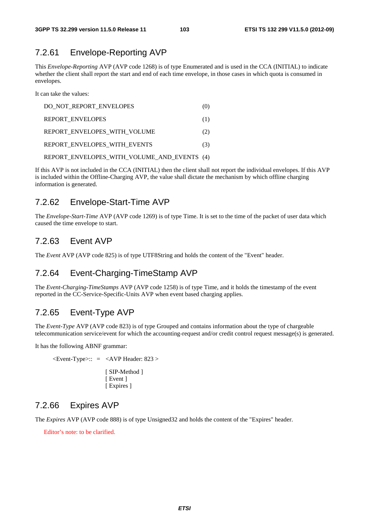# 7.2.61 Envelope-Reporting AVP

This *Envelope-Reporting* AVP (AVP code 1268) is of type Enumerated and is used in the CCA (INITIAL) to indicate whether the client shall report the start and end of each time envelope, in those cases in which quota is consumed in envelopes.

It can take the values:

| DO NOT REPORT ENVELOPES                     | (O) |
|---------------------------------------------|-----|
| <b>REPORT ENVELOPES</b>                     | (1) |
| REPORT ENVELOPES WITH VOLUME                | (2) |
| REPORT ENVELOPES WITH EVENTS                | (3) |
| REPORT ENVELOPES WITH VOLUME AND EVENTS (4) |     |

If this AVP is not included in the CCA (INITIAL) then the client shall not report the individual envelopes. If this AVP is included within the Offline-Charging AVP, the value shall dictate the mechanism by which offline charging information is generated.

# 7.2.62 Envelope-Start-Time AVP

The *Envelope-Start-Time* AVP (AVP code 1269) is of type Time. It is set to the time of the packet of user data which caused the time envelope to start.

# 7.2.63 Event AVP

The *Event* AVP (AVP code 825) is of type UTF8String and holds the content of the "Event" header.

# 7.2.64 Event-Charging-TimeStamp AVP

The *Event-Charging-TimeStamps* AVP (AVP code 1258) is of type Time, and it holds the timestamp of the event reported in the CC-Service-Specific-Units AVP when event based charging applies.

# 7.2.65 Event-Type AVP

The *Event-Type* AVP (AVP code 823) is of type Grouped and contains information about the type of chargeable telecommunication service/event for which the accounting-request and/or credit control request message(s) is generated.

It has the following ABNF grammar:

 $\leq$ Event-Type $\geq$ :: =  $\leq$ AVP Header: 823  $>$ [ SIP-Method ] [ Event ] [ Expires ]

# 7.2.66 Expires AVP

The *Expires* AVP (AVP code 888) is of type Unsigned32 and holds the content of the "Expires" header.

Editor's note: to be clarified.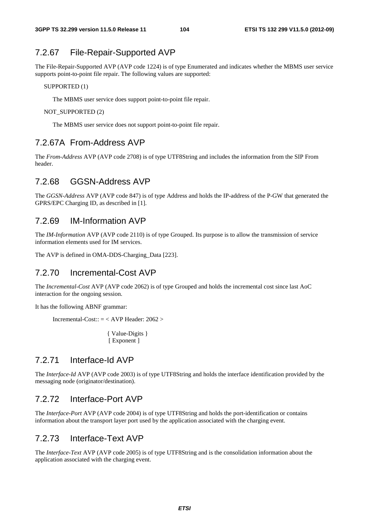# 7.2.67 File-Repair-Supported AVP

The File-Repair-Supported AVP (AVP code 1224) is of type Enumerated and indicates whether the MBMS user service supports point-to-point file repair. The following values are supported:

SUPPORTED (1)

The MBMS user service does support point-to-point file repair.

NOT SUPPORTED (2)

The MBMS user service does not support point-to-point file repair.

# 7.2.67A From-Address AVP

The *From-Address* AVP (AVP code 2708) is of type UTF8String and includes the information from the SIP From header.

#### 7.2.68 GGSN-Address AVP

The *GGSN-Address* AVP (AVP code 847) is of type Address and holds the IP-address of the P-GW that generated the GPRS/EPC Charging ID, as described in [1].

# 7.2.69 IM-Information AVP

The *IM-Information* AVP (AVP code 2110) is of type Grouped. Its purpose is to allow the transmission of service information elements used for IM services.

The AVP is defined in OMA-DDS-Charging\_Data [223].

# 7.2.70 Incremental-Cost AVP

The *Incremental-Cost* AVP (AVP code 2062) is of type Grouped and holds the incremental cost since last AoC interaction for the ongoing session.

It has the following ABNF grammar:

Incremental-Cost::  $=$  < AVP Header: 2062 >

 { Value-Digits } [ Exponent ]

# 7.2.71 Interface-Id AVP

The *Interface-Id* AVP (AVP code 2003) is of type UTF8String and holds the interface identification provided by the messaging node (originator/destination).

### 7.2.72 Interface-Port AVP

The *Interface-Port* AVP (AVP code 2004) is of type UTF8String and holds the port-identification or contains information about the transport layer port used by the application associated with the charging event.

# 7.2.73 Interface-Text AVP

The *Interface-Text* AVP (AVP code 2005) is of type UTF8String and is the consolidation information about the application associated with the charging event.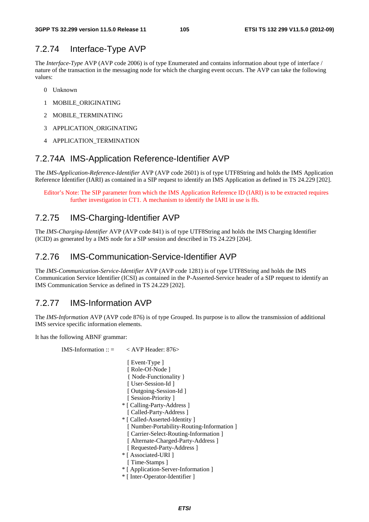# 7.2.74 Interface-Type AVP

The *Interface-Type* AVP (AVP code 2006) is of type Enumerated and contains information about type of interface / nature of the transaction in the messaging node for which the charging event occurs. The AVP can take the following values:

- 0 Unknown
- 1 MOBILE\_ORIGINATING
- 2 MOBILE\_TERMINATING
- 3 APPLICATION\_ORIGINATING
- 4 APPLICATION TERMINATION

# 7.2.74A IMS-Application Reference-Identifier AVP

The *IMS-Application-Reference-Identifier* AVP (AVP code 2601) is of type UTF8String and holds the IMS Application Reference Identifier (IARI) as contained in a SIP request to identify an IMS Application as defined in TS 24.229 [202].

Editor's Note: The SIP parameter from which the IMS Application Reference ID (IARI) is to be extracted requires further investigation in CT1. A mechanism to identify the IARI in use is ffs.

#### 7.2.75 IMS-Charging-Identifier AVP

The *IMS-Charging-Identifier* AVP (AVP code 841) is of type UTF8String and holds the IMS Charging Identifier (ICID) as generated by a IMS node for a SIP session and described in TS 24.229 [204].

# 7.2.76 IMS-Communication-Service-Identifier AVP

The *IMS-Communication-Service-Identifier* AVP (AVP code 1281) is of type UTF8String and holds the IMS Communication Service Identifier (ICSI) as contained in the P-Asserted-Service header of a SIP request to identify an IMS Communication Service as defined in TS 24.229 [202].

# 7.2.77 IMS-Information AVP

The *IMS-Information* AVP (AVP code 876) is of type Grouped. Its purpose is to allow the transmission of additional IMS service specific information elements.

It has the following ABNF grammar:

IMS-Information ::  $=$  < AVP Header: 876>

- [ Event-Type ] [ Role-Of-Node ] { Node-Functionality } [ User-Session-Id ] [ Outgoing-Session-Id ] [ Session-Priority ] \* [ Calling-Party-Address ] [ Called-Party-Address ] \* [ Called-Asserted-Identity ] [ Number-Portability-Routing-Information ] [ Carrier-Select-Routing-Information ] [ Alternate-Charged-Party-Address ] [ Requested-Party-Address ] \* [ Associated-URI ] [ Time-Stamps ] \* [ Application-Server-Information ]
- \* [ Inter-Operator-Identifier ]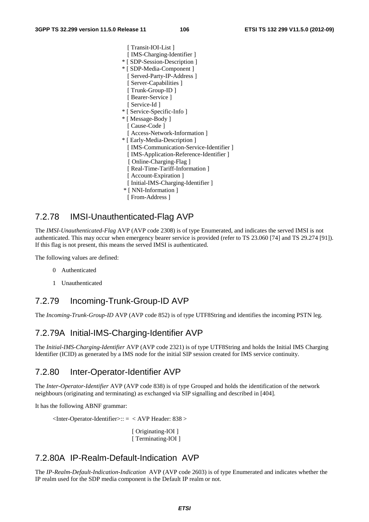[ Transit-IOI-List ] [ IMS-Charging-Identifier ] \* [ SDP-Session-Description ] \* [ SDP-Media-Component ] [ Served-Party-IP-Address ] [ Server-Capabilities ] [ Trunk-Group-ID ] [ Bearer-Service ] [ Service-Id ] \* [ Service-Specific-Info ] \* [ Message-Body ] [ Cause-Code ] [ Access-Network-Information ] \* [ Early-Media-Description ] [ IMS-Communication-Service-Identifier ] [ IMS-Application-Reference-Identifier ] [ Online-Charging-Flag ] [ Real-Time-Tariff-Information ] [ Account-Expiration ] [ Initial-IMS-Charging-Identifier ] \* [ NNI-Information ] [ From-Address ]

# 7.2.78 IMSI-Unauthenticated-Flag AVP

The *IMSI-Unauthenticated-Flag* AVP (AVP code 2308) is of type Enumerated, and indicates the served IMSI is not authenticated. This may occur when emergency bearer service is provided (refer to TS 23.060 [74] and TS 29.274 [91]). If this flag is not present, this means the served IMSI is authenticated.

The following values are defined:

- 0 Authenticated
- 1 Unauthenticated

# 7.2.79 Incoming-Trunk-Group-ID AVP

The *Incoming-Trunk-Group-ID* AVP (AVP code 852) is of type UTF8String and identifies the incoming PSTN leg.

# 7.2.79A Initial-IMS-Charging-Identifier AVP

The *Initial-IMS-Charging-Identifier* AVP (AVP code 2321) is of type UTF8String and holds the Initial IMS Charging Identifier (ICID) as generated by a IMS node for the initial SIP session created for IMS service continuity.

# 7.2.80 Inter-Operator-Identifier AVP

The *Inter-Operator-Identifier* AVP (AVP code 838) is of type Grouped and holds the identification of the network neighbours (originating and terminating) as exchanged via SIP signalling and described in [404].

It has the following ABNF grammar:

 $\langle$ Inter-Operator-Identifier>:: =  $\langle$  AVP Header: 838 >

 [ Originating-IOI ] [ Terminating-IOI ]

# 7.2.80A IP-Realm-Default-Indication AVP

The *IP-Realm-Default-Indication-Indication* AVP (AVP code 2603) is of type Enumerated and indicates whether the IP realm used for the SDP media component is the Default IP realm or not.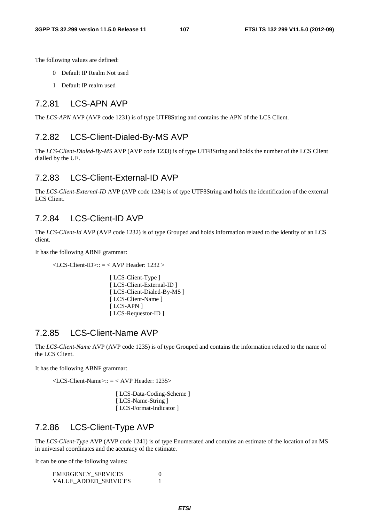The following values are defined:

- 0 Default IP Realm Not used
- 1 Default IP realm used

#### 7.2.81 LCS-APN AVP

The *LCS-APN* AVP (AVP code 1231) is of type UTF8String and contains the APN of the LCS Client.

# 7.2.82 LCS-Client-Dialed-By-MS AVP

The *LCS-Client-Dialed-By-MS* AVP (AVP code 1233) is of type UTF8String and holds the number of the LCS Client dialled by the UE.

## 7.2.83 LCS-Client-External-ID AVP

The *LCS-Client-External-ID* AVP (AVP code 1234) is of type UTF8String and holds the identification of the external LCS Client.

# 7.2.84 LCS-Client-ID AVP

The *LCS-Client-Id* AVP (AVP code 1232) is of type Grouped and holds information related to the identity of an LCS client.

It has the following ABNF grammar:

<LCS-Client-ID>:: = < AVP Header: 1232 >

[ LCS-Client-Type ] [ LCS-Client-External-ID ] [ LCS-Client-Dialed-By-MS ] [ LCS-Client-Name ] [ LCS-APN ] [ LCS-Requestor-ID ]

#### 7.2.85 LCS-Client-Name AVP

The *LCS-Client-Name* AVP (AVP code 1235) is of type Grouped and contains the information related to the name of the LCS Client.

It has the following ABNF grammar:

<LCS-Client-Name>:: = < AVP Header: 1235>

[ LCS-Data-Coding-Scheme ] [ LCS-Name-String ] [ LCS-Format-Indicator ]

# 7.2.86 LCS-Client-Type AVP

The *LCS-Client-Type* AVP (AVP code 1241) is of type Enumerated and contains an estimate of the location of an MS in universal coordinates and the accuracy of the estimate.

It can be one of the following values:

| <b>EMERGENCY SERVICES</b>   |  |
|-----------------------------|--|
| <b>VALUE ADDED SERVICES</b> |  |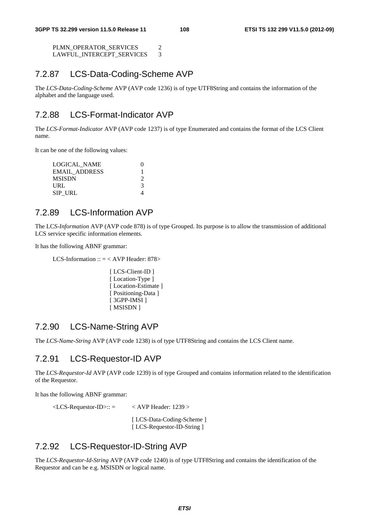PLMN\_OPERATOR\_SERVICES 2 LAWFUL\_INTERCEPT\_SERVICES 3

#### 7.2.87 LCS-Data-Coding-Scheme AVP

The *LCS-Data-Coding-Scheme* AVP (AVP code 1236) is of type UTF8String and contains the information of the alphabet and the language used.

# 7.2.88 LCS-Format-Indicator AVP

The *LCS-Format-Indicator* AVP (AVP code 1237) is of type Enumerated and contains the format of the LCS Client name.

It can be one of the following values:

| 3 |
|---|
|   |
|   |

#### 7.2.89 LCS-Information AVP

The LC*S-Information* AVP (AVP code 878) is of type Grouped. Its purpose is to allow the transmission of additional LCS service specific information elements.

It has the following ABNF grammar:

LCS-Information  $:: = <$  AVP Header: 878>

[ LCS-Client-ID ] [Location-Type ] [ Location-Estimate ] [ Positioning-Data ] [ 3GPP-IMSI ] [ MSISDN ]

#### 7.2.90 LCS-Name-String AVP

The *LCS-Name-String* AVP (AVP code 1238) is of type UTF8String and contains the LCS Client name.

#### 7.2.91 LCS-Requestor-ID AVP

The *LCS-Requestor-Id* AVP (AVP code 1239) is of type Grouped and contains information related to the identification of the Requestor.

It has the following ABNF grammar:

 $\langle$ LCS-Requestor-ID>:: =  $\langle$  AVP Header: 1239 > [ LCS-Data-Coding-Scheme ] [ LCS-Requestor-ID-String ]

# 7.2.92 LCS-Requestor-ID-String AVP

The *LCS-Requestor-Id-String* AVP (AVP code 1240) is of type UTF8String and contains the identification of the Requestor and can be e.g. MSISDN or logical name.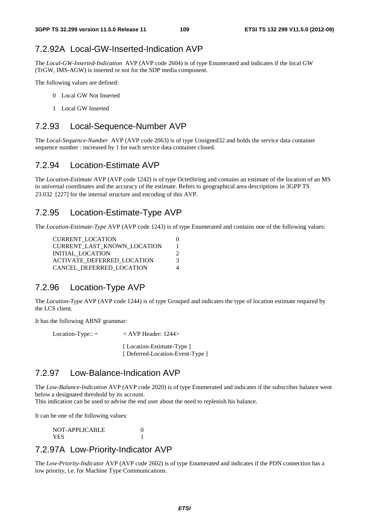# 7.2.92A Local-GW-Inserted-Indication AVP

The *Local-GW-Inserted-Indication* AVP (AVP code 2604) is of type Enumerated and indicates if the local GW (TrGW, IMS-AGW) is inserted or not for the SDP media component.

The following values are defined:

- 0 Local GW Not Inserted
- 1 Local GW Inserted

#### 7.2.93 Local-Sequence-Number AVP

The *Local-Sequence-Number* AVP (AVP code 2063) is of type Unsigned32 and holds the service data container sequence number : increased by 1 for each service data container closed.

#### 7.2.94 Location-Estimate AVP

The *Location-Estimate* AVP (AVP code 1242) is of type OctetString and contains an estimate of the location of an MS in universal coordinates and the accuracy of the estimate. Refers to geographical area descriptions in 3GPP TS 23.032 [227] for the internal structure and encoding of this AVP.

#### 7.2.95 Location-Estimate-Type AVP

The *Location-Estimate-Type* AVP (AVP code 1243) is of type Enumerated and contains one of the following values:

| <b>CURRENT LOCATION</b>            |   |
|------------------------------------|---|
| <b>CURRENT LAST KNOWN LOCATION</b> |   |
| INITIAL LOCATION                   |   |
| ACTIVATE DEFERRED_LOCATION         | 3 |
| CANCEL DEFERRED LOCATION           |   |
|                                    |   |

#### 7.2.96 Location-Type AVP

The *Location-Type* AVP (AVP code 1244) is of type Grouped and indicates the type of location estimate required by the LCS client.

It has the following ABNF grammar:

Location-Type:: = < AVP Header: 1244> [Location-Estimate-Type ] [ Deferred-Location-Event-Type ]

#### 7.2.97 Low-Balance-Indication AVP

The *Low-Balance-Indication* AVP (AVP code 2020) is of type Enumerated and indicates if the subscriber balance went below a designated threshold by its account.

This indication can be used to advise the end user about the need to replenish his balance.

It can be one of the following values:

NOT-APPLICABLE 0 YES 1

# 7.2.97A Low-Priority-Indicator AVP

The *Low-Priority-Indicator* AVP (AVP code 2602) is of type Enumerated and indicates if the PDN connection has a low priority, i.e. for Machine Type Communications.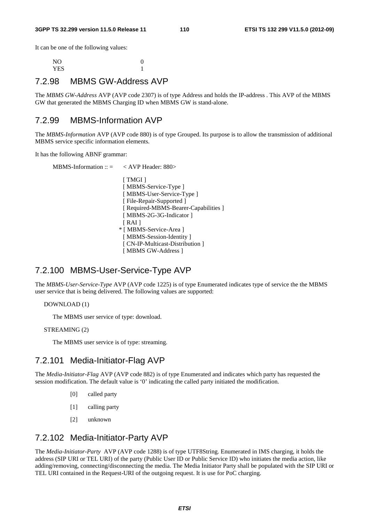It can be one of the following values:

| NO         |  |
|------------|--|
| <b>YES</b> |  |

### 7.2.98 MBMS GW-Address AVP

The *MBMS GW-Address* AVP (AVP code 2307) is of type Address and holds the IP-address . This AVP of the MBMS GW that generated the MBMS Charging ID when MBMS GW is stand-alone.

#### 7.2.99 MBMS-Information AVP

The *MBMS-Information* AVP (AVP code 880) is of type Grouped. Its purpose is to allow the transmission of additional MBMS service specific information elements.

It has the following ABNF grammar:

MBMS-Information  $\therefore$  = < AVP Header: 880>

[ TMGI ] [ MBMS-Service-Type ] [ MBMS-User-Service-Type ] [ File-Repair-Supported ] [ Required-MBMS-Bearer-Capabilities ] [ MBMS-2G-3G-Indicator ] [ RAI ] \* [ MBMS-Service-Area ] [ MBMS-Session-Identity ] [ CN-IP-Multicast-Distribution ] [ MBMS GW-Address ]

# 7.2.100 MBMS-User-Service-Type AVP

The *MBMS-User-Service-Type* AVP (AVP code 1225) is of type Enumerated indicates type of service the the MBMS user service that is being delivered. The following values are supported:

```
DOWNLOAD (1)
```
The MBMS user service of type: download.

```
STREAMING (2)
```
The MBMS user service is of type: streaming.

### 7.2.101 Media-Initiator-Flag AVP

The *Media-Initiator-Flag* AVP (AVP code 882) is of type Enumerated and indicates which party has requested the session modification. The default value is '0' indicating the called party initiated the modification.

- [0] called party
- [1] calling party
- [2] unknown

# 7.2.102 Media-Initiator-Party AVP

The *Media-Initiator-Party* AVP (AVP code 1288) is of type UTF8String. Enumerated in IMS charging, it holds the address (SIP URI or TEL URI) of the party (Public User ID or Public Service ID) who initiates the media action, like adding/removing, connecting/disconnecting the media. The Media Initiator Party shall be populated with the SIP URI or TEL URI contained in the Request-URI of the outgoing request. It is use for PoC charging.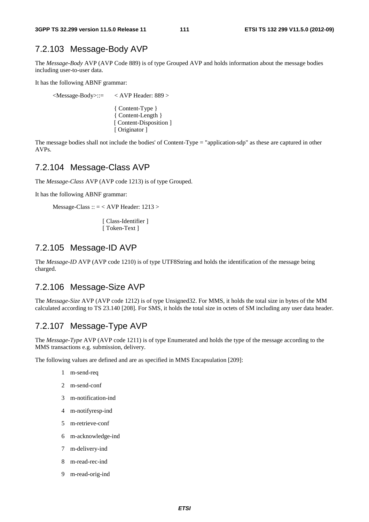# 7.2.103 Message-Body AVP

The *Message-Body* AVP (AVP Code 889) is of type Grouped AVP and holds information about the message bodies including user-to-user data.

It has the following ABNF grammar:

 <Message-Body>::= < AVP Header: 889 > { Content-Type } { Content-Length } [ Content-Disposition ] [ Originator ]

The message bodies shall not include the bodies' of Content-Type = "application-sdp" as these are captured in other AVPs.

#### 7.2.104 Message-Class AVP

The *Message-Class* AVP (AVP code 1213) is of type Grouped.

It has the following ABNF grammar:

Message-Class :: = < AVP Header: 1213 >

[ Class-Identifier ] [ Token-Text ]

#### 7.2.105 Message-ID AVP

The *Message-ID* AVP (AVP code 1210) is of type UTF8String and holds the identification of the message being charged.

#### 7.2.106 Message-Size AVP

The *Message-Size* AVP (AVP code 1212) is of type Unsigned32. For MMS, it holds the total size in bytes of the MM calculated according to TS 23.140 [208]. For SMS, it holds the total size in octets of SM including any user data header.

# 7.2.107 Message-Type AVP

The *Message-Type* AVP (AVP code 1211) is of type Enumerated and holds the type of the message according to the MMS transactions e.g. submission, delivery.

The following values are defined and are as specified in MMS Encapsulation [209]:

- 1 m-send-req
- 2 m-send-conf
- 3 m-notification-ind
- 4 m-notifyresp-ind
- 5 m-retrieve-conf
- 6 m-acknowledge-ind
- 7 m-delivery-ind
- 8 m-read-rec-ind
- 9 m-read-orig-ind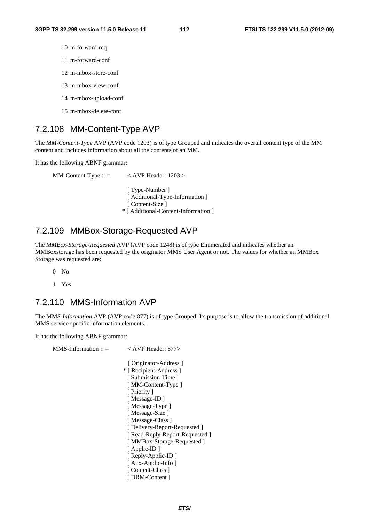- 10 m-forward-req
- 11 m-forward-conf
- 12 m-mbox-store-conf
- 13 m-mbox-view-conf
- 14 m-mbox-upload-conf
- 15 m-mbox-delete-conf

# 7.2.108 MM-Content-Type AVP

The *MM-Content-Type* AVP (AVP code 1203) is of type Grouped and indicates the overall content type of the MM content and includes information about all the contents of an MM.

It has the following ABNF grammar:

MM-Content-Type ::  $=$  < AVP Header: 1203 > [ Type-Number ] [ Additional-Type-Information ] [ Content-Size ]

\* [ Additional-Content-Information ]

# 7.2.109 MMBox-Storage-Requested AVP

The *MMBox-Storage-Requested* AVP (AVP code 1248) is of type Enumerated and indicates whether an MMBoxstorage has been requested by the originator MMS User Agent or not. The values for whether an MMBox Storage was requested are:

 $0$  No

1 Yes

### 7.2.110 MMS-Information AVP

The MM*S-Information* AVP (AVP code 877) is of type Grouped. Its purpose is to allow the transmission of additional MMS service specific information elements.

It has the following ABNF grammar:

| $MMS\text{-}Information::=$ | $<$ AVP Header: 877 $>$       |
|-----------------------------|-------------------------------|
|                             | [ Originator-Address ]        |
|                             | * [ Recipient-Address ]       |
|                             | [Submission-Time]             |
|                             | [MM-Content-Type]             |
|                             | [ Priority ]                  |
|                             | [Message-ID]                  |
|                             | [Message-Type]                |
|                             | [Message-Size]                |
|                             | [Message-Class]               |
|                             | [Delivery-Report-Requested]   |
|                             | [Read-Reply-Report-Requested] |
|                             | [MMBox-Storage-Requested]     |
|                             | [Applic-ID]                   |
|                             | [ Reply-Applic-ID ]           |
|                             | [ Aux-Applic-Info ]           |
|                             | [Content-Class]               |
|                             | [DRM-Content]                 |
|                             |                               |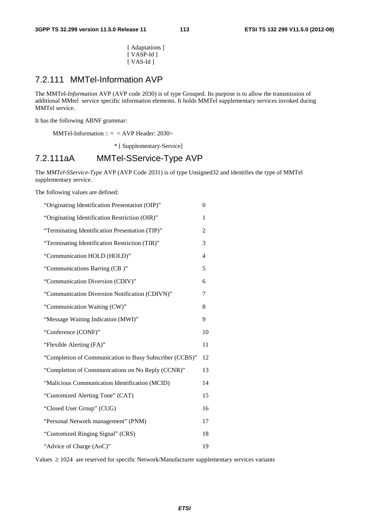[ Adaptations ] [ VASP-Id ]  $[VAS-Id]$ 

# 7.2.111 MMTel-Information AVP

The MMTel*-Information* AVP (AVP code 2030) is of type Grouped. Its purpose is to allow the transmission of additional MMtel service specific information elements. It holds MMTel supplementary services invoked during MMTel service.

It has the following ABNF grammar:

MMTel-Information ::  $=$  < AVP Header: 2030>

\* [ Supplementary-Service]

# 7.2.111aA MMTel-SService-Type AVP

The *MMTel-SService-Type* AVP (AVP Code 2031) is of type Unsigned32 and identifies the type of MMTel supplementary service.

The following values are defined:

| "Originating Identification Presentation (OIP)"         | $\theta$       |
|---------------------------------------------------------|----------------|
| "Originating Identification Restriction (OIR)"          | $\mathbf{1}$   |
| "Terminating Identification Presentation (TIP)"         | 2              |
| "Terminating Identification Restriction (TIR)"          | 3              |
| "Communication HOLD (HOLD)"                             | $\overline{4}$ |
| "Communications Barring (CB)"                           | 5              |
| "Communication Diversion (CDIV)"                        | 6              |
| "Communication Diversion Notification (CDIVN)"          | 7              |
| "Communication Waiting (CW)"                            | 8              |
| "Message Waiting Indication (MWI)"                      | 9              |
| "Conference (CONF)"                                     | 10             |
| "Flexible Alerting (FA)"                                | 11             |
| "Completion of Communication to Busy Subscriber (CCBS)" | 12             |
| "Completion of Communications on No Reply (CCNR)"       | 13             |
| "Malicious Communication Identification (MCID)          | 14             |
| "Customized Alerting Tone" (CAT)                        | 15             |
| "Closed User Group" (CUG)                               | 16             |
| "Personal Network management" (PNM)                     | 17             |
| "Customized Ringing Signal" (CRS)                       | 18             |
| "Advice of Charge (AoC)"                                | 19             |

Values  $\geq 1024$  are reserved for specific Network/Manufacturer supplementary services variants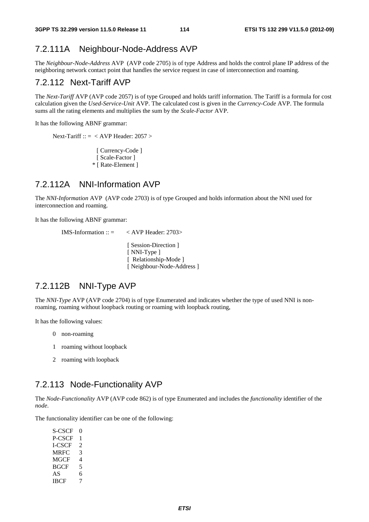# 7.2.111A Neighbour-Node-Address AVP

The *Neighbour-Node-Address* AVP (AVP code 2705) is of type Address and holds the control plane IP address of the neighboring network contact point that handles the service request in case of interconnection and roaming.

## 7.2.112 Next-Tariff AVP

The *Next-Tariff* AVP (AVP code 2057) is of type Grouped and holds tariff information. The Tariff is a formula for cost calculation given the *Used-Service-Unit* AVP. The calculated cost is given in the *Currency-Code* AVP. The formula sums all the rating elements and multiplies the sum by the *Scale-Factor* AVP.

It has the following ABNF grammar:

Next-Tariff ::  $=$  < AVP Header: 2057 >

[ Currency-Code ] [ Scale-Factor ] \* [ Rate-Element ]

#### 7.2.112A NNI-Information AVP

The *NNI-Information* AVP (AVP code 2703) is of type Grouped and holds information about the NNI used for interconnection and roaming.

It has the following ABNF grammar:

IMS-Information ::  $=$  < AVP Header: 2703>

[ Session-Direction ] [ NNI-Type ] [ Relationship-Mode ] [ Neighbour-Node-Address ]

#### 7.2.112B NNI-Type AVP

The *NNI-Type* AVP (AVP code 2704) is of type Enumerated and indicates whether the type of used NNI is nonroaming, roaming without loopback routing or roaming with loopback routing,

It has the following values:

- 0 non-roaming
- 1 roaming without loopback
- 2 roaming with loopback

#### 7.2.113 Node-Functionality AVP

The *Node-Functionality* AVP (AVP code 862) is of type Enumerated and includes the *functionality* identifier of the *node*.

The functionality identifier can be one of the following:

S-CSCF 0 P-CSCF 1 I-CSCF 2 MRFC 3 MGCF<sub>4</sub> BGCF 5  $\begin{matrix} AS & 6 \\ IRCF & 7 \end{matrix}$ **IBCF**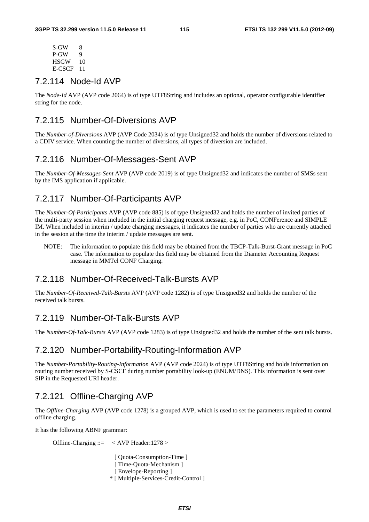$S-GW = 8$  $P-GW = 9$ HSGW 10 E-CSCF 11

#### 7.2.114 Node-Id AVP

The *Node-Id* AVP (AVP code 2064) is of type UTF8String and includes an optional, operator configurable identifier string for the node.

#### 7.2.115 Number-Of-Diversions AVP

The *Number-of-Diversions* AVP (AVP Code 2034) is of type Unsigned32 and holds the number of diversions related to a CDIV service. When counting the number of diversions, all types of diversion are included.

#### 7.2.116 Number-Of-Messages-Sent AVP

The *Number-Of-Messages-Sent* AVP (AVP code 2019) is of type Unsigned32 and indicates the number of SMSs sent by the IMS application if applicable.

#### 7.2.117 Number-Of-Participants AVP

The *Number-Of-Participants* AVP (AVP code 885) is of type Unsigned32 and holds the number of invited parties of the multi-party session when included in the initial charging request message, e.g. in PoC, CONFerence and SIMPLE IM. When included in interim / update charging messages, it indicates the number of parties who are currently attached in the session at the time the interim / update messages are sent.

NOTE: The information to populate this field may be obtained from the TBCP-Talk-Burst-Grant message in PoC case. The information to populate this field may be obtained from the Diameter Accounting Request message in MMTel CONF Charging.

#### 7.2.118 Number-Of-Received-Talk-Bursts AVP

The *Number-Of-Received-Talk-Bursts* AVP (AVP code 1282) is of type Unsigned32 and holds the number of the received talk bursts.

### 7.2.119 Number-Of-Talk-Bursts AVP

The *Number-Of-Talk-Bursts* AVP (AVP code 1283) is of type Unsigned32 and holds the number of the sent talk bursts.

#### 7.2.120 Number-Portability-Routing-Information AVP

The *Number-Portability-Routing-Information* AVP (AVP code 2024) is of type UTF8String and holds information on routing number received by S-CSCF during number portability look-up (ENUM/DNS). This information is sent over SIP in the Requested URI header.

### 7.2.121 Offline-Charging AVP

The *Offline-Charging* AVP (AVP code 1278) is a grouped AVP, which is used to set the parameters required to control offline charging.

It has the following ABNF grammar:

Offline-Charging ::= < AVP Header:1278 >

 [ Quota-Consumption-Time ] [ Time-Quota-Mechanism ] [ Envelope-Reporting ] \* [ Multiple-Services-Credit-Control ]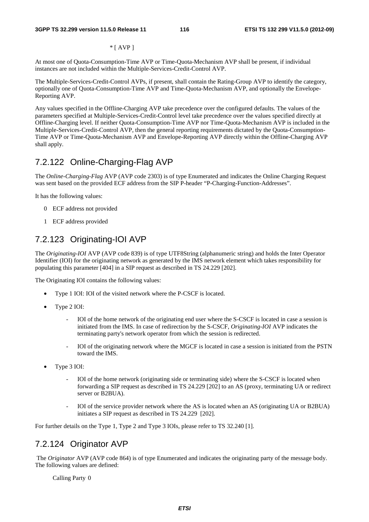#### **3GPP TS 32.299 version 11.5.0 Release 11 116 ETSI TS 132 299 V11.5.0 (2012-09)**

 $*$  [ AVP ]

At most one of Quota-Consumption-Time AVP or Time-Quota-Mechanism AVP shall be present, if individual instances are not included within the Multiple-Services-Credit-Control AVP.

The Multiple-Services-Credit-Control AVPs, if present, shall contain the Rating-Group AVP to identify the category, optionally one of Quota-Consumption-Time AVP and Time-Quota-Mechanism AVP, and optionally the Envelope-Reporting AVP.

Any values specified in the Offline-Charging AVP take precedence over the configured defaults. The values of the parameters specified at Multiple-Services-Credit-Control level take precedence over the values specified directly at Offline-Charging level. If neither Quota-Consumption-Time AVP nor Time-Quota-Mechanism AVP is included in the Multiple-Services-Credit-Control AVP, then the general reporting requirements dictated by the Quota-Consumption-Time AVP or Time-Quota-Mechanism AVP and Envelope-Reporting AVP directly within the Offline-Charging AVP shall apply.

# 7.2.122 Online-Charging-Flag AVP

The *Online-Charging-Flag* AVP (AVP code 2303) is of type Enumerated and indicates the Online Charging Request was sent based on the provided ECF address from the SIP P-header "P-Charging-Function-Addresses".

It has the following values:

- 0 ECF address not provided
- 1 ECF address provided

# 7.2.123 Originating-IOI AVP

The *Originating-IOI* AVP (AVP code 839) is of type UTF8String (alphanumeric string) and holds the Inter Operator Identifier (IOI) for the originating network as generated by the IMS network element which takes responsibility for populating this parameter [404] in a SIP request as described in TS 24.229 [202].

The Originating IOI contains the following values:

- Type 1 IOI: IOI of the visited network where the P-CSCF is located.
- Type 2 IOI:
	- IOI of the home network of the originating end user where the S-CSCF is located in case a session is initiated from the IMS. In case of redirection by the S-CSCF, *Originating-IOI* AVP indicates the terminating party's network operator from which the session is redirected.
	- IOI of the originating network where the MGCF is located in case a session is initiated from the PSTN toward the IMS.
- Type 3 IOI:
	- IOI of the home network (originating side or terminating side) where the S-CSCF is located when forwarding a SIP request as described in TS 24.229 [202] to an AS (proxy, terminating UA or redirect server or B2BUA).
	- IOI of the service provider network where the AS is located when an AS (originating UA or B2BUA) initiates a SIP request as described in TS 24.229 [202].

For further details on the Type 1, Type 2 and Type 3 IOIs, please refer to TS 32.240 [1].

### 7.2.124 Originator AVP

 The *Originator* AVP (AVP code 864) is of type Enumerated and indicates the originating party of the message body. The following values are defined:

Calling Party 0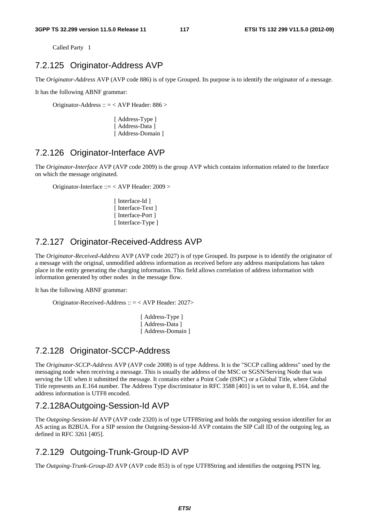Called Party 1

# 7.2.125 Originator-Address AVP

The *Originator-Address* AVP (AVP code 886) is of type Grouped. Its purpose is to identify the originator of a message.

It has the following ABNF grammar:

Originator-Address :: = < AVP Header: 886 >

[ Address-Type ] [ Address-Data ] [ Address-Domain ]

#### 7.2.126 Originator-Interface AVP

The *Originator-Interface* AVP (AVP code 2009) is the group AVP which contains information related to the Interface on which the message originated.

Originator-Interface ::= < AVP Header: 2009 >

[ Interface-Id ] [ Interface-Text ] [ Interface-Port ] [ Interface-Type ]

# 7.2.127 Originator-Received-Address AVP

The *Originator-Received-Address* AVP (AVP code 2027) is of type Grouped. Its purpose is to identify the originator of a message with the original, unmodified address information as received before any address manipulations has taken place in the entity generating the charging information. This field allows correlation of address information with information generated by other nodes in the message flow.

It has the following ABNF grammar:

Originator-Received-Address :: = < AVP Header: 2027>

[ Address-Type ] [ Address-Data ] [ Address-Domain ]

# 7.2.128 Originator-SCCP-Address

The *Originator-SCCP-Address* AVP (AVP code 2008) is of type Address. It is the "SCCP calling address" used by the messaging node when receiving a message. This is usually the address of the MSC or SGSN/Serving Node that was serving the UE when it submitted the message. It contains either a Point Code (ISPC) or a Global Title, where Global Title represents an E.164 number. The Address Type discriminator in RFC 3588 [401] is set to value 8, E.164, and the address information is UTF8 encoded.

# 7.2.128A Outgoing-Session-Id AVP

The *Outgoing-Session-Id* AVP (AVP code 2320) is of type UTF8String and holds the outgoing session identifier for an AS acting as B2BUA. For a SIP session the Outgoing-Session-Id AVP contains the SIP Call ID of the outgoing leg, as defined in RFC 3261 [405].

### 7.2.129 Outgoing-Trunk-Group-ID AVP

The *Outgoing-Trunk-Group-ID* AVP (AVP code 853) is of type UTF8String and identifies the outgoing PSTN leg.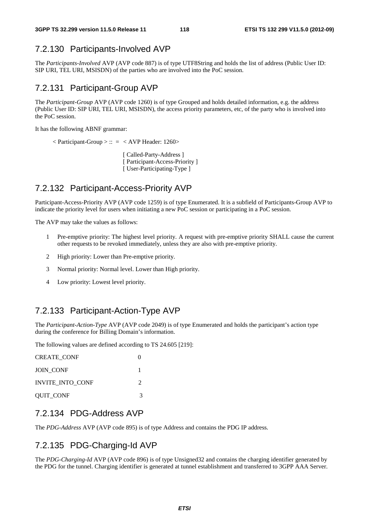#### 7.2.130 Participants-Involved AVP

The *Participants-Involved* AVP (AVP code 887) is of type UTF8String and holds the list of address (Public User ID: SIP URI, TEL URI, MSISDN) of the parties who are involved into the PoC session.

#### 7.2.131 Participant-Group AVP

The *Participant-Group* AVP (AVP code 1260) is of type Grouped and holds detailed information, e.g. the address (Public User ID: SIP URI, TEL URI, MSISDN), the access priority parameters, etc, of the party who is involved into the PoC session.

It has the following ABNF grammar:

 $<$  Participant-Group  $>$  :: =  $<$  AVP Header: 1260 $>$ 

[ Called-Party-Address ] [ Participant-Access-Priority ] [ User-Participating-Type ]

# 7.2.132 Participant-Access-Priority AVP

Participant-Access-Priority AVP (AVP code 1259) is of type Enumerated. It is a subfield of Participants-Group AVP to indicate the priority level for users when initiating a new PoC session or participating in a PoC session.

The AVP may take the values as follows:

- 1 Pre-emptive priority: The highest level priority. A request with pre-emptive priority SHALL cause the current other requests to be revoked immediately, unless they are also with pre-emptive priority.
- 2 High priority: Lower than Pre-emptive priority.
- 3 Normal priority: Normal level. Lower than High priority.
- 4 Low priority: Lowest level priority.

# 7.2.133 Participant-Action-Type AVP

The *Participant-Action-Type* AVP (AVP code 2049) is of type Enumerated and holds the participant's action type during the conference for Billing Domain's information.

The following values are defined according to TS 24.605 [219]:

| $\mathcal{D}$ |
|---------------|
|               |
|               |

#### 7.2.134 PDG-Address AVP

The *PDG-Address* AVP (AVP code 895) is of type Address and contains the PDG IP address.

#### 7.2.135 PDG-Charging-Id AVP

The *PDG-Charging-Id* AVP (AVP code 896) is of type Unsigned32 and contains the charging identifier generated by the PDG for the tunnel. Charging identifier is generated at tunnel establishment and transferred to 3GPP AAA Server.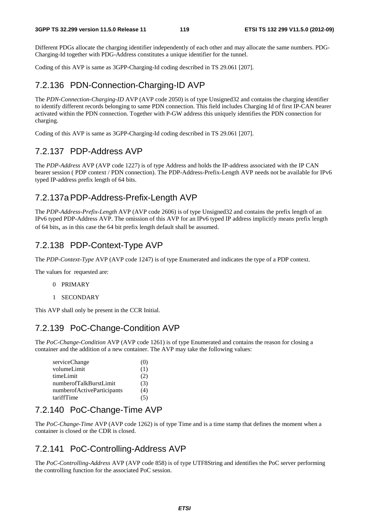Different PDGs allocate the charging identifier independently of each other and may allocate the same numbers. PDG-Charging-Id together with PDG-Address constitutes a unique identifier for the tunnel.

Coding of this AVP is same as 3GPP-Charging-Id coding described in TS 29.061 [207].

#### 7.2.136 PDN-Connection-Charging-ID AVP

The *PDN-Connection-Charging-ID* AVP (AVP code 2050) is of type Unsigned32 and contains the charging identifier to identify different records belonging to same PDN connection. This field includes Charging Id of first IP-CAN bearer activated within the PDN connection. Together with P-GW address this uniquely identifies the PDN connection for charging.

Coding of this AVP is same as 3GPP-Charging-Id coding described in TS 29.061 [207].

#### 7.2.137 PDP-Address AVP

The *PDP-Address* AVP (AVP code 1227) is of type Address and holds the IP-address associated with the IP CAN bearer session ( PDP context / PDN connection). The PDP-Address-Prefix-Length AVP needs not be available for IPv6 typed IP-address prefix length of 64 bits.

### 7.2.137a PDP-Address-Prefix-Length AVP

The *PDP-Address*-*Prefix-Length* AVP (AVP code 2606) is of type Unsigned32 and contains the prefix length of an IPv6 typed PDP-Address AVP. The omission of this AVP for an IPv6 typed IP address implicitly means prefix length of 64 bits, as in this case the 64 bit prefix length default shall be assumed.

### 7.2.138 PDP-Context-Type AVP

The *PDP-Context-Type* AVP (AVP code 1247) is of type Enumerated and indicates the type of a PDP context.

The values for requested are:

- 0 PRIMARY
- 1 SECONDARY

This AVP shall only be present in the CCR Initial.

### 7.2.139 PoC-Change-Condition AVP

The *PoC-Change-Condition* AVP (AVP code 1261) is of type Enumerated and contains the reason for closing a container and the addition of a new container. The AVP may take the following values:

| serviceChange              | (0) |
|----------------------------|-----|
| volumeLimit                | (1) |
| timeLimit                  | (2) |
| numberofTalkBurstLimit     | (3) |
| numberofActiveParticipants | (4) |
| tariffTime                 | (5) |

#### 7.2.140 PoC-Change-Time AVP

The *PoC-Change-Time* AVP (AVP code 1262) is of type Time and is a time stamp that defines the moment when a container is closed or the CDR is closed.

#### 7.2.141 PoC-Controlling-Address AVP

The *PoC-Controlling-Address* AVP (AVP code 858) is of type UTF8String and identifies the PoC server performing the controlling function for the associated PoC session.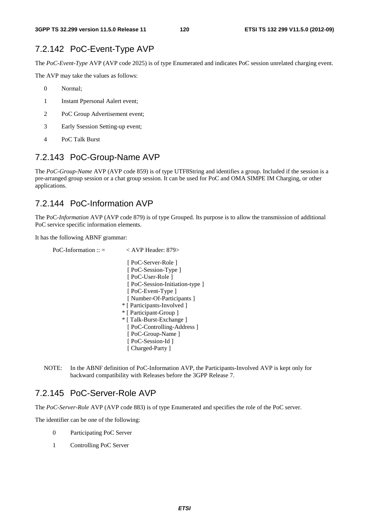# 7.2.142 PoC-Event-Type AVP

The *PoC-Event-Type* AVP (AVP code 2025) is of type Enumerated and indicates PoC session unrelated charging event.

The AVP may take the values as follows:

- 0 Normal;
- 1 Instant Ppersonal Aalert event;
- 2 PoC Group Advertisement event;
- 3 Early Ssession Setting-up event;
- 4 PoC Talk Burst

# 7.2.143 PoC-Group-Name AVP

The *PoC-Group-Name* AVP (AVP code 859) is of type UTF8String and identifies a group. Included if the session is a pre-arranged group session or a chat group session. It can be used for PoC and OMA SIMPE IM Charging, or other applications.

# 7.2.144 PoC-Information AVP

The PoC*-Information* AVP (AVP code 879) is of type Grouped. Its purpose is to allow the transmission of additional PoC service specific information elements.

It has the following ABNF grammar:

PoC-Information ::  $=$  < AVP Header: 879> [ PoC-Server-Role ] [ PoC-Session-Type ] [ PoC-User-Role ] [ PoC-Session-Initiation-type ] [ PoC-Event-Type ] [ Number-Of-Participants ] \* [ Participants-Involved ] \* [ Participant-Group ] \* [ Talk-Burst-Exchange ] [ PoC-Controlling-Address ] [ PoC-Group-Name ] [ PoC-Session-Id ] [ Charged-Party ]

NOTE: In the ABNF definition of PoC-Information AVP, the Participants-Involved AVP is kept only for backward compatibility with Releases before the 3GPP Release 7.

# 7.2.145 PoC-Server-Role AVP

The *PoC-Server-Role* AVP (AVP code 883) is of type Enumerated and specifies the role of the PoC server.

The identifier can be one of the following:

- 0 Participating PoC Server
- 1 Controlling PoC Server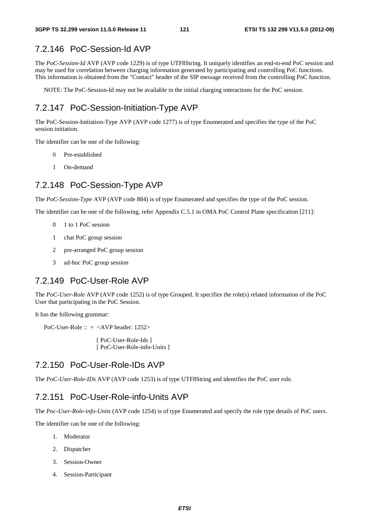#### 7.2.146 PoC-Session-Id AVP

The *PoC-Session-Id* AVP (AVP code 1229) is of type UTF8String. It uniquely identifies an end-to-end PoC session and may be used for correlation between charging information generated by participating and controlling PoC functions. This information is obtained from the "Contact" header of the SIP message received from the controlling PoC function.

NOTE: The PoC-Session-Id may not be available in the initial charging interactions for the PoC session.

## 7.2.147 PoC-Session-Initiation-Type AVP

The PoC-Session-Initiation-Type AVP (AVP code 1277) is of type Enumerated and specifies the type of the PoC session initiation.

The identifier can be one of the following:

- 0 Pre-established
- 1 On-demand

#### 7.2.148 PoC-Session-Type AVP

The *PoC-Session-Type* AVP (AVP code 884) is of type Enumerated and specifies the type of the PoC session.

The identifier can be one of the following, refer Appendix C.5.1 in OMA PoC Control Plane specification [211]:

- 0 1 to 1 PoC session
- 1 chat PoC group session
- 2 pre-arranged PoC group session
- 3 ad-hoc PoC group session

#### 7.2.149 PoC-User-Role AVP

The *PoC-User-Role* AVP (AVP code 1252) is of type Grouped. It specifies the role(s) related information of the PoC User that participating in the PoC Session.

It has the following grammar:

PoC-User-Role :: = <AVP header: 1252>

 [ PoC-User-Role-Ids ] [ PoC-User-Role-info-Units ]

# 7.2.150 PoC-User-Role-IDs AVP

The *PoC-User-Role-IDs* AVP (AVP code 1253) is of type UTF8String and identifies the PoC user role.

#### 7.2.151 PoC-User-Role-info-Units AVP

The *Poc-User-Role-info-Units* (AVP code 1254) is of type Enumerated and specify the role type details of PoC users.

The identifier can be one of the following:

- 1. Moderator
- 2. Dispatcher
- 3. Session-Owner
- 4. Session-Participant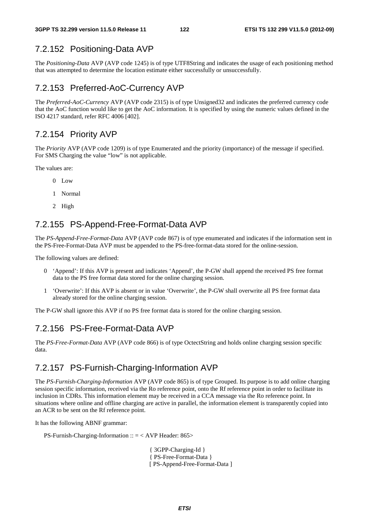# 7.2.152 Positioning-Data AVP

The *Positioning-Data* AVP (AVP code 1245) is of type UTF8String and indicates the usage of each positioning method that was attempted to determine the location estimate either successfully or unsuccessfully.

### 7.2.153 Preferred-AoC-Currency AVP

The *Preferred-AoC-Currency* AVP (AVP code 2315) is of type Unsigned32 and indicates the preferred currency code that the AoC function would like to get the AoC information. It is specified by using the numeric values defined in the ISO 4217 standard, refer RFC 4006 [402].

# 7.2.154 Priority AVP

The *Priority* AVP (AVP code 1209) is of type Enumerated and the priority (importance) of the message if specified. For SMS Charging the value "low" is not applicable.

The values are:

- 0 Low
- 1 Normal
- 2 High

### 7.2.155 PS-Append-Free-Format-Data AVP

The *PS-Append-Free-Format-Data* AVP (AVP code 867) is of type enumerated and indicates if the information sent in the PS-Free-Format-Data AVP must be appended to the PS-free-format-data stored for the online-session.

The following values are defined:

- 0 'Append': If this AVP is present and indicates 'Append', the P-GW shall append the received PS free format data to the PS free format data stored for the online charging session.
- 1 'Overwrite': If this AVP is absent or in value 'Overwrite', the P-GW shall overwrite all PS free format data already stored for the online charging session.

The P-GW shall ignore this AVP if no PS free format data is stored for the online charging session.

### 7.2.156 PS-Free-Format-Data AVP

The *PS-Free-Format-Data* AVP (AVP code 866) is of type OctectString and holds online charging session specific data.

### 7.2.157 PS-Furnish-Charging-Information AVP

The *PS-Furnish-Charging-Information* AVP (AVP code 865) is of type Grouped. Its purpose is to add online charging session specific information, received via the Ro reference point, onto the Rf reference point in order to facilitate its inclusion in CDRs. This information element may be received in a CCA message via the Ro reference point. In situations where online and offline charging are active in parallel, the information element is transparently copied into an ACR to be sent on the Rf reference point.

It has the following ABNF grammar:

PS-Furnish-Charging-Information :: = < AVP Header: 865>

{ 3GPP-Charging-Id } { PS-Free-Format-Data } [ PS-Append-Free-Format-Data ]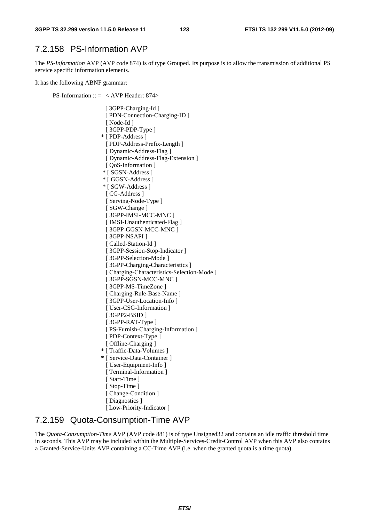## 7.2.158 PS-Information AVP

The *PS-Information* AVP (AVP code 874) is of type Grouped. Its purpose is to allow the transmission of additional PS service specific information elements.

It has the following ABNF grammar:

PS-Information ::  $=$  < AVP Header: 874>

[ 3GPP-Charging-Id ] [ PDN-Connection-Charging-ID ] [ Node-Id ] [ 3GPP-PDP-Type ] \* [ PDP-Address ] [ PDP-Address-Prefix-Length ] [ Dynamic-Address-Flag ] [ Dynamic-Address-Flag-Extension ] [  $\cos$ -Information ] \* [ SGSN-Address ] \* [ GGSN-Address ] \* [ SGW-Address ] [ CG-Address ] [ Serving-Node-Type ] [ SGW-Change ] [ 3GPP-IMSI-MCC-MNC ] [ IMSI-Unauthenticated-Flag ] [ 3GPP-GGSN-MCC-MNC ] [ 3GPP-NSAPI ] [ Called-Station-Id ] [ 3GPP-Session-Stop-Indicator ] [ 3GPP-Selection-Mode ] [ 3GPP-Charging-Characteristics ] [ Charging-Characteristics-Selection-Mode ] [ 3GPP-SGSN-MCC-MNC ] [ 3GPP-MS-TimeZone ] [ Charging-Rule-Base-Name ] [ 3GPP-User-Location-Info ] [ User-CSG-Information ] [ 3GPP2-BSID ] [ 3GPP-RAT-Type ] [ PS-Furnish-Charging-Information ] [ PDP-Context-Type ] [ Offline-Charging ] \* [ Traffic-Data-Volumes ] \* [ Service-Data-Container ] [ User-Equipment-Info ] [ Terminal-Information ] [ Start-Time ] [ Stop-Time ] [ Change-Condition ] [ Diagnostics ]

[ Low-Priority-Indicator ]

# 7.2.159 Quota-Consumption-Time AVP

The *Quota-Consumption-Time* AVP (AVP code 881) is of type Unsigned32 and contains an idle traffic threshold time in seconds. This AVP may be included within the Multiple-Services-Credit-Control AVP when this AVP also contains a Granted-Service-Units AVP containing a CC-Time AVP (i.e. when the granted quota is a time quota).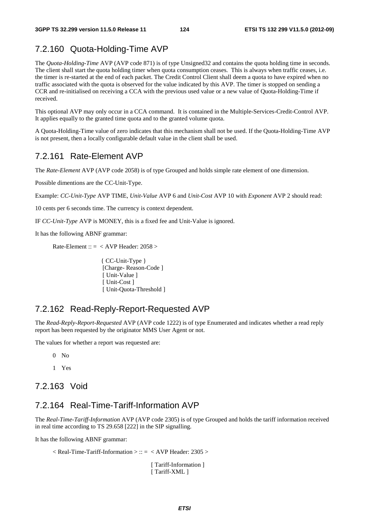### 7.2.160 Quota-Holding-Time AVP

The *Quota-Holding-Time* AVP (AVP code 871) is of type Unsigned32 and contains the quota holding time in seconds. The client shall start the quota holding timer when quota consumption ceases. This is always when traffic ceases, i.e. the timer is re-started at the end of each packet. The Credit Control Client shall deem a quota to have expired when no traffic associated with the quota is observed for the value indicated by this AVP. The timer is stopped on sending a CCR and re-initialised on receiving a CCA with the previous used value or a new value of Quota-Holding-Time if received.

This optional AVP may only occur in a CCA command. It is contained in the Multiple-Services-Credit-Control AVP. It applies equally to the granted time quota and to the granted volume quota.

A Quota-Holding-Time value of zero indicates that this mechanism shall not be used. If the Quota-Holding-Time AVP is not present, then a locally configurable default value in the client shall be used.

#### 7.2.161 Rate-Element AVP

The *Rate-Element* AVP (AVP code 2058) is of type Grouped and holds simple rate element of one dimension.

Possible dimentions are the CC-Unit-Type.

Example: *CC-Unit-Type* AVP TIME, *Unit-Value* AVP 6 and *Unit-Cost* AVP 10 with *Exponent* AVP 2 should read:

10 cents per 6 seconds time. The currency is context dependent.

IF *CC-Unit-Type* AVP is MONEY, this is a fixed fee and Unit-Value is ignored.

It has the following ABNF grammar:

Rate-Element ::  $=$  < AVP Header: 2058 >

{ CC-Unit-Type } [Charge- Reason-Code ] [ Unit-Value ] [ Unit-Cost ] [ Unit-Quota-Threshold ]

#### 7.2.162 Read-Reply-Report-Requested AVP

The *Read-Reply-Report-Requested* AVP (AVP code 1222) is of type Enumerated and indicates whether a read reply report has been requested by the originator MMS User Agent or not.

The values for whether a report was requested are:

0 No

1 Yes

### 7.2.163 Void

# 7.2.164 Real-Time-Tariff-Information AVP

The *Real-Time-Tariff-Information* AVP (AVP code 2305) is of type Grouped and holds the tariff information received in real time according to TS 29.658 [222] in the SIP signalling.

It has the following ABNF grammar:

 $\langle$  Real-Time-Tariff-Information  $\rangle$  :: =  $\langle$  AVP Header: 2305  $\rangle$ 

[ Tariff-Information ] [ Tariff-XML ]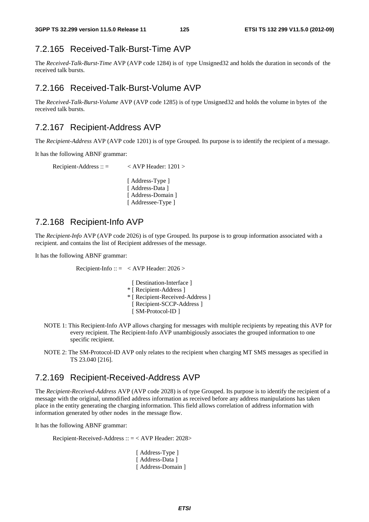# 7.2.165 Received-Talk-Burst-Time AVP

The *Received-Talk-Burst-Time* AVP (AVP code 1284) is of type Unsigned32 and holds the duration in seconds of the received talk bursts.

# 7.2.166 Received-Talk-Burst-Volume AVP

The *Received-Talk-Burst-Volume* AVP (AVP code 1285) is of type Unsigned32 and holds the volume in bytes of the received talk bursts.

# 7.2.167 Recipient-Address AVP

The *Recipient-Address* AVP (AVP code 1201) is of type Grouped. Its purpose is to identify the recipient of a message.

It has the following ABNF grammar:

```
Recipient-Address :: = \langle AVP Header: 1201 >
```
[ Address-Type ] [ Address-Data ] [ Address-Domain ] [ Addressee-Type ]

# 7.2.168 Recipient-Info AVP

The *Recipient-Info* AVP (AVP code 2026) is of type Grouped. Its purpose is to group information associated with a recipient. and contains the list of Recipient addresses of the message.

It has the following ABNF grammar:

Recipient-Info ::  $=$  < AVP Header: 2026 >

- [ Destination-Interface ]
- \* [ Recipient-Address ]
- \* [ Recipient-Received-Address ]
- [ Recipient-SCCP-Address ]
- [ SM-Protocol-ID ]
- NOTE 1: This Recipient-Info AVP allows charging for messages with multiple recipients by repeating this AVP for every recipient. The Recipient-Info AVP unambigiously associates the grouped information to one specific recipient.
- NOTE 2: The SM-Protocol-ID AVP only relates to the recipient when charging MT SMS messages as specified in TS 23.040 [216].

### 7.2.169 Recipient-Received-Address AVP

The *Recipient-Received-Address* AVP (AVP code 2028) is of type Grouped. Its purpose is to identify the recipient of a message with the original, unmodified address information as received before any address manipulations has taken place in the entity generating the charging information. This field allows correlation of address information with information generated by other nodes in the message flow.

It has the following ABNF grammar:

Recipient-Received-Address  $:: = <$  AVP Header: 2028>

[ Address-Type ] [ Address-Data ] [ Address-Domain ]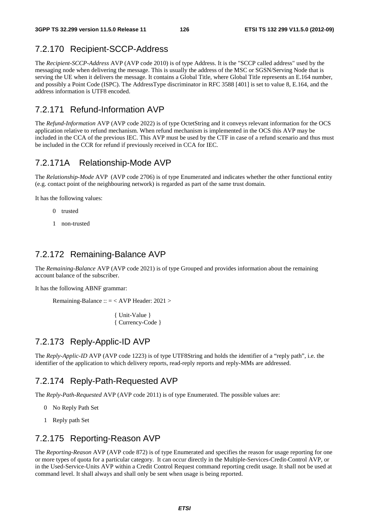# 7.2.170 Recipient-SCCP-Address

The *Recipient-SCCP-Address* AVP (AVP code 2010) is of type Address. It is the "SCCP called address" used by the messaging node when delivering the message. This is usually the address of the MSC or SGSN/Serving Node that is serving the UE when it delivers the message. It contains a Global Title, where Global Title represents an E.164 number, and possibly a Point Code (ISPC). The AddressType discriminator in RFC 3588 [401] is set to value 8, E.164, and the address information is UTF8 encoded.

### 7.2.171 Refund-Information AVP

The *Refund-Information* AVP (AVP code 2022) is of type OctetString and it conveys relevant information for the OCS application relative to refund mechanism. When refund mechanism is implemented in the OCS this AVP may be included in the CCA of the previous IEC. This AVP must be used by the CTF in case of a refund scenario and thus must be included in the CCR for refund if previously received in CCA for IEC.

#### 7.2.171A Relationship-Mode AVP

The *Relationship-Mode* AVP (AVP code 2706) is of type Enumerated and indicates whether the other functional entity (e.g. contact point of the neighbouring network) is regarded as part of the same trust domain.

It has the following values:

- 0 trusted
- 1 non-trusted

#### 7.2.172 Remaining-Balance AVP

The *Remaining-Balance* AVP (AVP code 2021) is of type Grouped and provides information about the remaining account balance of the subscriber.

It has the following ABNF grammar:

Remaining-Balance :: = < AVP Header: 2021 >

{ Unit-Value } { Currency-Code }

#### 7.2.173 Reply-Applic-ID AVP

The *Reply-Applic-ID* AVP (AVP code 1223) is of type UTF8String and holds the identifier of a "reply path", i.e. the identifier of the application to which delivery reports, read-reply reports and reply-MMs are addressed.

#### 7.2.174 Reply-Path-Requested AVP

The *Reply-Path-Requested* AVP (AVP code 2011) is of type Enumerated. The possible values are:

- 0 No Reply Path Set
- 1 Reply path Set

#### 7.2.175 Reporting-Reason AVP

The *Reporting-Reason* AVP (AVP code 872) is of type Enumerated and specifies the reason for usage reporting for one or more types of quota for a particular category. It can occur directly in the Multiple-Services-Credit-Control AVP, or in the Used-Service-Units AVP within a Credit Control Request command reporting credit usage. It shall not be used at command level. It shall always and shall only be sent when usage is being reported.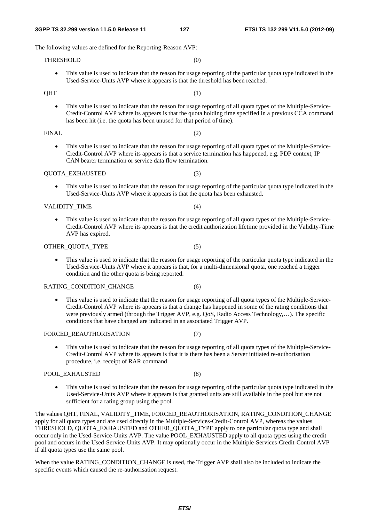#### **3GPP TS 32.299 version 11.5.0 Release 11 127 ETSI TS 132 299 V11.5.0 (2012-09)**

The following values are defined for the Reporting-Reason AVP:

 $QHT$  (1)

THRESHOLD (0)

- This value is used to indicate that the reason for usage reporting of the particular quota type indicated in the Used-Service-Units AVP where it appears is that the threshold has been reached.
- This value is used to indicate that the reason for usage reporting of all quota types of the Multiple-Service-Credit-Control AVP where its appears is that the quota holding time specified in a previous CCA command has been hit (i.e. the quota has been unused for that period of time).

#### FINAL (2)

• This value is used to indicate that the reason for usage reporting of all quota types of the Multiple-Service-Credit-Control AVP where its appears is that a service termination has happened, e.g. PDP context, IP CAN bearer termination or service data flow termination.

#### QUOTA\_EXHAUSTED (3)

• This value is used to indicate that the reason for usage reporting of the particular quota type indicated in the Used-Service-Units AVP where it appears is that the quota has been exhausted.

#### VALIDITY\_TIME (4)

• This value is used to indicate that the reason for usage reporting of all quota types of the Multiple-Service-Credit-Control AVP where its appears is that the credit authorization lifetime provided in the Validity-Time AVP has expired.

#### OTHER\_QUOTA\_TYPE (5)

• This value is used to indicate that the reason for usage reporting of the particular quota type indicated in the Used-Service-Units AVP where it appears is that, for a multi-dimensional quota, one reached a trigger condition and the other quota is being reported.

#### RATING\_CONDITION\_CHANGE (6)

• This value is used to indicate that the reason for usage reporting of all quota types of the Multiple-Service-Credit-Control AVP where its appears is that a change has happened in some of the rating conditions that were previously armed (through the Trigger AVP, e.g. QoS, Radio Access Technology,…). The specific conditions that have changed are indicated in an associated Trigger AVP.

#### FORCED\_REAUTHORISATION (7)

• This value is used to indicate that the reason for usage reporting of all quota types of the Multiple-Service-Credit-Control AVP where its appears is that it is there has been a Server initiated re-authorisation procedure, i.e. receipt of RAR command

#### POOL EXHAUSTED (8)

• This value is used to indicate that the reason for usage reporting of the particular quota type indicated in the Used-Service-Units AVP where it appears is that granted units are still available in the pool but are not sufficient for a rating group using the pool.

The values QHT, FINAL, VALIDITY\_TIME, FORCED\_REAUTHORISATION, RATING\_CONDITION\_CHANGE apply for all quota types and are used directly in the Multiple-Services-Credit-Control AVP, whereas the values THRESHOLD, QUOTA\_EXHAUSTED and OTHER\_QUOTA\_TYPE apply to one particular quota type and shall occur only in the Used-Service-Units AVP. The value POOL\_EXHAUSTED apply to all quota types using the credit pool and occurs in the Used-Service-Units AVP. It may optionally occur in the Multiple-Services-Credit-Control AVP if all quota types use the same pool.

When the value RATING CONDITION CHANGE is used, the Trigger AVP shall also be included to indicate the specific events which caused the re-authorisation request.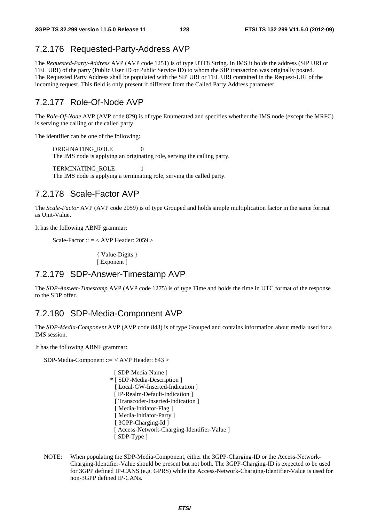# 7.2.176 Requested-Party-Address AVP

The *Requested-Party-Address* AVP (AVP code 1251) is of type UTF8 String. In IMS it holds the address (SIP URI or TEL URI) of the party (Public User ID or Public Service ID) to whom the SIP transaction was originally posted. The Requested Party Address shall be populated with the SIP URI or TEL URI contained in the Request-URI of the incoming request. This field is only present if different from the Called Party Address parameter.

### 7.2.177 Role-Of-Node AVP

The *Role-Of-Node* AVP (AVP code 829) is of type Enumerated and specifies whether the IMS node (except the MRFC) is serving the calling or the called party.

The identifier can be one of the following:

ORIGINATING ROLE The IMS node is applying an originating role, serving the calling party.

 TERMINATING\_ROLE 1 The IMS node is applying a terminating role, serving the called party.

#### 7.2.178 Scale-Factor AVP

The *Scale-Factor* AVP (AVP code 2059) is of type Grouped and holds simple multiplication factor in the same format as Unit-Value.

It has the following ABNF grammar:

Scale-Factor :: = < AVP Header: 2059 >

{ Value-Digits } [ Exponent ]

### 7.2.179 SDP-Answer-Timestamp AVP

The *SDP-Answer-Timestamp* AVP (AVP code 1275) is of type Time and holds the time in UTC format of the response to the SDP offer.

### 7.2.180 SDP-Media-Component AVP

The *SDP-Media-Component* AVP (AVP code 843) is of type Grouped and contains information about media used for a IMS session.

It has the following ABNF grammar:

SDP-Media-Component ::= < AVP Header: 843 >

- [ SDP-Media-Name ] \* [ SDP-Media-Description ] [ Local-GW-Inserted-Indication ] [ IP-Realm-Default-Indication ] [ Transcoder-Inserted-Indication ] [ Media-Initiator-Flag ] [ Media-Initiator-Party ] [ 3GPP-Charging-Id ] [ Access-Network-Charging-Identifier-Value ] [ SDP-Type ]
- NOTE: When populating the SDP-Media-Component, either the 3GPP-Charging-ID or the Access-Network-Charging-Identifier-Value should be present but not both. The 3GPP-Charging-ID is expected to be used for 3GPP defined IP-CANS (e.g. GPRS) while the Access-Network-Charging-Identifier-Value is used for non-3GPP defined IP-CANs.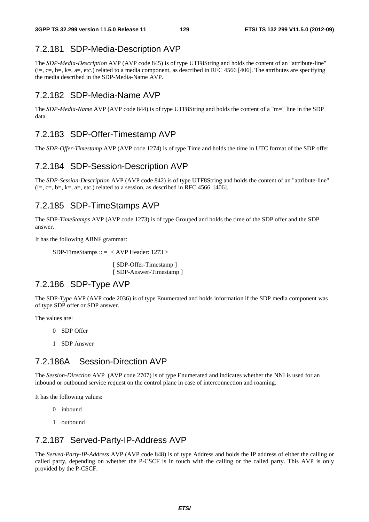### 7.2.181 SDP-Media-Description AVP

The *SDP-Media-Description* AVP (AVP code 845) is of type UTF8String and holds the content of an "attribute-line"  $(i=, c=, b=, k=, a=, etc.)$  related to a media component, as described in RFC 4566 [406]. The attributes are specifying the media described in the SDP-Media-Name AVP.

#### 7.2.182 SDP-Media-Name AVP

The *SDP-Media-Name* AVP (AVP code 844) is of type UTF8String and holds the content of a "m=" line in the SDP data.

#### 7.2.183 SDP-Offer-Timestamp AVP

The *SDP-Offer-Timestamp* AVP (AVP code 1274) is of type Time and holds the time in UTC format of the SDP offer.

#### 7.2.184 SDP-Session-Description AVP

The *SDP-Session-Description* AVP (AVP code 842) is of type UTF8String and holds the content of an "attribute-line"  $(i=, c=, b=, k=, a=, etc.)$  related to a session, as described in RFC 4566 [406].

#### 7.2.185 SDP-TimeStamps AVP

The SDP-*TimeStamps* AVP (AVP code 1273) is of type Grouped and holds the time of the SDP offer and the SDP answer.

It has the following ABNF grammar:

SDP-TimeStamps ::  $=$  < AVP Header: 1273 >

 [ SDP-Offer-Timestamp ] [ SDP-Answer-Timestamp ]

# 7.2.186 SDP-Type AVP

The SDP-*Type* AVP (AVP code 2036) is of type Enumerated and holds information if the SDP media component was of type SDP offer or SDP answer.

The values are:

- 0 SDP Offer
- 1 SDP Answer

#### 7.2.186A Session-Direction AVP

The *Session-Direction* AVP (AVP code 2707) is of type Enumerated and indicates whether the NNI is used for an inbound or outbound service request on the control plane in case of interconnection and roaming.

It has the following values:

- 0 inbound
- 1 outbound

#### 7.2.187 Served-Party-IP-Address AVP

The *Served-Party-IP-Address* AVP (AVP code 848) is of type Address and holds the IP address of either the calling or called party, depending on whether the P-CSCF is in touch with the calling or the called party. This AVP is only provided by the P-CSCF.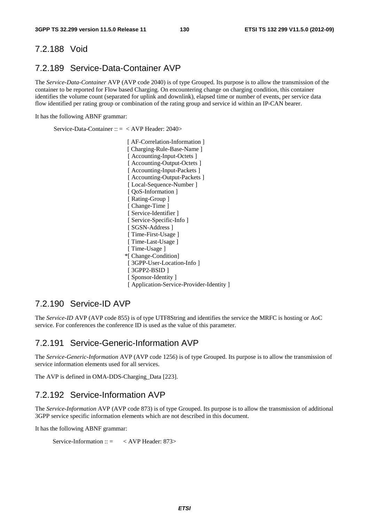#### 7.2.188 Void

#### 7.2.189 Service-Data-Container AVP

The *Service-Data-Container* AVP (AVP code 2040) is of type Grouped. Its purpose is to allow the transmission of the container to be reported for Flow based Charging. On encountering change on charging condition, this container identifies the volume count (separated for uplink and downlink), elapsed time or number of events, per service data flow identified per rating group or combination of the rating group and service id within an IP-CAN bearer.

It has the following ABNF grammar:

Service-Data-Container :: = < AVP Header: 2040>

 [ AF-Correlation-Information ] [ Charging-Rule-Base-Name ] [ Accounting-Input-Octets ] [ Accounting-Output-Octets ] [ Accounting-Input-Packets ] [ Accounting-Output-Packets ] [ Local-Sequence-Number ] [ QoS-Information ] [ Rating-Group ] [ Change-Time ] [ Service-Identifier ] [ Service-Specific-Info ] [ SGSN-Address ] [ Time-First-Usage ] [ Time-Last-Usage ] [ Time-Usage ] \*[ Change-Condition] [ 3GPP-User-Location-Info ] [ 3GPP2-BSID ] [ Sponsor-Identity ] [ Application-Service-Provider-Identity ]

# 7.2.190 Service-ID AVP

The *Service-ID* AVP (AVP code 855) is of type UTF8String and identifies the service the MRFC is hosting or AoC service. For conferences the conference ID is used as the value of this parameter.

#### 7.2.191 Service-Generic-Information AVP

The *Service-Generic-Information* AVP (AVP code 1256) is of type Grouped. Its purpose is to allow the transmission of service information elements used for all services.

The AVP is defined in OMA-DDS-Charging\_Data [223].

#### 7.2.192 Service-Information AVP

The *Service-Information* AVP (AVP code 873) is of type Grouped. Its purpose is to allow the transmission of additional 3GPP service specific information elements which are not described in this document.

It has the following ABNF grammar:

```
Service-Information :: = < AVP Header: 873>
```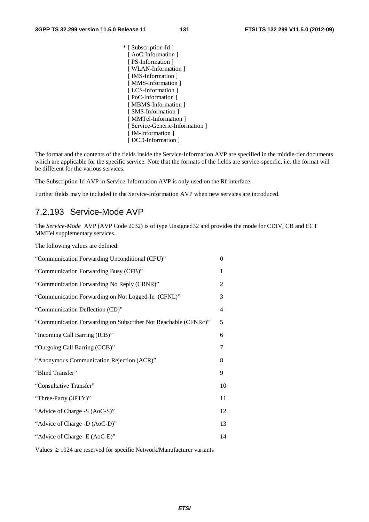\* [ Subscription-Id ] [ AoC-Information ] [ PS-Information ] [ WLAN-Information ] [IMS-Information] [ MMS-Information ] [ LCS-Information ] [ PoC-Information ] [ MBMS-Information ] [ SMS-Information ] [ MMTel-Information ] [ Service-Generic-Information ] [ IM-Information ] [ DCD-Information ]

The format and the contents of the fields inside the Service-Information AVP are specified in the middle-tier documents which are applicable for the specific service. Note that the formats of the fields are service-specific, i.e. the format will be different for the various services.

The Subscription-Id AVP in Service-Information AVP is only used on the Rf interface.

Further fields may be included in the Service-Information AVP when new services are introduced.

#### 7.2.193 Service-Mode AVP

The *Service-Mode* AVP (AVP Code 2032) is of type Unsigned32 and provides the mode for CDIV, CB and ECT MMTel supplementary services.

The following values are defined:

| "Communication Forwarding Unconditional (CFU)"                 | $\overline{0}$ |
|----------------------------------------------------------------|----------------|
| "Communication Forwarding Busy (CFB)"                          | 1              |
| "Communication Forwarding No Reply (CRNR)"                     | $\overline{2}$ |
| "Communication Forwarding on Not Logged-In (CFNL)"             | 3              |
| "Communication Deflection (CD)"                                | $\overline{4}$ |
| "Communication Forwarding on Subscriber Not Reachable (CFNRc)" | 5              |
| "Incoming Call Barring (ICB)"                                  | 6              |
| "Outgoing Call Barring (OCB)"                                  | 7              |
| "Anonymous Communication Rejection (ACR)"                      | 8              |
| "Blind Transfer"                                               | 9              |
| "Consultative Transfer"                                        | 10             |
| "Three-Party (3PTY)"                                           | 11             |
| "Advice of Charge -S (AoC-S)"                                  | 12             |
| "Advice of Charge -D (AoC-D)"                                  | 13             |
| "Advice of Charge -E (AoC-E)"                                  | 14             |

Values ≥ 1024 are reserved for specific Network/Manufacturer variants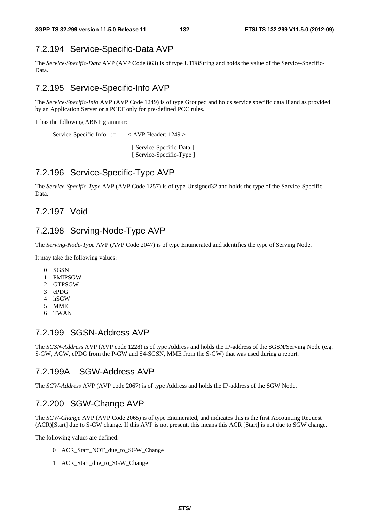# 7.2.194 Service-Specific-Data AVP

The *Service-Specific-Data* AVP (AVP Code 863) is of type UTF8String and holds the value of the Service-Specific-Data.

# 7.2.195 Service-Specific-Info AVP

The *Service-Specific-Info* AVP (AVP Code 1249) is of type Grouped and holds service specific data if and as provided by an Application Server or a PCEF only for pre-defined PCC rules.

It has the following ABNF grammar:

Service-Specific-Info ::= < AVP Header: 1249 >

 [ Service-Specific-Data ] [ Service-Specific-Type ]

# 7.2.196 Service-Specific-Type AVP

The *Service-Specific-Type* AVP (AVP Code 1257) is of type Unsigned32 and holds the type of the Service-Specific-Data.

#### 7.2.197 Void

# 7.2.198 Serving-Node-Type AVP

The *Serving-Node-Type* AVP (AVP Code 2047) is of type Enumerated and identifies the type of Serving Node.

It may take the following values:

- 0 SGSN
- 1 PMIPSGW
- 2 GTPSGW
- 3 ePDG
- 4 hSGW
- 5 MME
- 6 TWAN

# 7.2.199 SGSN-Address AVP

The *SGSN-Address* AVP (AVP code 1228) is of type Address and holds the IP-address of the SGSN/Serving Node (e.g. S-GW, AGW, ePDG from the P-GW and S4-SGSN, MME from the S-GW) that was used during a report.

### 7.2.199A SGW-Address AVP

The *SGW-Address* AVP (AVP code 2067) is of type Address and holds the IP-address of the SGW Node.

# 7.2.200 SGW-Change AVP

The *SGW-Change* AVP (AVP Code 2065) is of type Enumerated, and indicates this is the first Accounting Request (ACR)[Start] due to S-GW change. If this AVP is not present, this means this ACR [Start] is not due to SGW change.

The following values are defined:

- 0 ACR\_Start\_NOT\_due\_to\_SGW\_Change
- 1 ACR\_Start\_due\_to\_SGW\_Change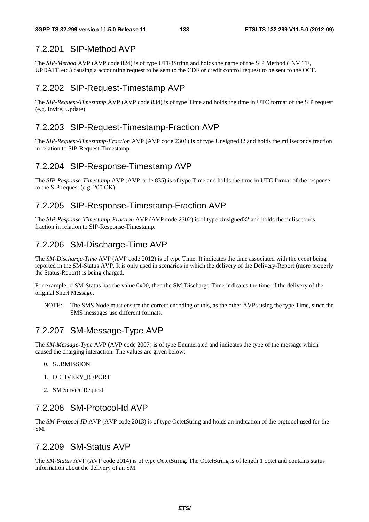# 7.2.201 SIP-Method AVP

The *SIP-Method* AVP (AVP code 824) is of type UTF8String and holds the name of the SIP Method (INVITE, UPDATE etc.) causing a accounting request to be sent to the CDF or credit control request to be sent to the OCF.

# 7.2.202 SIP-Request-Timestamp AVP

The *SIP-Request-Timestamp* AVP (AVP code 834) is of type Time and holds the time in UTC format of the SIP request (e.g. Invite, Update).

# 7.2.203 SIP-Request-Timestamp-Fraction AVP

The *SIP-Request-Timestamp-Fraction* AVP (AVP code 2301) is of type Unsigned32 and holds the miliseconds fraction in relation to SIP-Request-Timestamp.

# 7.2.204 SIP-Response-Timestamp AVP

The *SIP-Response-Timestamp* AVP (AVP code 835) is of type Time and holds the time in UTC format of the response to the SIP request (e.g. 200 OK).

# 7.2.205 SIP-Response-Timestamp-Fraction AVP

The *SIP-Response-Timestamp-Fraction* AVP (AVP code 2302) is of type Unsigned32 and holds the miliseconds fraction in relation to SIP-Response-Timestamp.

# 7.2.206 SM-Discharge-Time AVP

The *SM-Discharge-Time* AVP (AVP code 2012) is of type Time. It indicates the time associated with the event being reported in the SM-Status AVP. It is only used in scenarios in which the delivery of the Delivery-Report (more properly the Status-Report) is being charged.

For example, if SM-Status has the value 0x00, then the SM-Discharge-Time indicates the time of the delivery of the original Short Message.

NOTE: The SMS Node must ensure the correct encoding of this, as the other AVPs using the type Time, since the SMS messages use different formats.

# 7.2.207 SM-Message-Type AVP

The *SM*-*Message-Type* AVP (AVP code 2007) is of type Enumerated and indicates the type of the message which caused the charging interaction. The values are given below:

- 0. SUBMISSION
- 1. DELIVERY\_REPORT
- 2. SM Service Request

# 7.2.208 SM-Protocol-Id AVP

The *SM-Protocol-ID* AVP (AVP code 2013) is of type OctetString and holds an indication of the protocol used for the SM.

# 7.2.209 SM-Status AVP

The *SM-Status* AVP (AVP code 2014) is of type OctetString. The OctetString is of length 1 octet and contains status information about the delivery of an SM.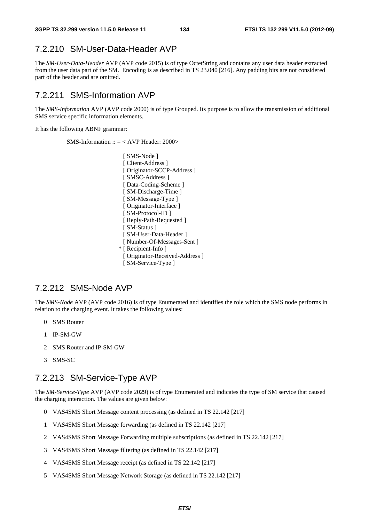# 7.2.210 SM-User-Data-Header AVP

The *SM-User-Data-Header* AVP (AVP code 2015) is of type OctetString and contains any user data header extracted from the user data part of the SM. Encoding is as described in TS 23.040 [216]. Any padding bits are not considered part of the header and are omitted.

#### 7.2.211 SMS-Information AVP

The *SMS-Information* AVP (AVP code 2000) is of type Grouped. Its purpose is to allow the transmission of additional SMS service specific information elements.

It has the following ABNF grammar:

SMS-Information :: = < AVP Header: 2000>

[ SMS-Node ] [ Client-Address ] [ Originator-SCCP-Address ] [ SMSC-Address ] [ Data-Coding-Scheme ] [ SM-Discharge-Time ] [ SM-Message-Type ] [ Originator-Interface ] [ SM-Protocol-ID ] [ Reply-Path-Requested ] [ SM-Status ] [ SM-User-Data-Header ] [ Number-Of-Messages-Sent ] \* [ Recipient-Info ] [ Originator-Received-Address ] [ SM-Service-Type ]

### 7.2.212 SMS-Node AVP

The *SMS-Node* AVP (AVP code 2016) is of type Enumerated and identifies the role which the SMS node performs in relation to the charging event. It takes the following values:

- 0 SMS Router
- 1 IP-SM-GW
- 2 SMS Router and IP-SM-GW
- 3 SMS-SC

#### 7.2.213 SM-Service-Type AVP

The *SM-Service-Type* AVP (AVP code 2029) is of type Enumerated and indicates the type of SM service that caused the charging interaction. The values are given below:

- 0 VAS4SMS Short Message content processing (as defined in TS 22.142 [217]
- 1 VAS4SMS Short Message forwarding (as defined in TS 22.142 [217]
- 2 VAS4SMS Short Message Forwarding multiple subscriptions (as defined in TS 22.142 [217]
- 3 VAS4SMS Short Message filtering (as defined in TS 22.142 [217]
- 4 VAS4SMS Short Message receipt (as defined in TS 22.142 [217]
- 5 VAS4SMS Short Message Network Storage (as defined in TS 22.142 [217]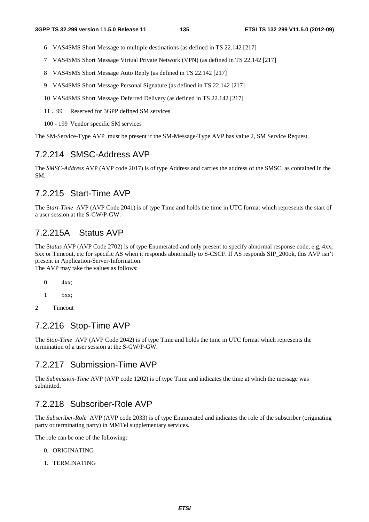- 6 VAS4SMS Short Message to multiple destinations (as defined in TS 22.142 [217]
- 7 VAS4SMS Short Message Virtual Private Network (VPN) (as defined in TS 22.142 [217]
- 8 VAS4SMS Short Message Auto Reply (as defined in TS 22.142 [217]
- 9 VAS4SMS Short Message Personal Signature (as defined in TS 22.142 [217]
- 10 VAS4SMS Short Message Deferred Delivery (as defined in TS 22.142 [217]
- 11 .. 99 Reserved for 3GPP defined SM services
- 100 199 Vendor specific SM services

The SM-Service-Type AVP must be present if the SM-Message-Type AVP has value 2, SM Service Request.

#### 7.2.214 SMSC-Address AVP

The *SMSC-Address* AVP (AVP code 2017) is of type Address and carries the address of the SMSC, as contained in the SM.

#### 7.2.215 Start-Time AVP

The S*tart-Time* AVP (AVP Code 2041) is of type Time and holds the time in UTC format which represents the start of a user session at the S-GW/P-GW.

#### 7.2.215A Status AVP

The S*tatus* AVP (AVP Code 2702) is of type Enumerated and only present to specify abnormal response code, e.g, 4xx, 5xx or Timeout, etc for specific AS when it responds abnormally to S-CSCF. If AS responds SIP\_200ok, this AVP isn't present in Application-Server-Information. The AVP may take the values as follows:

- $0 \quad 4xx$
- 1 5xx;
- 2 Timeout

# 7.2.216 Stop-Time AVP

The S*top-Time* AVP (AVP Code 2042) is of type Time and holds the time in UTC format which represents the termination of a user session at the S-GW/P-GW.

### 7.2.217 Submission-Time AVP

The *Submission-Time* AVP (AVP code 1202) is of type Time and indicates the time at which the message was submitted.

# 7.2.218 Subscriber-Role AVP

The *Subscriber-Role* AVP (AVP code 2033) is of type Enumerated and indicates the role of the subscriber (originating party or terminating party) in MMTel supplementary services.

The role can be one of the following:

- 0. ORIGINATING
- 1. TERMINATING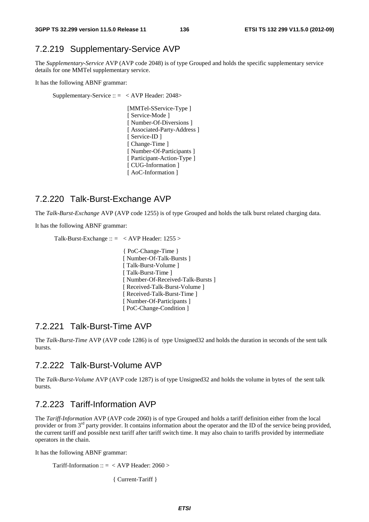### 7.2.219 Supplementary-Service AVP

The *Supplementary-Service* AVP (AVP code 2048) is of type Grouped and holds the specific supplementary service details for one MMTel supplementary service.

It has the following ABNF grammar:

Supplementary-Service  $\therefore$  = < AVP Header: 2048>

 [MMTel-SService-Type ] [ Service-Mode ] [ Number-Of-Diversions ] [ Associated-Party-Address ] [ Service-ID ] [ Change-Time ] [ Number-Of-Participants ] [ Participant-Action-Type ] [ CUG-Information ] [ AoC-Information ]

#### 7.2.220 Talk-Burst-Exchange AVP

The *Talk-Burst-Exchange* AVP (AVP code 1255) is of type Grouped and holds the talk burst related charging data.

It has the following ABNF grammar:

```
 Talk-Burst-Exchange :: = < AVP Header: 1255 > 
              { PoC-Change-Time } 
              [ Number-Of-Talk-Bursts ]
```
[ Talk-Burst-Volume ] [ Talk-Burst-Time ] [ Number-Of-Received-Talk-Bursts ] [ Received-Talk-Burst-Volume ] [ Received-Talk-Burst-Time ] [ Number-Of-Participants ] [ PoC-Change-Condition ]

#### 7.2.221 Talk-Burst-Time AVP

The *Talk-Burst-Time* AVP (AVP code 1286) is of type Unsigned32 and holds the duration in seconds of the sent talk bursts.

#### 7.2.222 Talk-Burst-Volume AVP

The *Talk-Burst-Volume* AVP (AVP code 1287) is of type Unsigned32 and holds the volume in bytes of the sent talk bursts.

# 7.2.223 Tariff-Information AVP

The *Tariff-Information* AVP (AVP code 2060) is of type Grouped and holds a tariff definition either from the local provider or from 3rd party provider. It contains information about the operator and the ID of the service being provided, the current tariff and possible next tariff after tariff switch time. It may also chain to tariffs provided by intermediate operators in the chain.

It has the following ABNF grammar:

```
Tariff-Information :: = < AVP Header: 2060 >
```
{ Current-Tariff }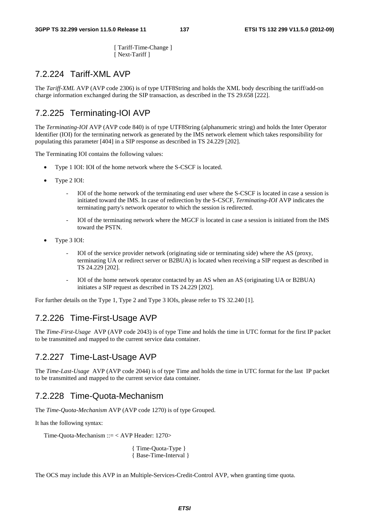[ Tariff-Time-Change ] [ Next-Tariff ]

# 7.2.224 Tariff-XML AVP

The *Tariff-XML* AVP (AVP code 2306) is of type UTF8String and holds the XML body describing the tariff/add-on charge information exchanged during the SIP transaction, as described in the TS 29.658 [222].

# 7.2.225 Terminating-IOI AVP

The *Terminating-IOI* AVP (AVP code 840) is of type UTF8String (alphanumeric string) and holds the Inter Operator Identifier (IOI) for the terminating network as generated by the IMS network element which takes responsibility for populating this parameter [404] in a SIP response as described in TS 24.229 [202].

The Terminating IOI contains the following values:

- Type 1 IOI: IOI of the home network where the S-CSCF is located.
- Type 2 IOI:
	- IOI of the home network of the terminating end user where the S-CSCF is located in case a session is initiated toward the IMS. In case of redirection by the S-CSCF, *Terminating-IOI* AVP indicates the terminating party's network operator to which the session is redirected.
	- IOI of the terminating network where the MGCF is located in case a session is initiated from the IMS toward the PSTN.
- Type 3 IOI:
	- IOI of the service provider network (originating side or terminating side) where the AS (proxy, terminating UA or redirect server or B2BUA) is located when receiving a SIP request as described in TS 24.229 [202].
	- IOI of the home network operator contacted by an AS when an AS (originating UA or B2BUA) initiates a SIP request as described in TS 24.229 [202].

For further details on the Type 1, Type 2 and Type 3 IOIs, please refer to TS 32.240 [1].

### 7.2.226 Time-First-Usage AVP

The *Time-First-Usage* AVP (AVP code 2043) is of type Time and holds the time in UTC format for the first IP packet to be transmitted and mapped to the current service data container.

#### 7.2.227 Time-Last-Usage AVP

The *Time-Last-Usage* AVP (AVP code 2044) is of type Time and holds the time in UTC format for the last IP packet to be transmitted and mapped to the current service data container.

#### 7.2.228 Time-Quota-Mechanism

The *Time-Quota-Mechanism* AVP (AVP code 1270) is of type Grouped.

It has the following syntax:

Time-Quota-Mechanism ::= < AVP Header: 1270>

{ Time-Quota-Type } { Base-Time-Interval }

The OCS may include this AVP in an Multiple-Services-Credit-Control AVP, when granting time quota.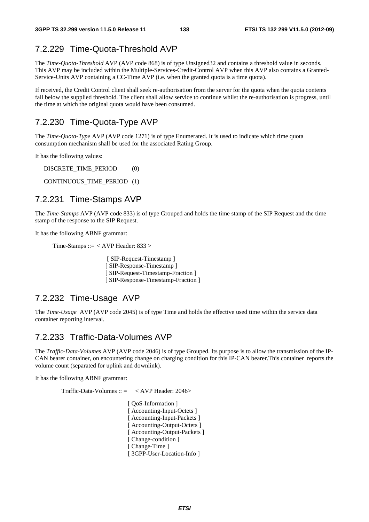# 7.2.229 Time-Quota-Threshold AVP

The *Time-Quota-Threshold* AVP (AVP code 868) is of type Unsigned32 and contains a threshold value in seconds. This AVP may be included within the Multiple-Services-Credit-Control AVP when this AVP also contains a Granted-Service-Units AVP containing a CC-Time AVP (i.e. when the granted quota is a time quota).

If received, the Credit Control client shall seek re-authorisation from the server for the quota when the quota contents fall below the supplied threshold. The client shall allow service to continue whilst the re-authorisation is progress, until the time at which the original quota would have been consumed.

### 7.2.230 Time-Quota-Type AVP

The *Time-Quota-Type* AVP (AVP code 1271) is of type Enumerated. It is used to indicate which time quota consumption mechanism shall be used for the associated Rating Group.

It has the following values:

DISCRETE\_TIME\_PERIOD (0)

CONTINUOUS\_TIME\_PERIOD (1)

#### 7.2.231 Time-Stamps AVP

The *Time-Stamps* AVP (AVP code 833) is of type Grouped and holds the time stamp of the SIP Request and the time stamp of the response to the SIP Request.

It has the following ABNF grammar:

Time-Stamps ::= < AVP Header: 833 >

 [ SIP-Request-Timestamp ] [ SIP-Response-Timestamp ] [ SIP-Request-Timestamp-Fraction ] [ SIP-Response-Timestamp-Fraction ]

### 7.2.232 Time-Usage AVP

The *Time-Usage* AVP (AVP code 2045) is of type Time and holds the effective used time within the service data container reporting interval.

# 7.2.233 Traffic-Data-Volumes AVP

The *Traffic-Data-Volumes* AVP (AVP code 2046) is of type Grouped. Its purpose is to allow the transmission of the IP-CAN bearer container, on encountering change on charging condition for this IP-CAN bearer.This container reports the volume count (separated for uplink and downlink).

It has the following ABNF grammar:

 $Traffic\text{-}Data-Volumes :: = < AVP Header: 2046>$ 

[  $OoS$ -Information ] [ Accounting-Input-Octets ] [ Accounting-Input-Packets ] [ Accounting-Output-Octets ] [ Accounting-Output-Packets ] [ Change-condition ] [ Change-Time ] [ 3GPP-User-Location-Info ]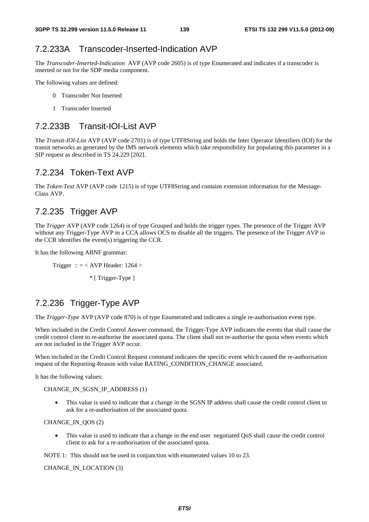### 7.2.233A Transcoder-Inserted-Indication AVP

The *Transcoder-Inserted*-*Indication* AVP (AVP code 2605) is of type Enumerated and indicates if a transcoder is inserted or not for the SDP media component.

The following values are defined:

- 0 Transcoder Not Inserted
- 1 Transcoder Inserted

### 7.2.233B Transit-IOI-List AVP

The *Transit-IOI-List* AVP (AVP code 2701) is of type UTF8String and holds the Inter Operator Identifiers (IOI) for the transit networks as generated by the IMS network elements which take responsibility for populating this parameter in a SIP request as described in TS 24.229 [202].

#### 7.2.234 Token-Text AVP

The *Token-Text* AVP (AVP code 1215) is of type UTF8String and contains extension information for the Message-Class AVP.

#### 7.2.235 Trigger AVP

The *Trigger* AVP (AVP code 1264) is of type Grouped and holds the trigger types. The presence of the Trigger AVP without any Trigger-Type AVP in a CCA allows OCS to disable all the triggers. The presence of the Trigger AVP in the CCR identifies the event(s) triggering the CCR.

It has the following ABNF grammar:

Trigger :: = < AVP Header:  $1264 >$ 

\* [ Trigger-Type ]

### 7.2.236 Trigger-Type AVP

The *Trigger-Type* AVP (AVP code 870) is of type Enumerated and indicates a single re-authorisation event type.

When included in the Credit Control Answer command, the Trigger-Type AVP indicates the events that shall cause the credit control client to re-authorise the associated quota. The client shall not re-authorise the quota when events which are not included in the Trigger AVP occur.

When included in the Credit Control Request command indicates the specific event which caused the re-authorisation request of the Reporting-Reason with value RATING\_CONDITION\_CHANGE associated.

It has the following values:

CHANGE\_IN\_SGSN\_IP\_ADDRESS (1)

• This value is used to indicate that a change in the SGSN IP address shall cause the credit control client to ask for a re-authorisation of the associated quota.

CHANGE\_IN\_QOS (2)

• This value is used to indicate that a change in the end user negotiated QoS shall cause the credit control client to ask for a re-authorisation of the associated quota.

NOTE 1: This should not be used in conjunction with enumerated values 10 to 23.

CHANGE\_IN\_LOCATION (3)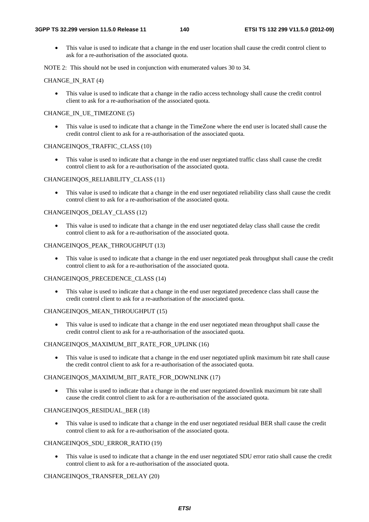• This value is used to indicate that a change in the end user location shall cause the credit control client to ask for a re-authorisation of the associated quota.

NOTE 2: This should not be used in conjunction with enumerated values 30 to 34.

#### CHANGE\_IN\_RAT (4)

• This value is used to indicate that a change in the radio access technology shall cause the credit control client to ask for a re-authorisation of the associated quota.

#### CHANGE IN UE TIMEZONE (5)

• This value is used to indicate that a change in the TimeZone where the end user is located shall cause the credit control client to ask for a re-authorisation of the associated quota.

#### CHANGEINQOS\_TRAFFIC\_CLASS (10)

• This value is used to indicate that a change in the end user negotiated traffic class shall cause the credit control client to ask for a re-authorisation of the associated quota.

#### CHANGEINQOS\_RELIABILITY\_CLASS (11)

• This value is used to indicate that a change in the end user negotiated reliability class shall cause the credit control client to ask for a re-authorisation of the associated quota.

#### CHANGEINQOS\_DELAY\_CLASS (12)

• This value is used to indicate that a change in the end user negotiated delay class shall cause the credit control client to ask for a re-authorisation of the associated quota.

#### CHANGEINQOS\_PEAK\_THROUGHPUT (13)

• This value is used to indicate that a change in the end user negotiated peak throughput shall cause the credit control client to ask for a re-authorisation of the associated quota.

#### CHANGEINQOS\_PRECEDENCE\_CLASS (14)

This value is used to indicate that a change in the end user negotiated precedence class shall cause the credit control client to ask for a re-authorisation of the associated quota.

#### CHANGEINOOS\_MEAN\_THROUGHPUT (15)

• This value is used to indicate that a change in the end user negotiated mean throughput shall cause the credit control client to ask for a re-authorisation of the associated quota.

#### CHANGEINOOS\_MAXIMUM\_BIT\_RATE\_FOR\_UPLINK (16)

This value is used to indicate that a change in the end user negotiated uplink maximum bit rate shall cause the credit control client to ask for a re-authorisation of the associated quota.

#### CHANGEINOOS\_MAXIMUM\_BIT\_RATE\_FOR\_DOWNLINK (17)

• This value is used to indicate that a change in the end user negotiated downlink maximum bit rate shall cause the credit control client to ask for a re-authorisation of the associated quota.

#### CHANGEINQOS\_RESIDUAL\_BER (18)

• This value is used to indicate that a change in the end user negotiated residual BER shall cause the credit control client to ask for a re-authorisation of the associated quota.

#### CHANGEINQOS\_SDU\_ERROR\_RATIO (19)

• This value is used to indicate that a change in the end user negotiated SDU error ratio shall cause the credit control client to ask for a re-authorisation of the associated quota.

#### CHANGEINQOS\_TRANSFER\_DELAY (20)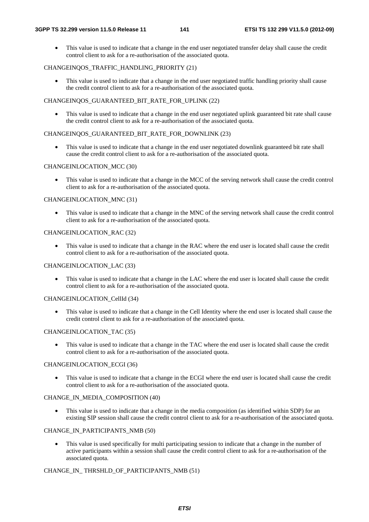• This value is used to indicate that a change in the end user negotiated transfer delay shall cause the credit control client to ask for a re-authorisation of the associated quota.

#### CHANGEINQOS\_TRAFFIC\_HANDLING\_PRIORITY (21)

• This value is used to indicate that a change in the end user negotiated traffic handling priority shall cause the credit control client to ask for a re-authorisation of the associated quota.

#### CHANGEINQOS\_GUARANTEED\_BIT\_RATE\_FOR\_UPLINK (22)

This value is used to indicate that a change in the end user negotiated uplink guaranteed bit rate shall cause the credit control client to ask for a re-authorisation of the associated quota.

#### CHANGEINOOS\_GUARANTEED\_BIT\_RATE\_FOR\_DOWNLINK (23)

• This value is used to indicate that a change in the end user negotiated downlink guaranteed bit rate shall cause the credit control client to ask for a re-authorisation of the associated quota.

#### CHANGEINLOCATION\_MCC (30)

• This value is used to indicate that a change in the MCC of the serving network shall cause the credit control client to ask for a re-authorisation of the associated quota.

#### CHANGEINLOCATION\_MNC (31)

• This value is used to indicate that a change in the MNC of the serving network shall cause the credit control client to ask for a re-authorisation of the associated quota.

#### CHANGEINLOCATION\_RAC (32)

• This value is used to indicate that a change in the RAC where the end user is located shall cause the credit control client to ask for a re-authorisation of the associated quota.

#### CHANGEINLOCATION\_LAC (33)

• This value is used to indicate that a change in the LAC where the end user is located shall cause the credit control client to ask for a re-authorisation of the associated quota.

#### CHANGEINLOCATION\_CellId (34)

• This value is used to indicate that a change in the Cell Identity where the end user is located shall cause the credit control client to ask for a re-authorisation of the associated quota.

#### CHANGEINLOCATION\_TAC (35)

• This value is used to indicate that a change in the TAC where the end user is located shall cause the credit control client to ask for a re-authorisation of the associated quota.

#### CHANGEINLOCATION\_ECGI (36)

• This value is used to indicate that a change in the ECGI where the end user is located shall cause the credit control client to ask for a re-authorisation of the associated quota.

#### CHANGE\_IN\_MEDIA\_COMPOSITION (40)

• This value is used to indicate that a change in the media composition (as identified within SDP) for an existing SIP session shall cause the credit control client to ask for a re-authorisation of the associated quota.

#### CHANGE\_IN\_PARTICIPANTS\_NMB (50)

This value is used specifically for multi participating session to indicate that a change in the number of active participants within a session shall cause the credit control client to ask for a re-authorisation of the associated quota.

#### CHANGE\_IN\_ THRSHLD\_OF\_PARTICIPANTS\_NMB (51)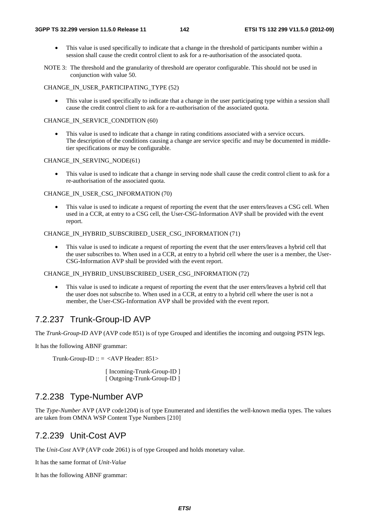- This value is used specifically to indicate that a change in the threshold of participants number within a session shall cause the credit control client to ask for a re-authorisation of the associated quota.
- NOTE 3: The threshold and the granularity of threshold are operator configurable. This should not be used in conjunction with value 50.

CHANGE\_IN\_USER\_PARTICIPATING\_TYPE (52)

• This value is used specifically to indicate that a change in the user participating type within a session shall cause the credit control client to ask for a re-authorisation of the associated quota.

#### CHANGE\_IN\_SERVICE\_CONDITION (60)

This value is used to indicate that a change in rating conditions associated with a service occurs. The description of the conditions causing a change are service specific and may be documented in middletier specifications or may be configurable.

CHANGE\_IN\_SERVING\_NODE(61)

This value is used to indicate that a change in serving node shall cause the credit control client to ask for a re-authorisation of the associated quota.

CHANGE\_IN\_USER\_CSG\_INFORMATION (70)

This value is used to indicate a request of reporting the event that the user enters/leaves a CSG cell. When used in a CCR, at entry to a CSG cell, the User-CSG-Information AVP shall be provided with the event report.

#### CHANGE\_IN\_HYBRID\_SUBSCRIBED\_USER\_CSG\_INFORMATION (71)

• This value is used to indicate a request of reporting the event that the user enters/leaves a hybrid cell that the user subscribes to. When used in a CCR, at entry to a hybrid cell where the user is a member, the User-CSG-Information AVP shall be provided with the event report.

CHANGE\_IN\_HYBRID\_UNSUBSCRIBED\_USER\_CSG\_INFORMATION (72)

• This value is used to indicate a request of reporting the event that the user enters/leaves a hybrid cell that the user does not subscribe to. When used in a CCR, at entry to a hybrid cell where the user is not a member, the User-CSG-Information AVP shall be provided with the event report.

### 7.2.237 Trunk-Group-ID AVP

The *Trunk-Group-ID* AVP (AVP code 851) is of type Grouped and identifies the incoming and outgoing PSTN legs.

It has the following ABNF grammar:

Trunk-Group-ID ::  $=$  <AVP Header: 851>

 [ Incoming-Trunk-Group-ID ] [ Outgoing-Trunk-Group-ID ]

#### 7.2.238 Type-Number AVP

The *Type-Number* AVP (AVP code1204) is of type Enumerated and identifies the well-known media types. The values are taken from OMNA WSP Content Type Numbers [210]

# 7.2.239 Unit-Cost AVP

The *Unit-Cost* AVP (AVP code 2061) is of type Grouped and holds monetary value.

It has the same format of *Unit-Value*

It has the following ABNF grammar: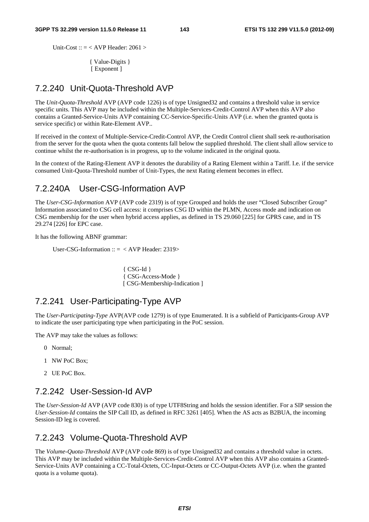Unit-Cost ::  $=$  < AVP Header: 2061 >

 { Value-Digits } [ Exponent ]

# 7.2.240 Unit-Quota-Threshold AVP

The *Unit-Quota-Threshold* AVP (AVP code 1226) is of type Unsigned32 and contains a threshold value in service specific units. This AVP may be included within the Multiple-Services-Credit-Control AVP when this AVP also contains a Granted-Service-Units AVP containing CC-Service-Specific-Units AVP (i.e. when the granted quota is service specific) or within Rate-Element AVP..

If received in the context of Multiple-Service-Credit-Control AVP, the Credit Control client shall seek re-authorisation from the server for the quota when the quota contents fall below the supplied threshold. The client shall allow service to continue whilst the re-authorisation is in progress, up to the volume indicated in the original quota.

In the context of the Rating-Element AVP it denotes the durability of a Rating Element within a Tariff. I.e. if the service consumed Unit-Quota-Threshold number of Unit-Types, the next Rating element becomes in effect.

# 7.2.240A User-CSG-Information AVP

The *User-CSG-Information* AVP (AVP code 2319) is of type Grouped and holds the user "Closed Subscriber Group" Information associated to CSG cell access: it comprises CSG ID within the PLMN, Access mode and indication on CSG membership for the user when hybrid access applies, as defined in TS 29.060 [225] for GPRS case, and in TS 29.274 [226] for EPC case.

It has the following ABNF grammar:

User-CSG-Information  $\therefore$  = < AVP Header: 2319>

 ${CSG-Id}$ { CSG-Access-Mode } [ CSG-Membership-Indication ]

# 7.2.241 User-Participating-Type AVP

The *User-Participating-Type* AVP(AVP code 1279) is of type Enumerated. It is a subfield of Participants-Group AVP to indicate the user participating type when participating in the PoC session.

The AVP may take the values as follows:

- 0 Normal;
- 1 NW PoC Box;
- 2 UE PoC Box.

### 7.2.242 User-Session-Id AVP

The *User-Session-Id* AVP (AVP code 830) is of type UTF8String and holds the session identifier. For a SIP session the *User-Session-Id* contains the SIP Call ID, as defined in RFC 3261 [405]. When the AS acts as B2BUA, the incoming Session-ID leg is covered.

### 7.2.243 Volume-Quota-Threshold AVP

The *Volume-Quota-Threshold* AVP (AVP code 869) is of type Unsigned32 and contains a threshold value in octets. This AVP may be included within the Multiple-Services-Credit-Control AVP when this AVP also contains a Granted-Service-Units AVP containing a CC-Total-Octets, CC-Input-Octets or CC-Output-Octets AVP (i.e. when the granted quota is a volume quota).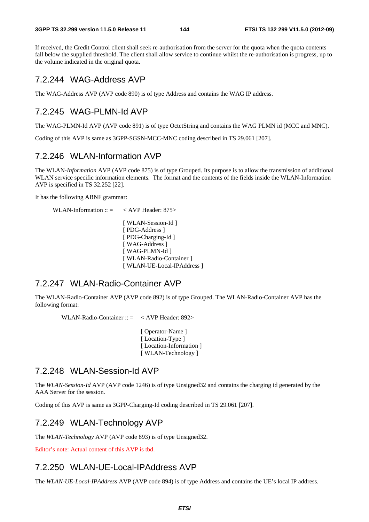If received, the Credit Control client shall seek re-authorisation from the server for the quota when the quota contents fall below the supplied threshold. The client shall allow service to continue whilst the re-authorisation is progress, up to the volume indicated in the original quota.

## 7.2.244 WAG-Address AVP

The WAG-Address AVP (AVP code 890) is of type Address and contains the WAG IP address.

## 7.2.245 WAG-PLMN-Id AVP

The WAG-PLMN-Id AVP (AVP code 891) is of type OctetString and contains the WAG PLMN id (MCC and MNC).

Coding of this AVP is same as 3GPP-SGSN-MCC-MNC coding described in TS 29.061 [207].

## 7.2.246 WLAN-Information AVP

The WLAN*-Information* AVP (AVP code 875) is of type Grouped. Its purpose is to allow the transmission of additional WLAN service specific information elements. The format and the contents of the fields inside the WLAN-Information AVP is specified in TS 32.252 [22].

It has the following ABNF grammar:

```
WLAN-Information \therefore = < AVP Header: 875>
```
[ WLAN-Session-Id ] [ PDG-Address ] [ PDG-Charging-Id ] [ WAG-Address ] [ WAG-PLMN-Id ] [ WLAN-Radio-Container ] [ WLAN-UE-Local-IPAddress ]

## 7.2.247 WLAN-Radio-Container AVP

The WLAN-Radio-Container AVP (AVP code 892) is of type Grouped. The WLAN-Radio-Container AVP has the following format:

WLAN-Radio-Container  $\cdot = \times$  AVP Header: 892>

 [ Operator-Name ] [Location-Type ] [Location-Information] [ WLAN-Technology ]

### 7.2.248 WLAN-Session-Id AVP

The *WLAN-Session-Id* AVP (AVP code 1246) is of type Unsigned32 and contains the charging id generated by the AAA Server for the session.

Coding of this AVP is same as 3GPP-Charging-Id coding described in TS 29.061 [207].

### 7.2.249 WLAN-Technology AVP

The *WLAN-Technology* AVP (AVP code 893) is of type Unsigned32.

Editor's note: Actual content of this AVP is tbd.

## 7.2.250 WLAN-UE-Local-IPAddress AVP

The *WLAN-UE-Local-IPAddress* AVP (AVP code 894) is of type Address and contains the UE's local IP address.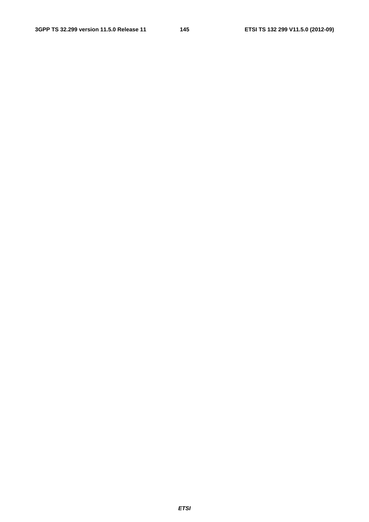*ETSI*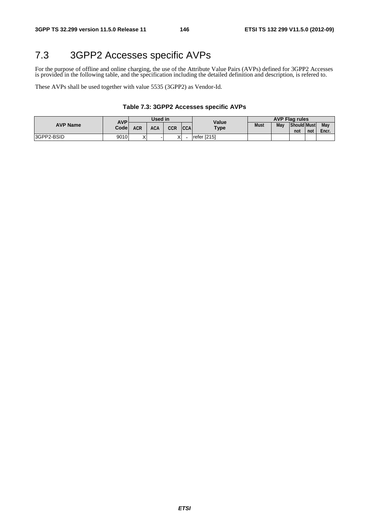## 7.3 3GPP2 Accesses specific AVPs

For the purpose of offline and online charging, the use of the Attribute Value Pairs (AVPs) defined for 3GPP2 Accesses is provided in the following table, and the specification including the detailed definition and description, is refered to.

These AVPs shall be used together with value 5535 (3GPP2) as Vendor-Id.

#### **Table 7.3: 3GPP2 Accesses specific AVPs**

|                 | <b>AVP</b> | Used in           |            |     |            | Value       | <b>AVP Flag rules</b> |     |                           |     |              |
|-----------------|------------|-------------------|------------|-----|------------|-------------|-----------------------|-----|---------------------------|-----|--------------|
| <b>AVP Name</b> | Codel      | ACR               | <b>ACA</b> | CCR | <b>CCA</b> | <b>Type</b> | <b>Must</b>           | May | <b>Should Must</b><br>not | not | May<br>Encr. |
| 3GPP2-BSID      | 9010       | $\checkmark$<br>⋏ |            |     |            | refer [215] |                       |     |                           |     |              |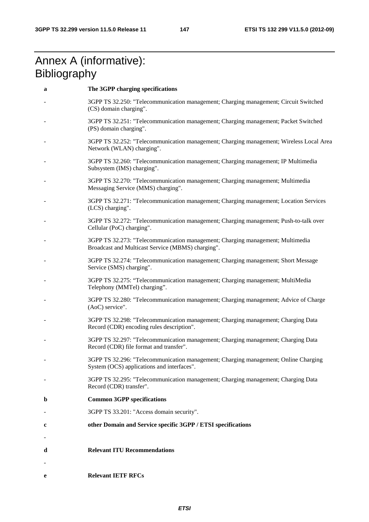## Annex A (informative): **Bibliography**

| a           | The 3GPP charging specifications                                                                                                    |
|-------------|-------------------------------------------------------------------------------------------------------------------------------------|
|             | 3GPP TS 32.250: "Telecommunication management; Charging management; Circuit Switched<br>(CS) domain charging".                      |
|             | 3GPP TS 32.251: "Telecommunication management; Charging management; Packet Switched<br>(PS) domain charging".                       |
|             | 3GPP TS 32.252: "Telecommunication management; Charging management; Wireless Local Area<br>Network (WLAN) charging".                |
|             | 3GPP TS 32.260: "Telecommunication management; Charging management; IP Multimedia<br>Subsystem (IMS) charging".                     |
|             | 3GPP TS 32.270: "Telecommunication management; Charging management; Multimedia<br>Messaging Service (MMS) charging".                |
|             | 3GPP TS 32.271: "Telecommunication management; Charging management; Location Services<br>(LCS) charging".                           |
|             | 3GPP TS 32.272: "Telecommunication management; Charging management; Push-to-talk over<br>Cellular (PoC) charging".                  |
|             | 3GPP TS 32.273: "Telecommunication management; Charging management; Multimedia<br>Broadcast and Multicast Service (MBMS) charging". |
|             | 3GPP TS 32.274: "Telecommunication management; Charging management; Short Message<br>Service (SMS) charging".                       |
|             | 3GPP TS 32.275: "Telecommunication management; Charging management; MultiMedia<br>Telephony (MMTel) charging".                      |
|             | 3GPP TS 32.280: "Telecommunication management; Charging management; Advice of Charge<br>(AoC) service".                             |
|             | 3GPP TS 32.298: "Telecommunication management; Charging management; Charging Data<br>Record (CDR) encoding rules description".      |
|             | 3GPP TS 32.297: "Telecommunication management; Charging management; Charging Data<br>Record (CDR) file format and transfer".        |
|             | 3GPP TS 32.296: "Telecommunication management; Charging management; Online Charging<br>System (OCS) applications and interfaces".   |
|             | 3GPP TS 32.295: "Telecommunication management; Charging management; Charging Data<br>Record (CDR) transfer".                        |
| $\mathbf b$ | <b>Common 3GPP specifications</b>                                                                                                   |
|             | 3GPP TS 33.201: "Access domain security".                                                                                           |
| c           | other Domain and Service specific 3GPP / ETSI specifications                                                                        |
|             |                                                                                                                                     |
| d           | <b>Relevant ITU Recommendations</b>                                                                                                 |
|             |                                                                                                                                     |
| e           | <b>Relevant IETF RFCs</b>                                                                                                           |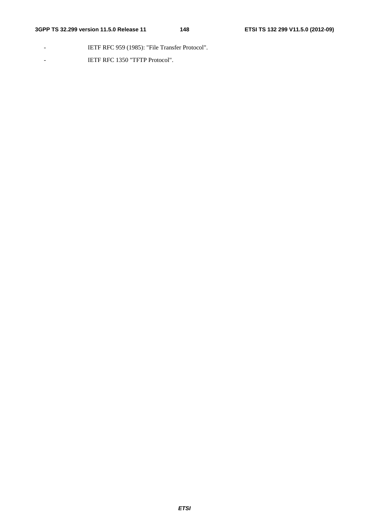- IETF RFC 959 (1985): "File Transfer Protocol".
- IETF RFC 1350 "TFTP Protocol".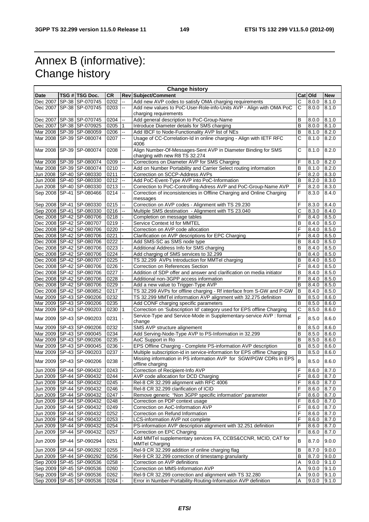## Annex B (informative): Change history

| <b>Change history</b> |  |                              |           |    |                                                                          |                |         |            |
|-----------------------|--|------------------------------|-----------|----|--------------------------------------------------------------------------|----------------|---------|------------|
| <b>Date</b>           |  | TSG # TSG Doc.               | <b>CR</b> |    | <b>Rev Subject/Comment</b>                                               |                | Cat Old | <b>New</b> |
| Dec 2007              |  | SP-38 SP-070745              | 0202      |    | Add new AVP codes to satisfy OMA charging requirements                   | С              | 8.0.0   | 8.1.0      |
|                       |  | Dec 2007 SP-38 SP-070745     | 0203      | ш, | Add new values to PoC-User-Role-info-Units AVP - Align with OMA PoC      | C              | 8.0.0   | 8.1.0      |
|                       |  |                              |           |    | charging requirements                                                    |                |         |            |
|                       |  | Dec 2007   SP-38   SP-070745 | 0204      |    | Add general description to PoC-Group-Name                                | в              | 8.0.0   | 8.1.0      |
|                       |  | Dec 2007   SP-38   SP-070925 | 0205      |    | Introduce Diameter details for SMS charging                              | B              | 8.0.0   | 8.1.0      |
|                       |  | Mar 2008   SP-39   SP-080059 | 0206      | ÷. | Add IBCF to Node-Functionality AVP list of NEs                           | B              | 8.1.0   | 8.2.0      |
|                       |  | Mar 2008 SP-39 SP-080074     | 0207      |    | Usage of CC-Correlation-Id in online charging - Align with IETF RFC      | C              | 8.1.0   | 8.2.0      |
|                       |  |                              |           |    | 4006                                                                     |                |         |            |
|                       |  | Mar 2008   SP-39   SP-080074 | 0208      | н. | Align Number-Of-Messages-Sent AVP in Diameter Binding for SMS            | С              | 8.1.0   | 8.2.0      |
|                       |  |                              |           |    |                                                                          |                |         |            |
|                       |  |                              |           |    | charging with new R8 TS 32.274                                           |                |         |            |
|                       |  | Mar 2008   SP-39   SP-080074 | 0209      |    | Corrections on Diameter AVP for SMS Charging                             | F              | 8.1.0   | 8.2.0      |
|                       |  | Mar 2008 SP-39 SP-080074     | 0210      |    | Add on Number Portability and Carrier Select routing information         | B              | 8.1.0   | 8.2.0      |
|                       |  | Jun 2008   SP-40   SP-080330 | 0211      | н. | Correction on SCCP-Address AVPs                                          | F              | 8.2.0   | 8.3.0      |
|                       |  | Jun 2008   SP-40   SP-080330 | 0212      | Ξ. | Add PoC-Event-Type AVP into PoC-Information                              | B              | 8.2.0   | 8.3.0      |
|                       |  | Jun 2008 SP-40 SP-080330     | 0213      |    | Correction to PoC-Controlling-Adress AVP and PoC-Group-Name AVP          | F              | 8.2.0   | 8.3.0      |
|                       |  | Sep 2008   SP-41   SP-080466 | 0214      | ÷, | Correction of inconsistencies in Offline Charging and Online Charging    | F              | 8.3.0   | 8.4.0      |
|                       |  |                              |           |    | messages                                                                 |                |         |            |
|                       |  | Sep 2008 SP-41 SP-080330     | 0215      |    | Correction on AVP codes - Alignment with TS 29.230                       | F              | 8.3.0   | 8.4.0      |
|                       |  | Sep 2008   SP-41   SP-080330 | 0216      |    | Multiple SMS destination - Alignment with TS 23.040                      | C              | 8.3.0   | 8.4.0      |
|                       |  | Dec 2008   SP-42   SP-080706 | 0218      |    | Completion on message tables                                             | F              | 8.4.0   | 8.5.0      |
|                       |  | Dec 2008 SP-42 SP-080707     | 0219      |    | Service Context Id for MMTEL                                             | В              | 8.4.0   | 8.5.0      |
|                       |  | Dec 2008   SP-42   SP-080706 | 0220      |    | Correction on AVP code allocation                                        | F              | 8.4.0   | 8.5.0      |
|                       |  | Dec 2008   SP-42   SP-080706 | 0221      |    | Clarification on AVP descriptions for EPC Charging                       | F              | 8.4.0   | 8.5.0      |
|                       |  | Dec 2008   SP-42   SP-080706 |           |    |                                                                          | в              |         |            |
|                       |  |                              | 0222      |    | Add SMS-SC as SMS node type                                              |                | 8.4.0   | 8.5.0      |
|                       |  | Dec 2008   SP-42   SP-080706 | 0223      |    | Additional Address Info for SMS charging                                 | в              | 8.4.0   | 8.5.0      |
|                       |  | Dec 2008   SP-42   SP-080706 | 0224      |    | Add charging of SMS services to 32.299                                   | B              | 8.4.0   | 8.5.0      |
|                       |  | Dec 2008   SP-42   SP-080707 | 0225      |    | TS 32.299 AVPs Introduction for MMTel charging                           | В              | 8.4.0   | 8.5.0      |
|                       |  | Dec 2008   SP-42   SP-080706 | 0226      |    | Correction on References Section                                         | F              | 8.4.0   | 8.5.0      |
|                       |  | Dec 2008   SP-42   SP-080706 | 0227      |    | Addition of SDP offer and answer and clarification on media initiator    | B              | 8.4.0   | 8.5.0      |
|                       |  | Dec 2008 SP-42 SP-080706     | 0228      |    | Additional non-3GPP access information                                   | F              | 8.4.0   | 8.5.0      |
|                       |  | Dec 2008 SP-42 SP-080706     | 0229      |    | Add a new value to Trigger-Type AVP                                      | в              | 8.4.0   | 8.5.0      |
|                       |  | Dec 2008 SP-42 SP-080852     | 0217      |    | TS 32.299 AVPs for offline charging - Rf interface from S-GW and P-GW    | B              | 8.4.0   | 8.5.0      |
|                       |  | Mar 2009   SP-43   SP-090206 | 0232      |    | TS 32.299 MMTel information AVP alignment with 32.275 definition         | B              | 8.5.0   | 8.6.0      |
|                       |  | Mar 2009   SP-43   SP-090206 | 0235      |    | Add CONF charging specific parameters                                    | B              | 8.5.0   | 8.6.0      |
|                       |  | Mar 2009   SP-43   SP-090203 | 0230      |    | Correction on 'Subscription Id' category used for EPS offline Charging   | C              | 8.5.0   | 8.6.0      |
|                       |  |                              |           |    | Service-Type and Service-Mode in Supplementary-service AVP : format      |                |         |            |
|                       |  | Mar 2009   SP-43   SP-090203 | 0231      |    |                                                                          | F              | 8.5.0   | 8.6.0      |
|                       |  |                              |           |    | change                                                                   |                |         |            |
|                       |  | Mar 2009   SP-43   SP-090206 | 0232      |    | SMS AVP structure alignement                                             | В              | 8.5.0   | 8.6.0      |
|                       |  | Mar 2009   SP-43   SP-090045 | 0234      |    | Add Serving-Node-Type AVP to PS-Information in 32.299                    | B              | 8.5.0   | 8.6.0      |
|                       |  | Mar 2009 SP-43 SP-090206     | 0235      |    | AoC Support in Ro                                                        | в              | 8.5.0   | 8.6.0      |
| Mar 2009              |  | SP-43 SP-090045              | 0236      |    | EPS Offline Charging - Complete PS-information AVP description           | B              | 8.5.0   | 8.6.0      |
| Mar 2009              |  | SP-43 SP-090203              | 0237      |    | Multiple subscription-id in service-information for EPS offline Charging | B              | 8.5.0   | 8.6.0      |
|                       |  | Mar 2009 SP-43 SP-090206     | 0238      |    | Missing information in PS information AVP for SGW/PGW CDRs in EPS        | B              | 8.5.0   | 8.6.0      |
|                       |  |                              |           |    | offline charging                                                         |                |         |            |
|                       |  | Jun 2009 SP-44 SP-090432     | 0243      |    | Correction of Recipient-Info AVP                                         | $\overline{F}$ | 8.6.0   | 8.7.0      |
|                       |  | Jun 2009   SP-44   SP-090432 | 0244      |    | AVP code allocation for DCD Charging                                     | F              | 8.6.0   | 8.7.0      |
|                       |  | Jun 2009   SP-44   SP-090432 | 0245      |    | Rel-8 CR 32.299 alignment with RFC 4006                                  | F              | 8.6.0   | 8.7.0      |
|                       |  | Jun 2009   SP-44   SP-090432 | 0246      |    | Rel-8 CR 32.299 clarification of ICID                                    | F              | 8.6.0   | 8.7.0      |
| Jun 2009              |  | SP-44 SP-090432              | 0247      |    | Remove generic "Non 3GPP specific information" parameter                 | F              | 8.6.0   | 8.7.0      |
|                       |  | Jun 2009   SP-44   SP-090432 | 0248      |    | Correction on PDP context usage                                          | F              | 8.6.0   | 8.7.0      |
| Jun 2009              |  | SP-44 SP-090432              | 0249      |    | Correction on AoC-Information AVP                                        | F              | 8.6.0   | 8.7.0      |
| Jun 2009              |  | SP-44 SP-090432              | 0252      |    | Correction on Refund Information                                         | F              | 8.6.0   | 8.7.0      |
|                       |  |                              |           |    |                                                                          |                |         |            |
|                       |  | Jun 2009   SP-44   SP-090432 | 0253      |    | LCS-information AVP not complete                                         | F              | 8.6.0   | 8.7.0      |
| Jun 2009              |  | SP-44 SP-090432              | 0254      |    | PS-information AVP description alignment with 32.251 definition          | F              | 8.6.0   | 8.7.0      |
| Jun 2009              |  | SP-44 SP-090432              | 0257      |    | Correction on EPC Charging                                               | F              | 8.6.0   | 8.7.0      |
| Jun 2009              |  | SP-44 SP-090294              | 0251      |    | Add MMTel supplementary services FA, CCBS&CCNR, MCID, CAT for            | B              | 8.7.0   | 9.0.0      |
|                       |  |                              |           |    | <b>MMTel Charging</b>                                                    |                |         |            |
|                       |  | Jun 2009   SP-44   SP-090292 | 0255      |    | Rel-9 CR 32.299 addition of online charging flag                         | B              | 8.7.0   | 9.0.0      |
|                       |  | Jun 2009   SP-44   SP-090292 | 0256      |    | Rel-9 CR 32.299 correction of timestamp granularity                      | B              | 8.7.0   | 9.0.0      |
|                       |  | Sep 2009   SP-45   SP-090536 | 0258      |    | Correction on AVP definitions                                            | Α              | 9.0.0   | 9.1.0      |
|                       |  | Sep 2009 SP-45 SP-090536     | 0260      |    | Correction on MMS-Information AVP                                        | Α              | 9.0.0   | 9.1.0      |
|                       |  | Sep 2009   SP-45   SP-090536 | 0262      |    | Rel-9 CR 32.299 correction and alignment with TS 32.280                  | Α              | 9.0.0   | 9.1.0      |
|                       |  | Sep 2009   SP-45   SP-090536 | 0264      |    | Error in Number-Portability-Routing-Information AVP definition           | Α              | 9.0.0   | 9.1.0      |
|                       |  |                              |           |    |                                                                          |                |         |            |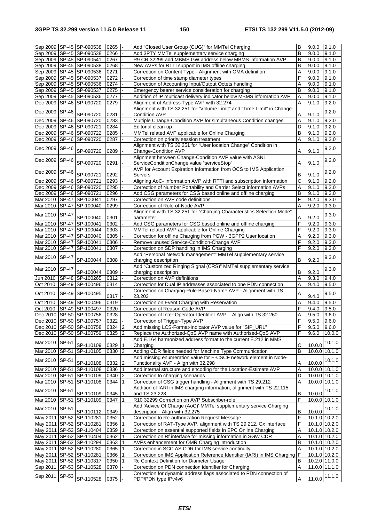|                |              | Sep 2009 SP-45 SP-090538     | 0265     |                | Add "Closed User Group (CUG)" for MMTel Charging                          | в | 9.0.0           | 9.1.0                        |
|----------------|--------------|------------------------------|----------|----------------|---------------------------------------------------------------------------|---|-----------------|------------------------------|
|                |              | Sep 2009   SP-45   SP-090538 | 0266     |                | Add 3PTY MMTel supplementary service charging                             | B | 9.0.0           | 9.1.0                        |
|                |              | Sep 2009 SP-45 SP-090541     | 0267     |                | R9 CR 32299 add MBMS GW address below MBMS information AVP                | B | 9.0.0           | 9.1.0                        |
|                |              | Sep 2009   SP-45   SP-090538 | 0268     |                |                                                                           | B | 9.0.0           | 9.1.0                        |
|                |              |                              |          |                | New AVPs for RTTI support in IMS offline charging                         |   |                 |                              |
|                |              | Sep 2009   SP-45   SP-090536 | 0271     |                | Correction on Content Type - Alignment with OMA definition                | A | 9.0.0           | 9.1.0                        |
|                |              | Sep 2009 SP-45 SP-090537     | 0272     |                | Correction of time stamp diameter types                                   | F | 9.0.0           | 9.1.0                        |
|                |              | Sep 2009   SP-45   SP-090536 | 0274     |                | Correction of Accounting Input/Output Octets handling                     | Α | 9.0.0           | 9.1.0                        |
|                |              | Sep 2009 SP-45 SP-090537     | 0275     |                | Emergency bearer service consideration for charging                       | B | 9.0.0           | 9.1.0                        |
|                |              | Sep 2009 SP-45 SP-090536     | 0277     |                | Addition of IP multicast delivery indicator below MBMS information AVP    | Α | 9.0.0           | 9.1.0                        |
| Dec 2009       |              | SP-46 SP-090720              | 0279     |                | Alignment of Address-Type AVP with 32.274                                 | A | 9.1.0           | 9.2.0                        |
|                |              |                              |          |                | Alignment with TS 32.251 for "Volume Limit" and "Time Limit" in Change-   |   |                 |                              |
| Dec 2009       | SP-46        | SP-090720                    | 0281     |                | <b>Condition AVP</b>                                                      | Α | 9.1.0           | 9.2.0                        |
|                |              | Dec 2009 SP-46 SP-090720     | 0283     |                | Multiple Change-Condition AVP for simultaneous Condition changes          | Α | 9.1.0           | 9.2.0                        |
|                |              | Dec 2009 SP-46 SP-090721     | 0284     |                | Editorial clean-up                                                        | D | 9.1.0           | 9.2.0                        |
|                |              | Dec 2009   SP-46   SP-090722 | 0285     |                | MMTel related AVP applicable for Online Charging                          | B | 9.1.0           | 9.2.0                        |
| Dec 2009       |              | SP-46 SP-090720              | 0287     |                | Correction on priority session treatment                                  | A | 9.1.0           | 9.2.0                        |
|                |              |                              |          |                | Alignment with TS 32.251 for "User location Change" Condition in          |   |                 |                              |
| Dec 2009       | <b>SP-46</b> | SP-090720                    | 0289     |                | Change-Condition AVP                                                      |   | 9.1.0           | 9.2.0                        |
|                |              |                              |          |                | Alignment between Change-Condition AVP value with ASN1                    | Α |                 |                              |
| Dec 2009       | SP-46        |                              |          |                |                                                                           |   |                 | 9.2.0                        |
|                |              | SP-090720                    | 0291     |                | ServiceConditionChange value "serviceStop"                                | Α | 9.1.0           |                              |
| Dec 2009       | SP-46        |                              |          |                | AVP for Account Expiration Information from OCS to IMS Application        |   |                 | 9.2.0                        |
|                |              | SP-090721                    | 0292     |                | Servers                                                                   | в | 9.1.0           |                              |
|                |              | Dec 2009   SP-46   SP-090721 | 0293     |                | Aligning AoC- Information AVP with RTTI and subscription information      | C | 9.1.0           | 9.2.0                        |
|                |              | Dec 2009   SP-46   SP-090720 | 0295     |                | Correction of Number Portability and Carrier Select information AVPs      | Α | 9.1.0           | 9.2.0                        |
|                |              | Dec 2009 SP-46 SP-090721     | 0296     |                | Add CSG parameters for CSG based online and offline charging              | B | 9.1.0           | 9.2.0                        |
|                |              | Mar 2010   SP-47   SP-100041 | 0297     |                | Correction on AVP code definitions                                        | F | 9.2.0           | 9.3.0                        |
|                |              | Mar 2010   SP-47   SP-100040 | 0299     |                | Correction of Role-of-Node AVP                                            | Α | 9.2.0           | 9.3.0                        |
|                |              |                              |          |                | Alignment with TS 32.251 for "Charging Characteristics Selection Mode"    |   |                 |                              |
| Mar 2010       | <b>SP-47</b> | SP-100040                    | 0301     |                | parameter                                                                 | Α | 9.2.0           | 9.3.0                        |
| Mar 2010       |              | SP-47 SP-100041              | 0302     |                | Add CSG parameters for CSG based online and offline charging              | F | 9.2.0           | 9.3.0                        |
|                |              |                              |          |                |                                                                           | F |                 |                              |
|                |              | Mar 2010   SP-47   SP-100044 | 0303     |                | MMTel related AVP applicable for Online Charging                          |   | 9.2.0           | 9.3.0                        |
|                |              | Mar 2010 SP-47 SP-100040     | 0305     |                | Correction for offline Charging from PGW - 3GPP2 User location            | Α | 9.2.0           | 9.3.0                        |
|                |              | Mar 2010 SP-47 SP-100041     | 0306     |                | Remove unused Service-Condition-Change AVP                                | F | 9.2.0           | 9.3.0                        |
|                |              | Mar 2010 SP-47 SP-100041     | 0307     |                | Correction on SDP handling in IMS Charging                                | F | 9.2.0           | 9.3.0                        |
| Mar 2010 SP-47 |              |                              |          |                | Add "Personal Network management" MMTel supplementary service             |   |                 | 9.3.0                        |
|                |              | SP-100044                    | 0308     |                | charging description                                                      | в | 9.2.0           |                              |
| Mar 2010 SP-47 |              |                              |          |                | Add "Customized Ringing Signal (CRS)" MMTel supplementary service         |   |                 | 9.3.0                        |
|                |              | SP-100044                    | 0309     |                | charging description                                                      | В | 9.2.0           |                              |
| Jun 2010       |              | SP-48 SP-100265              | 0312     |                | Correction on AVP definitions                                             | A | 9.3.0           | 9.4.0                        |
| Oct 2010       |              | SP-49 SP-100496              | 0314     |                | Correction for Dual IP addresses associated to one PDN connection         | A | 9.4.0           | 9.5.0                        |
|                |              |                              |          |                | Correction on Charging-Rule-Based-Name AVP - Alignment with TS            |   |                 |                              |
| Oct 2010       |              | SP-49 SP-100495              | 0317     |                | 23.203                                                                    | Α | 9.4.0           | 9.5.0                        |
|                |              | Oct 2010 SP-49 SP-100496     | 0319     |                | Correction on Event Charging with Reservation                             | Α | 9.4.0           | 9.5.0                        |
|                |              | Oct 2010 SP-49 SP-100497     | 0320     |                | Correction of Reason-Code AVP                                             |   | 9.4.0           | 9.5.0                        |
|                |              | Dec 2010   SP-50   SP-100756 | 0328     |                | Correction of Inter-Operator-Identifier AVP - Align with TS 32.260        | Α | 9.5.0           |                              |
|                |              |                              |          |                |                                                                           | F |                 | 9.6.0                        |
|                |              | Dec 2010 SP-50 SP-100757     | 0322     |                | Correction of Trigger-Type AVP                                            |   | $9.5.0$ $9.6.0$ |                              |
|                |              | Dec 2010   SP-50   SP-100758 | 0324 2   |                | Add missing LCS-Format-Indicator AVP value for "SIP_URL"                  | F | 9.5.0           | 9.6.0                        |
|                |              | Dec 2010 SP-50 SP-100759     | $0325$ 2 |                | Replace the Authorized-QoS AVP name with Authorised-QoS AVP               | F | 9.6.0           | 10.0.0                       |
| Mar 2010 SP-51 |              |                              |          |                | Add E.164 harmonized address format to the current E.212 in MMS           |   |                 | 10.1.0                       |
|                |              | SP-110109                    | 0329     | 1              | Charging                                                                  | С | 10.0.0          |                              |
| Mar 2010 SP-51 |              | SP-110105                    | 0330     | 3              | Adding CDR fields needed for Machine Type Communication                   | B |                 | 10.0.0 10.1.0                |
| Mar 2010 SP-51 |              |                              |          |                | Add missing enumeration value for E-CSCF network element in Node-         |   |                 | 10.1.0                       |
|                |              | SP-110108                    | 0332     | $\overline{2}$ | Functionality AVP - Align with 32.298                                     | Α | 10.0.0          |                              |
|                |              | Mar 2010   SP-51   SP-110108 | 0336     | $\mathbf{1}$   | Add internal structure and encoding for the Location-Estimate AVP         | Α |                 | 10.0.0 10.1.0                |
|                |              | Mar 2010 SP-51 SP-110109     | 0340     | $\overline{2}$ | Correction to charging scenarios                                          | D |                 | $10.0.0$ 10.1.0              |
|                |              | Mar 2010   SP-51   SP-110108 | 0344     |                | Correction of CSG trigger handling - Alignment with TS 29.212             | Α |                 | 10.0.0 10.1.0                |
|                |              |                              |          |                | Addition of IARI in IMS charging information, alignment with TS 22.115    |   |                 |                              |
| Mar 2010 SP-51 |              | SP-110109                    | 0345     | 1              | and TS 23.228                                                             | В | 10.0.0          | 10.1.0                       |
|                |              | Mar 2010   SP-51   SP-110109 | 0347     | $\mathbf{1}$   | R10 32299 Correction on AVP Subscriber-role                               | F |                 | $10.0.0$ $\overline{10.1.0}$ |
|                |              |                              |          |                |                                                                           |   |                 |                              |
| Mar 2010 SP-51 |              | SP-110112                    |          |                | Add 'Advice Of Charge (AoC)' MMTel supplementary service Charging         | B | 10.0.0          | 10.1.0                       |
|                |              |                              | 0349     |                | description - Align with 32.275                                           |   |                 |                              |
|                |              | May 2011 SP-52 SP-110281     | 0352     | 1              | Correction to Re-authorization Request Message                            | F |                 | 10.1.0 10.2.0                |
|                |              | May 2011 SP-52 SP-110281     | 0356     | $\mathbf{1}$   | Correction of RAT-Type AVP, alignment with TS 29.212, Gx interface        | F |                 | 10.1.0 10.2.0                |
|                |              | May 2011 SP-52 SP-110404     | 0359     | 1              | Correction on essential supported fields in EPC Online Charging           | Α |                 | $10.1.0$ 10.2.0              |
|                |              | May 2011 SP-52 SP-110404     | 0362     | 1              | Correction on Rf interface for missing information in SGW CDR             | Α |                 | 10.1.0 10.2.0                |
|                |              | May 2011 SP-52 SP-110294     | 0363     | 1              | AVPs enhancement for OMR Charging introduction                            | B |                 | 10.1.0 10.2.0                |
|                |              | May 2011 SP-52 SP-110280     | 0365     | 1              | Correction in SCC AS CDR for IMS service continuity                       | Α |                 | 10.1.0 10.2.0                |
|                |              | May 2011 SP-52 SP-110281     | 0366     |                | Correction on IMS Application Reference Identifier (IARI) in IMS Charging | F |                 | 10.1.0 10.2.0                |
|                |              | May 2011 SP-52 SP-110317     | 0350     |                | Rc Context Definition for Diameter Usage                                  | в |                 | 10.2.0 11.0.0                |
|                |              | Sep 2011   SP-53   SP-110528 | 0370     |                | Correction on PDN connection identifier for Charging                      | Α |                 | 11.0.0 11.1.0                |
|                |              |                              |          |                | Correction for dynamic address flags associated to PDN connection of      |   |                 |                              |
| Sep 2011       | SP-53        | SP-110528                    | 0375     |                | PDP/PDN type IPv4v6                                                       |   | 11.0.0          | 11.1.0                       |
|                |              |                              |          |                |                                                                           | A |                 |                              |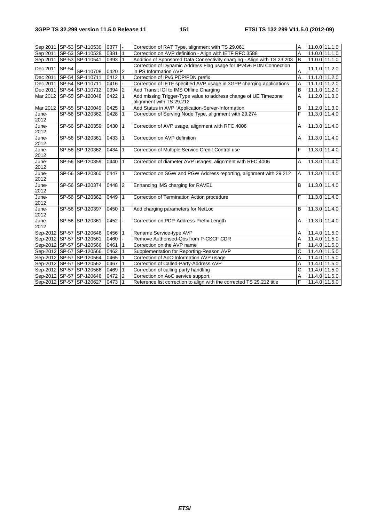|                | Sep 2011   SP-53   SP-110530 | $0377$ -   |              | Correction of RAT Type, alignment with TS 29.061                                            | A              |               | 11.0.0 11.1.0     |
|----------------|------------------------------|------------|--------------|---------------------------------------------------------------------------------------------|----------------|---------------|-------------------|
|                | Sep 2011   SP-53   SP-110528 | 0381       | $\vert$ 1    | Correction on AVP definition - Align with IETF RFC 3588                                     | A              |               | 11.0.0 11.1.0     |
|                | Sep 2011   SP-53   SP-110541 | 0393   1   |              | Addition of Sponsored Data Connectivity charging - Align with TS 23.203                     | B              |               | $11.0.0$ 11.1.0   |
| Dec 2011 SP-54 |                              |            |              | Correction of Dynamic Address Flag usage for IPv4v6 PDN Connection                          |                | 11.1.0 11.2.0 |                   |
|                | SP-110708                    | 0420       | 2            | in PS Information AVP                                                                       | A              |               |                   |
| Dec 2011       | SP-54 SP-110711              | 0412       | $\mathbf{1}$ | Correction of IPv6 PDP/PDN prefix                                                           | A              | 11.1.0 11.2.0 |                   |
|                | Dec 2011 SP-54 SP-110711     | 0416       |              | Correction of IETF specified AVP usage in 3GPP charging applications                        | A              |               | 11.1.0 11.2.0     |
|                | Dec 2011   SP-54   SP-110712 | $0394$ 2   |              | Add Transit IOI to IMS Offline Charging                                                     | B              |               | 11.1.0 11.2.0     |
|                | Mar 2012   SP-55   SP-120048 | $0422$   1 |              | Add missing Trigger-Type value to address change of UE Timezone<br>alignment with TS 29.212 | A              | 11.2.0 11.3.0 |                   |
|                | Mar 2012   SP-55   SP-120049 | 0425       | $\mathbf{1}$ | Add Status in AVP "Application-Server-Information                                           | B              |               | 11.2.0 11.3.0     |
| June-<br>2012  | SP-56 SP-120362              | 0428       | <u> 1</u>    | Correction of Serving Node Type, alignment with 29.274                                      | F              | 11.3.0 11.4.0 |                   |
| June-<br>2012  | SP-56 SP-120359              | 0430       | $\mathbf{1}$ | Correction of AVP usage, alignment with RFC 4006                                            | A              | 11.3.0 11.4.0 |                   |
| June-<br>2012  | SP-56 SP-120361              | $0433$   1 |              | Correction on AVP definition                                                                | A              |               | $11.3.0$ $11.4.0$ |
| June-<br>2012  | SP-56 SP-120362              | 0434       | $\vert$ 1    | Correction of Multiple Service Credit Control use                                           | F              | 11.3.0 11.4.0 |                   |
| June-<br>2012  | SP-56 SP-120359              | 0440       | $\mathbf{1}$ | Correction of diameter AVP usages, alignment with RFC 4006                                  | A              | 11.3.0 11.4.0 |                   |
| June-<br>2012  | SP-56 SP-120360              | 0447       | $\vert$ 1    | Correction on SGW and PGW Address reporting, alignment with 29.212                          | $\overline{A}$ | 11.3.0 11.4.0 |                   |
| June-<br>2012  | SP-56 SP-120374              | 0448       | 2            | Enhancing IMS charging for RAVEL                                                            | B              | 11.3.0 11.4.0 |                   |
| June-<br>2012  | SP-56 SP-120362              | 0449       | $\mathbf{1}$ | Correction of Termination Action procedure                                                  | F              | 11.3.0 11.4.0 |                   |
| June-<br>2012  | SP-56 SP-120397              | 0450 1     |              | Add charging parameters for NetLoc                                                          | B              | 11.3.0 11.4.0 |                   |
| June-<br>2012  | SP-56 SP-120361              | $0452$ -   |              | Correction on PDP-Address-Prefix-Length                                                     | A              | 11.3.0 11.4.0 |                   |
|                | Sep-2012 SP-57 SP-120646     | 0456       | $\vert$ 1    | Rename Service-type AVP                                                                     | Α              | 11.4.0 11.5.0 |                   |
|                | Sep-2012 SP-57 SP-120561     | 0460       |              | Remove Authorised-Qos from P-CSCF CDR                                                       | A              | 11.4.0 11.5.0 |                   |
|                | Sep-2012 SP-57 SP-120566     | 0461       |              | Correction on the AVP name                                                                  | F              | 11.4.0 11.5.0 |                   |
|                | Sep-2012 SP-57 SP-120566     | 0462       |              | Supplementation for Reporting-Reason AVP                                                    | Ċ              | 11.4.0 11.5.0 |                   |
|                | Sep-2012 SP-57 SP-120564     | 0465       | $\mathbf{1}$ | Correction of AoC-Information AVP usage                                                     | A              |               | $11.4.0$ 11.5.0   |
|                | Sep-2012 SP-57 SP-120562     | 0467       | 1            | Correction of Called-Party-Address AVP                                                      | Α              |               | 11.4.0 11.5.0     |
|                | Sep-2012 SP-57 SP-120566     | 0469       | $\mathbf{1}$ | Correction of calling party handling                                                        | C              | 11.4.0 11.5.0 |                   |
|                | Sep-2012 SP-57 SP-120646     | 0472       | <sup>2</sup> | Correction on AoC service support                                                           | A              |               | 11.4.0 11.5.0     |
|                | Sep-2012 SP-57 SP-120627     | 0473 1     |              | Reference list correction to align with the corrected TS 29.212 title                       | F              | 11.4.0 11.5.0 |                   |